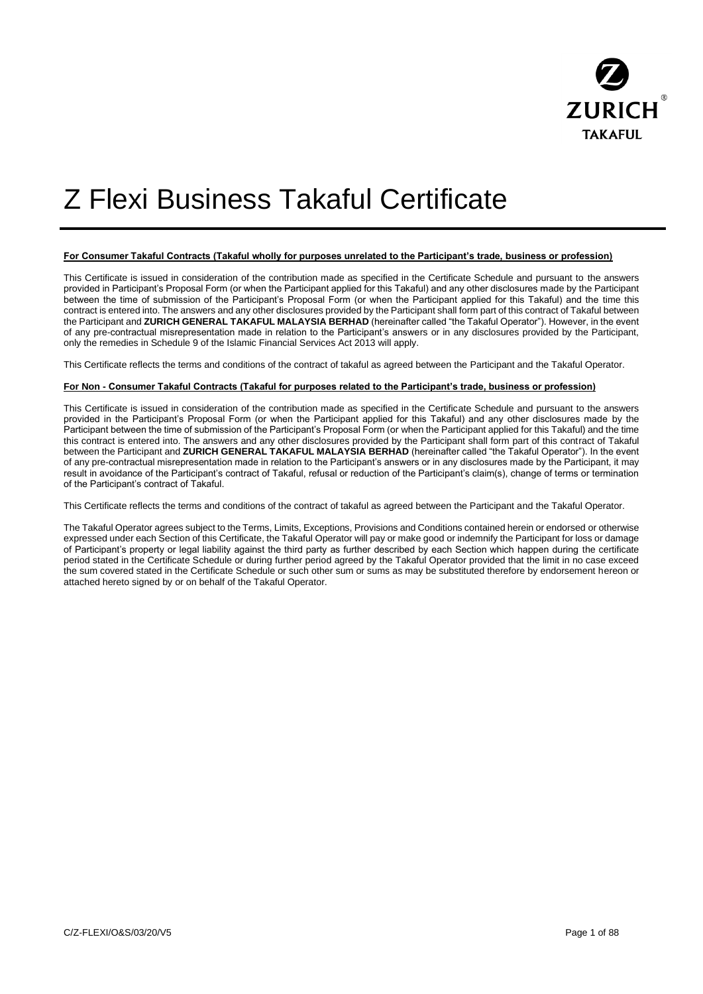

# Z Flexi Business Takaful Certificate

# **For Consumer Takaful Contracts (Takaful wholly for purposes unrelated to the Participant's trade, business or profession)**

This Certificate is issued in consideration of the contribution made as specified in the Certificate Schedule and pursuant to the answers provided in Participant's Proposal Form (or when the Participant applied for this Takaful) and any other disclosures made by the Participant between the time of submission of the Participant's Proposal Form (or when the Participant applied for this Takaful) and the time this contract is entered into. The answers and any other disclosures provided by the Participant shall form part of this contract of Takaful between the Participant and **ZURICH GENERAL TAKAFUL MALAYSIA BERHAD** (hereinafter called "the Takaful Operator"). However, in the event of any pre-contractual misrepresentation made in relation to the Participant's answers or in any disclosures provided by the Participant, only the remedies in Schedule 9 of the Islamic Financial Services Act 2013 will apply.

This Certificate reflects the terms and conditions of the contract of takaful as agreed between the Participant and the Takaful Operator.

# **For Non - Consumer Takaful Contracts (Takaful for purposes related to the Participant's trade, business or profession)**

This Certificate is issued in consideration of the contribution made as specified in the Certificate Schedule and pursuant to the answers provided in the Participant's Proposal Form (or when the Participant applied for this Takaful) and any other disclosures made by the Participant between the time of submission of the Participant's Proposal Form (or when the Participant applied for this Takaful) and the time this contract is entered into. The answers and any other disclosures provided by the Participant shall form part of this contract of Takaful between the Participant and **ZURICH GENERAL TAKAFUL MALAYSIA BERHAD** (hereinafter called "the Takaful Operator"). In the event of any pre-contractual misrepresentation made in relation to the Participant's answers or in any disclosures made by the Participant, it may result in avoidance of the Participant's contract of Takaful, refusal or reduction of the Participant's claim(s), change of terms or termination of the Participant's contract of Takaful.

This Certificate reflects the terms and conditions of the contract of takaful as agreed between the Participant and the Takaful Operator.

The Takaful Operator agrees subject to the Terms, Limits, Exceptions, Provisions and Conditions contained herein or endorsed or otherwise expressed under each Section of this Certificate, the Takaful Operator will pay or make good or indemnify the Participant for loss or damage of Participant's property or legal liability against the third party as further described by each Section which happen during the certificate period stated in the Certificate Schedule or during further period agreed by the Takaful Operator provided that the limit in no case exceed the sum covered stated in the Certificate Schedule or such other sum or sums as may be substituted therefore by endorsement hereon or attached hereto signed by or on behalf of the Takaful Operator.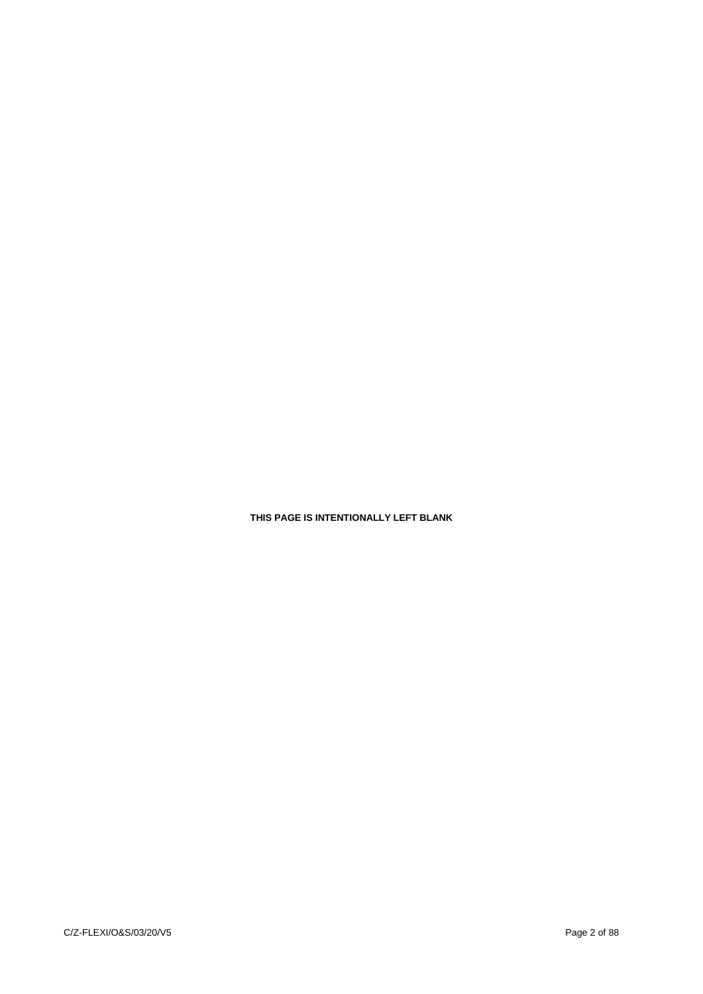**THIS PAGE IS INTENTIONALLY LEFT BLANK**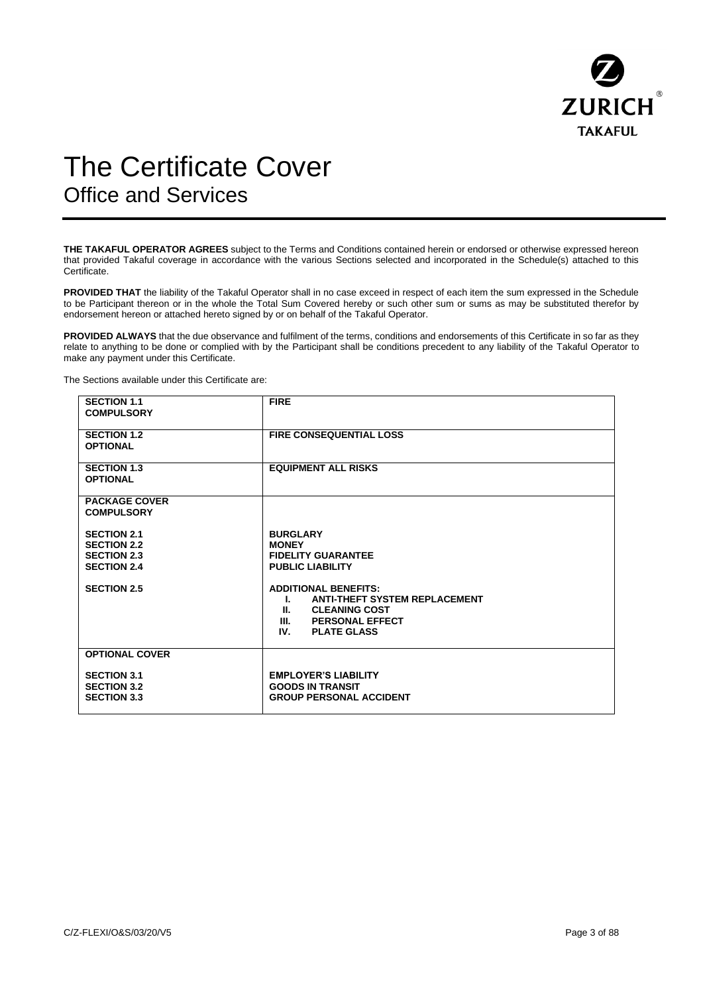

# The Certificate Cover Office and Services

**THE TAKAFUL OPERATOR AGREES** subject to the Terms and Conditions contained herein or endorsed or otherwise expressed hereon that provided Takaful coverage in accordance with the various Sections selected and incorporated in the Schedule(s) attached to this Certificate.

PROVIDED THAT the liability of the Takaful Operator shall in no case exceed in respect of each item the sum expressed in the Schedule to be Participant thereon or in the whole the Total Sum Covered hereby or such other sum or sums as may be substituted therefor by endorsement hereon or attached hereto signed by or on behalf of the Takaful Operator.

**PROVIDED ALWAYS** that the due observance and fulfilment of the terms, conditions and endorsements of this Certificate in so far as they relate to anything to be done or complied with by the Participant shall be conditions precedent to any liability of the Takaful Operator to make any payment under this Certificate.

The Sections available under this Certificate are:

| <b>SECTION 1.1</b><br><b>COMPULSORY</b>                        | <b>FIRE</b>                                                                                                                                                            |
|----------------------------------------------------------------|------------------------------------------------------------------------------------------------------------------------------------------------------------------------|
| <b>SECTION 1.2</b><br><b>OPTIONAL</b>                          | <b>FIRE CONSEQUENTIAL LOSS</b>                                                                                                                                         |
| <b>SECTION 1.3</b><br><b>OPTIONAL</b>                          | <b>EQUIPMENT ALL RISKS</b>                                                                                                                                             |
| <b>PACKAGE COVER</b><br><b>COMPULSORY</b>                      |                                                                                                                                                                        |
| <b>SECTION 2.1</b>                                             | <b>BURGLARY</b>                                                                                                                                                        |
| <b>SECTION 2.2</b>                                             | <b>MONEY</b>                                                                                                                                                           |
| <b>SECTION 2.3</b><br><b>SECTION 2.4</b>                       | <b>FIDELITY GUARANTEE</b><br><b>PUBLIC LIABILITY</b>                                                                                                                   |
|                                                                |                                                                                                                                                                        |
| <b>SECTION 2.5</b>                                             | <b>ADDITIONAL BENEFITS:</b><br><b>ANTI-THEFT SYSTEM REPLACEMENT</b><br>L.<br><b>CLEANING COST</b><br>Ш.<br>III.<br><b>PERSONAL EFFECT</b><br>IV.<br><b>PLATE GLASS</b> |
| <b>OPTIONAL COVER</b>                                          |                                                                                                                                                                        |
| <b>SECTION 3.1</b><br><b>SECTION 3.2</b><br><b>SECTION 3.3</b> | <b>EMPLOYER'S LIABILITY</b><br><b>GOODS IN TRANSIT</b><br><b>GROUP PERSONAL ACCIDENT</b>                                                                               |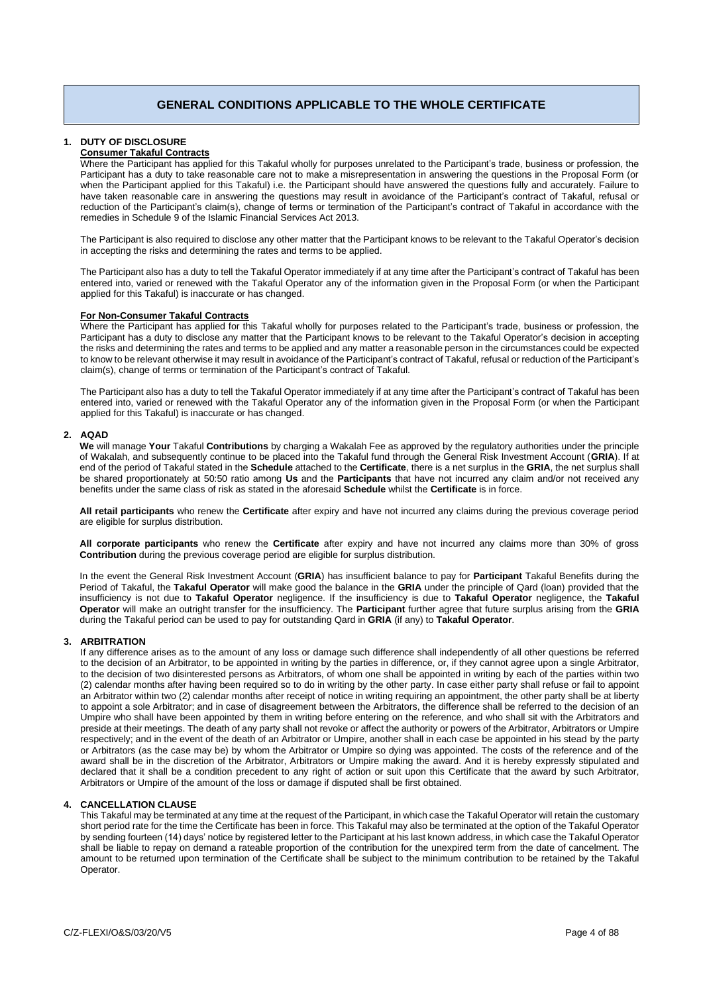# **GENERAL CONDITIONS APPLICABLE TO THE WHOLE CERTIFICATE**

#### **1. DUTY OF DISCLOSURE Consumer Takaful Contracts**

Where the Participant has applied for this Takaful wholly for purposes unrelated to the Participant's trade, business or profession, the Participant has a duty to take reasonable care not to make a misrepresentation in answering the questions in the Proposal Form (or when the Participant applied for this Takaful) i.e. the Participant should have answered the questions fully and accurately. Failure to have taken reasonable care in answering the questions may result in avoidance of the Participant's contract of Takaful, refusal or reduction of the Participant's claim(s), change of terms or termination of the Participant's contract of Takaful in accordance with the remedies in Schedule 9 of the Islamic Financial Services Act 2013.

The Participant is also required to disclose any other matter that the Participant knows to be relevant to the Takaful Operator's decision in accepting the risks and determining the rates and terms to be applied.

The Participant also has a duty to tell the Takaful Operator immediately if at any time after the Participant's contract of Takaful has been entered into, varied or renewed with the Takaful Operator any of the information given in the Proposal Form (or when the Participant applied for this Takaful) is inaccurate or has changed.

# **For Non-Consumer Takaful Contracts**

Where the Participant has applied for this Takaful wholly for purposes related to the Participant's trade, business or profession, the Participant has a duty to disclose any matter that the Participant knows to be relevant to the Takaful Operator's decision in accepting the risks and determining the rates and terms to be applied and any matter a reasonable person in the circumstances could be expected to know to be relevant otherwise it may result in avoidance of the Participant's contract of Takaful, refusal or reduction of the Participant's claim(s), change of terms or termination of the Participant's contract of Takaful.

The Participant also has a duty to tell the Takaful Operator immediately if at any time after the Participant's contract of Takaful has been entered into, varied or renewed with the Takaful Operator any of the information given in the Proposal Form (or when the Participant applied for this Takaful) is inaccurate or has changed.

# **2. AQAD**

**We** will manage **Your** Takaful **Contributions** by charging a Wakalah Fee as approved by the regulatory authorities under the principle of Wakalah, and subsequently continue to be placed into the Takaful fund through the General Risk Investment Account (**GRIA**). If at end of the period of Takaful stated in the **Schedule** attached to the **Certificate**, there is a net surplus in the **GRIA**, the net surplus shall be shared proportionately at 50:50 ratio among **Us** and the **Participants** that have not incurred any claim and/or not received any benefits under the same class of risk as stated in the aforesaid **Schedule** whilst the **Certificate** is in force.

**All retail participants** who renew the **Certificate** after expiry and have not incurred any claims during the previous coverage period are eligible for surplus distribution.

**All corporate participants** who renew the **Certificate** after expiry and have not incurred any claims more than 30% of gross **Contribution** during the previous coverage period are eligible for surplus distribution.

In the event the General Risk Investment Account (**GRIA**) has insufficient balance to pay for **Participant** Takaful Benefits during the Period of Takaful, the **Takaful Operator** will make good the balance in the **GRIA** under the principle of Qard (loan) provided that the insufficiency is not due to **Takaful Operator** negligence. If the insufficiency is due to **Takaful Operator** negligence, the **Takaful Operator** will make an outright transfer for the insufficiency. The **Participant** further agree that future surplus arising from the **GRIA** during the Takaful period can be used to pay for outstanding Qard in **GRIA** (if any) to **Takaful Operator**.

# **3. ARBITRATION**

If any difference arises as to the amount of any loss or damage such difference shall independently of all other questions be referred to the decision of an Arbitrator, to be appointed in writing by the parties in difference, or, if they cannot agree upon a single Arbitrator, to the decision of two disinterested persons as Arbitrators, of whom one shall be appointed in writing by each of the parties within two (2) calendar months after having been required so to do in writing by the other party. In case either party shall refuse or fail to appoint an Arbitrator within two (2) calendar months after receipt of notice in writing requiring an appointment, the other party shall be at liberty to appoint a sole Arbitrator; and in case of disagreement between the Arbitrators, the difference shall be referred to the decision of an Umpire who shall have been appointed by them in writing before entering on the reference, and who shall sit with the Arbitrators and preside at their meetings. The death of any party shall not revoke or affect the authority or powers of the Arbitrator, Arbitrators or Umpire respectively; and in the event of the death of an Arbitrator or Umpire, another shall in each case be appointed in his stead by the party or Arbitrators (as the case may be) by whom the Arbitrator or Umpire so dying was appointed. The costs of the reference and of the award shall be in the discretion of the Arbitrator, Arbitrators or Umpire making the award. And it is hereby expressly stipulated and declared that it shall be a condition precedent to any right of action or suit upon this Certificate that the award by such Arbitrator, Arbitrators or Umpire of the amount of the loss or damage if disputed shall be first obtained.

# **4. CANCELLATION CLAUSE**

This Takaful may be terminated at any time at the request of the Participant, in which case the Takaful Operator will retain the customary short period rate for the time the Certificate has been in force. This Takaful may also be terminated at the option of the Takaful Operator by sending fourteen (14) days' notice by registered letter to the Participant at his last known address, in which case the Takaful Operator shall be liable to repay on demand a rateable proportion of the contribution for the unexpired term from the date of cancelment. The amount to be returned upon termination of the Certificate shall be subject to the minimum contribution to be retained by the Takaful Operator.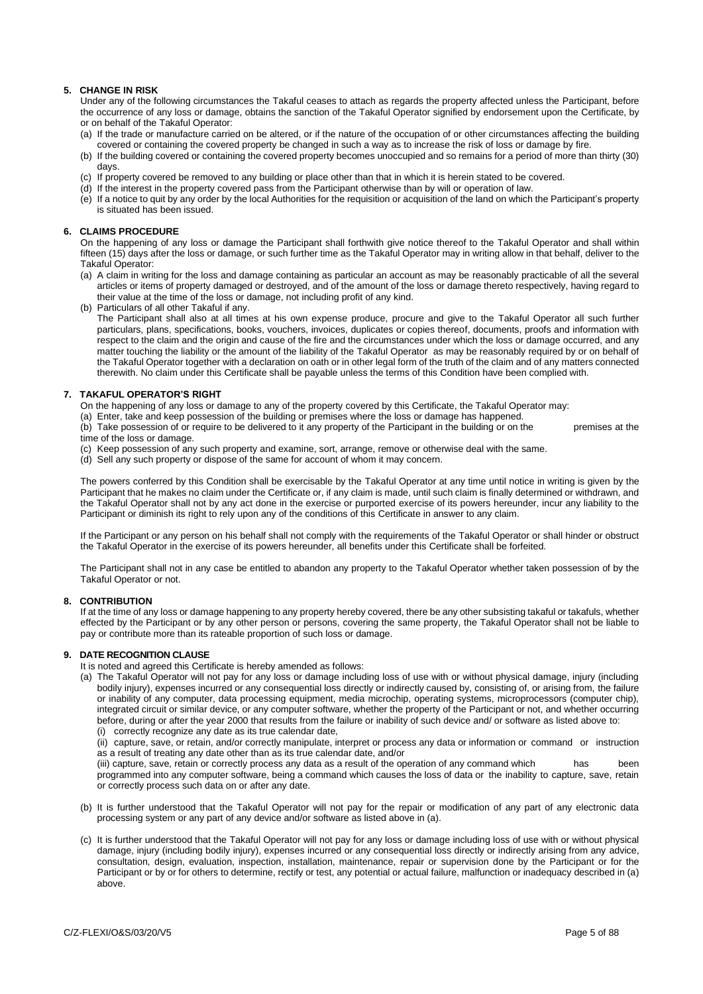# **5. CHANGE IN RISK**

Under any of the following circumstances the Takaful ceases to attach as regards the property affected unless the Participant, before the occurrence of any loss or damage, obtains the sanction of the Takaful Operator signified by endorsement upon the Certificate, by or on behalf of the Takaful Operator:

- (a) If the trade or manufacture carried on be altered, or if the nature of the occupation of or other circumstances affecting the building covered or containing the covered property be changed in such a way as to increase the risk of loss or damage by fire.
- (b) If the building covered or containing the covered property becomes unoccupied and so remains for a period of more than thirty (30) days.
- (c) If property covered be removed to any building or place other than that in which it is herein stated to be covered.
- (d) If the interest in the property covered pass from the Participant otherwise than by will or operation of law.
- (e) If a notice to quit by any order by the local Authorities for the requisition or acquisition of the land on which the Participant's property is situated has been issued.

# **6. CLAIMS PROCEDURE**

On the happening of any loss or damage the Participant shall forthwith give notice thereof to the Takaful Operator and shall within fifteen (15) days after the loss or damage, or such further time as the Takaful Operator may in writing allow in that behalf, deliver to the Takaful Operator:

- (a) A claim in writing for the loss and damage containing as particular an account as may be reasonably practicable of all the several articles or items of property damaged or destroyed, and of the amount of the loss or damage thereto respectively, having regard to their value at the time of the loss or damage, not including profit of any kind.
- (b) Particulars of all other Takaful if any.

The Participant shall also at all times at his own expense produce, procure and give to the Takaful Operator all such further particulars, plans, specifications, books, vouchers, invoices, duplicates or copies thereof, documents, proofs and information with respect to the claim and the origin and cause of the fire and the circumstances under which the loss or damage occurred, and any matter touching the liability or the amount of the liability of the Takaful Operator as may be reasonably required by or on behalf of the Takaful Operator together with a declaration on oath or in other legal form of the truth of the claim and of any matters connected therewith. No claim under this Certificate shall be payable unless the terms of this Condition have been complied with.

# **7. TAKAFUL OPERATOR'S RIGHT**

- On the happening of any loss or damage to any of the property covered by this Certificate, the Takaful Operator may:
- (a) Enter, take and keep possession of the building or premises where the loss or damage has happened.

(b) Take possession of or require to be delivered to it any property of the Participant in the building or on the premises at the time of the loss or damage.

- (c) Keep possession of any such property and examine, sort, arrange, remove or otherwise deal with the same.
- (d) Sell any such property or dispose of the same for account of whom it may concern.

The powers conferred by this Condition shall be exercisable by the Takaful Operator at any time until notice in writing is given by the Participant that he makes no claim under the Certificate or, if any claim is made, until such claim is finally determined or withdrawn, and the Takaful Operator shall not by any act done in the exercise or purported exercise of its powers hereunder, incur any liability to the Participant or diminish its right to rely upon any of the conditions of this Certificate in answer to any claim.

If the Participant or any person on his behalf shall not comply with the requirements of the Takaful Operator or shall hinder or obstruct the Takaful Operator in the exercise of its powers hereunder, all benefits under this Certificate shall be forfeited.

The Participant shall not in any case be entitled to abandon any property to the Takaful Operator whether taken possession of by the Takaful Operator or not.

# **8. CONTRIBUTION**

If at the time of any loss or damage happening to any property hereby covered, there be any other subsisting takaful or takafuls, whether effected by the Participant or by any other person or persons, covering the same property, the Takaful Operator shall not be liable to pay or contribute more than its rateable proportion of such loss or damage.

# **9. DATE RECOGNITION CLAUSE**

It is noted and agreed this Certificate is hereby amended as follows:

- (a) The Takaful Operator will not pay for any loss or damage including loss of use with or without physical damage, injury (including bodily injury), expenses incurred or any consequential loss directly or indirectly caused by, consisting of, or arising from, the failure or inability of any computer, data processing equipment, media microchip, operating systems, microprocessors (computer chip), integrated circuit or similar device, or any computer software, whether the property of the Participant or not, and whether occurring before, during or after the year 2000 that results from the failure or inability of such device and/ or software as listed above to:
	- (i) correctly recognize any date as its true calendar date,

(ii) capture, save, or retain, and/or correctly manipulate, interpret or process any data or information or command or instruction as a result of treating any date other than as its true calendar date, and/or

(iii) capture, save, retain or correctly process any data as a result of the operation of any command which has been programmed into any computer software, being a command which causes the loss of data or the inability to capture, save, retain or correctly process such data on or after any date.

- (b) It is further understood that the Takaful Operator will not pay for the repair or modification of any part of any electronic data processing system or any part of any device and/or software as listed above in (a).
- (c) It is further understood that the Takaful Operator will not pay for any loss or damage including loss of use with or without physical damage, injury (including bodily injury), expenses incurred or any consequential loss directly or indirectly arising from any advice, consultation, design, evaluation, inspection, installation, maintenance, repair or supervision done by the Participant or for the Participant or by or for others to determine, rectify or test, any potential or actual failure, malfunction or inadequacy described in (a) above.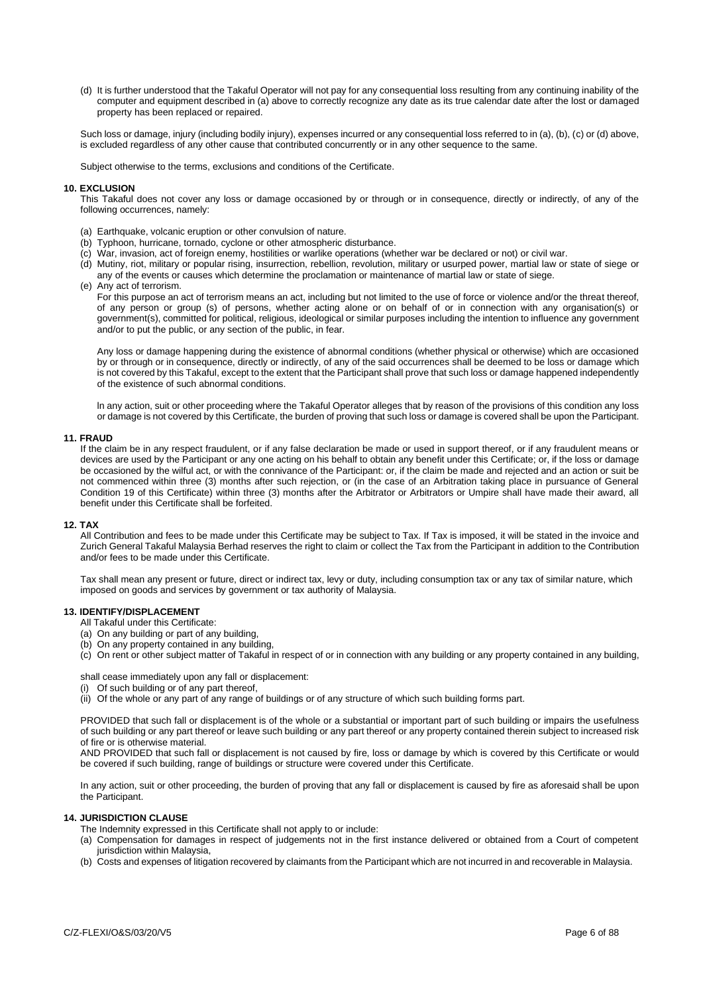(d) It is further understood that the Takaful Operator will not pay for any consequential loss resulting from any continuing inability of the computer and equipment described in (a) above to correctly recognize any date as its true calendar date after the lost or damaged property has been replaced or repaired.

Such loss or damage, injury (including bodily injury), expenses incurred or any consequential loss referred to in (a), (b), (c) or (d) above, is excluded regardless of any other cause that contributed concurrently or in any other sequence to the same.

Subject otherwise to the terms, exclusions and conditions of the Certificate.

# **10. EXCLUSION**

This Takaful does not cover any loss or damage occasioned by or through or in consequence, directly or indirectly, of any of the following occurrences, namely:

- (a) Earthquake, volcanic eruption or other convulsion of nature.
- (b) Typhoon, hurricane, tornado, cyclone or other atmospheric disturbance.
- (c) War, invasion, act of foreign enemy, hostilities or warlike operations (whether war be declared or not) or civil war.
- (d) Mutiny, riot, military or popular rising, insurrection, rebellion, revolution, military or usurped power, martial law or state of siege or any of the events or causes which determine the proclamation or maintenance of martial law or state of siege.

# (e) Any act of terrorism.

For this purpose an act of terrorism means an act, including but not limited to the use of force or violence and/or the threat thereof, of any person or group (s) of persons, whether acting alone or on behalf of or in connection with any organisation(s) or government(s), committed for political, religious, ideological or similar purposes including the intention to influence any government and/or to put the public, or any section of the public, in fear.

Any loss or damage happening during the existence of abnormal conditions (whether physical or otherwise) which are occasioned by or through or in consequence, directly or indirectly, of any of the said occurrences shall be deemed to be loss or damage which is not covered by this Takaful, except to the extent that the Participant shall prove that such loss or damage happened independently of the existence of such abnormal conditions.

ln any action, suit or other proceeding where the Takaful Operator alleges that by reason of the provisions of this condition any loss or damage is not covered by this Certificate, the burden of proving that such loss or damage is covered shall be upon the Participant.

#### **11. FRAUD**

If the claim be in any respect fraudulent, or if any false declaration be made or used in support thereof, or if any fraudulent means or devices are used by the Participant or any one acting on his behalf to obtain any benefit under this Certificate; or, if the loss or damage be occasioned by the wilful act, or with the connivance of the Participant: or, if the claim be made and rejected and an action or suit be not commenced within three (3) months after such rejection, or (in the case of an Arbitration taking place in pursuance of General Condition 19 of this Certificate) within three (3) months after the Arbitrator or Arbitrators or Umpire shall have made their award, all benefit under this Certificate shall be forfeited.

### **12. TAX**

All Contribution and fees to be made under this Certificate may be subject to Tax. If Tax is imposed, it will be stated in the invoice and Zurich General Takaful Malaysia Berhad reserves the right to claim or collect the Tax from the Participant in addition to the Contribution and/or fees to be made under this Certificate.

Tax shall mean any present or future, direct or indirect tax, levy or duty, including consumption tax or any tax of similar nature, which imposed on goods and services by government or tax authority of Malaysia.

## **13. IDENTIFY/DISPLACEMENT**

- All Takaful under this Certificate:
- (a) On any building or part of any building,
- (b) On any property contained in any building,
- (c) On rent or other subject matter of Takaful in respect of or in connection with any building or any property contained in any building,

shall cease immediately upon any fall or displacement:

- (i) Of such building or of any part thereof,
- (ii) Of the whole or any part of any range of buildings or of any structure of which such building forms part.

PROVIDED that such fall or displacement is of the whole or a substantial or important part of such building or impairs the usefulness of such building or any part thereof or leave such building or any part thereof or any property contained therein subject to increased risk of fire or is otherwise material.

AND PROVIDED that such fall or displacement is not caused by fire, loss or damage by which is covered by this Certificate or would be covered if such building, range of buildings or structure were covered under this Certificate.

In any action, suit or other proceeding, the burden of proving that any fall or displacement is caused by fire as aforesaid shall be upon the Participant.

## **14. JURISDICTION CLAUSE**

The Indemnity expressed in this Certificate shall not apply to or include:

- (a) Compensation for damages in respect of judgements not in the first instance delivered or obtained from a Court of competent jurisdiction within Malaysia,
- (b) Costs and expenses of litigation recovered by claimants from the Participant which are not incurred in and recoverable in Malaysia.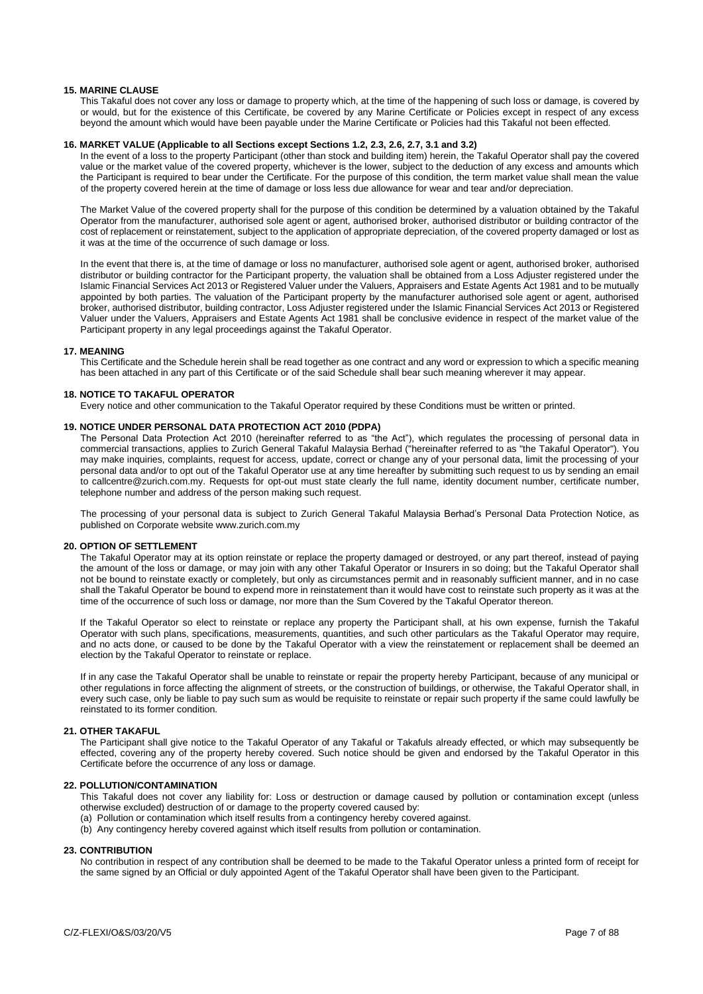# **15. MARINE CLAUSE**

This Takaful does not cover any loss or damage to property which, at the time of the happening of such loss or damage, is covered by or would, but for the existence of this Certificate, be covered by any Marine Certificate or Policies except in respect of any excess beyond the amount which would have been payable under the Marine Certificate or Policies had this Takaful not been effected.

#### **16. MARKET VALUE (Applicable to all Sections except Sections 1.2, 2.3, 2.6, 2.7, 3.1 and 3.2)**

In the event of a loss to the property Participant (other than stock and building item) herein, the Takaful Operator shall pay the covered value or the market value of the covered property, whichever is the lower, subject to the deduction of any excess and amounts which the Participant is required to bear under the Certificate. For the purpose of this condition, the term market value shall mean the value of the property covered herein at the time of damage or loss less due allowance for wear and tear and/or depreciation.

The Market Value of the covered property shall for the purpose of this condition be determined by a valuation obtained by the Takaful Operator from the manufacturer, authorised sole agent or agent, authorised broker, authorised distributor or building contractor of the cost of replacement or reinstatement, subject to the application of appropriate depreciation, of the covered property damaged or lost as it was at the time of the occurrence of such damage or loss.

In the event that there is, at the time of damage or loss no manufacturer, authorised sole agent or agent, authorised broker, authorised distributor or building contractor for the Participant property, the valuation shall be obtained from a Loss Adjuster registered under the Islamic Financial Services Act 2013 or Registered Valuer under the Valuers, Appraisers and Estate Agents Act 1981 and to be mutually appointed by both parties. The valuation of the Participant property by the manufacturer authorised sole agent or agent, authorised broker, authorised distributor, building contractor, Loss Adjuster registered under the Islamic Financial Services Act 2013 or Registered Valuer under the Valuers, Appraisers and Estate Agents Act 1981 shall be conclusive evidence in respect of the market value of the Participant property in any legal proceedings against the Takaful Operator.

#### **17. MEANING**

This Certificate and the Schedule herein shall be read together as one contract and any word or expression to which a specific meaning has been attached in any part of this Certificate or of the said Schedule shall bear such meaning wherever it may appear.

#### **18. NOTICE TO TAKAFUL OPERATOR**

Every notice and other communication to the Takaful Operator required by these Conditions must be written or printed.

#### **19. NOTICE UNDER PERSONAL DATA PROTECTION ACT 2010 (PDPA)**

The Personal Data Protection Act 2010 (hereinafter referred to as "the Act"), which regulates the processing of personal data in commercial transactions, applies to Zurich General Takaful Malaysia Berhad ("hereinafter referred to as "the Takaful Operator"). You may make inquiries, complaints, request for access, update, correct or change any of your personal data, limit the processing of your personal data and/or to opt out of the Takaful Operator use at any time hereafter by submitting such request to us by sending an email to callcentre@zurich.com.my. Requests for opt-out must state clearly the full name, identity document number, certificate number, telephone number and address of the person making such request.

The processing of your personal data is subject to Zurich General Takaful Malaysia Berhad's Personal Data Protection Notice, as published on Corporate website www.zurich.com.my

#### **20. OPTION OF SETTLEMENT**

The Takaful Operator may at its option reinstate or replace the property damaged or destroyed, or any part thereof, instead of paying the amount of the loss or damage, or may join with any other Takaful Operator or Insurers in so doing; but the Takaful Operator shall not be bound to reinstate exactly or completely, but only as circumstances permit and in reasonably sufficient manner, and in no case shall the Takaful Operator be bound to expend more in reinstatement than it would have cost to reinstate such property as it was at the time of the occurrence of such loss or damage, nor more than the Sum Covered by the Takaful Operator thereon.

If the Takaful Operator so elect to reinstate or replace any property the Participant shall, at his own expense, furnish the Takaful Operator with such plans, specifications, measurements, quantities, and such other particulars as the Takaful Operator may require, and no acts done, or caused to be done by the Takaful Operator with a view the reinstatement or replacement shall be deemed an election by the Takaful Operator to reinstate or replace.

If in any case the Takaful Operator shall be unable to reinstate or repair the property hereby Participant, because of any municipal or other regulations in force affecting the alignment of streets, or the construction of buildings, or otherwise, the Takaful Operator shall, in every such case, only be liable to pay such sum as would be requisite to reinstate or repair such property if the same could lawfully be reinstated to its former condition.

# **21. OTHER TAKAFUL**

The Participant shall give notice to the Takaful Operator of any Takaful or Takafuls already effected, or which may subsequently be effected, covering any of the property hereby covered. Such notice should be given and endorsed by the Takaful Operator in this Certificate before the occurrence of any loss or damage.

#### **22. POLLUTION/CONTAMINATION**

This Takaful does not cover any liability for: Loss or destruction or damage caused by pollution or contamination except (unless otherwise excluded) destruction of or damage to the property covered caused by:

- (a) Pollution or contamination which itself results from a contingency hereby covered against.
- (b) Any contingency hereby covered against which itself results from pollution or contamination.

# **23. CONTRIBUTION**

No contribution in respect of any contribution shall be deemed to be made to the Takaful Operator unless a printed form of receipt for the same signed by an Official or duly appointed Agent of the Takaful Operator shall have been given to the Participant.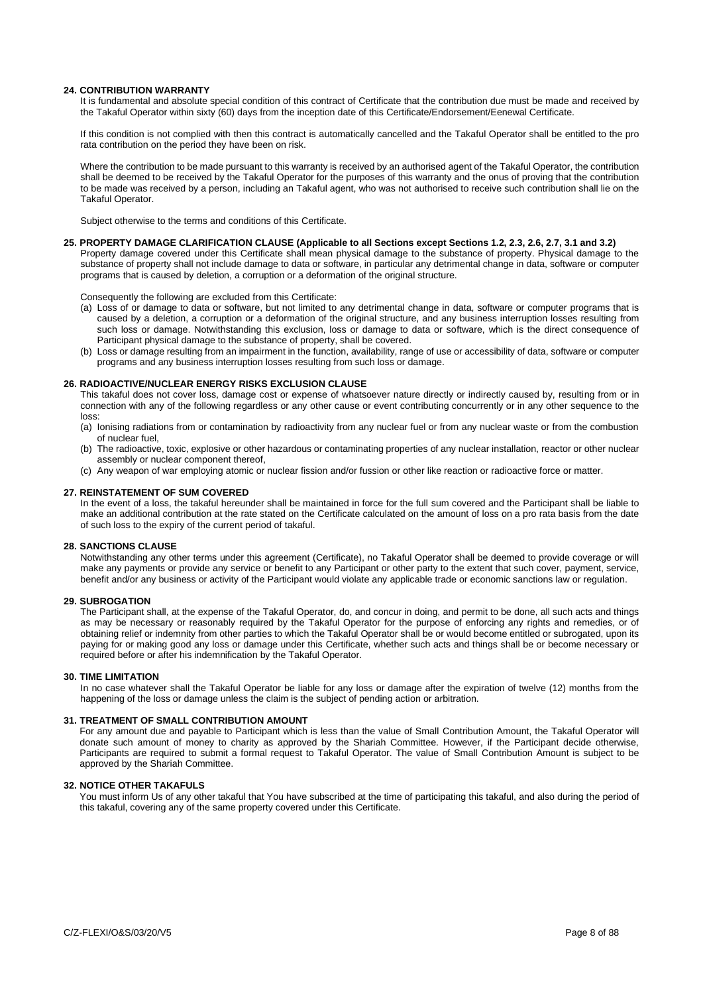# **24. CONTRIBUTION WARRANTY**

It is fundamental and absolute special condition of this contract of Certificate that the contribution due must be made and received by the Takaful Operator within sixty (60) days from the inception date of this Certificate/Endorsement/Eenewal Certificate.

If this condition is not complied with then this contract is automatically cancelled and the Takaful Operator shall be entitled to the pro rata contribution on the period they have been on risk.

Where the contribution to be made pursuant to this warranty is received by an authorised agent of the Takaful Operator, the contribution shall be deemed to be received by the Takaful Operator for the purposes of this warranty and the onus of proving that the contribution to be made was received by a person, including an Takaful agent, who was not authorised to receive such contribution shall lie on the Takaful Operator.

Subject otherwise to the terms and conditions of this Certificate.

#### **25. PROPERTY DAMAGE CLARIFICATION CLAUSE (Applicable to all Sections except Sections 1.2, 2.3, 2.6, 2.7, 3.1 and 3.2)**

Property damage covered under this Certificate shall mean physical damage to the substance of property. Physical damage to the substance of property shall not include damage to data or software, in particular any detrimental change in data, software or computer programs that is caused by deletion, a corruption or a deformation of the original structure.

Consequently the following are excluded from this Certificate:

- (a) Loss of or damage to data or software, but not limited to any detrimental change in data, software or computer programs that is caused by a deletion, a corruption or a deformation of the original structure, and any business interruption losses resulting from such loss or damage. Notwithstanding this exclusion, loss or damage to data or software, which is the direct consequence of Participant physical damage to the substance of property, shall be covered.
- (b) Loss or damage resulting from an impairment in the function, availability, range of use or accessibility of data, software or computer programs and any business interruption losses resulting from such loss or damage.

#### **26. RADIOACTIVE/NUCLEAR ENERGY RISKS EXCLUSION CLAUSE**

This takaful does not cover loss, damage cost or expense of whatsoever nature directly or indirectly caused by, resulting from or in connection with any of the following regardless or any other cause or event contributing concurrently or in any other sequence to the loss:

- (a) Ionising radiations from or contamination by radioactivity from any nuclear fuel or from any nuclear waste or from the combustion of nuclear fuel,
- (b) The radioactive, toxic, explosive or other hazardous or contaminating properties of any nuclear installation, reactor or other nuclear assembly or nuclear component thereof,
- (c) Any weapon of war employing atomic or nuclear fission and/or fussion or other like reaction or radioactive force or matter.

#### **27. REINSTATEMENT OF SUM COVERED**

In the event of a loss, the takaful hereunder shall be maintained in force for the full sum covered and the Participant shall be liable to make an additional contribution at the rate stated on the Certificate calculated on the amount of loss on a pro rata basis from the date of such loss to the expiry of the current period of takaful.

#### **28. SANCTIONS CLAUSE**

Notwithstanding any other terms under this agreement (Certificate), no Takaful Operator shall be deemed to provide coverage or will make any payments or provide any service or benefit to any Participant or other party to the extent that such cover, payment, service, benefit and/or any business or activity of the Participant would violate any applicable trade or economic sanctions law or regulation.

# **29. SUBROGATION**

The Participant shall, at the expense of the Takaful Operator, do, and concur in doing, and permit to be done, all such acts and things as may be necessary or reasonably required by the Takaful Operator for the purpose of enforcing any rights and remedies, or of obtaining relief or indemnity from other parties to which the Takaful Operator shall be or would become entitled or subrogated, upon its paying for or making good any loss or damage under this Certificate, whether such acts and things shall be or become necessary or required before or after his indemnification by the Takaful Operator.

## **30. TIME LIMITATION**

In no case whatever shall the Takaful Operator be liable for any loss or damage after the expiration of twelve (12) months from the happening of the loss or damage unless the claim is the subject of pending action or arbitration.

# **31. TREATMENT OF SMALL CONTRIBUTION AMOUNT**

For any amount due and payable to Participant which is less than the value of Small Contribution Amount, the Takaful Operator will donate such amount of money to charity as approved by the Shariah Committee. However, if the Participant decide otherwise, Participants are required to submit a formal request to Takaful Operator. The value of Small Contribution Amount is subject to be approved by the Shariah Committee.

#### **32. NOTICE OTHER TAKAFULS**

You must inform Us of any other takaful that You have subscribed at the time of participating this takaful, and also during the period of this takaful, covering any of the same property covered under this Certificate.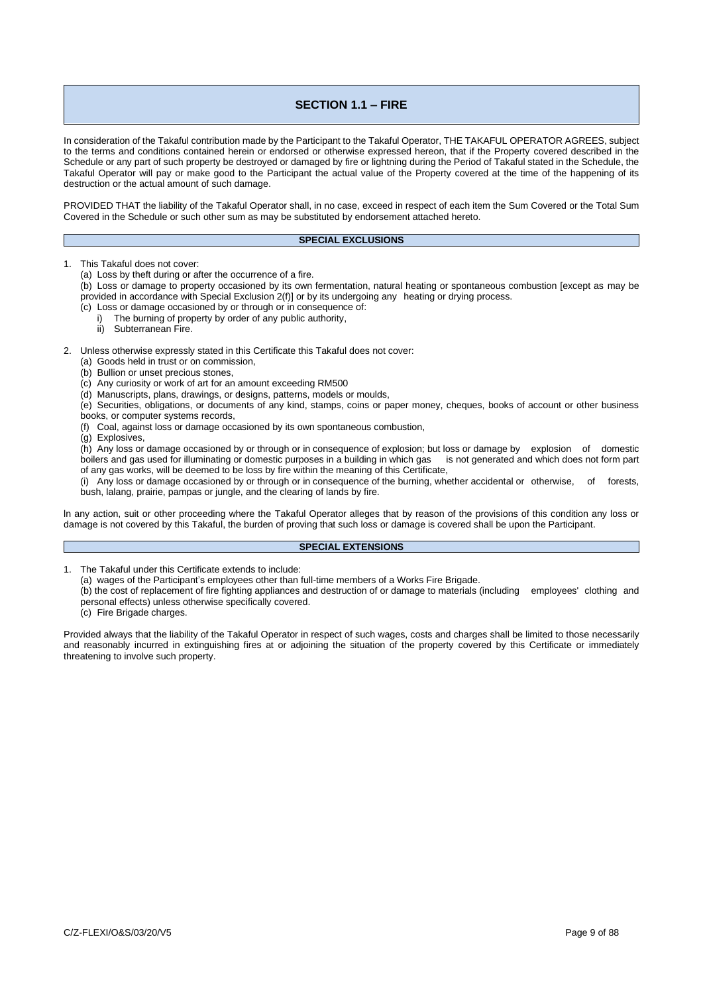# **SECTION 1.1 – FIRE**

In consideration of the Takaful contribution made by the Participant to the Takaful Operator, THE TAKAFUL OPERATOR AGREES, subject to the terms and conditions contained herein or endorsed or otherwise expressed hereon, that if the Property covered described in the Schedule or any part of such property be destroyed or damaged by fire or lightning during the Period of Takaful stated in the Schedule, the Takaful Operator will pay or make good to the Participant the actual value of the Property covered at the time of the happening of its destruction or the actual amount of such damage.

PROVIDED THAT the liability of the Takaful Operator shall, in no case, exceed in respect of each item the Sum Covered or the Total Sum Covered in the Schedule or such other sum as may be substituted by endorsement attached hereto.

# **SPECIAL EXCLUSIONS**

This Takaful does not cover:

(a) Loss by theft during or after the occurrence of a fire.

(b) Loss or damage to property occasioned by its own fermentation, natural heating or spontaneous combustion [except as may be provided in accordance with Special Exclusion 2(f)] or by its undergoing any heating or drying process.

- (c) Loss or damage occasioned by or through or in consequence of:
	- i) The burning of property by order of any public authority,<br>ii) Subterranean Fire.
	- Subterranean Fire.
- 2. Unless otherwise expressly stated in this Certificate this Takaful does not cover:
	- (a) Goods held in trust or on commission,
	- (b) Bullion or unset precious stones,
	- (c) Any curiosity or work of art for an amount exceeding RM500
	- (d) Manuscripts, plans, drawings, or designs, patterns, models or moulds,
	- (e) Securities, obligations, or documents of any kind, stamps, coins or paper money, cheques, books of account or other business books, or computer systems records,
	- (f) Coal, against loss or damage occasioned by its own spontaneous combustion,
	- (g) Explosives,

(h) Any loss or damage occasioned by or through or in consequence of explosion; but loss or damage by explosion of domestic boilers and gas used for illuminating or domestic purposes in a building in which gas is not generated and which does not form part of any gas works, will be deemed to be loss by fire within the meaning of this Certificate,

(i) Any loss or damage occasioned by or through or in consequence of the burning, whether accidental or otherwise, of forests, bush, lalang, prairie, pampas or jungle, and the clearing of lands by fire.

ln any action, suit or other proceeding where the Takaful Operator alleges that by reason of the provisions of this condition any loss or damage is not covered by this Takaful, the burden of proving that such loss or damage is covered shall be upon the Participant.

#### **SPECIAL EXTENSIONS**

- The Takaful under this Certificate extends to include:
	- (a) wages of the Participant's employees other than full-time members of a Works Fire Brigade.
- (b) the cost of replacement of fire fighting appliances and destruction of or damage to materials (including employees' clothing and personal effects) unless otherwise specifically covered.
	- (c) Fire Brigade charges.

Provided always that the liability of the Takaful Operator in respect of such wages, costs and charges shall be limited to those necessarily and reasonably incurred in extinguishing fires at or adjoining the situation of the property covered by this Certificate or immediately threatening to involve such property.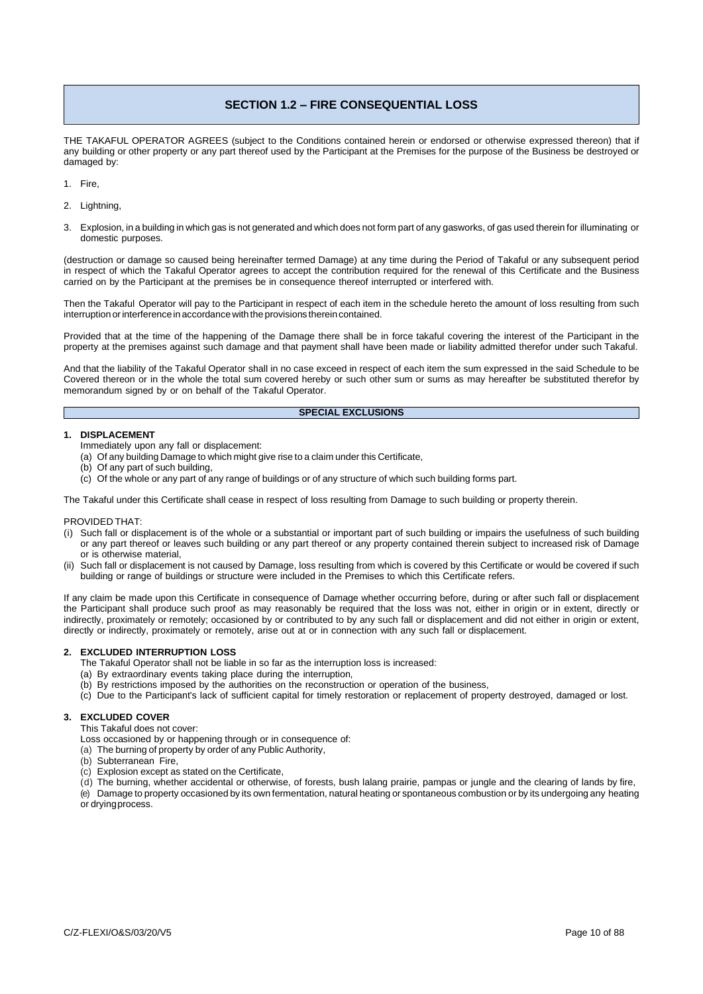# **SECTION 1.2 – FIRE CONSEQUENTIAL LOSS**

THE TAKAFUL OPERATOR AGREES (subject to the Conditions contained herein or endorsed or otherwise expressed thereon) that if any building or other property or any part thereof used by the Participant at the Premises for the purpose of the Business be destroyed or damaged by:

- 1. Fire,
- 2. Lightning,
- 3. Explosion, in a building in which gas is not generated and which does not form part of any gasworks, of gas used therein for illuminating or domestic purposes.

(destruction or damage so caused being hereinafter termed Damage) at any time during the Period of Takaful or any subsequent period in respect of which the Takaful Operator agrees to accept the contribution required for the renewal of this Certificate and the Business carried on by the Participant at the premises be in consequence thereof interrupted or interfered with.

Then the Takaful Operator will pay to the Participant in respect of each item in the schedule hereto the amount of loss resulting from such interruption or interference in accordance with the provisions therein contained.

Provided that at the time of the happening of the Damage there shall be in force takaful covering the interest of the Participant in the property at the premises against such damage and that payment shall have been made or liability admitted therefor under such Takaful.

And that the liability of the Takaful Operator shall in no case exceed in respect of each item the sum expressed in the said Schedule to be Covered thereon or in the whole the total sum covered hereby or such other sum or sums as may hereafter be substituted therefor by memorandum signed by or on behalf of the Takaful Operator.

#### **SPECIAL EXCLUSIONS**

# **1. DISPLACEMENT**

- Immediately upon any fall or displacement:
- (a) Of any building Damage to which might give rise to a claim under this Certificate,
- (b) Of any part of such building,
- (c) Of the whole or any part of any range of buildings or of any structure of which such building forms part.

The Takaful under this Certificate shall cease in respect of loss resulting from Damage to such building or property therein.

PROVIDED THAT:

- (i) Such fall or displacement is of the whole or a substantial or important part of such building or impairs the usefulness of such building or any part thereof or leaves such building or any part thereof or any property contained therein subject to increased risk of Damage or is otherwise material,
- (ii) Such fall or displacement is not caused by Damage, loss resulting from which is covered by this Certificate or would be covered if such building or range of buildings or structure were included in the Premises to which this Certificate refers.

If any claim be made upon this Certificate in consequence of Damage whether occurring before, during or after such fall or displacement the Participant shall produce such proof as may reasonably be required that the loss was not, either in origin or in extent, directly or indirectly, proximately or remotely; occasioned by or contributed to by any such fall or displacement and did not either in origin or extent, directly or indirectly, proximately or remotely, arise out at or in connection with any such fall or displacement.

# **2. EXCLUDED INTERRUPTION LOSS**

The Takaful Operator shall not be liable in so far as the interruption loss is increased:

- (a) By extraordinary events taking place during the interruption,
- (b) By restrictions imposed by the authorities on the reconstruction or operation of the business,
- (c) Due to the Participant's lack of sufficient capital for timely restoration or replacement of property destroyed, damaged or lost.

# **3. EXCLUDED COVER**

This Takaful does not cover:

- Loss occasioned by or happening through or in consequence of:
- (a) The burning of property by order of any Public Authority,
- (b) Subterranean Fire,
- (c) Explosion except as stated on the Certificate,

(d) The burning, whether accidental or otherwise, of forests, bush lalang prairie, pampas or jungle and the clearing of lands by fire,

(e) Damage to property occasioned by its own fermentation, natural heating or spontaneous combustion or by its undergoing any heating or dryingprocess.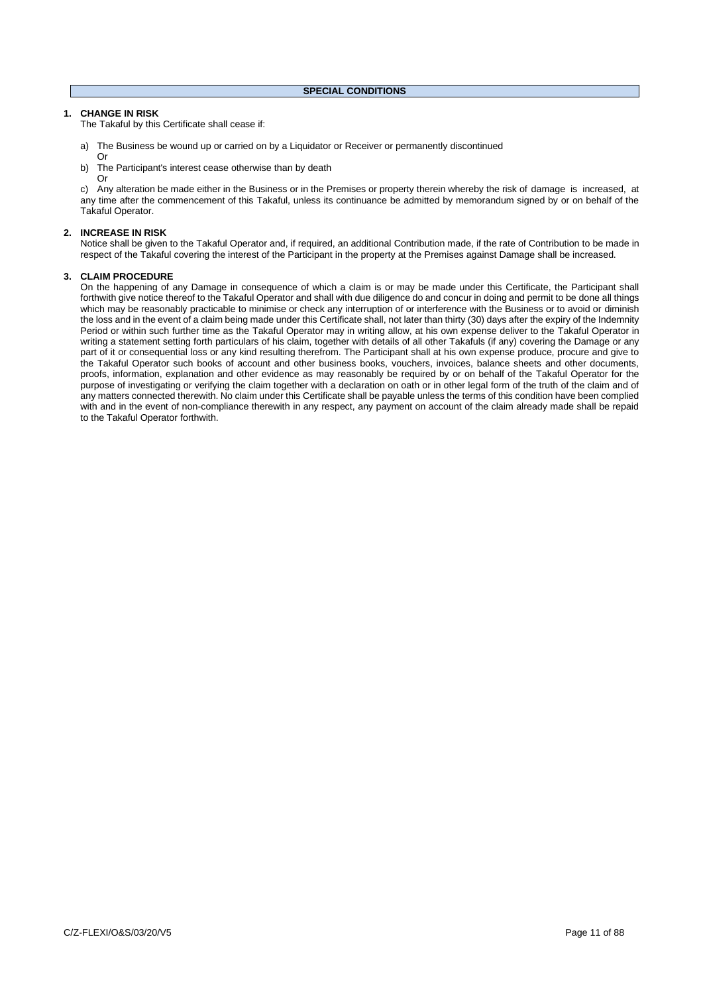# **1. CHANGE IN RISK**

The Takaful by this Certificate shall cease if:

- a) The Business be wound up or carried on by a Liquidator or Receiver or permanently discontinued
- Or
- b) The Participant's interest cease otherwise than by death
- Or

c) Any alteration be made either in the Business or in the Premises or property therein whereby the risk of damage is increased, at any time after the commencement of this Takaful, unless its continuance be admitted by memorandum signed by or on behalf of the Takaful Operator.

## **2. INCREASE IN RISK**

Notice shall be given to the Takaful Operator and, if required, an additional Contribution made, if the rate of Contribution to be made in respect of the Takaful covering the interest of the Participant in the property at the Premises against Damage shall be increased.

# **3. CLAIM PROCEDURE**

On the happening of any Damage in consequence of which a claim is or may be made under this Certificate, the Participant shall forthwith give notice thereof to the Takaful Operator and shall with due diligence do and concur in doing and permit to be done all things which may be reasonably practicable to minimise or check any interruption of or interference with the Business or to avoid or diminish the loss and in the event of a claim being made under this Certificate shall, not later than thirty (30) days after the expiry of the Indemnity Period or within such further time as the Takaful Operator may in writing allow, at his own expense deliver to the Takaful Operator in writing a statement setting forth particulars of his claim, together with details of all other Takafuls (if any) covering the Damage or any part of it or consequential loss or any kind resulting therefrom. The Participant shall at his own expense produce, procure and give to the Takaful Operator such books of account and other business books, vouchers, invoices, balance sheets and other documents, proofs, information, explanation and other evidence as may reasonably be required by or on behalf of the Takaful Operator for the purpose of investigating or verifying the claim together with a declaration on oath or in other legal form of the truth of the claim and of any matters connected therewith. No claim under this Certificate shall be payable unless the terms of this condition have been complied with and in the event of non-compliance therewith in any respect, any payment on account of the claim already made shall be repaid to the Takaful Operator forthwith.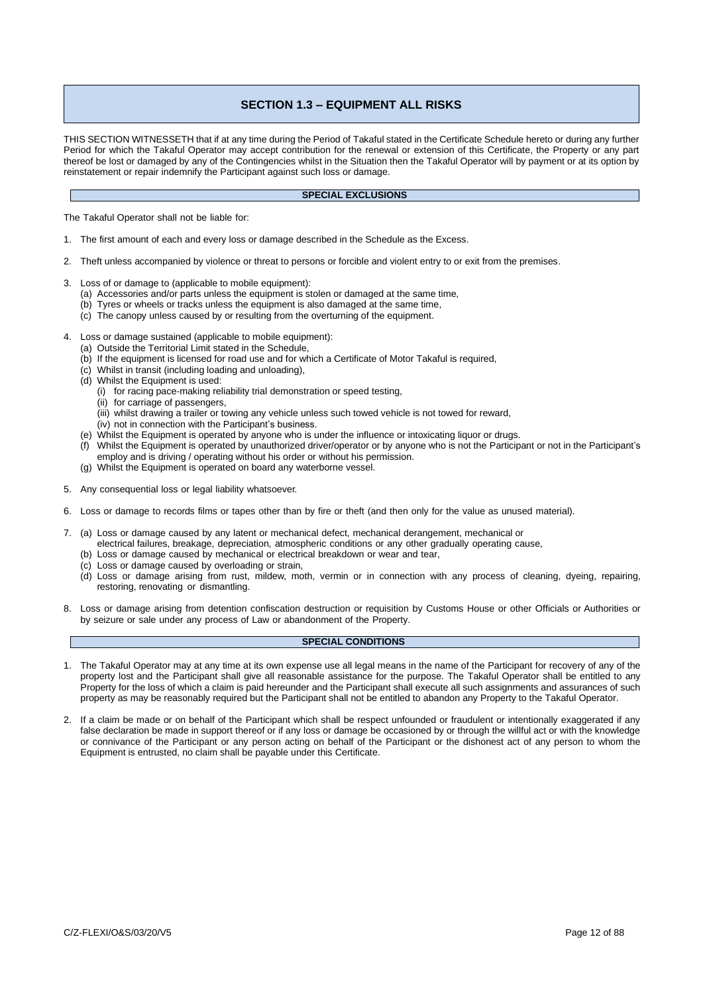# **SECTION 1.3 – EQUIPMENT ALL RISKS**

THIS SECTION WITNESSETH that if at any time during the Period of Takaful stated in the Certificate Schedule hereto or during any further Period for which the Takaful Operator may accept contribution for the renewal or extension of this Certificate, the Property or any part thereof be lost or damaged by any of the Contingencies whilst in the Situation then the Takaful Operator will by payment or at its option by reinstatement or repair indemnify the Participant against such loss or damage.

### **SPECIAL EXCLUSIONS**

The Takaful Operator shall not be liable for:

- 1. The first amount of each and every loss or damage described in the Schedule as the Excess.
- 2. Theft unless accompanied by violence or threat to persons or forcible and violent entry to or exit from the premises.
- 3. Loss of or damage to (applicable to mobile equipment):
	- (a) Accessories and/or parts unless the equipment is stolen or damaged at the same time,
	- (b) Tyres or wheels or tracks unless the equipment is also damaged at the same time,
	- (c) The canopy unless caused by or resulting from the overturning of the equipment.
- 4. Loss or damage sustained (applicable to mobile equipment):
	- (a) Outside the Territorial Limit stated in the Schedule,
	- (b) If the equipment is licensed for road use and for which a Certificate of Motor Takaful is required,
	- (c) Whilst in transit (including loading and unloading),
	- (d) Whilst the Equipment is used:
		- (i) for racing pace-making reliability trial demonstration or speed testing,
		- (ii) for carriage of passengers,
		- (iii) whilst drawing a trailer or towing any vehicle unless such towed vehicle is not towed for reward,
		- (iv) not in connection with the Participant's business.
	- (e) Whilst the Equipment is operated by anyone who is under the influence or intoxicating liquor or drugs.
	- (f) Whilst the Equipment is operated by unauthorized driver/operator or by anyone who is not the Participant or not in the Participant's employ and is driving / operating without his order or without his permission.
	- (g) Whilst the Equipment is operated on board any waterborne vessel.
- 5. Any consequential loss or legal liability whatsoever.
- 6. Loss or damage to records films or tapes other than by fire or theft (and then only for the value as unused material).
- 7. (a) Loss or damage caused by any latent or mechanical defect, mechanical derangement, mechanical or
	- electrical failures, breakage, depreciation, atmospheric conditions or any other gradually operating cause,
	- (b) Loss or damage caused by mechanical or electrical breakdown or wear and tear,
	- (c) Loss or damage caused by overloading or strain,
	- (d) Loss or damage arising from rust, mildew, moth, vermin or in connection with any process of cleaning, dyeing, repairing, restoring, renovating or dismantling.
- Loss or damage arising from detention confiscation destruction or requisition by Customs House or other Officials or Authorities or by seizure or sale under any process of Law or abandonment of the Property.

# **SPECIAL CONDITIONS**

- 1. The Takaful Operator may at any time at its own expense use all legal means in the name of the Participant for recovery of any of the property lost and the Participant shall give all reasonable assistance for the purpose. The Takaful Operator shall be entitled to any Property for the loss of which a claim is paid hereunder and the Participant shall execute all such assignments and assurances of such property as may be reasonably required but the Participant shall not be entitled to abandon any Property to the Takaful Operator.
- 2. If a claim be made or on behalf of the Participant which shall be respect unfounded or fraudulent or intentionally exaggerated if any false declaration be made in support thereof or if any loss or damage be occasioned by or through the willful act or with the knowledge or connivance of the Participant or any person acting on behalf of the Participant or the dishonest act of any person to whom the Equipment is entrusted, no claim shall be payable under this Certificate.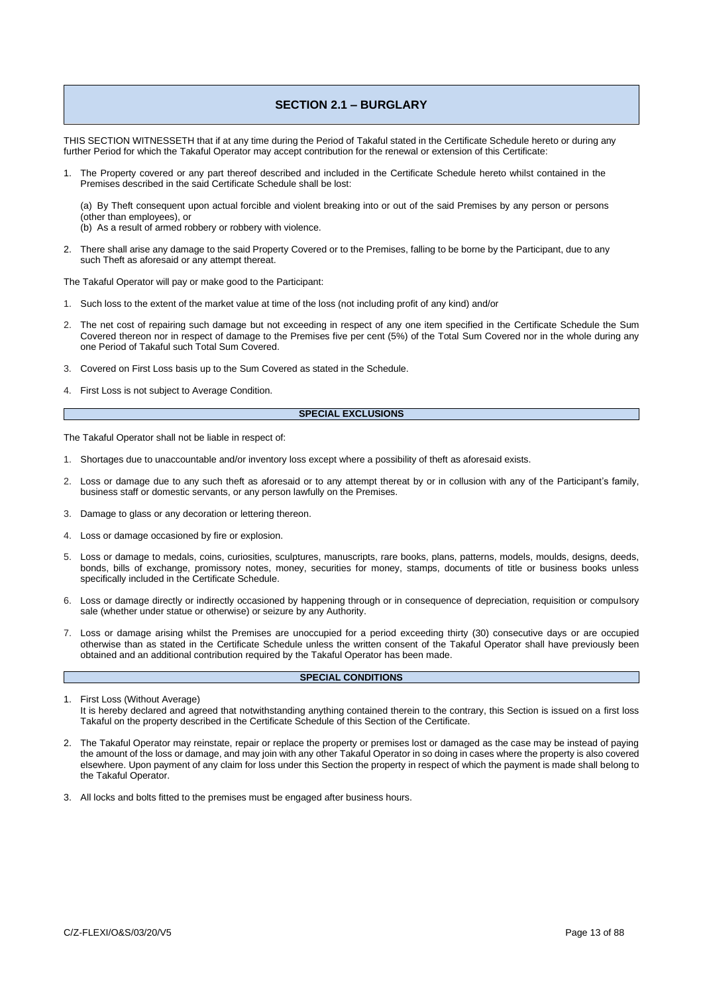# **SECTION 2.1 – BURGLARY**

THIS SECTION WITNESSETH that if at any time during the Period of Takaful stated in the Certificate Schedule hereto or during any further Period for which the Takaful Operator may accept contribution for the renewal or extension of this Certificate:

1. The Property covered or any part thereof described and included in the Certificate Schedule hereto whilst contained in the Premises described in the said Certificate Schedule shall be lost:

(a) By Theft consequent upon actual forcible and violent breaking into or out of the said Premises by any person or persons (other than employees), or

(b) As a result of armed robbery or robbery with violence.

2. There shall arise any damage to the said Property Covered or to the Premises, falling to be borne by the Participant, due to any such Theft as aforesaid or any attempt thereat.

The Takaful Operator will pay or make good to the Participant:

- 1. Such loss to the extent of the market value at time of the loss (not including profit of any kind) and/or
- 2. The net cost of repairing such damage but not exceeding in respect of any one item specified in the Certificate Schedule the Sum Covered thereon nor in respect of damage to the Premises five per cent (5%) of the Total Sum Covered nor in the whole during any one Period of Takaful such Total Sum Covered.
- 3. Covered on First Loss basis up to the Sum Covered as stated in the Schedule.
- 4. First Loss is not subject to Average Condition.

#### **SPECIAL EXCLUSIONS**

The Takaful Operator shall not be liable in respect of:

- 1. Shortages due to unaccountable and/or inventory loss except where a possibility of theft as aforesaid exists.
- 2. Loss or damage due to any such theft as aforesaid or to any attempt thereat by or in collusion with any of the Participant's family, business staff or domestic servants, or any person lawfully on the Premises.
- 3. Damage to glass or any decoration or lettering thereon.
- 4. Loss or damage occasioned by fire or explosion.
- 5. Loss or damage to medals, coins, curiosities, sculptures, manuscripts, rare books, plans, patterns, models, moulds, designs, deeds, bonds, bills of exchange, promissory notes, money, securities for money, stamps, documents of title or business books unless specifically included in the Certificate Schedule.
- 6. Loss or damage directly or indirectly occasioned by happening through or in consequence of depreciation, requisition or compulsory sale (whether under statue or otherwise) or seizure by any Authority.
- 7. Loss or damage arising whilst the Premises are unoccupied for a period exceeding thirty (30) consecutive days or are occupied otherwise than as stated in the Certificate Schedule unless the written consent of the Takaful Operator shall have previously been obtained and an additional contribution required by the Takaful Operator has been made.

# **SPECIAL CONDITIONS**

- 1. First Loss (Without Average) It is hereby declared and agreed that notwithstanding anything contained therein to the contrary, this Section is issued on a first loss Takaful on the property described in the Certificate Schedule of this Section of the Certificate.
- 2. The Takaful Operator may reinstate, repair or replace the property or premises lost or damaged as the case may be instead of paying the amount of the loss or damage, and may join with any other Takaful Operator in so doing in cases where the property is also covered elsewhere. Upon payment of any claim for loss under this Section the property in respect of which the payment is made shall belong to the Takaful Operator.
- 3. All locks and bolts fitted to the premises must be engaged after business hours.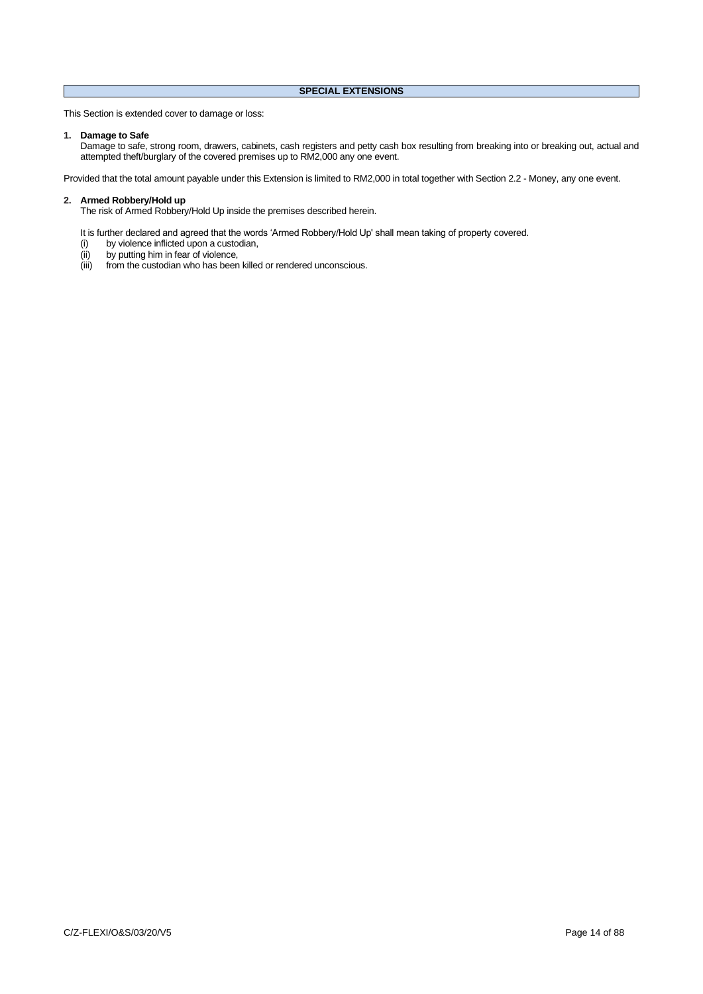# **SPECIAL EXTENSIONS**

This Section is extended cover to damage or loss:

## **1. Damage to Safe**

Damage to safe, strong room, drawers, cabinets, cash registers and petty cash box resulting from breaking into or breaking out, actual and attempted theft/burglary of the covered premises up to RM2,000 any one event.

Provided that the total amount payable under this Extension is limited to RM2,000 in total together with Section 2.2 - Money, any one event.

#### **2. Armed Robbery/Hold up**

The risk of Armed Robbery/Hold Up inside the premises described herein.

It is further declared and agreed that the words 'Armed Robbery/Hold Up' shall mean taking of property covered.

- (i) by violence inflicted upon a custodian,
- 
- (ii) by putting him in fear of violence,<br>(iii) from the custodian who has been from the custodian who has been killed or rendered unconscious.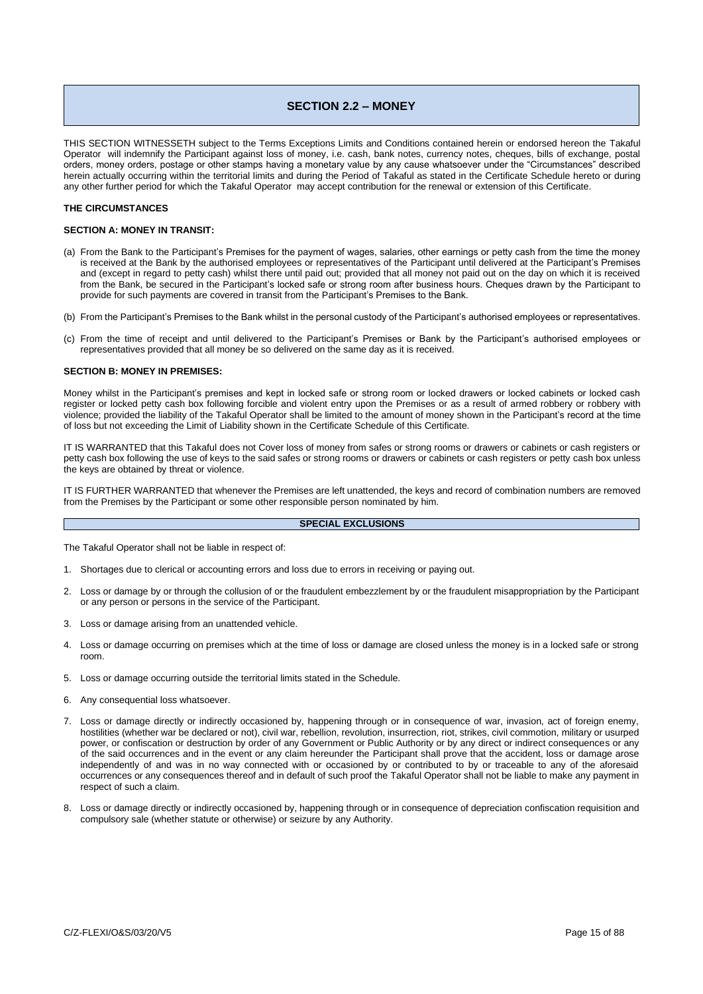# **SECTION 2.2 – MONEY**

THIS SECTION WITNESSETH subject to the Terms Exceptions Limits and Conditions contained herein or endorsed hereon the Takaful Operator will indemnify the Participant against loss of money, i.e. cash, bank notes, currency notes, cheques, bills of exchange, postal orders, money orders, postage or other stamps having a monetary value by any cause whatsoever under the "Circumstances" described herein actually occurring within the territorial limits and during the Period of Takaful as stated in the Certificate Schedule hereto or during any other further period for which the Takaful Operator may accept contribution for the renewal or extension of this Certificate.

#### **THE CIRCUMSTANCES**

# **SECTION A: MONEY IN TRANSIT:**

- (a) From the Bank to the Participant's Premises for the payment of wages, salaries, other earnings or petty cash from the time the money is received at the Bank by the authorised employees or representatives of the Participant until delivered at the Participant's Premises and (except in regard to petty cash) whilst there until paid out; provided that all money not paid out on the day on which it is received from the Bank, be secured in the Participant's locked safe or strong room after business hours. Cheques drawn by the Participant to provide for such payments are covered in transit from the Participant's Premises to the Bank.
- (b) From the Participant's Premises to the Bank whilst in the personal custody of the Participant's authorised employees or representatives.
- (c) From the time of receipt and until delivered to the Participant's Premises or Bank by the Participant's authorised employees or representatives provided that all money be so delivered on the same day as it is received.

#### **SECTION B: MONEY IN PREMISES:**

Money whilst in the Participant's premises and kept in locked safe or strong room or locked drawers or locked cabinets or locked cash register or locked petty cash box following forcible and violent entry upon the Premises or as a result of armed robbery or robbery with violence; provided the liability of the Takaful Operator shall be limited to the amount of money shown in the Participant's record at the time of loss but not exceeding the Limit of Liability shown in the Certificate Schedule of this Certificate.

IT IS WARRANTED that this Takaful does not Cover loss of money from safes or strong rooms or drawers or cabinets or cash registers or petty cash box following the use of keys to the said safes or strong rooms or drawers or cabinets or cash registers or petty cash box unless the keys are obtained by threat or violence.

IT IS FURTHER WARRANTED that whenever the Premises are left unattended, the keys and record of combination numbers are removed from the Premises by the Participant or some other responsible person nominated by him.

# **SPECIAL EXCLUSIONS**

The Takaful Operator shall not be liable in respect of:

- 1. Shortages due to clerical or accounting errors and loss due to errors in receiving or paying out.
- 2. Loss or damage by or through the collusion of or the fraudulent embezzlement by or the fraudulent misappropriation by the Participant or any person or persons in the service of the Participant.
- 3. Loss or damage arising from an unattended vehicle.
- 4. Loss or damage occurring on premises which at the time of loss or damage are closed unless the money is in a locked safe or strong room.
- 5. Loss or damage occurring outside the territorial limits stated in the Schedule.
- 6. Any consequential loss whatsoever.
- 7. Loss or damage directly or indirectly occasioned by, happening through or in consequence of war, invasion, act of foreign enemy, hostilities (whether war be declared or not), civil war, rebellion, revolution, insurrection, riot, strikes, civil commotion, military or usurped power, or confiscation or destruction by order of any Government or Public Authority or by any direct or indirect consequences or any of the said occurrences and in the event or any claim hereunder the Participant shall prove that the accident, loss or damage arose independently of and was in no way connected with or occasioned by or contributed to by or traceable to any of the aforesaid occurrences or any consequences thereof and in default of such proof the Takaful Operator shall not be liable to make any payment in respect of such a claim.
- Loss or damage directly or indirectly occasioned by, happening through or in consequence of depreciation confiscation requisition and compulsory sale (whether statute or otherwise) or seizure by any Authority.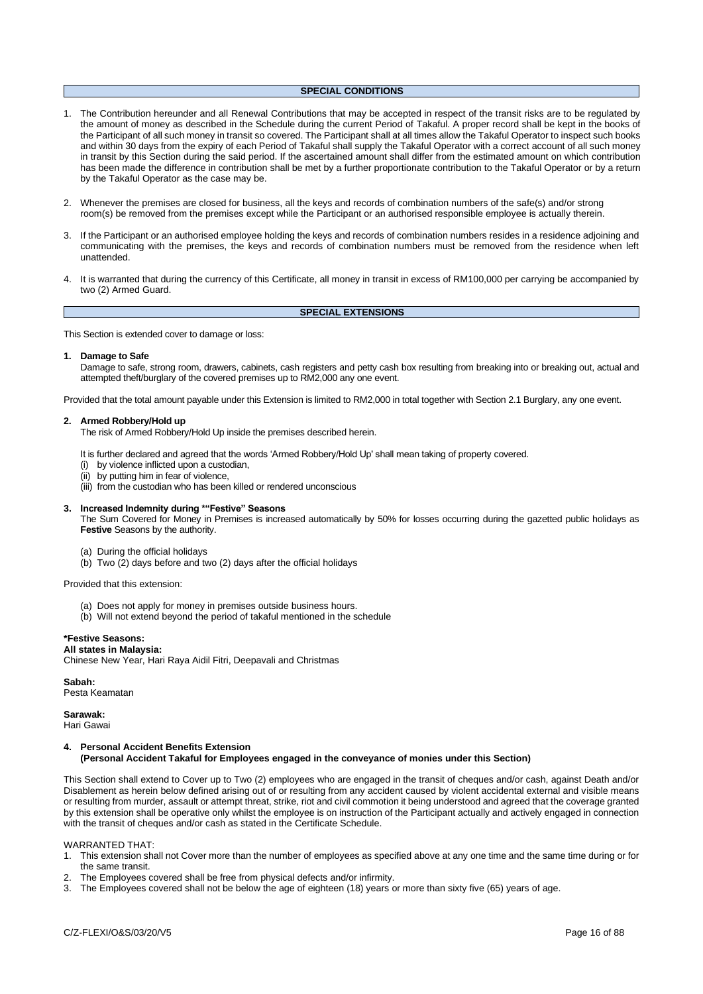#### **SPECIAL CONDITIONS**

- 1. The Contribution hereunder and all Renewal Contributions that may be accepted in respect of the transit risks are to be regulated by the amount of money as described in the Schedule during the current Period of Takaful. A proper record shall be kept in the books of the Participant of all such money in transit so covered. The Participant shall at all times allow the Takaful Operator to inspect such books and within 30 days from the expiry of each Period of Takaful shall supply the Takaful Operator with a correct account of all such money in transit by this Section during the said period. If the ascertained amount shall differ from the estimated amount on which contribution has been made the difference in contribution shall be met by a further proportionate contribution to the Takaful Operator or by a return by the Takaful Operator as the case may be.
- 2. Whenever the premises are closed for business, all the keys and records of combination numbers of the safe(s) and/or strong room(s) be removed from the premises except while the Participant or an authorised responsible employee is actually therein.
- 3. If the Participant or an authorised employee holding the keys and records of combination numbers resides in a residence adjoining and communicating with the premises, the keys and records of combination numbers must be removed from the residence when left unattended.
- 4. It is warranted that during the currency of this Certificate, all money in transit in excess of RM100,000 per carrying be accompanied by two (2) Armed Guard.

#### **SPECIAL EXTENSIONS**

This Section is extended cover to damage or loss:

#### **1. Damage to Safe**

Damage to safe, strong room, drawers, cabinets, cash registers and petty cash box resulting from breaking into or breaking out, actual and attempted theft/burglary of the covered premises up to RM2,000 any one event.

Provided that the total amount payable under this Extension is limited to RM2,000 in total together with Section 2.1 Burglary, any one event.

# **2. Armed Robbery/Hold up**

The risk of Armed Robbery/Hold Up inside the premises described herein.

- It is further declared and agreed that the words 'Armed Robbery/Hold Up' shall mean taking of property covered.
- by violence inflicted upon a custodian,
- (ii) by putting him in fear of violence,
- (iii) from the custodian who has been killed or rendered unconscious

## **3. Increased Indemnity during \*"Festive" Seasons**

The Sum Covered for Money in Premises is increased automatically by 50% for losses occurring during the gazetted public holidays as **Festive** Seasons by the authority.

- (a) During the official holidays
- (b) Two (2) days before and two (2) days after the official holidays

Provided that this extension:

- (a) Does not apply for money in premises outside business hours.
- (b) Will not extend beyond the period of takaful mentioned in the schedule

# **\*Festive Seasons:**

**All states in Malaysia:** 

Chinese New Year, Hari Raya Aidil Fitri, Deepavali and Christmas

**Sabah:**

Pesta Keamatan

**Sarawak:**

Hari Gawai

#### **4. Personal Accident Benefits Extension (Personal Accident Takaful for Employees engaged in the conveyance of monies under this Section)**

This Section shall extend to Cover up to Two (2) employees who are engaged in the transit of cheques and/or cash, against Death and/or Disablement as herein below defined arising out of or resulting from any accident caused by violent accidental external and visible means or resulting from murder, assault or attempt threat, strike, riot and civil commotion it being understood and agreed that the coverage granted by this extension shall be operative only whilst the employee is on instruction of the Participant actually and actively engaged in connection with the transit of cheques and/or cash as stated in the Certificate Schedule.

WARRANTED THAT:

- 1. This extension shall not Cover more than the number of employees as specified above at any one time and the same time during or for the same transit.
- The Employees covered shall be free from physical defects and/or infirmity.
- 3. The Employees covered shall not be below the age of eighteen (18) years or more than sixty five (65) years of age.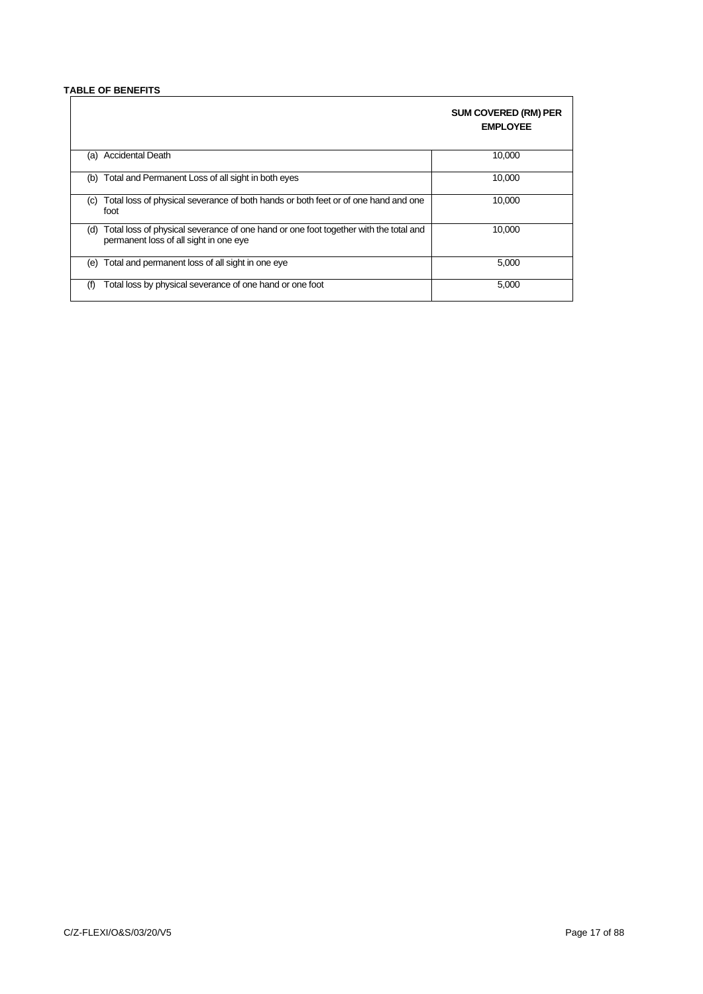# **TABLE OF BENEFITS**

|     |                                                                                                                                | <b>SUM COVERED (RM) PER</b><br><b>EMPLOYEE</b> |
|-----|--------------------------------------------------------------------------------------------------------------------------------|------------------------------------------------|
| (a) | <b>Accidental Death</b>                                                                                                        | 10.000                                         |
| (b) | Total and Permanent Loss of all sight in both eyes                                                                             | 10.000                                         |
| (C) | Total loss of physical severance of both hands or both feet or of one hand and one<br>foot                                     | 10.000                                         |
| (d) | Total loss of physical severance of one hand or one foot together with the total and<br>permanent loss of all sight in one eye | 10.000                                         |
| (e) | Total and permanent loss of all sight in one eye                                                                               | 5,000                                          |
| (f) | Total loss by physical severance of one hand or one foot                                                                       | 5,000                                          |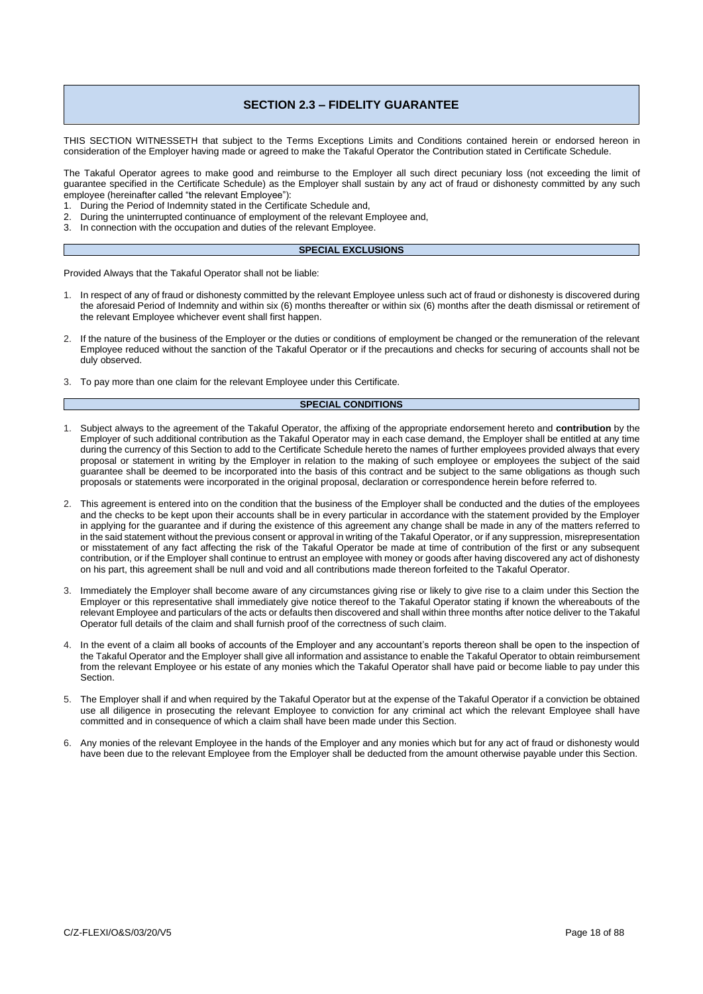# **SECTION 2.3 – FIDELITY GUARANTEE**

THIS SECTION WITNESSETH that subject to the Terms Exceptions Limits and Conditions contained herein or endorsed hereon in consideration of the Employer having made or agreed to make the Takaful Operator the Contribution stated in Certificate Schedule.

The Takaful Operator agrees to make good and reimburse to the Employer all such direct pecuniary loss (not exceeding the limit of guarantee specified in the Certificate Schedule) as the Employer shall sustain by any act of fraud or dishonesty committed by any such employee (hereinafter called "the relevant Employee"):

- 1. During the Period of Indemnity stated in the Certificate Schedule and,
- 2. During the uninterrupted continuance of employment of the relevant Employee and, 3. In connection with the occupation and duties of the relevant Employee.
- In connection with the occupation and duties of the relevant Employee.

#### **SPECIAL EXCLUSIONS**

Provided Always that the Takaful Operator shall not be liable:

- 1. In respect of any of fraud or dishonesty committed by the relevant Employee unless such act of fraud or dishonesty is discovered during the aforesaid Period of Indemnity and within six (6) months thereafter or within six (6) months after the death dismissal or retirement of the relevant Employee whichever event shall first happen.
- 2. If the nature of the business of the Employer or the duties or conditions of employment be changed or the remuneration of the relevant Employee reduced without the sanction of the Takaful Operator or if the precautions and checks for securing of accounts shall not be duly observed.
- 3. To pay more than one claim for the relevant Employee under this Certificate.

#### **SPECIAL CONDITIONS**

- 1. Subject always to the agreement of the Takaful Operator, the affixing of the appropriate endorsement hereto and **contribution** by the Employer of such additional contribution as the Takaful Operator may in each case demand, the Employer shall be entitled at any time during the currency of this Section to add to the Certificate Schedule hereto the names of further employees provided always that every proposal or statement in writing by the Employer in relation to the making of such employee or employees the subject of the said guarantee shall be deemed to be incorporated into the basis of this contract and be subject to the same obligations as though such proposals or statements were incorporated in the original proposal, declaration or correspondence herein before referred to.
- 2. This agreement is entered into on the condition that the business of the Employer shall be conducted and the duties of the employees and the checks to be kept upon their accounts shall be in every particular in accordance with the statement provided by the Employer in applying for the guarantee and if during the existence of this agreement any change shall be made in any of the matters referred to in the said statement without the previous consent or approval in writing of the Takaful Operator, or if any suppression, misrepresentation or misstatement of any fact affecting the risk of the Takaful Operator be made at time of contribution of the first or any subsequent contribution, or if the Employer shall continue to entrust an employee with money or goods after having discovered any act of dishonesty on his part, this agreement shall be null and void and all contributions made thereon forfeited to the Takaful Operator.
- 3. Immediately the Employer shall become aware of any circumstances giving rise or likely to give rise to a claim under this Section the Employer or this representative shall immediately give notice thereof to the Takaful Operator stating if known the whereabouts of the relevant Employee and particulars of the acts or defaults then discovered and shall within three months after notice deliver to the Takaful Operator full details of the claim and shall furnish proof of the correctness of such claim.
- 4. In the event of a claim all books of accounts of the Employer and any accountant's reports thereon shall be open to the inspection of the Takaful Operator and the Employer shall give all information and assistance to enable the Takaful Operator to obtain reimbursement from the relevant Employee or his estate of any monies which the Takaful Operator shall have paid or become liable to pay under this Section.
- 5. The Employer shall if and when required by the Takaful Operator but at the expense of the Takaful Operator if a conviction be obtained use all diligence in prosecuting the relevant Employee to conviction for any criminal act which the relevant Employee shall have committed and in consequence of which a claim shall have been made under this Section.
- 6. Any monies of the relevant Employee in the hands of the Employer and any monies which but for any act of fraud or dishonesty would have been due to the relevant Employee from the Employer shall be deducted from the amount otherwise payable under this Section.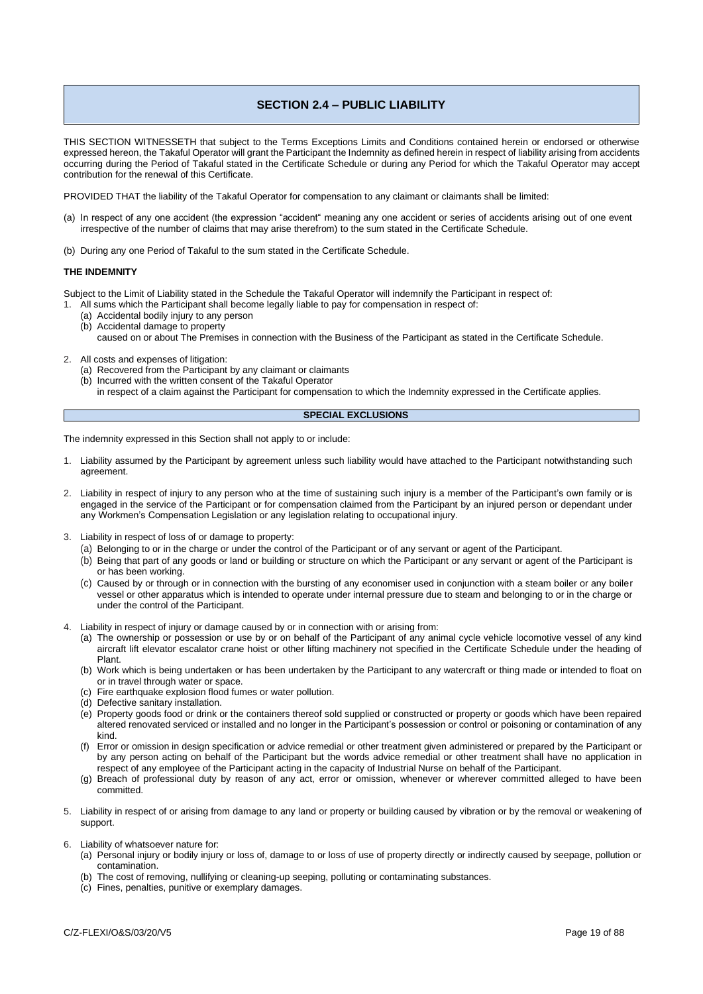# **SECTION 2.4 – PUBLIC LIABILITY**

THIS SECTION WITNESSETH that subject to the Terms Exceptions Limits and Conditions contained herein or endorsed or otherwise expressed hereon, the Takaful Operator will grant the Participant the Indemnity as defined herein in respect of liability arising from accidents occurring during the Period of Takaful stated in the Certificate Schedule or during any Period for which the Takaful Operator may accept contribution for the renewal of this Certificate.

PROVIDED THAT the liability of the Takaful Operator for compensation to any claimant or claimants shall be limited:

- (a) In respect of any one accident (the expression "accident" meaning any one accident or series of accidents arising out of one event irrespective of the number of claims that may arise therefrom) to the sum stated in the Certificate Schedule.
- (b) During any one Period of Takaful to the sum stated in the Certificate Schedule.

# **THE INDEMNITY**

Subject to the Limit of Liability stated in the Schedule the Takaful Operator will indemnify the Participant in respect of:

- 1. All sums which the Participant shall become legally liable to pay for compensation in respect of:
	- (a) Accidental bodily injury to any person
	- (b) Accidental damage to property
		- caused on or about The Premises in connection with the Business of the Participant as stated in the Certificate Schedule.
- 2. All costs and expenses of litigation:
	- (a) Recovered from the Participant by any claimant or claimants
	- (b) Incurred with the written consent of the Takaful Operator
		- in respect of a claim against the Participant for compensation to which the Indemnity expressed in the Certificate applies.

# **SPECIAL EXCLUSIONS**

The indemnity expressed in this Section shall not apply to or include:

- 1. Liability assumed by the Participant by agreement unless such liability would have attached to the Participant notwithstanding such agreement.
- 2. Liability in respect of injury to any person who at the time of sustaining such injury is a member of the Participant's own family or is engaged in the service of the Participant or for compensation claimed from the Participant by an injured person or dependant under any Workmen's Compensation Legislation or any legislation relating to occupational injury.
- 3. Liability in respect of loss of or damage to property:
	- (a) Belonging to or in the charge or under the control of the Participant or of any servant or agent of the Participant.
	- (b) Being that part of any goods or land or building or structure on which the Participant or any servant or agent of the Participant is or has been working.
	- (c) Caused by or through or in connection with the bursting of any economiser used in conjunction with a steam boiler or any boiler vessel or other apparatus which is intended to operate under internal pressure due to steam and belonging to or in the charge or under the control of the Participant.
- 4. Liability in respect of injury or damage caused by or in connection with or arising from:
	- (a) The ownership or possession or use by or on behalf of the Participant of any animal cycle vehicle locomotive vessel of any kind aircraft lift elevator escalator crane hoist or other lifting machinery not specified in the Certificate Schedule under the heading of Plant.
	- (b) Work which is being undertaken or has been undertaken by the Participant to any watercraft or thing made or intended to float on or in travel through water or space.
	- (c) Fire earthquake explosion flood fumes or water pollution.
	- (d) Defective sanitary installation.
	- (e) Property goods food or drink or the containers thereof sold supplied or constructed or property or goods which have been repaired altered renovated serviced or installed and no longer in the Participant's possession or control or poisoning or contamination of any kind.
	- (f) Error or omission in design specification or advice remedial or other treatment given administered or prepared by the Participant or by any person acting on behalf of the Participant but the words advice remedial or other treatment shall have no application in respect of any employee of the Participant acting in the capacity of Industrial Nurse on behalf of the Participant.
	- (g) Breach of professional duty by reason of any act, error or omission, whenever or wherever committed alleged to have been committed.
- 5. Liability in respect of or arising from damage to any land or property or building caused by vibration or by the removal or weakening of support.
- 6. Liability of whatsoever nature for:
	- (a) Personal injury or bodily injury or loss of, damage to or loss of use of property directly or indirectly caused by seepage, pollution or contamination.
	- (b) The cost of removing, nullifying or cleaning-up seeping, polluting or contaminating substances.
	- (c) Fines, penalties, punitive or exemplary damages.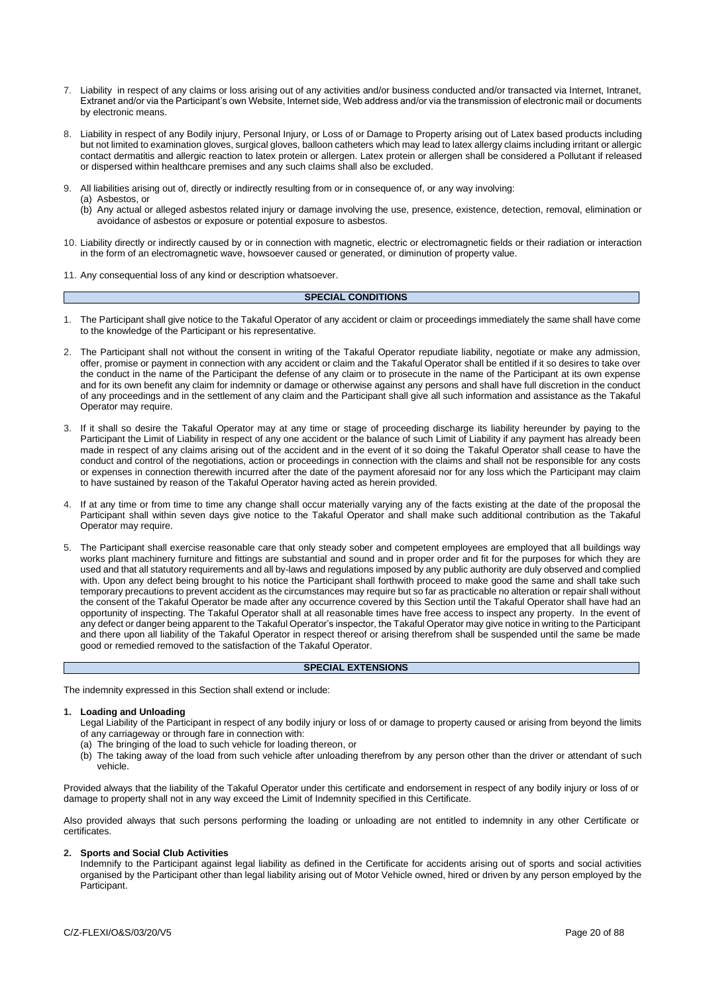- 7. Liability in respect of any claims or loss arising out of any activities and/or business conducted and/or transacted via Internet, Intranet, Extranet and/or via the Participant's own Website, Internet side, Web address and/or via the transmission of electronic mail or documents by electronic means.
- 8. Liability in respect of any Bodily injury, Personal Injury, or Loss of or Damage to Property arising out of Latex based products including but not limited to examination gloves, surgical gloves, balloon catheters which may lead to latex allergy claims including irritant or allergic contact dermatitis and allergic reaction to latex protein or allergen. Latex protein or allergen shall be considered a Pollutant if released or dispersed within healthcare premises and any such claims shall also be excluded.
- 9. All liabilities arising out of, directly or indirectly resulting from or in consequence of, or any way involving:

(a) Asbestos, or

- (b) Any actual or alleged asbestos related injury or damage involving the use, presence, existence, detection, removal, elimination or avoidance of asbestos or exposure or potential exposure to asbestos.
- 10. Liability directly or indirectly caused by or in connection with magnetic, electric or electromagnetic fields or their radiation or interaction in the form of an electromagnetic wave, howsoever caused or generated, or diminution of property value.

11. Any consequential loss of any kind or description whatsoever.

# **SPECIAL CONDITIONS**

- 1. The Participant shall give notice to the Takaful Operator of any accident or claim or proceedings immediately the same shall have come to the knowledge of the Participant or his representative.
- 2. The Participant shall not without the consent in writing of the Takaful Operator repudiate liability, negotiate or make any admission, offer, promise or payment in connection with any accident or claim and the Takaful Operator shall be entitled if it so desires to take over the conduct in the name of the Participant the defense of any claim or to prosecute in the name of the Participant at its own expense and for its own benefit any claim for indemnity or damage or otherwise against any persons and shall have full discretion in the conduct of any proceedings and in the settlement of any claim and the Participant shall give all such information and assistance as the Takaful Operator may require.
- 3. If it shall so desire the Takaful Operator may at any time or stage of proceeding discharge its liability hereunder by paying to the Participant the Limit of Liability in respect of any one accident or the balance of such Limit of Liability if any payment has already been made in respect of any claims arising out of the accident and in the event of it so doing the Takaful Operator shall cease to have the conduct and control of the negotiations, action or proceedings in connection with the claims and shall not be responsible for any costs or expenses in connection therewith incurred after the date of the payment aforesaid nor for any loss which the Participant may claim to have sustained by reason of the Takaful Operator having acted as herein provided.
- 4. If at any time or from time to time any change shall occur materially varying any of the facts existing at the date of the proposal the Participant shall within seven days give notice to the Takaful Operator and shall make such additional contribution as the Takaful Operator may require.
- 5. The Participant shall exercise reasonable care that only steady sober and competent employees are employed that all buildings way works plant machinery furniture and fittings are substantial and sound and in proper order and fit for the purposes for which they are used and that all statutory requirements and all by-laws and regulations imposed by any public authority are duly observed and complied with. Upon any defect being brought to his notice the Participant shall forthwith proceed to make good the same and shall take such temporary precautions to prevent accident as the circumstances may require but so far as practicable no alteration or repair shall without the consent of the Takaful Operator be made after any occurrence covered by this Section until the Takaful Operator shall have had an opportunity of inspecting. The Takaful Operator shall at all reasonable times have free access to inspect any property. In the event of any defect or danger being apparent to the Takaful Operator's inspector, the Takaful Operator may give notice in writing to the Participant and there upon all liability of the Takaful Operator in respect thereof or arising therefrom shall be suspended until the same be made good or remedied removed to the satisfaction of the Takaful Operator.

# **SPECIAL EXTENSIONS**

The indemnity expressed in this Section shall extend or include:

# **1. Loading and Unloading**

Legal Liability of the Participant in respect of any bodily injury or loss of or damage to property caused or arising from beyond the limits of any carriageway or through fare in connection with:

- (a) The bringing of the load to such vehicle for loading thereon, or
- (b) The taking away of the load from such vehicle after unloading therefrom by any person other than the driver or attendant of such vehicle.

Provided always that the liability of the Takaful Operator under this certificate and endorsement in respect of any bodily injury or loss of or damage to property shall not in any way exceed the Limit of Indemnity specified in this Certificate.

Also provided always that such persons performing the loading or unloading are not entitled to indemnity in any other Certificate or certificates.

# **2. Sports and Social Club Activities**

Indemnify to the Participant against legal liability as defined in the Certificate for accidents arising out of sports and social activities organised by the Participant other than legal liability arising out of Motor Vehicle owned, hired or driven by any person employed by the Participant.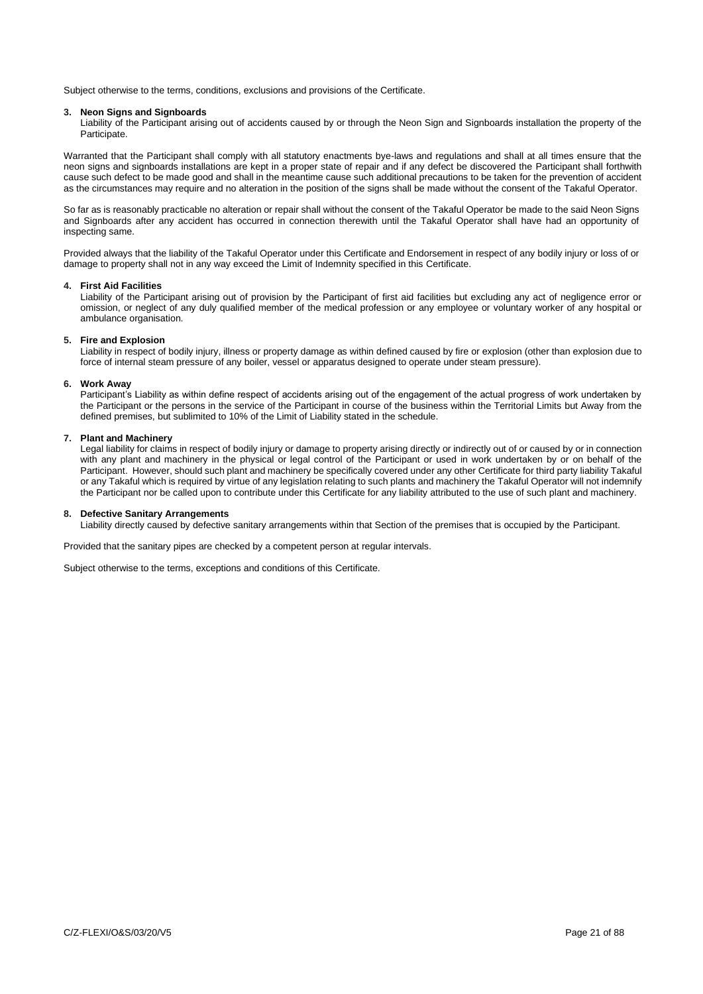Subject otherwise to the terms, conditions, exclusions and provisions of the Certificate.

# **3. Neon Signs and Signboards**

Liability of the Participant arising out of accidents caused by or through the Neon Sign and Signboards installation the property of the Participate.

Warranted that the Participant shall comply with all statutory enactments bye-laws and regulations and shall at all times ensure that the neon signs and signboards installations are kept in a proper state of repair and if any defect be discovered the Participant shall forthwith cause such defect to be made good and shall in the meantime cause such additional precautions to be taken for the prevention of accident as the circumstances may require and no alteration in the position of the signs shall be made without the consent of the Takaful Operator.

So far as is reasonably practicable no alteration or repair shall without the consent of the Takaful Operator be made to the said Neon Signs and Signboards after any accident has occurred in connection therewith until the Takaful Operator shall have had an opportunity of inspecting same.

Provided always that the liability of the Takaful Operator under this Certificate and Endorsement in respect of any bodily injury or loss of or damage to property shall not in any way exceed the Limit of Indemnity specified in this Certificate.

#### **4. First Aid Facilities**

Liability of the Participant arising out of provision by the Participant of first aid facilities but excluding any act of negligence error or omission, or neglect of any duly qualified member of the medical profession or any employee or voluntary worker of any hospital or ambulance organisation.

#### **5. Fire and Explosion**

Liability in respect of bodily injury, illness or property damage as within defined caused by fire or explosion (other than explosion due to force of internal steam pressure of any boiler, vessel or apparatus designed to operate under steam pressure).

#### **6. Work Away**

Participant's Liability as within define respect of accidents arising out of the engagement of the actual progress of work undertaken by the Participant or the persons in the service of the Participant in course of the business within the Territorial Limits but Away from the defined premises, but sublimited to 10% of the Limit of Liability stated in the schedule.

#### **7. Plant and Machinery**

Legal liability for claims in respect of bodily injury or damage to property arising directly or indirectly out of or caused by or in connection with any plant and machinery in the physical or legal control of the Participant or used in work undertaken by or on behalf of the Participant. However, should such plant and machinery be specifically covered under any other Certificate for third party liability Takaful or any Takaful which is required by virtue of any legislation relating to such plants and machinery the Takaful Operator will not indemnify the Participant nor be called upon to contribute under this Certificate for any liability attributed to the use of such plant and machinery.

#### **8. Defective Sanitary Arrangements**

Liability directly caused by defective sanitary arrangements within that Section of the premises that is occupied by the Participant.

Provided that the sanitary pipes are checked by a competent person at regular intervals.

Subject otherwise to the terms, exceptions and conditions of this Certificate.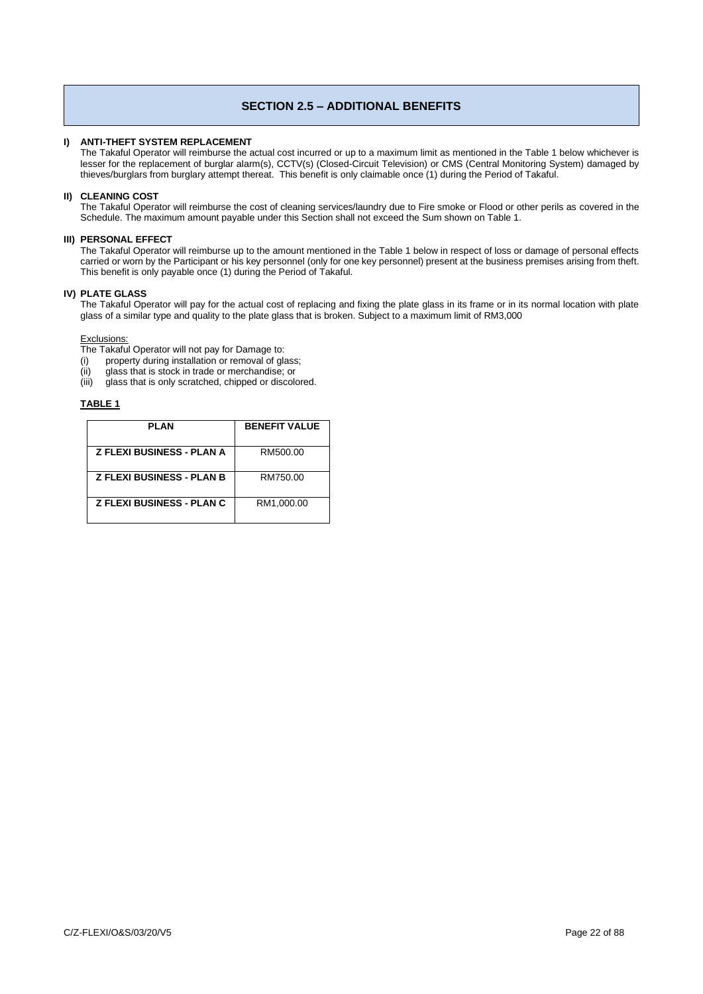# **SECTION 2.5 – ADDITIONAL BENEFITS**

# **I) ANTI-THEFT SYSTEM REPLACEMENT**

The Takaful Operator will reimburse the actual cost incurred or up to a maximum limit as mentioned in the Table 1 below whichever is lesser for the replacement of burglar alarm(s), CCTV(s) (Closed-Circuit Television) or CMS (Central Monitoring System) damaged by thieves/burglars from burglary attempt thereat. This benefit is only claimable once (1) during the Period of Takaful.

# **II) CLEANING COST**

The Takaful Operator will reimburse the cost of cleaning services/laundry due to Fire smoke or Flood or other perils as covered in the Schedule. The maximum amount payable under this Section shall not exceed the Sum shown on Table 1.

# **III) PERSONAL EFFECT**

The Takaful Operator will reimburse up to the amount mentioned in the Table 1 below in respect of loss or damage of personal effects carried or worn by the Participant or his key personnel (only for one key personnel) present at the business premises arising from theft. This benefit is only payable once (1) during the Period of Takaful.

#### **IV) PLATE GLASS**

The Takaful Operator will pay for the actual cost of replacing and fixing the plate glass in its frame or in its normal location with plate glass of a similar type and quality to the plate glass that is broken. Subject to a maximum limit of RM3,000

#### Exclusions:

- The Takaful Operator will not pay for Damage to:
- (i) property during installation or removal of glass;<br>(ii) alass that is stock in trade or merchandise: or
- (ii) glass that is stock in trade or merchandise; or<br>(iii) glass that is only scratched, chipped or discole
- glass that is only scratched, chipped or discolored.

# **TABLE 1**

| <b>PLAN</b>                      | <b>BENEFIT VALUE</b> |
|----------------------------------|----------------------|
| <b>Z FLEXI BUSINESS - PLAN A</b> | RM500.00             |
| <b>Z FLEXI BUSINESS - PLAN B</b> | RM750.00             |
| <b>Z FLEXI BUSINESS - PLAN C</b> | RM1.000.00           |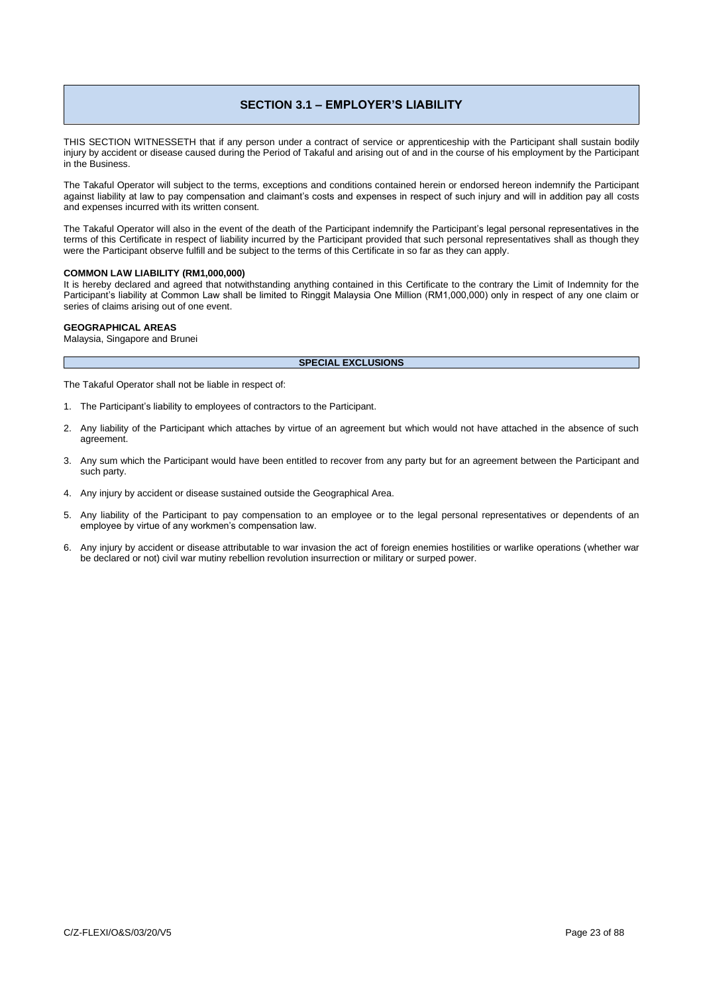# **SECTION 3.1 – EMPLOYER'S LIABILITY**

THIS SECTION WITNESSETH that if any person under a contract of service or apprenticeship with the Participant shall sustain bodily injury by accident or disease caused during the Period of Takaful and arising out of and in the course of his employment by the Participant in the Business.

The Takaful Operator will subject to the terms, exceptions and conditions contained herein or endorsed hereon indemnify the Participant against liability at law to pay compensation and claimant's costs and expenses in respect of such injury and will in addition pay all costs and expenses incurred with its written consent.

The Takaful Operator will also in the event of the death of the Participant indemnify the Participant's legal personal representatives in the terms of this Certificate in respect of liability incurred by the Participant provided that such personal representatives shall as though they were the Participant observe fulfill and be subject to the terms of this Certificate in so far as they can apply.

# **COMMON LAW LIABILITY (RM1,000,000)**

It is hereby declared and agreed that notwithstanding anything contained in this Certificate to the contrary the Limit of Indemnity for the Participant's liability at Common Law shall be limited to Ringgit Malaysia One Million (RM1,000,000) only in respect of any one claim or series of claims arising out of one event.

# **GEOGRAPHICAL AREAS**

Malaysia, Singapore and Brunei

# **SPECIAL EXCLUSIONS**

The Takaful Operator shall not be liable in respect of:

- 1. The Participant's liability to employees of contractors to the Participant.
- 2. Any liability of the Participant which attaches by virtue of an agreement but which would not have attached in the absence of such agreement.
- 3. Any sum which the Participant would have been entitled to recover from any party but for an agreement between the Participant and such party.
- 4. Any injury by accident or disease sustained outside the Geographical Area.
- 5. Any liability of the Participant to pay compensation to an employee or to the legal personal representatives or dependents of an employee by virtue of any workmen's compensation law.
- 6. Any injury by accident or disease attributable to war invasion the act of foreign enemies hostilities or warlike operations (whether war be declared or not) civil war mutiny rebellion revolution insurrection or military or surped power.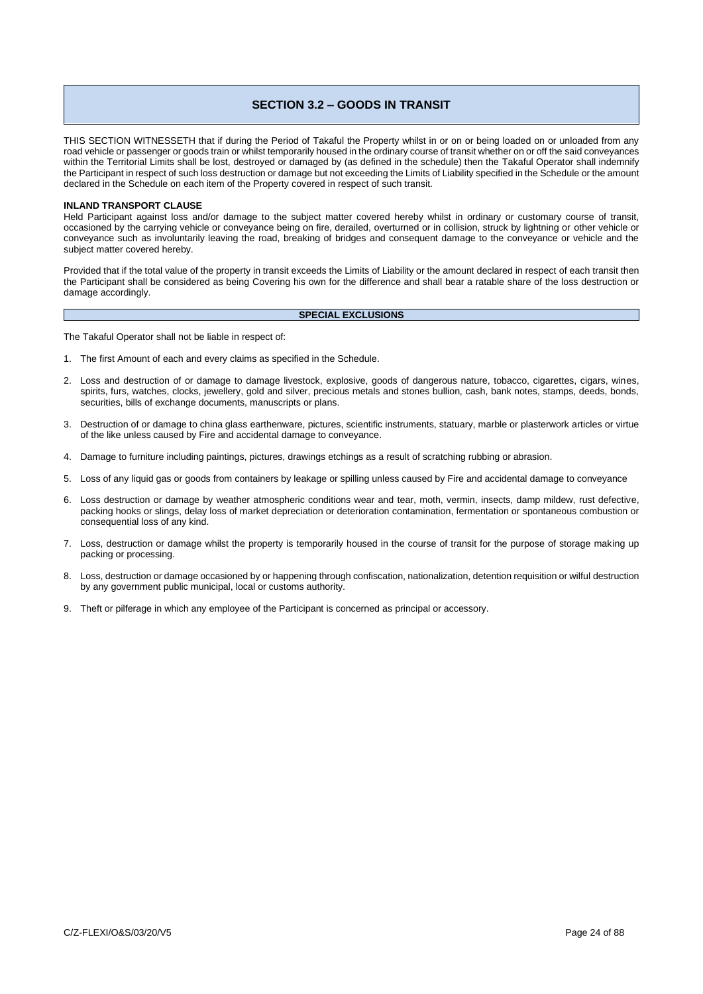# **SECTION 3.2 – GOODS IN TRANSIT**

THIS SECTION WITNESSETH that if during the Period of Takaful the Property whilst in or on or being loaded on or unloaded from any road vehicle or passenger or goods train or whilst temporarily housed in the ordinary course of transit whether on or off the said conveyances within the Territorial Limits shall be lost, destroyed or damaged by (as defined in the schedule) then the Takaful Operator shall indemnify the Participant in respect of such loss destruction or damage but not exceeding the Limits of Liability specified in the Schedule or the amount declared in the Schedule on each item of the Property covered in respect of such transit.

#### **INLAND TRANSPORT CLAUSE**

Held Participant against loss and/or damage to the subject matter covered hereby whilst in ordinary or customary course of transit, occasioned by the carrying vehicle or conveyance being on fire, derailed, overturned or in collision, struck by lightning or other vehicle or conveyance such as involuntarily leaving the road, breaking of bridges and consequent damage to the conveyance or vehicle and the subject matter covered hereby.

Provided that if the total value of the property in transit exceeds the Limits of Liability or the amount declared in respect of each transit then the Participant shall be considered as being Covering his own for the difference and shall bear a ratable share of the loss destruction or damage accordingly.

#### **SPECIAL EXCLUSIONS**

The Takaful Operator shall not be liable in respect of:

- 1. The first Amount of each and every claims as specified in the Schedule.
- 2. Loss and destruction of or damage to damage livestock, explosive, goods of dangerous nature, tobacco, cigarettes, cigars, wines, spirits, furs, watches, clocks, jewellery, gold and silver, precious metals and stones bullion, cash, bank notes, stamps, deeds, bonds, securities, bills of exchange documents, manuscripts or plans.
- 3. Destruction of or damage to china glass earthenware, pictures, scientific instruments, statuary, marble or plasterwork articles or virtue of the like unless caused by Fire and accidental damage to conveyance.
- 4. Damage to furniture including paintings, pictures, drawings etchings as a result of scratching rubbing or abrasion.
- 5. Loss of any liquid gas or goods from containers by leakage or spilling unless caused by Fire and accidental damage to conveyance
- 6. Loss destruction or damage by weather atmospheric conditions wear and tear, moth, vermin, insects, damp mildew, rust defective, packing hooks or slings, delay loss of market depreciation or deterioration contamination, fermentation or spontaneous combustion or consequential loss of any kind.
- 7. Loss, destruction or damage whilst the property is temporarily housed in the course of transit for the purpose of storage making up packing or processing.
- 8. Loss, destruction or damage occasioned by or happening through confiscation, nationalization, detention requisition or wilful destruction by any government public municipal, local or customs authority.
- 9. Theft or pilferage in which any employee of the Participant is concerned as principal or accessory.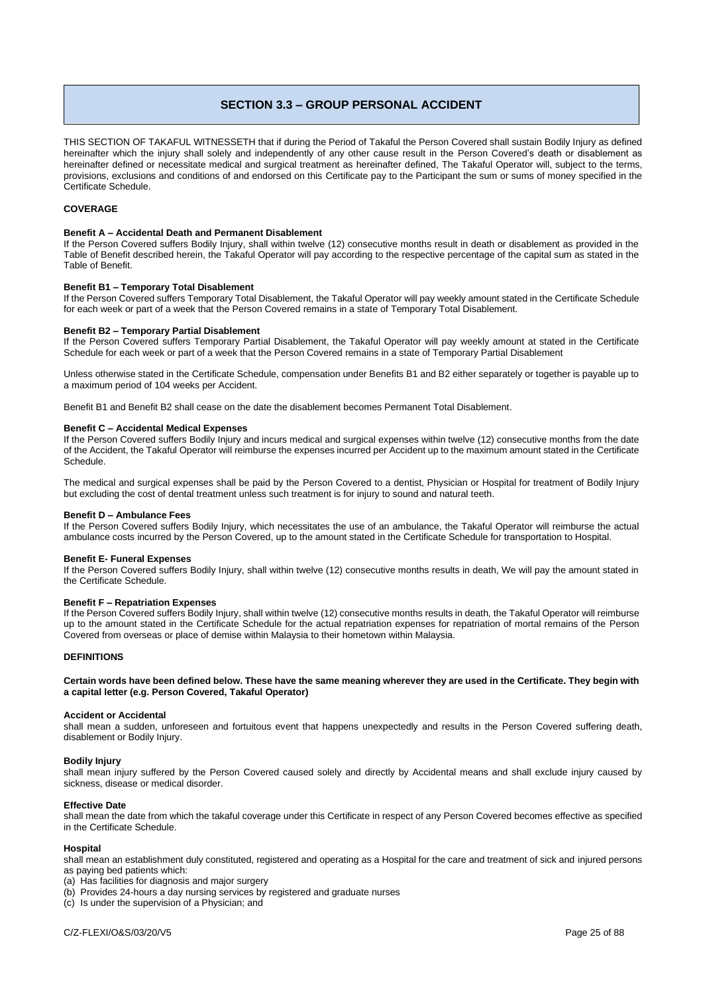# **SECTION 3.3 – GROUP PERSONAL ACCIDENT**

THIS SECTION OF TAKAFUL WITNESSETH that if during the Period of Takaful the Person Covered shall sustain Bodily Injury as defined hereinafter which the injury shall solely and independently of any other cause result in the Person Covered's death or disablement as hereinafter defined or necessitate medical and surgical treatment as hereinafter defined, The Takaful Operator will, subject to the terms, provisions, exclusions and conditions of and endorsed on this Certificate pay to the Participant the sum or sums of money specified in the Certificate Schedule.

# **COVERAGE**

#### **Benefit A – Accidental Death and Permanent Disablement**

If the Person Covered suffers Bodily Injury, shall within twelve (12) consecutive months result in death or disablement as provided in the Table of Benefit described herein, the Takaful Operator will pay according to the respective percentage of the capital sum as stated in the Table of Benefit.

#### **Benefit B1 – Temporary Total Disablement**

If the Person Covered suffers Temporary Total Disablement, the Takaful Operator will pay weekly amount stated in the Certificate Schedule for each week or part of a week that the Person Covered remains in a state of Temporary Total Disablement.

#### **Benefit B2 – Temporary Partial Disablement**

If the Person Covered suffers Temporary Partial Disablement, the Takaful Operator will pay weekly amount at stated in the Certificate Schedule for each week or part of a week that the Person Covered remains in a state of Temporary Partial Disablement

Unless otherwise stated in the Certificate Schedule, compensation under Benefits B1 and B2 either separately or together is payable up to a maximum period of 104 weeks per Accident.

Benefit B1 and Benefit B2 shall cease on the date the disablement becomes Permanent Total Disablement.

#### **Benefit C – Accidental Medical Expenses**

If the Person Covered suffers Bodily Injury and incurs medical and surgical expenses within twelve (12) consecutive months from the date of the Accident, the Takaful Operator will reimburse the expenses incurred per Accident up to the maximum amount stated in the Certificate Schedule.

The medical and surgical expenses shall be paid by the Person Covered to a dentist, Physician or Hospital for treatment of Bodily Injury but excluding the cost of dental treatment unless such treatment is for injury to sound and natural teeth.

#### **Benefit D – Ambulance Fees**

If the Person Covered suffers Bodily Injury, which necessitates the use of an ambulance, the Takaful Operator will reimburse the actual ambulance costs incurred by the Person Covered, up to the amount stated in the Certificate Schedule for transportation to Hospital.

#### **Benefit E- Funeral Expenses**

If the Person Covered suffers Bodily Injury, shall within twelve (12) consecutive months results in death, We will pay the amount stated in the Certificate Schedule.

#### **Benefit F – Repatriation Expenses**

If the Person Covered suffers Bodily Injury, shall within twelve (12) consecutive months results in death, the Takaful Operator will reimburse up to the amount stated in the Certificate Schedule for the actual repatriation expenses for repatriation of mortal remains of the Person Covered from overseas or place of demise within Malaysia to their hometown within Malaysia.

#### **DEFINITIONS**

#### **Certain words have been defined below. These have the same meaning wherever they are used in the Certificate. They begin with a capital letter (e.g. Person Covered, Takaful Operator)**

#### **Accident or Accidental**

shall mean a sudden, unforeseen and fortuitous event that happens unexpectedly and results in the Person Covered suffering death, disablement or Bodily Injury.

#### **Bodily Injury**

shall mean injury suffered by the Person Covered caused solely and directly by Accidental means and shall exclude injury caused by sickness, disease or medical disorder.

#### **Effective Date**

shall mean the date from which the takaful coverage under this Certificate in respect of any Person Covered becomes effective as specified in the Certificate Schedule.

#### **Hospital**

shall mean an establishment duly constituted, registered and operating as a Hospital for the care and treatment of sick and injured persons as paying bed patients which:

- (a) Has facilities for diagnosis and major surgery
- (b) Provides 24-hours a day nursing services by registered and graduate nurses
- (c) Is under the supervision of a Physician; and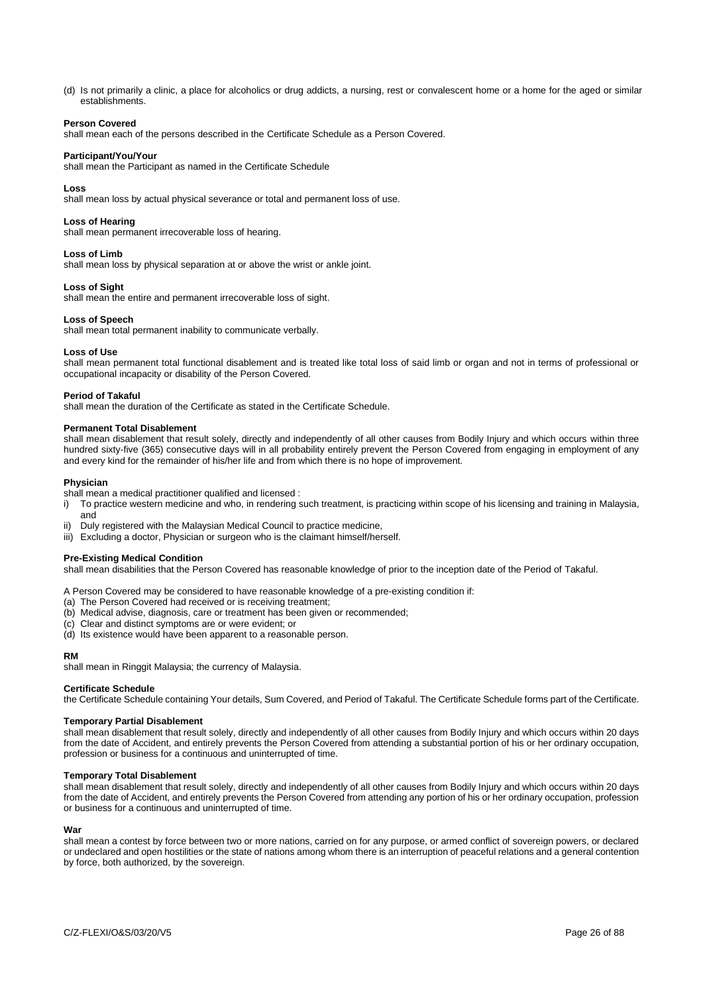(d) Is not primarily a clinic, a place for alcoholics or drug addicts, a nursing, rest or convalescent home or a home for the aged or similar establishments.

# **Person Covered**

shall mean each of the persons described in the Certificate Schedule as a Person Covered.

# **Participant/You/Your**

shall mean the Participant as named in the Certificate Schedule

#### **Loss**

shall mean loss by actual physical severance or total and permanent loss of use.

#### **Loss of Hearing**

shall mean permanent irrecoverable loss of hearing.

#### **Loss of Limb**

shall mean loss by physical separation at or above the wrist or ankle joint.

# **Loss of Sight**

shall mean the entire and permanent irrecoverable loss of sight.

#### **Loss of Speech**

shall mean total permanent inability to communicate verbally.

#### **Loss of Use**

shall mean permanent total functional disablement and is treated like total loss of said limb or organ and not in terms of professional or occupational incapacity or disability of the Person Covered.

#### **Period of Takaful**

shall mean the duration of the Certificate as stated in the Certificate Schedule.

#### **Permanent Total Disablement**

shall mean disablement that result solely, directly and independently of all other causes from Bodily Injury and which occurs within three hundred sixty-five (365) consecutive days will in all probability entirely prevent the Person Covered from engaging in employment of any and every kind for the remainder of his/her life and from which there is no hope of improvement.

#### **Physician**

shall mean a medical practitioner qualified and licensed :

- i) To practice western medicine and who, in rendering such treatment, is practicing within scope of his licensing and training in Malaysia, and
- Duly registered with the Malaysian Medical Council to practice medicine,
- iii) Excluding a doctor, Physician or surgeon who is the claimant himself/herself.

#### **Pre-Existing Medical Condition**

shall mean disabilities that the Person Covered has reasonable knowledge of prior to the inception date of the Period of Takaful.

A Person Covered may be considered to have reasonable knowledge of a pre-existing condition if:

- (a) The Person Covered had received or is receiving treatment;
- (b) Medical advise, diagnosis, care or treatment has been given or recommended;
- (c) Clear and distinct symptoms are or were evident; or
- (d) Its existence would have been apparent to a reasonable person.

# **RM**

shall mean in Ringgit Malaysia; the currency of Malaysia.

# **Certificate Schedule**

the Certificate Schedule containing Your details, Sum Covered, and Period of Takaful. The Certificate Schedule forms part of the Certificate.

# **Temporary Partial Disablement**

shall mean disablement that result solely, directly and independently of all other causes from Bodily Injury and which occurs within 20 days from the date of Accident, and entirely prevents the Person Covered from attending a substantial portion of his or her ordinary occupation, profession or business for a continuous and uninterrupted of time.

# **Temporary Total Disablement**

shall mean disablement that result solely, directly and independently of all other causes from Bodily Injury and which occurs within 20 days from the date of Accident, and entirely prevents the Person Covered from attending any portion of his or her ordinary occupation, profession or business for a continuous and uninterrupted of time.

# **War**

shall mean a contest by force between two or more nations, carried on for any purpose, or armed conflict of sovereign powers, or declared or undeclared and open hostilities or the state of nations among whom there is an interruption of peaceful relations and a general contention by force, both authorized, by the sovereign.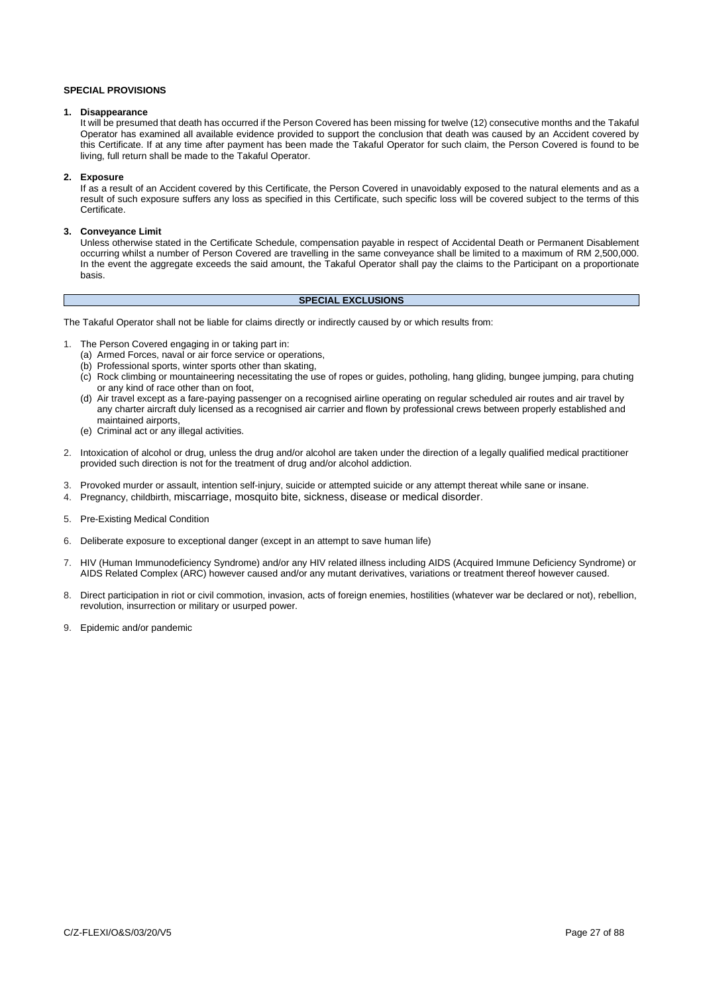# **SPECIAL PROVISIONS**

#### **1. Disappearance**

It will be presumed that death has occurred if the Person Covered has been missing for twelve (12) consecutive months and the Takaful Operator has examined all available evidence provided to support the conclusion that death was caused by an Accident covered by this Certificate. If at any time after payment has been made the Takaful Operator for such claim, the Person Covered is found to be living, full return shall be made to the Takaful Operator.

#### **2. Exposure**

If as a result of an Accident covered by this Certificate, the Person Covered in unavoidably exposed to the natural elements and as a result of such exposure suffers any loss as specified in this Certificate, such specific loss will be covered subject to the terms of this Certificate.

### **3. Conveyance Limit**

Unless otherwise stated in the Certificate Schedule, compensation payable in respect of Accidental Death or Permanent Disablement occurring whilst a number of Person Covered are travelling in the same conveyance shall be limited to a maximum of RM 2,500,000. In the event the aggregate exceeds the said amount, the Takaful Operator shall pay the claims to the Participant on a proportionate basis.

# **SPECIAL EXCLUSIONS**

The Takaful Operator shall not be liable for claims directly or indirectly caused by or which results from:

- 1. The Person Covered engaging in or taking part in:
	- (a) Armed Forces, naval or air force service or operations,
	- (b) Professional sports, winter sports other than skating,
	- (c) Rock climbing or mountaineering necessitating the use of ropes or guides, potholing, hang gliding, bungee jumping, para chuting or any kind of race other than on foot,
	- (d) Air travel except as a fare-paying passenger on a recognised airline operating on regular scheduled air routes and air travel by any charter aircraft duly licensed as a recognised air carrier and flown by professional crews between properly established and maintained airports,
	- (e) Criminal act or any illegal activities.
- 2. Intoxication of alcohol or drug, unless the drug and/or alcohol are taken under the direction of a legally qualified medical practitioner provided such direction is not for the treatment of drug and/or alcohol addiction.
- 3. Provoked murder or assault, intention self-injury, suicide or attempted suicide or any attempt thereat while sane or insane.
- 4. Pregnancy, childbirth, miscarriage, mosquito bite, sickness, disease or medical disorder.
- 5. Pre-Existing Medical Condition
- 6. Deliberate exposure to exceptional danger (except in an attempt to save human life)
- 7. HIV (Human Immunodeficiency Syndrome) and/or any HIV related illness including AIDS (Acquired Immune Deficiency Syndrome) or AIDS Related Complex (ARC) however caused and/or any mutant derivatives, variations or treatment thereof however caused.
- 8. Direct participation in riot or civil commotion, invasion, acts of foreign enemies, hostilities (whatever war be declared or not), rebellion, revolution, insurrection or military or usurped power.
- 9. Epidemic and/or pandemic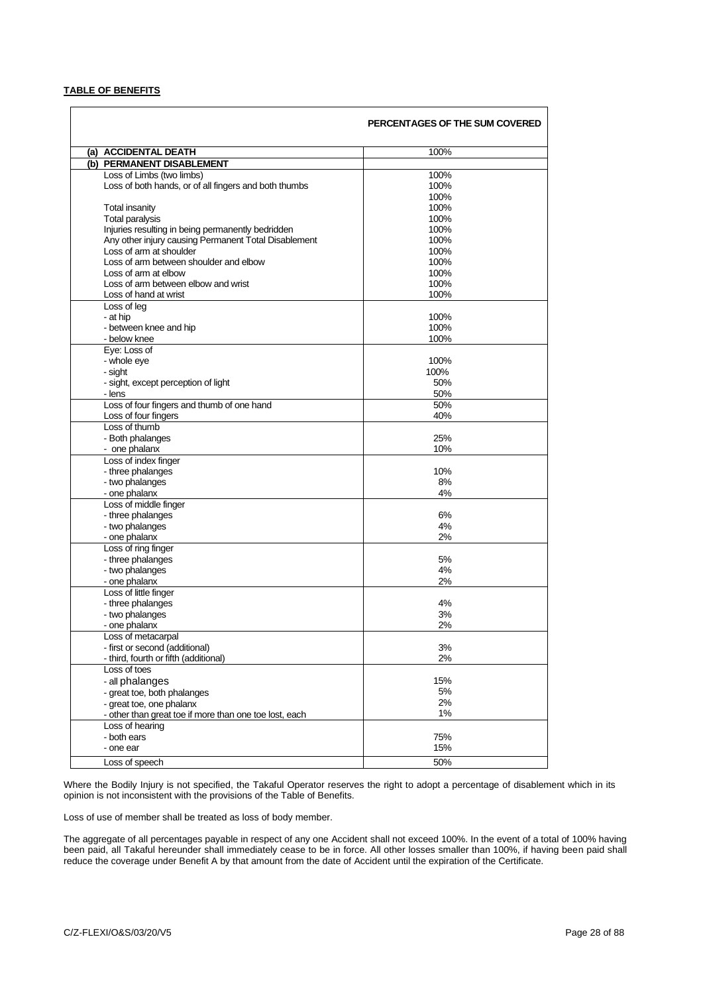# **TABLE OF BENEFITS**

|                                                        | PERCENTAGES OF THE SUM COVERED |
|--------------------------------------------------------|--------------------------------|
| (a) ACCIDENTAL DEATH                                   | 100%                           |
| (b) PERMANENT DISABLEMENT                              |                                |
| Loss of Limbs (two limbs)                              | 100%                           |
| Loss of both hands, or of all fingers and both thumbs  | 100%                           |
|                                                        | 100%                           |
| <b>Total insanity</b>                                  | 100%                           |
| <b>Total paralysis</b>                                 | 100%                           |
| Injuries resulting in being permanently bedridden      | 100%                           |
| Any other injury causing Permanent Total Disablement   | 100%                           |
| Loss of arm at shoulder                                | 100%                           |
| Loss of arm between shoulder and elbow                 | 100%                           |
| Loss of arm at elbow                                   | 100%                           |
| Loss of arm between elbow and wrist                    |                                |
|                                                        | 100%                           |
| Loss of hand at wrist                                  | 100%                           |
| Loss of leg                                            |                                |
| - at hip                                               | 100%                           |
| - between knee and hip                                 | 100%                           |
| - below knee                                           | 100%                           |
| Eye: Loss of                                           |                                |
| - whole eye                                            | 100%                           |
| - sight                                                | 100%                           |
| - sight, except perception of light                    | 50%                            |
| - lens                                                 | 50%                            |
| Loss of four fingers and thumb of one hand             | 50%                            |
| Loss of four fingers                                   | 40%                            |
| Loss of thumb                                          |                                |
| - Both phalanges                                       | 25%                            |
|                                                        |                                |
| - one phalanx                                          | 10%                            |
| Loss of index finger                                   |                                |
| - three phalanges                                      | 10%                            |
| - two phalanges                                        | 8%                             |
| - one phalanx                                          | 4%                             |
| Loss of middle finger                                  |                                |
| - three phalanges                                      | 6%                             |
| - two phalanges                                        | 4%                             |
| - one phalanx                                          | 2%                             |
| Loss of ring finger                                    |                                |
| - three phalanges                                      | 5%                             |
| - two phalanges                                        | 4%                             |
| - one phalanx                                          | 2%                             |
| Loss of little finger                                  |                                |
| - three phalanges                                      | 4%                             |
|                                                        |                                |
| - two phalanges                                        | 3%                             |
| - one phalanx                                          | 2%                             |
| Loss of metacarpal                                     |                                |
| - first or second (additional)                         | 3%                             |
| - third, fourth or fifth (additional)                  | 2%                             |
| Loss of toes                                           |                                |
| - all phalanges                                        | 15%                            |
| - great toe, both phalanges                            | 5%                             |
| - great toe, one phalanx                               | 2%                             |
| - other than great toe if more than one toe lost, each | 1%                             |
| Loss of hearing                                        |                                |
| - both ears                                            | 75%                            |
|                                                        |                                |
| - one ear                                              | 15%                            |
| Loss of speech                                         | 50%                            |

Where the Bodily Injury is not specified, the Takaful Operator reserves the right to adopt a percentage of disablement which in its opinion is not inconsistent with the provisions of the Table of Benefits.

Loss of use of member shall be treated as loss of body member.

The aggregate of all percentages payable in respect of any one Accident shall not exceed 100%. In the event of a total of 100% having been paid, all Takaful hereunder shall immediately cease to be in force. All other losses smaller than 100%, if having been paid shall reduce the coverage under Benefit A by that amount from the date of Accident until the expiration of the Certificate.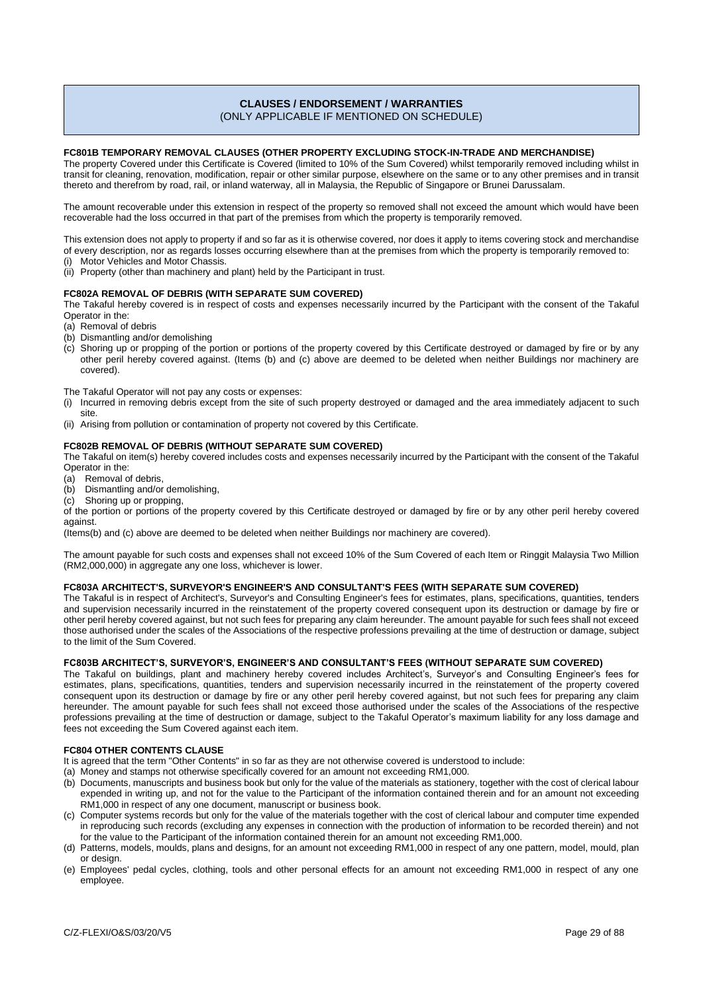# **CLAUSES / ENDORSEMENT / WARRANTIES**

(ONLY APPLICABLE IF MENTIONED ON SCHEDULE)

# **FC801B TEMPORARY REMOVAL CLAUSES (OTHER PROPERTY EXCLUDING STOCK-IN-TRADE AND MERCHANDISE)**

The property Covered under this Certificate is Covered (limited to 10% of the Sum Covered) whilst temporarily removed including whilst in transit for cleaning, renovation, modification, repair or other similar purpose, elsewhere on the same or to any other premises and in transit thereto and therefrom by road, rail, or inland waterway, all in Malaysia, the Republic of Singapore or Brunei Darussalam.

The amount recoverable under this extension in respect of the property so removed shall not exceed the amount which would have been recoverable had the loss occurred in that part of the premises from which the property is temporarily removed.

This extension does not apply to property if and so far as it is otherwise covered, nor does it apply to items covering stock and merchandise of every description, nor as regards losses occurring elsewhere than at the premises from which the property is temporarily removed to:

(i) Motor Vehicles and Motor Chassis.

(ii) Property (other than machinery and plant) held by the Participant in trust.

#### **FC802A REMOVAL OF DEBRIS (WITH SEPARATE SUM COVERED)**

The Takaful hereby covered is in respect of costs and expenses necessarily incurred by the Participant with the consent of the Takaful Operator in the:

- (a) Removal of debris
- (b) Dismantling and/or demolishing
- (c) Shoring up or propping of the portion or portions of the property covered by this Certificate destroyed or damaged by fire or by any other peril hereby covered against. (Items (b) and (c) above are deemed to be deleted when neither Buildings nor machinery are covered).

#### The Takaful Operator will not pay any costs or expenses:

- (i) Incurred in removing debris except from the site of such property destroyed or damaged and the area immediately adjacent to such site.
- (ii) Arising from pollution or contamination of property not covered by this Certificate.

## **FC802B REMOVAL OF DEBRIS (WITHOUT SEPARATE SUM COVERED)**

The Takaful on item(s) hereby covered includes costs and expenses necessarily incurred by the Participant with the consent of the Takaful Operator in the:

- (a) Removal of debris,
- (b) Dismantling and/or demolishing,
- (c) Shoring up or propping,
- of the portion or portions of the property covered by this Certificate destroyed or damaged by fire or by any other peril hereby covered against.

(Items(b) and (c) above are deemed to be deleted when neither Buildings nor machinery are covered).

The amount payable for such costs and expenses shall not exceed 10% of the Sum Covered of each Item or Ringgit Malaysia Two Million (RM2,000,000) in aggregate any one loss, whichever is lower.

# **FC803A ARCHITECT'S, SURVEYOR'S ENGINEER'S AND CONSULTANT'S FEES (WITH SEPARATE SUM COVERED)**

The Takaful is in respect of Architect's, Surveyor's and Consulting Engineer's fees for estimates, plans, specifications, quantities, tenders and supervision necessarily incurred in the reinstatement of the property covered consequent upon its destruction or damage by fire or other peril hereby covered against, but not such fees for preparing any claim hereunder. The amount payable for such fees shall not exceed those authorised under the scales of the Associations of the respective professions prevailing at the time of destruction or damage, subject to the limit of the Sum Covered.

# **FC803B ARCHITECT'S, SURVEYOR'S, ENGINEER'S AND CONSULTANT'S FEES (WITHOUT SEPARATE SUM COVERED)**

The Takaful on buildings, plant and machinery hereby covered includes Architect's, Surveyor's and Consulting Engineer's fees for estimates, plans, specifications, quantities, tenders and supervision necessarily incurred in the reinstatement of the property covered consequent upon its destruction or damage by fire or any other peril hereby covered against, but not such fees for preparing any claim hereunder. The amount payable for such fees shall not exceed those authorised under the scales of the Associations of the respective professions prevailing at the time of destruction or damage, subject to the Takaful Operator's maximum liability for any loss damage and fees not exceeding the Sum Covered against each item.

# **FC804 OTHER CONTENTS CLAUSE**

It is agreed that the term "Other Contents" in so far as they are not otherwise covered is understood to include:

- (a) Money and stamps not otherwise specifically covered for an amount not exceeding RM1,000.
- (b) Documents, manuscripts and business book but only for the value of the materials as stationery, together with the cost of clerical labour expended in writing up, and not for the value to the Participant of the information contained therein and for an amount not exceeding RM1,000 in respect of any one document, manuscript or business book.
- (c) Computer systems records but only for the value of the materials together with the cost of clerical labour and computer time expended in reproducing such records (excluding any expenses in connection with the production of information to be recorded therein) and not for the value to the Participant of the information contained therein for an amount not exceeding RM1,000.
- (d) Patterns, models, moulds, plans and designs, for an amount not exceeding RM1,000 in respect of any one pattern, model, mould, plan or design.
- (e) Employees' pedal cycles, clothing, tools and other personal effects for an amount not exceeding RM1,000 in respect of any one employee.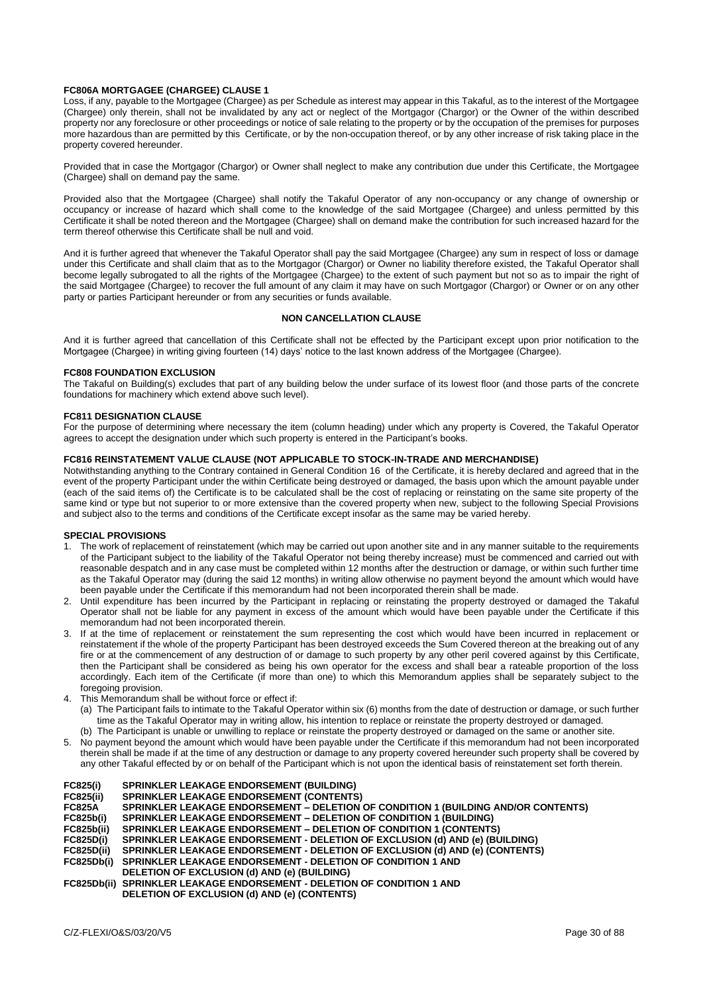# **FC806A MORTGAGEE (CHARGEE) CLAUSE 1**

Loss, if any, payable to the Mortgagee (Chargee) as per Schedule as interest may appear in this Takaful, as to the interest of the Mortgagee (Chargee) only therein, shall not be invalidated by any act or neglect of the Mortgagor (Chargor) or the Owner of the within described property nor any foreclosure or other proceedings or notice of sale relating to the property or by the occupation of the premises for purposes more hazardous than are permitted by this Certificate, or by the non-occupation thereof, or by any other increase of risk taking place in the property covered hereunder.

Provided that in case the Mortgagor (Chargor) or Owner shall neglect to make any contribution due under this Certificate, the Mortgagee (Chargee) shall on demand pay the same.

Provided also that the Mortgagee (Chargee) shall notify the Takaful Operator of any non-occupancy or any change of ownership or occupancy or increase of hazard which shall come to the knowledge of the said Mortgagee (Chargee) and unless permitted by this Certificate it shall be noted thereon and the Mortgagee (Chargee) shall on demand make the contribution for such increased hazard for the term thereof otherwise this Certificate shall be null and void.

And it is further agreed that whenever the Takaful Operator shall pay the said Mortgagee (Chargee) any sum in respect of loss or damage under this Certificate and shall claim that as to the Mortgagor (Chargor) or Owner no liability therefore existed, the Takaful Operator shall become legally subrogated to all the rights of the Mortgagee (Chargee) to the extent of such payment but not so as to impair the right of the said Mortgagee (Chargee) to recover the full amount of any claim it may have on such Mortgagor (Chargor) or Owner or on any other party or parties Participant hereunder or from any securities or funds available.

# **NON CANCELLATION CLAUSE**

And it is further agreed that cancellation of this Certificate shall not be effected by the Participant except upon prior notification to the Mortgagee (Chargee) in writing giving fourteen (14) days' notice to the last known address of the Mortgagee (Chargee).

# **FC808 FOUNDATION EXCLUSION**

The Takaful on Building(s) excludes that part of any building below the under surface of its lowest floor (and those parts of the concrete foundations for machinery which extend above such level).

#### **FC811 DESIGNATION CLAUSE**

For the purpose of determining where necessary the item (column heading) under which any property is Covered, the Takaful Operator agrees to accept the designation under which such property is entered in the Participant's books.

# **FC816 REINSTATEMENT VALUE CLAUSE (NOT APPLICABLE TO STOCK-IN-TRADE AND MERCHANDISE)**

Notwithstanding anything to the Contrary contained in General Condition 16 of the Certificate, it is hereby declared and agreed that in the event of the property Participant under the within Certificate being destroyed or damaged, the basis upon which the amount payable under (each of the said items of) the Certificate is to be calculated shall be the cost of replacing or reinstating on the same site property of the same kind or type but not superior to or more extensive than the covered property when new, subject to the following Special Provisions and subject also to the terms and conditions of the Certificate except insofar as the same may be varied hereby.

# **SPECIAL PROVISIONS**

- 1. The work of replacement of reinstatement (which may be carried out upon another site and in any manner suitable to the requirements of the Participant subject to the liability of the Takaful Operator not being thereby increase) must be commenced and carried out with reasonable despatch and in any case must be completed within 12 months after the destruction or damage, or within such further time as the Takaful Operator may (during the said 12 months) in writing allow otherwise no payment beyond the amount which would have been payable under the Certificate if this memorandum had not been incorporated therein shall be made.
- 2. Until expenditure has been incurred by the Participant in replacing or reinstating the property destroyed or damaged the Takaful Operator shall not be liable for any payment in excess of the amount which would have been payable under the Certificate if this memorandum had not been incorporated therein.
- 3. If at the time of replacement or reinstatement the sum representing the cost which would have been incurred in replacement or reinstatement if the whole of the property Participant has been destroyed exceeds the Sum Covered thereon at the breaking out of any fire or at the commencement of any destruction of or damage to such property by any other peril covered against by this Certificate, then the Participant shall be considered as being his own operator for the excess and shall bear a rateable proportion of the loss accordingly. Each item of the Certificate (if more than one) to which this Memorandum applies shall be separately subject to the foregoing provision.
- 4. This Memorandum shall be without force or effect if:
	- (a) The Participant fails to intimate to the Takaful Operator within six (6) months from the date of destruction or damage, or such further time as the Takaful Operator may in writing allow, his intention to replace or reinstate the property destroyed or damaged.
	- (b) The Participant is unable or unwilling to replace or reinstate the property destroyed or damaged on the same or another site.
- 5. No payment beyond the amount which would have been payable under the Certificate if this memorandum had not been incorporated therein shall be made if at the time of any destruction or damage to any property covered hereunder such property shall be covered by any other Takaful effected by or on behalf of the Participant which is not upon the identical basis of reinstatement set forth therein.

# **FC825(i) SPRINKLER LEAKAGE ENDORSEMENT (BUILDING)**

- SPRINKLER LEAKAGE ENDORSEMENT (CONTENTS)
- **FC825A SPRINKLER LEAKAGE ENDORSEMENT – DELETION OF CONDITION 1 (BUILDING AND/OR CONTENTS)**
- **FC825b(i) SPRINKLER LEAKAGE ENDORSEMENT – DELETION OF CONDITION 1 (BUILDING)**
- **FC825b(ii) SPRINKLER LEAKAGE ENDORSEMENT – DELETION OF CONDITION 1 (CONTENTS)**
- **FC825D(i) SPRINKLER LEAKAGE ENDORSEMENT - DELETION OF EXCLUSION (d) AND (e) (BUILDING)**
- **FC825D(ii) SPRINKLER LEAKAGE ENDORSEMENT - DELETION OF EXCLUSION (d) AND (e) (CONTENTS)**
- **SPRINKLER LEAKAGE ENDORSEMENT DELETION OF CONDITION 1 AND**
- **DELETION OF EXCLUSION (d) AND (e) (BUILDING)**

```
FC825Db(ii) SPRINKLER LEAKAGE ENDORSEMENT - DELETION OF CONDITION 1 AND
DELETION OF EXCLUSION (d) AND (e) (CONTENTS)
```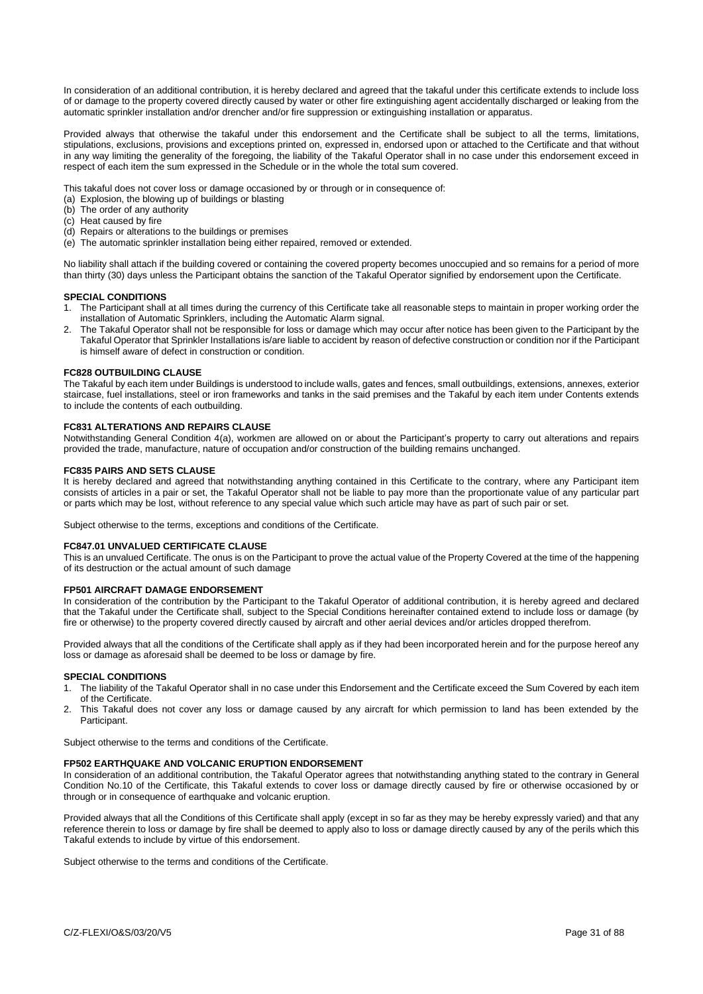In consideration of an additional contribution, it is hereby declared and agreed that the takaful under this certificate extends to include loss of or damage to the property covered directly caused by water or other fire extinguishing agent accidentally discharged or leaking from the automatic sprinkler installation and/or drencher and/or fire suppression or extinguishing installation or apparatus.

Provided always that otherwise the takaful under this endorsement and the Certificate shall be subject to all the terms, limitations, stipulations, exclusions, provisions and exceptions printed on, expressed in, endorsed upon or attached to the Certificate and that without in any way limiting the generality of the foregoing, the liability of the Takaful Operator shall in no case under this endorsement exceed in respect of each item the sum expressed in the Schedule or in the whole the total sum covered.

This takaful does not cover loss or damage occasioned by or through or in consequence of:

- (a) Explosion, the blowing up of buildings or blasting
- (b) The order of any authority
- (c) Heat caused by fire
- (d) Repairs or alterations to the buildings or premises
- (e) The automatic sprinkler installation being either repaired, removed or extended.

No liability shall attach if the building covered or containing the covered property becomes unoccupied and so remains for a period of more than thirty (30) days unless the Participant obtains the sanction of the Takaful Operator signified by endorsement upon the Certificate.

#### **SPECIAL CONDITIONS**

- 1. The Participant shall at all times during the currency of this Certificate take all reasonable steps to maintain in proper working order the installation of Automatic Sprinklers, including the Automatic Alarm signal.
- 2. The Takaful Operator shall not be responsible for loss or damage which may occur after notice has been given to the Participant by the Takaful Operator that Sprinkler Installations is/are liable to accident by reason of defective construction or condition nor if the Participant is himself aware of defect in construction or condition.

### **FC828 OUTBUILDING CLAUSE**

The Takaful by each item under Buildings is understood to include walls, gates and fences, small outbuildings, extensions, annexes, exterior staircase, fuel installations, steel or iron frameworks and tanks in the said premises and the Takaful by each item under Contents extends to include the contents of each outbuilding.

#### **FC831 ALTERATIONS AND REPAIRS CLAUSE**

Notwithstanding General Condition 4(a), workmen are allowed on or about the Participant's property to carry out alterations and repairs provided the trade, manufacture, nature of occupation and/or construction of the building remains unchanged.

# **FC835 PAIRS AND SETS CLAUSE**

It is hereby declared and agreed that notwithstanding anything contained in this Certificate to the contrary, where any Participant item consists of articles in a pair or set, the Takaful Operator shall not be liable to pay more than the proportionate value of any particular part or parts which may be lost, without reference to any special value which such article may have as part of such pair or set.

Subject otherwise to the terms, exceptions and conditions of the Certificate.

#### **FC847.01 UNVALUED CERTIFICATE CLAUSE**

This is an unvalued Certificate. The onus is on the Participant to prove the actual value of the Property Covered at the time of the happening of its destruction or the actual amount of such damage

### **FP501 AIRCRAFT DAMAGE ENDORSEMENT**

In consideration of the contribution by the Participant to the Takaful Operator of additional contribution, it is hereby agreed and declared that the Takaful under the Certificate shall, subject to the Special Conditions hereinafter contained extend to include loss or damage (by fire or otherwise) to the property covered directly caused by aircraft and other aerial devices and/or articles dropped therefrom.

Provided always that all the conditions of the Certificate shall apply as if they had been incorporated herein and for the purpose hereof any loss or damage as aforesaid shall be deemed to be loss or damage by fire.

# **SPECIAL CONDITIONS**

- 1. The liability of the Takaful Operator shall in no case under this Endorsement and the Certificate exceed the Sum Covered by each item of the Certificate.
- This Takaful does not cover any loss or damage caused by any aircraft for which permission to land has been extended by the Participant.

Subject otherwise to the terms and conditions of the Certificate.

#### **FP502 EARTHQUAKE AND VOLCANIC ERUPTION ENDORSEMENT**

In consideration of an additional contribution, the Takaful Operator agrees that notwithstanding anything stated to the contrary in General Condition No.10 of the Certificate, this Takaful extends to cover loss or damage directly caused by fire or otherwise occasioned by or through or in consequence of earthquake and volcanic eruption.

Provided always that all the Conditions of this Certificate shall apply (except in so far as they may be hereby expressly varied) and that any reference therein to loss or damage by fire shall be deemed to apply also to loss or damage directly caused by any of the perils which this Takaful extends to include by virtue of this endorsement.

Subject otherwise to the terms and conditions of the Certificate.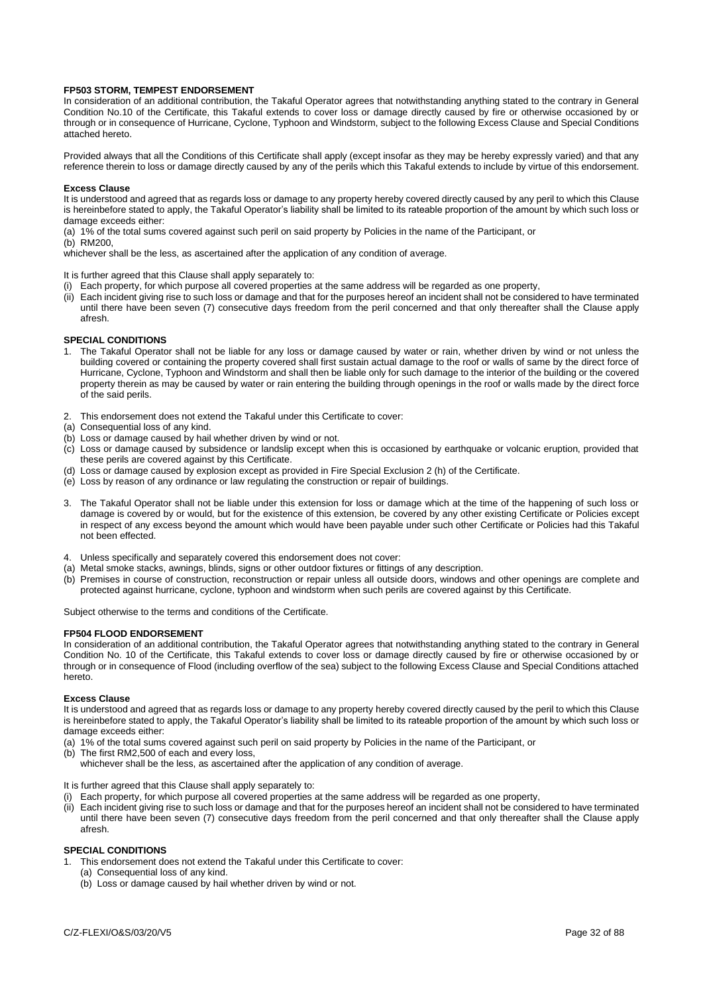# **FP503 STORM, TEMPEST ENDORSEMENT**

In consideration of an additional contribution, the Takaful Operator agrees that notwithstanding anything stated to the contrary in General Condition No.10 of the Certificate, this Takaful extends to cover loss or damage directly caused by fire or otherwise occasioned by or through or in consequence of Hurricane, Cyclone, Typhoon and Windstorm, subject to the following Excess Clause and Special Conditions attached hereto.

Provided always that all the Conditions of this Certificate shall apply (except insofar as they may be hereby expressly varied) and that any reference therein to loss or damage directly caused by any of the perils which this Takaful extends to include by virtue of this endorsement.

#### **Excess Clause**

It is understood and agreed that as regards loss or damage to any property hereby covered directly caused by any peril to which this Clause is hereinbefore stated to apply, the Takaful Operator's liability shall be limited to its rateable proportion of the amount by which such loss or damage exceeds either:

(a) 1% of the total sums covered against such peril on said property by Policies in the name of the Participant, or

(b) RM200,

whichever shall be the less, as ascertained after the application of any condition of average.

It is further agreed that this Clause shall apply separately to:

- (i) Each property, for which purpose all covered properties at the same address will be regarded as one property,
- (ii) Each incident giving rise to such loss or damage and that for the purposes hereof an incident shall not be considered to have terminated until there have been seven (7) consecutive days freedom from the peril concerned and that only thereafter shall the Clause apply afresh.

#### **SPECIAL CONDITIONS**

- 1. The Takaful Operator shall not be liable for any loss or damage caused by water or rain, whether driven by wind or not unless the building covered or containing the property covered shall first sustain actual damage to the roof or walls of same by the direct force of Hurricane, Cyclone, Typhoon and Windstorm and shall then be liable only for such damage to the interior of the building or the covered property therein as may be caused by water or rain entering the building through openings in the roof or walls made by the direct force of the said perils.
- 2. This endorsement does not extend the Takaful under this Certificate to cover:
- (a) Consequential loss of any kind.
- (b) Loss or damage caused by hail whether driven by wind or not.
- (c) Loss or damage caused by subsidence or landslip except when this is occasioned by earthquake or volcanic eruption, provided that these perils are covered against by this Certificate.
- (d) Loss or damage caused by explosion except as provided in Fire Special Exclusion 2 (h) of the Certificate.
- (e) Loss by reason of any ordinance or law regulating the construction or repair of buildings.
- 3. The Takaful Operator shall not be liable under this extension for loss or damage which at the time of the happening of such loss or damage is covered by or would, but for the existence of this extension, be covered by any other existing Certificate or Policies except in respect of any excess beyond the amount which would have been payable under such other Certificate or Policies had this Takaful not been effected.
- 4. Unless specifically and separately covered this endorsement does not cover:
- (a) Metal smoke stacks, awnings, blinds, signs or other outdoor fixtures or fittings of any description.
- (b) Premises in course of construction, reconstruction or repair unless all outside doors, windows and other openings are complete and protected against hurricane, cyclone, typhoon and windstorm when such perils are covered against by this Certificate.

Subject otherwise to the terms and conditions of the Certificate.

#### **FP504 FLOOD ENDORSEMENT**

In consideration of an additional contribution, the Takaful Operator agrees that notwithstanding anything stated to the contrary in General Condition No. 10 of the Certificate, this Takaful extends to cover loss or damage directly caused by fire or otherwise occasioned by or through or in consequence of Flood (including overflow of the sea) subject to the following Excess Clause and Special Conditions attached hereto.

#### **Excess Clause**

It is understood and agreed that as regards loss or damage to any property hereby covered directly caused by the peril to which this Clause is hereinbefore stated to apply, the Takaful Operator's liability shall be limited to its rateable proportion of the amount by which such loss or damage exceeds either:

(a) 1% of the total sums covered against such peril on said property by Policies in the name of the Participant, or

- (b) The first RM2,500 of each and every loss,
- whichever shall be the less, as ascertained after the application of any condition of average.

### It is further agreed that this Clause shall apply separately to:

- (i) Each property, for which purpose all covered properties at the same address will be regarded as one property,
- (ii) Each incident giving rise to such loss or damage and that for the purposes hereof an incident shall not be considered to have terminated until there have been seven (7) consecutive days freedom from the peril concerned and that only thereafter shall the Clause apply afresh.

#### **SPECIAL CONDITIONS**

- This endorsement does not extend the Takaful under this Certificate to cover:
- (a) Consequential loss of any kind.
- (b) Loss or damage caused by hail whether driven by wind or not.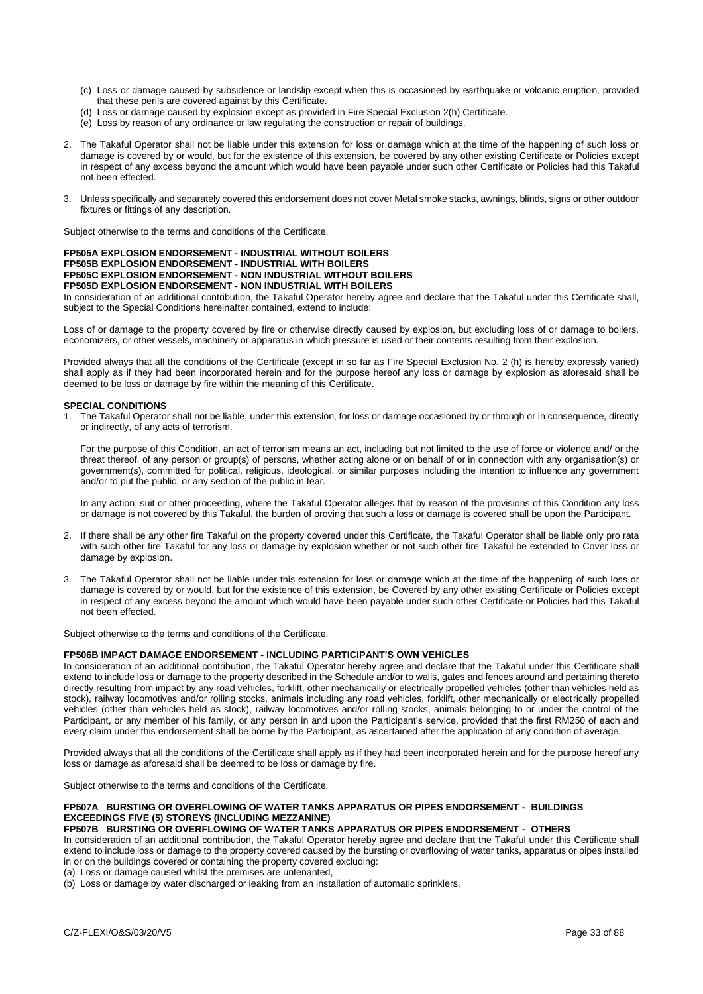- (c) Loss or damage caused by subsidence or landslip except when this is occasioned by earthquake or volcanic eruption, provided that these perils are covered against by this Certificate.
- (d) Loss or damage caused by explosion except as provided in Fire Special Exclusion 2(h) Certificate.
- (e) Loss by reason of any ordinance or law regulating the construction or repair of buildings.
- 2. The Takaful Operator shall not be liable under this extension for loss or damage which at the time of the happening of such loss or damage is covered by or would, but for the existence of this extension, be covered by any other existing Certificate or Policies except in respect of any excess beyond the amount which would have been payable under such other Certificate or Policies had this Takaful not been effected.
- 3. Unless specifically and separately covered this endorsement does not cover Metal smoke stacks, awnings, blinds, signs or other outdoor fixtures or fittings of any description.

Subject otherwise to the terms and conditions of the Certificate.

#### **FP505A EXPLOSION ENDORSEMENT - INDUSTRIAL WITHOUT BOILERS FP505B EXPLOSION ENDORSEMENT - INDUSTRIAL WITH BOILERS FP505C EXPLOSION ENDORSEMENT - NON INDUSTRIAL WITHOUT BOILERS FP505D EXPLOSION ENDORSEMENT - NON INDUSTRIAL WITH BOILERS**

In consideration of an additional contribution, the Takaful Operator hereby agree and declare that the Takaful under this Certificate shall, subject to the Special Conditions hereinafter contained, extend to include:

Loss of or damage to the property covered by fire or otherwise directly caused by explosion, but excluding loss of or damage to boilers, economizers, or other vessels, machinery or apparatus in which pressure is used or their contents resulting from their explosion.

Provided always that all the conditions of the Certificate (except in so far as Fire Special Exclusion No. 2 (h) is hereby expressly varied) shall apply as if they had been incorporated herein and for the purpose hereof any loss or damage by explosion as aforesaid shall be deemed to be loss or damage by fire within the meaning of this Certificate.

# **SPECIAL CONDITIONS**

The Takaful Operator shall not be liable, under this extension, for loss or damage occasioned by or through or in consequence, directly or indirectly, of any acts of terrorism.

For the purpose of this Condition, an act of terrorism means an act, including but not limited to the use of force or violence and/ or the threat thereof, of any person or group(s) of persons, whether acting alone or on behalf of or in connection with any organisation(s) or government(s), committed for political, religious, ideological, or similar purposes including the intention to influence any government and/or to put the public, or any section of the public in fear.

In any action, suit or other proceeding, where the Takaful Operator alleges that by reason of the provisions of this Condition any loss or damage is not covered by this Takaful, the burden of proving that such a loss or damage is covered shall be upon the Participant.

- 2. If there shall be any other fire Takaful on the property covered under this Certificate, the Takaful Operator shall be liable only pro rata with such other fire Takaful for any loss or damage by explosion whether or not such other fire Takaful be extended to Cover loss or damage by explosion.
- 3. The Takaful Operator shall not be liable under this extension for loss or damage which at the time of the happening of such loss or damage is covered by or would, but for the existence of this extension, be Covered by any other existing Certificate or Policies except in respect of any excess beyond the amount which would have been payable under such other Certificate or Policies had this Takaful not been effected.

Subject otherwise to the terms and conditions of the Certificate.

#### **FP506B IMPACT DAMAGE ENDORSEMENT - INCLUDING PARTICIPANT'S OWN VEHICLES**

In consideration of an additional contribution, the Takaful Operator hereby agree and declare that the Takaful under this Certificate shall extend to include loss or damage to the property described in the Schedule and/or to walls, gates and fences around and pertaining thereto directly resulting from impact by any road vehicles, forklift, other mechanically or electrically propelled vehicles (other than vehicles held as stock), railway locomotives and/or rolling stocks, animals including any road vehicles, forklift, other mechanically or electrically propelled vehicles (other than vehicles held as stock), railway locomotives and/or rolling stocks, animals belonging to or under the control of the Participant, or any member of his family, or any person in and upon the Participant's service, provided that the first RM250 of each and every claim under this endorsement shall be borne by the Participant, as ascertained after the application of any condition of average.

Provided always that all the conditions of the Certificate shall apply as if they had been incorporated herein and for the purpose hereof any loss or damage as aforesaid shall be deemed to be loss or damage by fire.

Subject otherwise to the terms and conditions of the Certificate.

# **FP507A BURSTING OR OVERFLOWING OF WATER TANKS APPARATUS OR PIPES ENDORSEMENT - BUILDINGS EXCEEDINGS FIVE (5) STOREYS (INCLUDING MEZZANINE)**

# **FP507B BURSTING OR OVERFLOWING OF WATER TANKS APPARATUS OR PIPES ENDORSEMENT - OTHERS**

In consideration of an additional contribution, the Takaful Operator hereby agree and declare that the Takaful under this Certificate shall extend to include loss or damage to the property covered caused by the bursting or overflowing of water tanks, apparatus or pipes installed in or on the buildings covered or containing the property covered excluding:

(a) Loss or damage caused whilst the premises are untenanted,

(b) Loss or damage by water discharged or leaking from an installation of automatic sprinklers,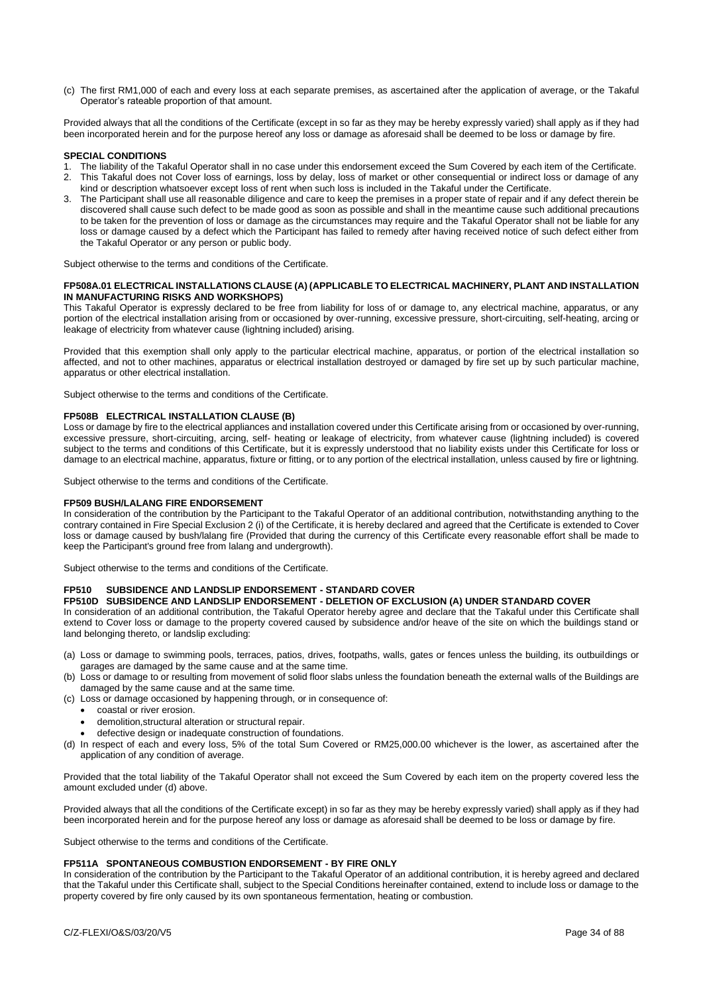(c) The first RM1,000 of each and every loss at each separate premises, as ascertained after the application of average, or the Takaful Operator's rateable proportion of that amount.

Provided always that all the conditions of the Certificate (except in so far as they may be hereby expressly varied) shall apply as if they had been incorporated herein and for the purpose hereof any loss or damage as aforesaid shall be deemed to be loss or damage by fire.

### **SPECIAL CONDITIONS**

- 1. The liability of the Takaful Operator shall in no case under this endorsement exceed the Sum Covered by each item of the Certificate. 2. This Takaful does not Cover loss of earnings, loss by delay, loss of market or other consequential or indirect loss or damage of any
- kind or description whatsoever except loss of rent when such loss is included in the Takaful under the Certificate.
- The Participant shall use all reasonable diligence and care to keep the premises in a proper state of repair and if any defect therein be discovered shall cause such defect to be made good as soon as possible and shall in the meantime cause such additional precautions to be taken for the prevention of loss or damage as the circumstances may require and the Takaful Operator shall not be liable for any loss or damage caused by a defect which the Participant has failed to remedy after having received notice of such defect either from the Takaful Operator or any person or public body.

Subject otherwise to the terms and conditions of the Certificate.

### **FP508A.01 ELECTRICAL INSTALLATIONS CLAUSE (A) (APPLICABLE TO ELECTRICAL MACHINERY, PLANT AND INSTALLATION IN MANUFACTURING RISKS AND WORKSHOPS)**

This Takaful Operator is expressly declared to be free from liability for loss of or damage to, any electrical machine, apparatus, or any portion of the electrical installation arising from or occasioned by over-running, excessive pressure, short-circuiting, self-heating, arcing or leakage of electricity from whatever cause (lightning included) arising.

Provided that this exemption shall only apply to the particular electrical machine, apparatus, or portion of the electrical installation so affected, and not to other machines, apparatus or electrical installation destroyed or damaged by fire set up by such particular machine, apparatus or other electrical installation.

Subject otherwise to the terms and conditions of the Certificate.

# **FP508B ELECTRICAL INSTALLATION CLAUSE (B)**

Loss or damage by fire to the electrical appliances and installation covered under this Certificate arising from or occasioned by over-running, excessive pressure, short-circuiting, arcing, self- heating or leakage of electricity, from whatever cause (lightning included) is covered subject to the terms and conditions of this Certificate, but it is expressly understood that no liability exists under this Certificate for loss or damage to an electrical machine, apparatus, fixture or fitting, or to any portion of the electrical installation, unless caused by fire or lightning.

Subject otherwise to the terms and conditions of the Certificate.

### **FP509 BUSH/LALANG FIRE ENDORSEMENT**

In consideration of the contribution by the Participant to the Takaful Operator of an additional contribution, notwithstanding anything to the contrary contained in Fire Special Exclusion 2 (i) of the Certificate, it is hereby declared and agreed that the Certificate is extended to Cover loss or damage caused by bush/lalang fire (Provided that during the currency of this Certificate every reasonable effort shall be made to keep the Participant's ground free from lalang and undergrowth).

Subject otherwise to the terms and conditions of the Certificate.

# **FP510 SUBSIDENCE AND LANDSLIP ENDORSEMENT - STANDARD COVER**

# **FP510D SUBSIDENCE AND LANDSLIP ENDORSEMENT - DELETION OF EXCLUSION (A) UNDER STANDARD COVER**

In consideration of an additional contribution, the Takaful Operator hereby agree and declare that the Takaful under this Certificate shall extend to Cover loss or damage to the property covered caused by subsidence and/or heave of the site on which the buildings stand or land belonging thereto, or landslip excluding:

- (a) Loss or damage to swimming pools, terraces, patios, drives, footpaths, walls, gates or fences unless the building, its outbuildings or garages are damaged by the same cause and at the same time.
- (b) Loss or damage to or resulting from movement of solid floor slabs unless the foundation beneath the external walls of the Buildings are damaged by the same cause and at the same time.
- (c) Loss or damage occasioned by happening through, or in consequence of:
	- coastal or river erosion.
	- demolition,structural alteration or structural repair.
	- defective design or inadequate construction of foundations.
- (d) In respect of each and every loss, 5% of the total Sum Covered or RM25,000.00 whichever is the lower, as ascertained after the application of any condition of average.

Provided that the total liability of the Takaful Operator shall not exceed the Sum Covered by each item on the property covered less the amount excluded under (d) above.

Provided always that all the conditions of the Certificate except) in so far as they may be hereby expressly varied) shall apply as if they had been incorporated herein and for the purpose hereof any loss or damage as aforesaid shall be deemed to be loss or damage by fire.

Subject otherwise to the terms and conditions of the Certificate.

# **FP511A SPONTANEOUS COMBUSTION ENDORSEMENT - BY FIRE ONLY**

In consideration of the contribution by the Participant to the Takaful Operator of an additional contribution, it is hereby agreed and declared that the Takaful under this Certificate shall, subject to the Special Conditions hereinafter contained, extend to include loss or damage to the property covered by fire only caused by its own spontaneous fermentation, heating or combustion.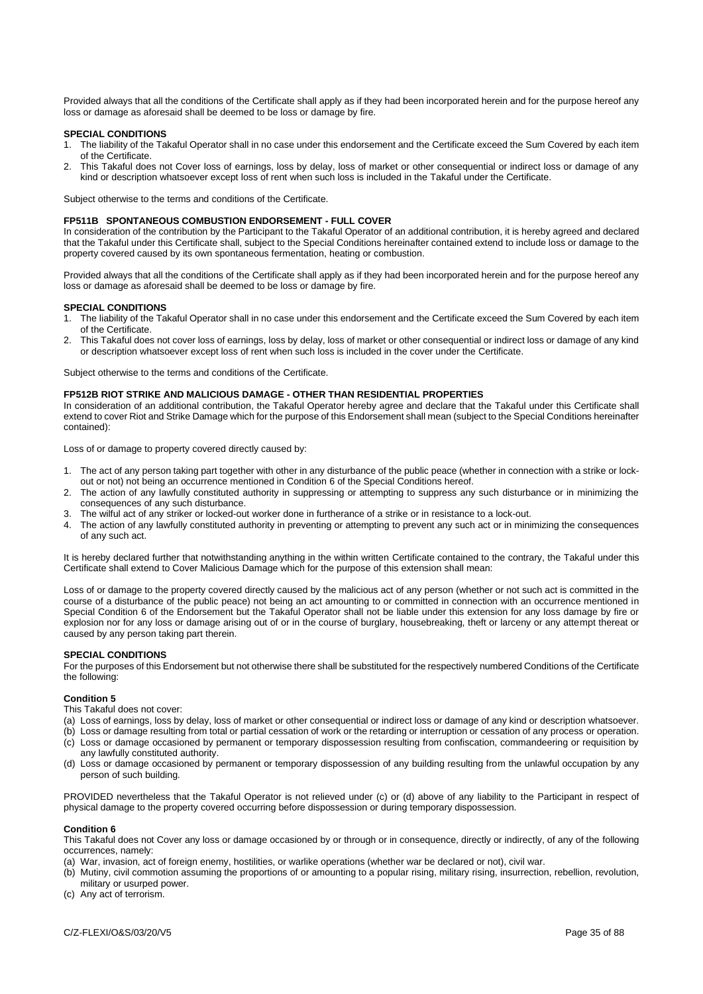Provided always that all the conditions of the Certificate shall apply as if they had been incorporated herein and for the purpose hereof any loss or damage as aforesaid shall be deemed to be loss or damage by fire.

#### **SPECIAL CONDITIONS**

- 1. The liability of the Takaful Operator shall in no case under this endorsement and the Certificate exceed the Sum Covered by each item of the Certificate.
- 2. This Takaful does not Cover loss of earnings, loss by delay, loss of market or other consequential or indirect loss or damage of any kind or description whatsoever except loss of rent when such loss is included in the Takaful under the Certificate.

Subject otherwise to the terms and conditions of the Certificate.

# **FP511B SPONTANEOUS COMBUSTION ENDORSEMENT - FULL COVER**

In consideration of the contribution by the Participant to the Takaful Operator of an additional contribution, it is hereby agreed and declared that the Takaful under this Certificate shall, subject to the Special Conditions hereinafter contained extend to include loss or damage to the property covered caused by its own spontaneous fermentation, heating or combustion.

Provided always that all the conditions of the Certificate shall apply as if they had been incorporated herein and for the purpose hereof any loss or damage as aforesaid shall be deemed to be loss or damage by fire.

#### **SPECIAL CONDITIONS**

- 1. The liability of the Takaful Operator shall in no case under this endorsement and the Certificate exceed the Sum Covered by each item of the Certificate.
- 2. This Takaful does not cover loss of earnings, loss by delay, loss of market or other consequential or indirect loss or damage of any kind or description whatsoever except loss of rent when such loss is included in the cover under the Certificate.

Subject otherwise to the terms and conditions of the Certificate.

#### **FP512B RIOT STRIKE AND MALICIOUS DAMAGE - OTHER THAN RESIDENTIAL PROPERTIES**

In consideration of an additional contribution, the Takaful Operator hereby agree and declare that the Takaful under this Certificate shall extend to cover Riot and Strike Damage which for the purpose of this Endorsement shall mean (subject to the Special Conditions hereinafter contained):

Loss of or damage to property covered directly caused by:

- 1. The act of any person taking part together with other in any disturbance of the public peace (whether in connection with a strike or lockout or not) not being an occurrence mentioned in Condition 6 of the Special Conditions hereof.
- 2. The action of any lawfully constituted authority in suppressing or attempting to suppress any such disturbance or in minimizing the consequences of any such disturbance.
- 3. The wilful act of any striker or locked-out worker done in furtherance of a strike or in resistance to a lock-out.
- The action of any lawfully constituted authority in preventing or attempting to prevent any such act or in minimizing the consequences of any such act.

It is hereby declared further that notwithstanding anything in the within written Certificate contained to the contrary, the Takaful under this Certificate shall extend to Cover Malicious Damage which for the purpose of this extension shall mean:

Loss of or damage to the property covered directly caused by the malicious act of any person (whether or not such act is committed in the course of a disturbance of the public peace) not being an act amounting to or committed in connection with an occurrence mentioned in Special Condition 6 of the Endorsement but the Takaful Operator shall not be liable under this extension for any loss damage by fire or explosion nor for any loss or damage arising out of or in the course of burglary, housebreaking, theft or larceny or any attempt thereat or caused by any person taking part therein.

# **SPECIAL CONDITIONS**

For the purposes of this Endorsement but not otherwise there shall be substituted for the respectively numbered Conditions of the Certificate the following:

#### **Condition 5**

This Takaful does not cover:

- (a) Loss of earnings, loss by delay, loss of market or other consequential or indirect loss or damage of any kind or description whatsoever.
- (b) Loss or damage resulting from total or partial cessation of work or the retarding or interruption or cessation of any process or operation. (c) Loss or damage occasioned by permanent or temporary dispossession resulting from confiscation, commandeering or requisition by any lawfully constituted authority.
- (d) Loss or damage occasioned by permanent or temporary dispossession of any building resulting from the unlawful occupation by any person of such building.

PROVIDED nevertheless that the Takaful Operator is not relieved under (c) or (d) above of any liability to the Participant in respect of physical damage to the property covered occurring before dispossession or during temporary dispossession.

#### **Condition 6**

This Takaful does not Cover any loss or damage occasioned by or through or in consequence, directly or indirectly, of any of the following occurrences, namely:

(a) War, invasion, act of foreign enemy, hostilities, or warlike operations (whether war be declared or not), civil war.

- (b) Mutiny, civil commotion assuming the proportions of or amounting to a popular rising, military rising, insurrection, rebellion, revolution, military or usurped power.
- (c) Any act of terrorism.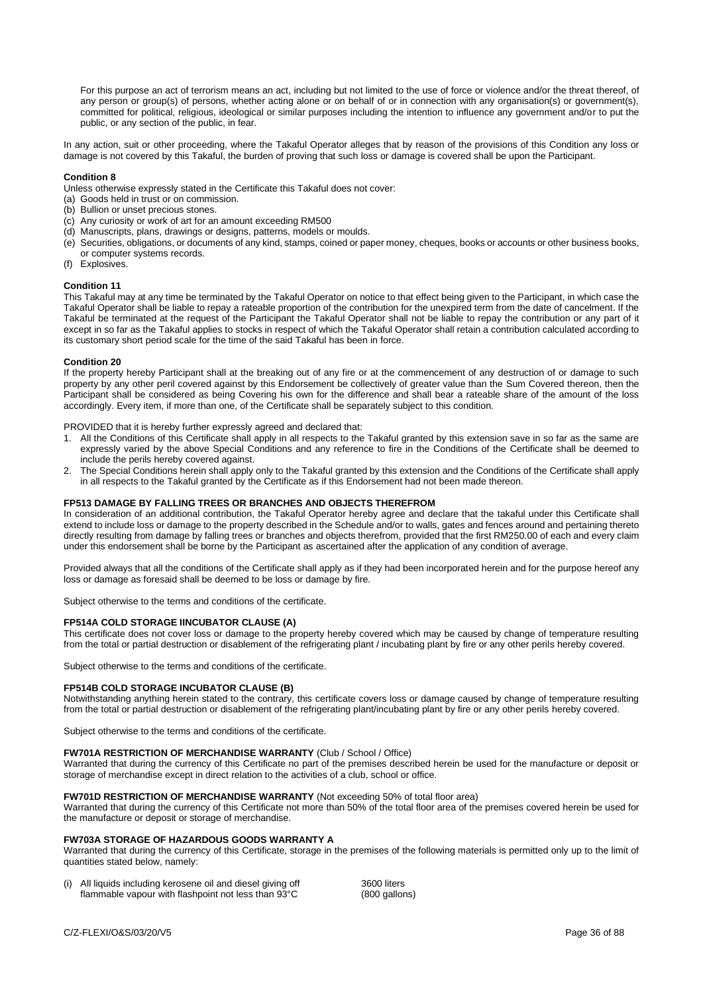For this purpose an act of terrorism means an act, including but not limited to the use of force or violence and/or the threat thereof, of any person or group(s) of persons, whether acting alone or on behalf of or in connection with any organisation(s) or government(s), committed for political, religious, ideological or similar purposes including the intention to influence any government and/or to put the public, or any section of the public, in fear.

In any action, suit or other proceeding, where the Takaful Operator alleges that by reason of the provisions of this Condition any loss or damage is not covered by this Takaful, the burden of proving that such loss or damage is covered shall be upon the Participant.

### **Condition 8**

Unless otherwise expressly stated in the Certificate this Takaful does not cover:

- (a) Goods held in trust or on commission.
- (b) Bullion or unset precious stones.
- (c) Any curiosity or work of art for an amount exceeding RM500
- (d) Manuscripts, plans, drawings or designs, patterns, models or moulds.
- (e) Securities, obligations, or documents of any kind, stamps, coined or paper money, cheques, books or accounts or other business books, or computer systems records.
- (f) Explosives.

#### **Condition 11**

This Takaful may at any time be terminated by the Takaful Operator on notice to that effect being given to the Participant, in which case the Takaful Operator shall be liable to repay a rateable proportion of the contribution for the unexpired term from the date of cancelment. If the Takaful be terminated at the request of the Participant the Takaful Operator shall not be liable to repay the contribution or any part of it except in so far as the Takaful applies to stocks in respect of which the Takaful Operator shall retain a contribution calculated according to its customary short period scale for the time of the said Takaful has been in force.

#### **Condition 20**

If the property hereby Participant shall at the breaking out of any fire or at the commencement of any destruction of or damage to such property by any other peril covered against by this Endorsement be collectively of greater value than the Sum Covered thereon, then the Participant shall be considered as being Covering his own for the difference and shall bear a rateable share of the amount of the loss accordingly. Every item, if more than one, of the Certificate shall be separately subject to this condition.

PROVIDED that it is hereby further expressly agreed and declared that:

- 1. All the Conditions of this Certificate shall apply in all respects to the Takaful granted by this extension save in so far as the same are expressly varied by the above Special Conditions and any reference to fire in the Conditions of the Certificate shall be deemed to include the perils hereby covered against.
- 2. The Special Conditions herein shall apply only to the Takaful granted by this extension and the Conditions of the Certificate shall apply in all respects to the Takaful granted by the Certificate as if this Endorsement had not been made thereon.

#### **FP513 DAMAGE BY FALLING TREES OR BRANCHES AND OBJECTS THEREFROM**

In consideration of an additional contribution, the Takaful Operator hereby agree and declare that the takaful under this Certificate shall extend to include loss or damage to the property described in the Schedule and/or to walls, gates and fences around and pertaining thereto directly resulting from damage by falling trees or branches and objects therefrom, provided that the first RM250.00 of each and every claim under this endorsement shall be borne by the Participant as ascertained after the application of any condition of average.

Provided always that all the conditions of the Certificate shall apply as if they had been incorporated herein and for the purpose hereof any loss or damage as foresaid shall be deemed to be loss or damage by fire.

Subject otherwise to the terms and conditions of the certificate.

#### **FP514A COLD STORAGE IINCUBATOR CLAUSE (A)**

This certificate does not cover loss or damage to the property hereby covered which may be caused by change of temperature resulting from the total or partial destruction or disablement of the refrigerating plant / incubating plant by fire or any other perils hereby covered.

Subject otherwise to the terms and conditions of the certificate.

#### **FP514B COLD STORAGE INCUBATOR CLAUSE (B)**

Notwithstanding anything herein stated to the contrary, this certificate covers loss or damage caused by change of temperature resulting from the total or partial destruction or disablement of the refrigerating plant/incubating plant by fire or any other perils hereby covered.

Subject otherwise to the terms and conditions of the certificate.

# **FW701A RESTRICTION OF MERCHANDISE WARRANTY** (Club / School / Office)

Warranted that during the currency of this Certificate no part of the premises described herein be used for the manufacture or deposit or storage of merchandise except in direct relation to the activities of a club, school or office.

# **FW701D RESTRICTION OF MERCHANDISE WARRANTY** (Not exceeding 50% of total floor area)

Warranted that during the currency of this Certificate not more than 50% of the total floor area of the premises covered herein be used for the manufacture or deposit or storage of merchandise.

# **FW703A STORAGE OF HAZARDOUS GOODS WARRANTY A**

Warranted that during the currency of this Certificate, storage in the premises of the following materials is permitted only up to the limit of quantities stated below, namely:

(i) All liquids including kerosene oil and diesel giving off 3600 liters flammable vapour with flashpoint not less than 93°C (800 gallons)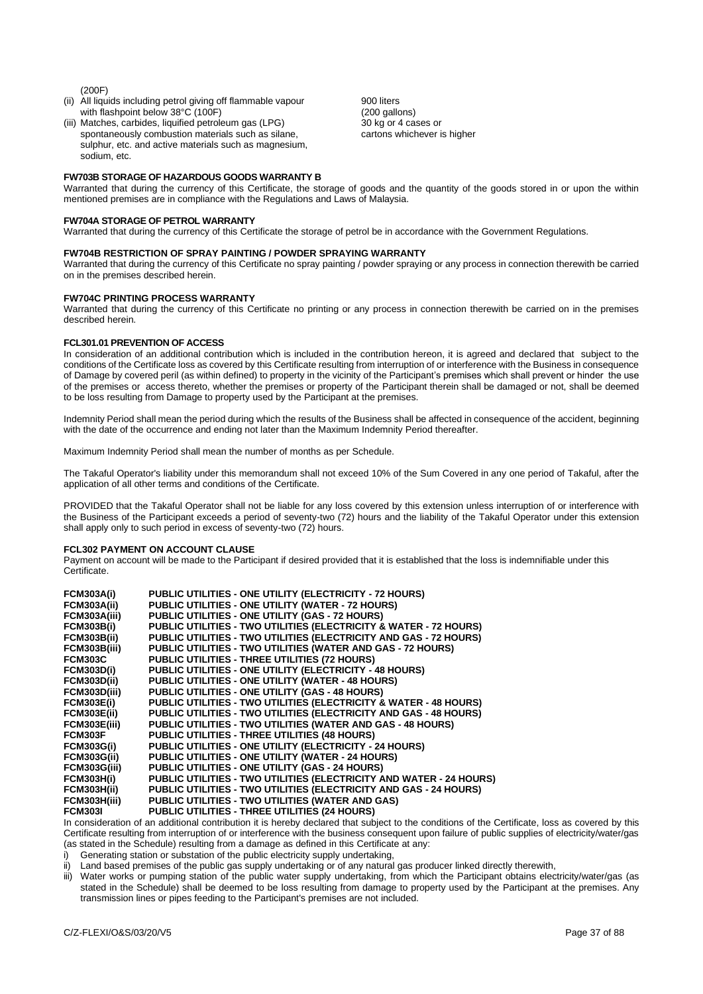(200F)

- (ii) All liquids including petrol giving off flammable vapour 900 liters with flashpoint below  $38^{\circ}$ C (100F) (200 gallons) with flashpoint below  $38^{\circ}$ C (100F)<br>
Matches, carbides, liquified petroleum gas (LPG) 30 kg or 4 cases or
- (iii) Matches, carbides, liquified petroleum gas (LPG)  $\frac{30 \text{ kg}}{20 \text{ s}}$  or 4 cases or spontaneously combustion materials such as silane, cartons whichever is higher spontaneously combustion materials such as silane, sulphur, etc. and active materials such as magnesium, sodium, etc.

# **FW703B STORAGE OF HAZARDOUS GOODS WARRANTY B**

Warranted that during the currency of this Certificate, the storage of goods and the quantity of the goods stored in or upon the within mentioned premises are in compliance with the Regulations and Laws of Malaysia.

## **FW704A STORAGE OF PETROL WARRANTY**

Warranted that during the currency of this Certificate the storage of petrol be in accordance with the Government Regulations.

# **FW704B RESTRICTION OF SPRAY PAINTING / POWDER SPRAYING WARRANTY**

Warranted that during the currency of this Certificate no spray painting / powder spraying or any process in connection therewith be carried on in the premises described herein.

# **FW704C PRINTING PROCESS WARRANTY**

Warranted that during the currency of this Certificate no printing or any process in connection therewith be carried on in the premises described herein.

# **FCL301.01 PREVENTION OF ACCESS**

In consideration of an additional contribution which is included in the contribution hereon, it is agreed and declared that subject to the conditions of the Certificate loss as covered by this Certificate resulting from interruption of or interference with the Business in consequence of Damage by covered peril (as within defined) to property in the vicinity of the Participant's premises which shall prevent or hinder the use of the premises or access thereto, whether the premises or property of the Participant therein shall be damaged or not, shall be deemed to be loss resulting from Damage to property used by the Participant at the premises.

Indemnity Period shall mean the period during which the results of the Business shall be affected in consequence of the accident, beginning with the date of the occurrence and ending not later than the Maximum Indemnity Period thereafter.

Maximum Indemnity Period shall mean the number of months as per Schedule.

The Takaful Operator's liability under this memorandum shall not exceed 10% of the Sum Covered in any one period of Takaful, after the application of all other terms and conditions of the Certificate.

PROVIDED that the Takaful Operator shall not be liable for any loss covered by this extension unless interruption of or interference with the Business of the Participant exceeds a period of seventy-two (72) hours and the liability of the Takaful Operator under this extension shall apply only to such period in excess of seventy-two (72) hours.

#### **FCL302 PAYMENT ON ACCOUNT CLAUSE**

Payment on account will be made to the Participant if desired provided that it is established that the loss is indemnifiable under this Certificate.

| <b>FCM303A(i)</b>   | <b>PUBLIC UTILITIES - ONE UTILITY (ELECTRICITY - 72 HOURS)</b>               |
|---------------------|------------------------------------------------------------------------------|
| FCM303A(ii)         | PUBLIC UTILITIES - ONE UTILITY (WATER - 72 HOURS)                            |
| FCM303A(iii)        | <b>PUBLIC UTILITIES - ONE UTILITY (GAS - 72 HOURS)</b>                       |
| <b>FCM303B(i)</b>   | PUBLIC UTILITIES - TWO UTILITIES (ELECTRICITY & WATER - 72 HOURS)            |
| FCM303B(ii)         | PUBLIC UTILITIES - TWO UTILITIES (ELECTRICITY AND GAS - 72 HOURS)            |
| FCM303B(iii)        | PUBLIC UTILITIES - TWO UTILITIES (WATER AND GAS - 72 HOURS)                  |
| <b>FCM303C</b>      | PUBLIC UTILITIES - THREE UTILITIES (72 HOURS)                                |
| <b>FCM303D(i)</b>   | PUBLIC UTILITIES - ONE UTILITY (ELECTRICITY - 48 HOURS)                      |
| FCM303D(ii)         | PUBLIC UTILITIES - ONE UTILITY (WATER - 48 HOURS)                            |
| FCM303D(iii)        | <b>PUBLIC UTILITIES - ONE UTILITY (GAS - 48 HOURS)</b>                       |
| <b>FCM303E(i)</b>   | <b>PUBLIC UTILITIES - TWO UTILITIES (ELECTRICITY &amp; WATER - 48 HOURS)</b> |
| FCM303E(ii)         | <b>PUBLIC UTILITIES - TWO UTILITIES (ELECTRICITY AND GAS - 48 HOURS)</b>     |
| <b>FCM303E(iii)</b> | <b>PUBLIC UTILITIES - TWO UTILITIES (WATER AND GAS - 48 HOURS)</b>           |
| FCM303F             | <b>PUBLIC UTILITIES - THREE UTILITIES (48 HOURS)</b>                         |
| <b>FCM303G(i)</b>   | PUBLIC UTILITIES - ONE UTILITY (ELECTRICITY - 24 HOURS)                      |
| FCM303G(ii)         | <b>PUBLIC UTILITIES - ONE UTILITY (WATER - 24 HOURS)</b>                     |
| FCM303G(iii)        | <b>PUBLIC UTILITIES - ONE UTILITY (GAS - 24 HOURS)</b>                       |
| FCM303H(i)          | PUBLIC UTILITIES - TWO UTILITIES (ELECTRICITY AND WATER - 24 HOURS)          |
| FCM303H(ii)         | PUBLIC UTILITIES - TWO UTILITIES (ELECTRICITY AND GAS - 24 HOURS)            |
| FCM303H(iii)        | PUBLIC UTILITIES - TWO UTILITIES (WATER AND GAS)                             |
| <b>FCM303I</b>      | <b>PUBLIC UTILITIES - THREE UTILITIES (24 HOURS)</b>                         |

In consideration of an additional contribution it is hereby declared that subject to the conditions of the Certificate, loss as covered by this Certificate resulting from interruption of or interference with the business consequent upon failure of public supplies of electricity/water/gas (as stated in the Schedule) resulting from a damage as defined in this Certificate at any:

i) Generating station or substation of the public electricity supply undertaking,

Land based premises of the public gas supply undertaking or of any natural gas producer linked directly therewith,

iii) Water works or pumping station of the public water supply undertaking, from which the Participant obtains electricity/water/gas (as stated in the Schedule) shall be deemed to be loss resulting from damage to property used by the Participant at the premises. Any transmission lines or pipes feeding to the Participant's premises are not included.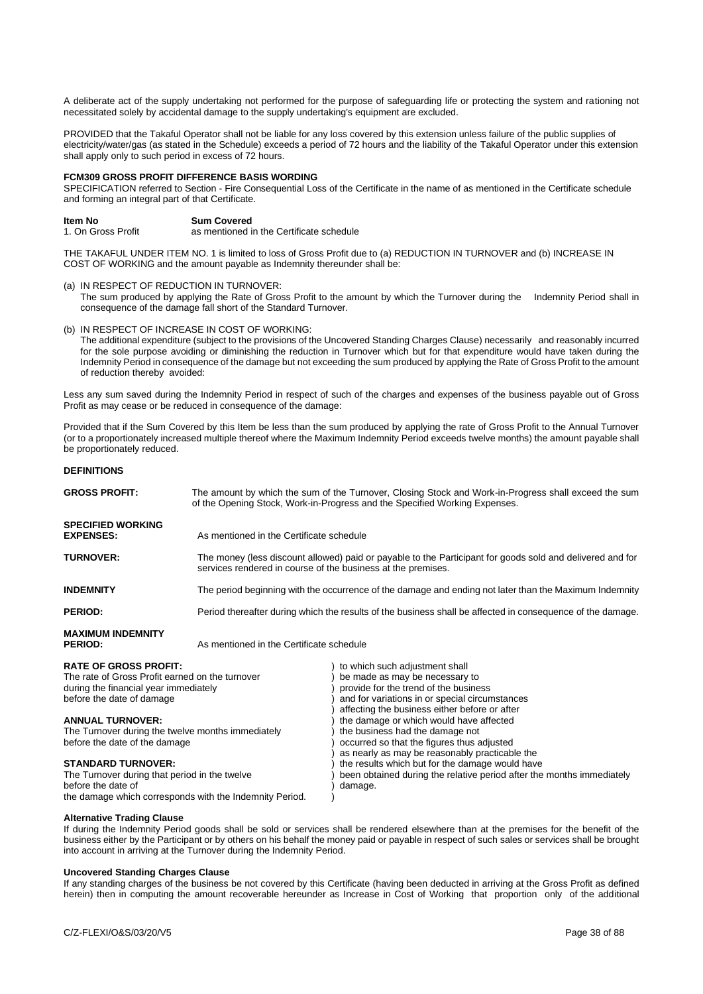A deliberate act of the supply undertaking not performed for the purpose of safeguarding life or protecting the system and rationing not necessitated solely by accidental damage to the supply undertaking's equipment are excluded.

PROVIDED that the Takaful Operator shall not be liable for any loss covered by this extension unless failure of the public supplies of electricity/water/gas (as stated in the Schedule) exceeds a period of 72 hours and the liability of the Takaful Operator under this extension shall apply only to such period in excess of 72 hours.

# **FCM309 GROSS PROFIT DIFFERENCE BASIS WORDING**

SPECIFICATION referred to Section - Fire Consequential Loss of the Certificate in the name of as mentioned in the Certificate schedule and forming an integral part of that Certificate.

| ltem No            | <b>Sum Covered</b>                       |
|--------------------|------------------------------------------|
| 1. On Gross Profit | as mentioned in the Certificate schedule |

THE TAKAFUL UNDER ITEM NO. 1 is limited to loss of Gross Profit due to (a) REDUCTION IN TURNOVER and (b) INCREASE IN COST OF WORKING and the amount payable as Indemnity thereunder shall be:

- (a) IN RESPECT OF REDUCTION IN TURNOVER:
- The sum produced by applying the Rate of Gross Profit to the amount by which the Turnover during the Indemnity Period shall in consequence of the damage fall short of the Standard Turnover.
- (b) IN RESPECT OF INCREASE IN COST OF WORKING:

 The additional expenditure (subject to the provisions of the Uncovered Standing Charges Clause) necessarily and reasonably incurred for the sole purpose avoiding or diminishing the reduction in Turnover which but for that expenditure would have taken during the Indemnity Period in consequence of the damage but not exceeding the sum produced by applying the Rate of Gross Profit to the amount of reduction thereby avoided:

Less any sum saved during the Indemnity Period in respect of such of the charges and expenses of the business payable out of Gross Profit as may cease or be reduced in consequence of the damage:

Provided that if the Sum Covered by this Item be less than the sum produced by applying the rate of Gross Profit to the Annual Turnover (or to a proportionately increased multiple thereof where the Maximum Indemnity Period exceeds twelve months) the amount payable shall be proportionately reduced.

# **DEFINITIONS**

| <b>GROSS PROFIT:</b>                                                                                                                                        | The amount by which the sum of the Turnover, Closing Stock and Work-in-Progress shall exceed the sum<br>of the Opening Stock, Work-in-Progress and the Specified Working Expenses. |                                                                                                                                                                                                              |
|-------------------------------------------------------------------------------------------------------------------------------------------------------------|------------------------------------------------------------------------------------------------------------------------------------------------------------------------------------|--------------------------------------------------------------------------------------------------------------------------------------------------------------------------------------------------------------|
| <b>SPECIFIED WORKING</b><br><b>EXPENSES:</b>                                                                                                                | As mentioned in the Certificate schedule                                                                                                                                           |                                                                                                                                                                                                              |
| <b>TURNOVER:</b>                                                                                                                                            | The money (less discount allowed) paid or payable to the Participant for goods sold and delivered and for<br>services rendered in course of the business at the premises.          |                                                                                                                                                                                                              |
| <b>INDEMNITY</b>                                                                                                                                            | The period beginning with the occurrence of the damage and ending not later than the Maximum Indemnity                                                                             |                                                                                                                                                                                                              |
| <b>PERIOD:</b>                                                                                                                                              | Period thereafter during which the results of the business shall be affected in consequence of the damage.                                                                         |                                                                                                                                                                                                              |
| <b>MAXIMUM INDEMNITY</b><br><b>PERIOD:</b>                                                                                                                  | As mentioned in the Certificate schedule                                                                                                                                           |                                                                                                                                                                                                              |
| <b>RATE OF GROSS PROFIT:</b><br>The rate of Gross Profit earned on the turnover<br>during the financial year immediately<br>before the date of damage       |                                                                                                                                                                                    | to which such adjustment shall<br>be made as may be necessary to<br>provide for the trend of the business<br>and for variations in or special circumstances<br>affecting the business either before or after |
| <b>ANNUAL TURNOVER:</b><br>The Turnover during the twelve months immediately<br>before the date of the damage                                               |                                                                                                                                                                                    | the damage or which would have affected<br>the business had the damage not<br>occurred so that the figures thus adjusted<br>as nearly as may be reasonably practicable the                                   |
| <b>STANDARD TURNOVER:</b><br>The Turnover during that period in the twelve<br>before the date of<br>the damage which corresponds with the Indemnity Period. |                                                                                                                                                                                    | the results which but for the damage would have<br>been obtained during the relative period after the months immediately<br>damage.                                                                          |

# **Alternative Trading Clause**

If during the Indemnity Period goods shall be sold or services shall be rendered elsewhere than at the premises for the benefit of the business either by the Participant or by others on his behalf the money paid or payable in respect of such sales or services shall be brought into account in arriving at the Turnover during the Indemnity Period.

# **Uncovered Standing Charges Clause**

If any standing charges of the business be not covered by this Certificate (having been deducted in arriving at the Gross Profit as defined herein) then in computing the amount recoverable hereunder as Increase in Cost of Working that proportion only of the additional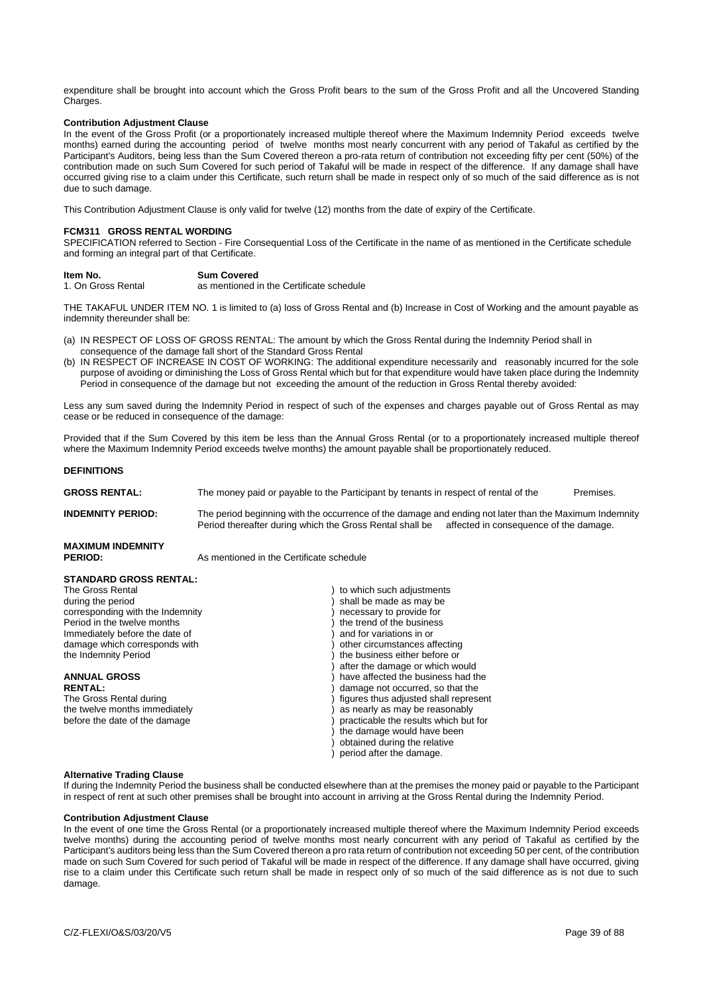expenditure shall be brought into account which the Gross Profit bears to the sum of the Gross Profit and all the Uncovered Standing Charges.

# **Contribution Adjustment Clause**

In the event of the Gross Profit (or a proportionately increased multiple thereof where the Maximum Indemnity Period exceeds twelve months) earned during the accounting period of twelve months most nearly concurrent with any period of Takaful as certified by the Participant's Auditors, being less than the Sum Covered thereon a pro-rata return of contribution not exceeding fifty per cent (50%) of the contribution made on such Sum Covered for such period of Takaful will be made in respect of the difference. If any damage shall have occurred giving rise to a claim under this Certificate, such return shall be made in respect only of so much of the said difference as is not due to such damage.

This Contribution Adjustment Clause is only valid for twelve (12) months from the date of expiry of the Certificate.

# **FCM311 GROSS RENTAL WORDING**

SPECIFICATION referred to Section - Fire Consequential Loss of the Certificate in the name of as mentioned in the Certificate schedule and forming an integral part of that Certificate.

| Item No.           | <b>Sum Covered</b>                       |
|--------------------|------------------------------------------|
| 1. On Gross Rental | as mentioned in the Certificate schedule |

THE TAKAFUL UNDER ITEM NO. 1 is limited to (a) loss of Gross Rental and (b) Increase in Cost of Working and the amount payable as indemnity thereunder shall be:

- (a) IN RESPECT OF LOSS OF GROSS RENTAL: The amount by which the Gross Rental during the Indemnity Period shall in consequence of the damage fall short of the Standard Gross Rental
- (b) IN RESPECT OF INCREASE IN COST OF WORKING: The additional expenditure necessarily and reasonably incurred for the sole purpose of avoiding or diminishing the Loss of Gross Rental which but for that expenditure would have taken place during the Indemnity Period in consequence of the damage but not exceeding the amount of the reduction in Gross Rental thereby avoided:

Less any sum saved during the Indemnity Period in respect of such of the expenses and charges payable out of Gross Rental as may cease or be reduced in consequence of the damage:

Provided that if the Sum Covered by this item be less than the Annual Gross Rental (or to a proportionately increased multiple thereof where the Maximum Indemnity Period exceeds twelve months) the amount payable shall be proportionately reduced.

# **DEFINITIONS**

GROSS RENTAL: The money paid or payable to the Participant by tenants in respect of rental of the Premises.

Period thereafter during which the Gross Rental shall be affected in consequence of the damage.

**INDEMNITY PERIOD:** The period beginning with the occurrence of the damage and ending not later than the Maximum Indemnity

# **MAXIMUM INDEMNITY**

As mentioned in the Certificate schedule

# **STANDARD GROSS RENTAL:**

The Gross Rental (and the such adjustments of the Strong term of the Strong term of the Strong Shall be made as may be  $\frac{1}{2}$  (and the period of the Strong Shall be made as may be  $\frac{1}{2}$ ) shall be made as may be corresponding with the Indemnity  $\qquad \qquad$  ) necessary to provide for<br>Period in the twelve months (example ) the trend of the business Period in the twelve months (in the trend of the business in the trend of the business in the trend of the business in the trend of the business (in the date of  $\overline{a}$ ) and for variations in or Immediately before the date of  $\Box$  ) and for variations in or damage which corresponds with  $\Box$  ) other circumstances affecting damage which corresponds with<br>the Indemnity Period

shall be made as may be<br>necessary to provide for the business either before or after the damage or which would **ANNUAL GROSS** ) have affected the business had the **RENTAL:**  $\begin{array}{ccc} \text{RENTAL:} & \text{These conditions} \\ \text{The Gross Rental during & \text{The Gross Rential during the original image} \end{array}$  (amage not occurred, so that the The Gross Rental during (and the state of the twelve months immediately state of the twelve months immediately  $(1)$  as nearly as may be reasonably  $\overline{\text{a}}$  is nearly as may be reasonably before the date of the damage  $\qquad$  ) practicable the results which but for the damage would have been ) obtained during the relative

) period after the damage.

#### **Alternative Trading Clause**

If during the Indemnity Period the business shall be conducted elsewhere than at the premises the money paid or payable to the Participant in respect of rent at such other premises shall be brought into account in arriving at the Gross Rental during the Indemnity Period.

#### **Contribution Adjustment Clause**

In the event of one time the Gross Rental (or a proportionately increased multiple thereof where the Maximum Indemnity Period exceeds twelve months) during the accounting period of twelve months most nearly concurrent with any period of Takaful as certified by the Participant's auditors being less than the Sum Covered thereon a pro rata return of contribution not exceeding 50 per cent, of the contribution made on such Sum Covered for such period of Takaful will be made in respect of the difference. If any damage shall have occurred, giving rise to a claim under this Certificate such return shall be made in respect only of so much of the said difference as is not due to such damage.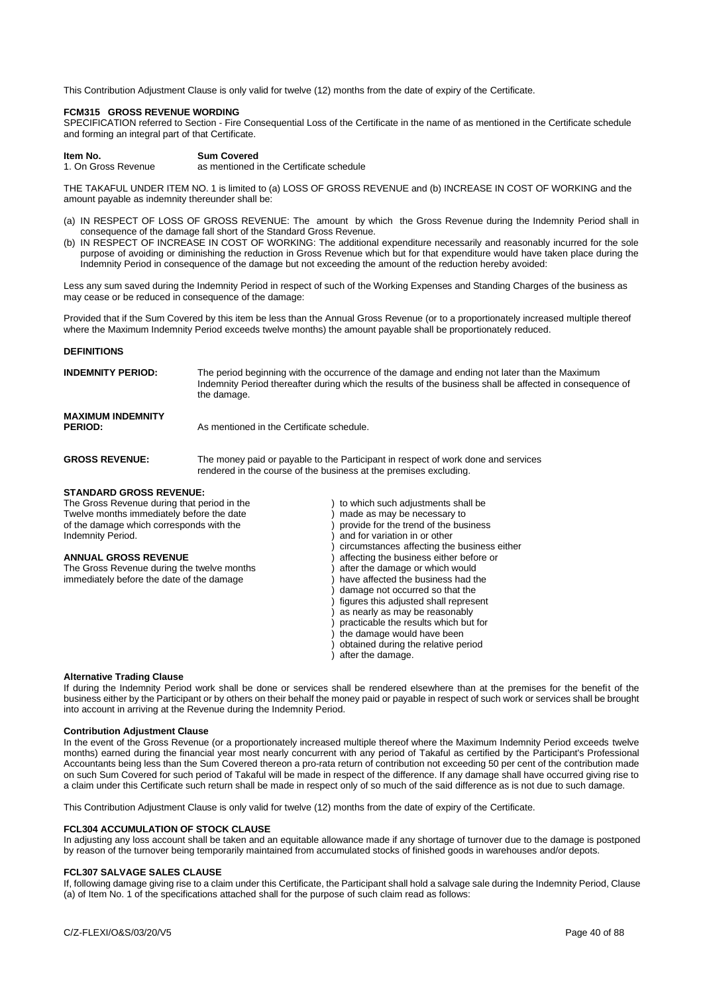This Contribution Adjustment Clause is only valid for twelve (12) months from the date of expiry of the Certificate.

# **FCM315 GROSS REVENUE WORDING**

SPECIFICATION referred to Section - Fire Consequential Loss of the Certificate in the name of as mentioned in the Certificate schedule and forming an integral part of that Certificate.

| Item No.            | <b>Sum Covered</b>                       |
|---------------------|------------------------------------------|
| 1. On Gross Revenue | as mentioned in the Certificate schedule |

THE TAKAFUL UNDER ITEM NO. 1 is limited to (a) LOSS OF GROSS REVENUE and (b) INCREASE IN COST OF WORKING and the amount payable as indemnity thereunder shall be:

- (a) IN RESPECT OF LOSS OF GROSS REVENUE: The amount by which the Gross Revenue during the Indemnity Period shall in consequence of the damage fall short of the Standard Gross Revenue.
- (b) IN RESPECT OF INCREASE IN COST OF WORKING: The additional expenditure necessarily and reasonably incurred for the sole purpose of avoiding or diminishing the reduction in Gross Revenue which but for that expenditure would have taken place during the Indemnity Period in consequence of the damage but not exceeding the amount of the reduction hereby avoided:

Less any sum saved during the Indemnity Period in respect of such of the Working Expenses and Standing Charges of the business as may cease or be reduced in consequence of the damage:

Provided that if the Sum Covered by this item be less than the Annual Gross Revenue (or to a proportionately increased multiple thereof where the Maximum Indemnity Period exceeds twelve months) the amount payable shall be proportionately reduced.

#### **DEFINITIONS**

| <b>INDEMNITY PERIOD:</b>                   | The period beginning with the occurrence of the damage and ending not later than the Maximum<br>Indemnity Period thereafter during which the results of the business shall be affected in consequence of<br>the damage. |
|--------------------------------------------|-------------------------------------------------------------------------------------------------------------------------------------------------------------------------------------------------------------------------|
| <b>MAXIMUM INDEMNITY</b><br><b>PERIOD:</b> | As mentioned in the Certificate schedule.                                                                                                                                                                               |
| <b>GROSS REVENUE:</b>                      | The money paid or payable to the Participant in respect of work done and services                                                                                                                                       |

rendered in the course of the business at the premises excluding.

# **STANDARD GROSS REVENUE:**

The Gross Revenue during that period in the (i.e. ) to which such adjustments shall be Twelve months immediately before the date (i.e. ) made as may be necessary to Twelve months immediately before the date  $\left( \begin{array}{ccc} 0 & 0 \\ 0 & 1 \end{array} \right)$  made as may be necessary to  $\left( \begin{array}{ccc} 0 & 0 \\ 0 & 1 \end{array} \right)$  provide for the trend of the business of the damage which corresponds with the Indemnity Period.

**ANNUAL GROSS REVENUE**<br>
The Gross Revenue during the twelve months (and after the damage or which would be not all and a set of the damage or which would The Gross Revenue during the twelve months (after the damage or which would immediately before the date of the damage (after the damage ) have affected the business had the immediately before the date of the damage

- 
- 
- 
- and for variation in or other
- ) circumstances affecting the business either
- 
- 
- 
- ) damage not occurred so that the
- ) figures this adjusted shall represent
- as nearly as may be reasonably
- ) practicable the results which but for
- the damage would have been
- ) obtained during the relative period
- after the damage.

#### **Alternative Trading Clause**

If during the Indemnity Period work shall be done or services shall be rendered elsewhere than at the premises for the benefit of the business either by the Participant or by others on their behalf the money paid or payable in respect of such work or services shall be brought into account in arriving at the Revenue during the Indemnity Period.

# **Contribution Adjustment Clause**

In the event of the Gross Revenue (or a proportionately increased multiple thereof where the Maximum Indemnity Period exceeds twelve months) earned during the financial year most nearly concurrent with any period of Takaful as certified by the Participant's Professional Accountants being less than the Sum Covered thereon a pro-rata return of contribution not exceeding 50 per cent of the contribution made on such Sum Covered for such period of Takaful will be made in respect of the difference. If any damage shall have occurred giving rise to a claim under this Certificate such return shall be made in respect only of so much of the said difference as is not due to such damage.

This Contribution Adjustment Clause is only valid for twelve (12) months from the date of expiry of the Certificate.

# **FCL304 ACCUMULATION OF STOCK CLAUSE**

In adjusting any loss account shall be taken and an equitable allowance made if any shortage of turnover due to the damage is postponed by reason of the turnover being temporarily maintained from accumulated stocks of finished goods in warehouses and/or depots.

# **FCL307 SALVAGE SALES CLAUSE**

If, following damage giving rise to a claim under this Certificate, the Participant shall hold a salvage sale during the Indemnity Period, Clause (a) of Item No. 1 of the specifications attached shall for the purpose of such claim read as follows: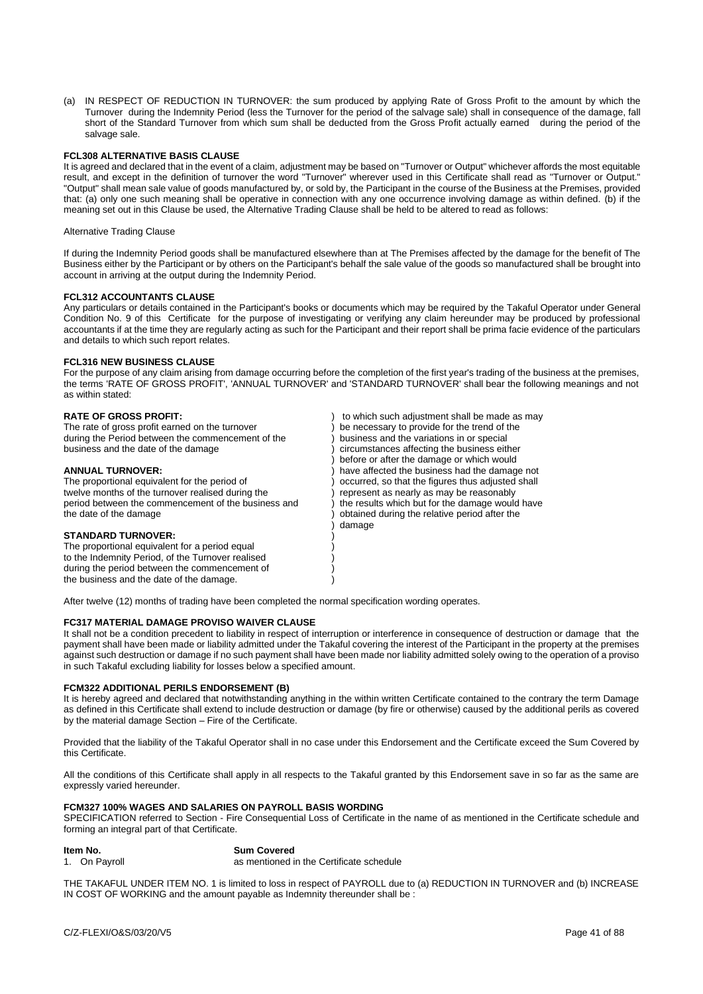(a) IN RESPECT OF REDUCTION IN TURNOVER: the sum produced by applying Rate of Gross Profit to the amount by which the Turnover during the Indemnity Period (less the Turnover for the period of the salvage sale) shall in consequence of the damage, fall short of the Standard Turnover from which sum shall be deducted from the Gross Profit actually earned during the period of the salvage sale.

# **FCL308 ALTERNATIVE BASIS CLAUSE**

It is agreed and declared that in the event of a claim, adjustment may be based on "Turnover or Output" whichever affords the most equitable result, and except in the definition of turnover the word "Turnover" wherever used in this Certificate shall read as "Turnover or Output." "Output" shall mean sale value of goods manufactured by, or sold by, the Participant in the course of the Business at the Premises, provided that: (a) only one such meaning shall be operative in connection with any one occurrence involving damage as within defined. (b) if the meaning set out in this Clause be used, the Alternative Trading Clause shall be held to be altered to read as follows:

#### Alternative Trading Clause

If during the Indemnity Period goods shall be manufactured elsewhere than at The Premises affected by the damage for the benefit of The Business either by the Participant or by others on the Participant's behalf the sale value of the goods so manufactured shall be brought into account in arriving at the output during the Indemnity Period.

# **FCL312 ACCOUNTANTS CLAUSE**

Any particulars or details contained in the Participant's books or documents which may be required by the Takaful Operator under General Condition No. 9 of this Certificate for the purpose of investigating or verifying any claim hereunder may be produced by professional accountants if at the time they are regularly acting as such for the Participant and their report shall be prima facie evidence of the particulars and details to which such report relates.

# **FCL316 NEW BUSINESS CLAUSE**

For the purpose of any claim arising from damage occurring before the completion of the first year's trading of the business at the premises, the terms 'RATE OF GROSS PROFIT', 'ANNUAL TURNOVER' and 'STANDARD TURNOVER' shall bear the following meanings and not as within stated:

# **RATE OF GROSS PROFIT:**  $\qquad \qquad$  ) to which such adjustment shall be made as may

|                                                     | to writer babil adjuditiont drial bo made as may  |
|-----------------------------------------------------|---------------------------------------------------|
| The rate of gross profit earned on the turnover     | be necessary to provide for the trend of the      |
| during the Period between the commencement of the   | business and the variations in or special         |
| business and the date of the damage                 | circumstances affecting the business either       |
|                                                     | before or after the damage or which would         |
| <b>ANNUAL TURNOVER:</b>                             | have affected the business had the damage not     |
| The proportional equivalent for the period of       | occurred, so that the figures thus adjusted shall |
| twelve months of the turnover realised during the   | represent as nearly as may be reasonably          |
| period between the commencement of the business and | the results which but for the damage would have   |
| the date of the damage                              | obtained during the relative period after the     |
|                                                     | damage                                            |
| <b>STANDARD TURNOVER:</b>                           |                                                   |
| The proportional equivalent for a period equal      |                                                   |
| to the Indemnity Period, of the Turnover realised   |                                                   |
| during the period between the commencement of       |                                                   |
| the business and the date of the damage.            |                                                   |
|                                                     |                                                   |

After twelve (12) months of trading have been completed the normal specification wording operates.

#### **FC317 MATERIAL DAMAGE PROVISO WAIVER CLAUSE**

It shall not be a condition precedent to liability in respect of interruption or interference in consequence of destruction or damage that the payment shall have been made or liability admitted under the Takaful covering the interest of the Participant in the property at the premises against such destruction or damage if no such payment shall have been made nor liability admitted solely owing to the operation of a proviso in such Takaful excluding liability for losses below a specified amount.

# **FCM322 ADDITIONAL PERILS ENDORSEMENT (B)**

It is hereby agreed and declared that notwithstanding anything in the within written Certificate contained to the contrary the term Damage as defined in this Certificate shall extend to include destruction or damage (by fire or otherwise) caused by the additional perils as covered by the material damage Section – Fire of the Certificate.

Provided that the liability of the Takaful Operator shall in no case under this Endorsement and the Certificate exceed the Sum Covered by this Certificate.

All the conditions of this Certificate shall apply in all respects to the Takaful granted by this Endorsement save in so far as the same are expressly varied hereunder.

# **FCM327 100% WAGES AND SALARIES ON PAYROLL BASIS WORDING**

SPECIFICATION referred to Section - Fire Consequential Loss of Certificate in the name of as mentioned in the Certificate schedule and forming an integral part of that Certificate.

**Item No.**<br>
1. On Payroll **Covered**<br>
1. On Payroll **Covered** is a mentioned in as mentioned in the Certificate schedule

THE TAKAFUL UNDER ITEM NO. 1 is limited to loss in respect of PAYROLL due to (a) REDUCTION IN TURNOVER and (b) INCREASE IN COST OF WORKING and the amount payable as Indemnity thereunder shall be :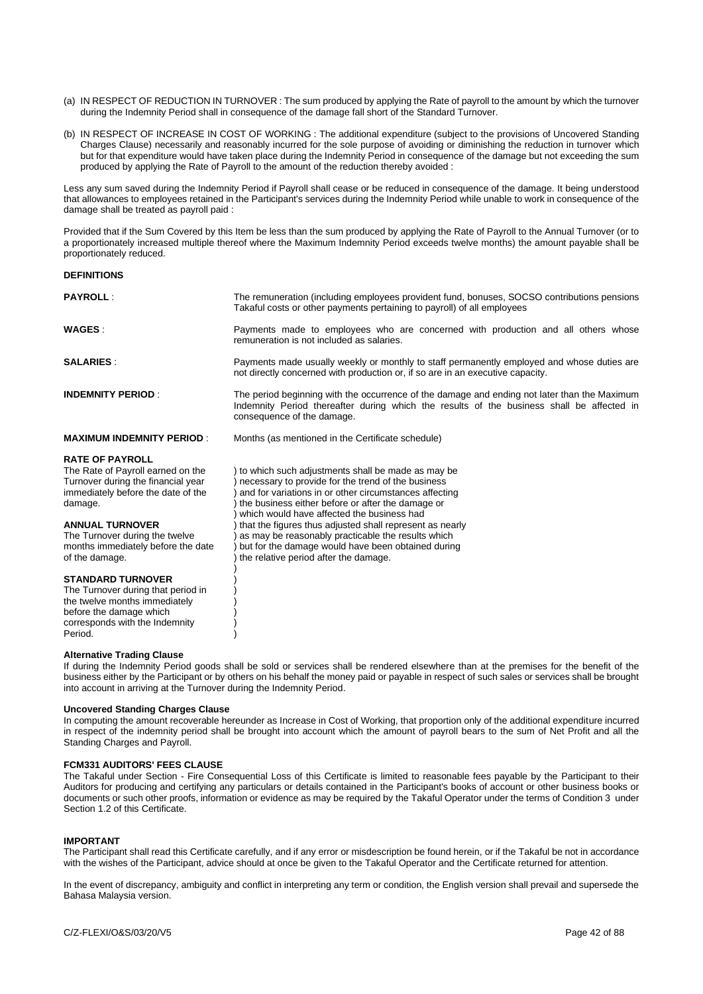- (a) IN RESPECT OF REDUCTION IN TURNOVER : The sum produced by applying the Rate of payroll to the amount by which the turnover during the Indemnity Period shall in consequence of the damage fall short of the Standard Turnover.
- (b) IN RESPECT OF INCREASE IN COST OF WORKING : The additional expenditure (subject to the provisions of Uncovered Standing Charges Clause) necessarily and reasonably incurred for the sole purpose of avoiding or diminishing the reduction in turnover which but for that expenditure would have taken place during the Indemnity Period in consequence of the damage but not exceeding the sum produced by applying the Rate of Payroll to the amount of the reduction thereby avoided :

Less any sum saved during the Indemnity Period if Payroll shall cease or be reduced in consequence of the damage. It being understood that allowances to employees retained in the Participant's services during the Indemnity Period while unable to work in consequence of the damage shall be treated as payroll paid :

Provided that if the Sum Covered by this Item be less than the sum produced by applying the Rate of Payroll to the Annual Turnover (or to a proportionately increased multiple thereof where the Maximum Indemnity Period exceeds twelve months) the amount payable shall be proportionately reduced.

# **DEFINITIONS**

| <b>PAYROLL:</b>                                                                                                                                                                                                                                                        | The remuneration (including employees provident fund, bonuses, SOCSO contributions pensions<br>Takaful costs or other payments pertaining to payroll) of all employees                                                                                                                                                                                                                                                                                                                |
|------------------------------------------------------------------------------------------------------------------------------------------------------------------------------------------------------------------------------------------------------------------------|---------------------------------------------------------------------------------------------------------------------------------------------------------------------------------------------------------------------------------------------------------------------------------------------------------------------------------------------------------------------------------------------------------------------------------------------------------------------------------------|
| <b>WAGES</b> :                                                                                                                                                                                                                                                         | Payments made to employees who are concerned with production and all others whose<br>remuneration is not included as salaries.                                                                                                                                                                                                                                                                                                                                                        |
| <b>SALARIES:</b>                                                                                                                                                                                                                                                       | Payments made usually weekly or monthly to staff permanently employed and whose duties are<br>not directly concerned with production or, if so are in an executive capacity.                                                                                                                                                                                                                                                                                                          |
| <b>INDEMNITY PERIOD:</b>                                                                                                                                                                                                                                               | The period beginning with the occurrence of the damage and ending not later than the Maximum<br>Indemnity Period thereafter during which the results of the business shall be affected in<br>consequence of the damage.                                                                                                                                                                                                                                                               |
| <b>MAXIMUM INDEMNITY PERIOD:</b>                                                                                                                                                                                                                                       | Months (as mentioned in the Certificate schedule)                                                                                                                                                                                                                                                                                                                                                                                                                                     |
| <b>RATE OF PAYROLL</b><br>The Rate of Payroll earned on the<br>Turnover during the financial year<br>immediately before the date of the<br>damage.<br><b>ANNUAL TURNOVER</b><br>The Turnover during the twelve<br>months immediately before the date<br>of the damage. | to which such adjustments shall be made as may be<br>necessary to provide for the trend of the business<br>and for variations in or other circumstances affecting<br>the business either before or after the damage or<br>which would have affected the business had<br>that the figures thus adjusted shall represent as nearly<br>as may be reasonably practicable the results which<br>but for the damage would have been obtained during<br>the relative period after the damage. |
| <b>STANDARD TURNOVER</b><br>The Turnover during that period in<br>the twelve months immediately<br>before the damage which<br>corresponds with the Indemnity                                                                                                           |                                                                                                                                                                                                                                                                                                                                                                                                                                                                                       |

# **Alternative Trading Clause**

If during the Indemnity Period goods shall be sold or services shall be rendered elsewhere than at the premises for the benefit of the business either by the Participant or by others on his behalf the money paid or payable in respect of such sales or services shall be brought into account in arriving at the Turnover during the Indemnity Period.

#### **Uncovered Standing Charges Clause**

Period.

In computing the amount recoverable hereunder as Increase in Cost of Working, that proportion only of the additional expenditure incurred in respect of the indemnity period shall be brought into account which the amount of payroll bears to the sum of Net Profit and all the Standing Charges and Payroll.

#### **FCM331 AUDITORS' FEES CLAUSE**

The Takaful under Section - Fire Consequential Loss of this Certificate is limited to reasonable fees payable by the Participant to their Auditors for producing and certifying any particulars or details contained in the Participant's books of account or other business books or documents or such other proofs, information or evidence as may be required by the Takaful Operator under the terms of Condition 3 under Section 1.2 of this Certificate.

#### **IMPORTANT**

The Participant shall read this Certificate carefully, and if any error or misdescription be found herein, or if the Takaful be not in accordance with the wishes of the Participant, advice should at once be given to the Takaful Operator and the Certificate returned for attention.

In the event of discrepancy, ambiguity and conflict in interpreting any term or condition, the English version shall prevail and supersede the Bahasa Malaysia version.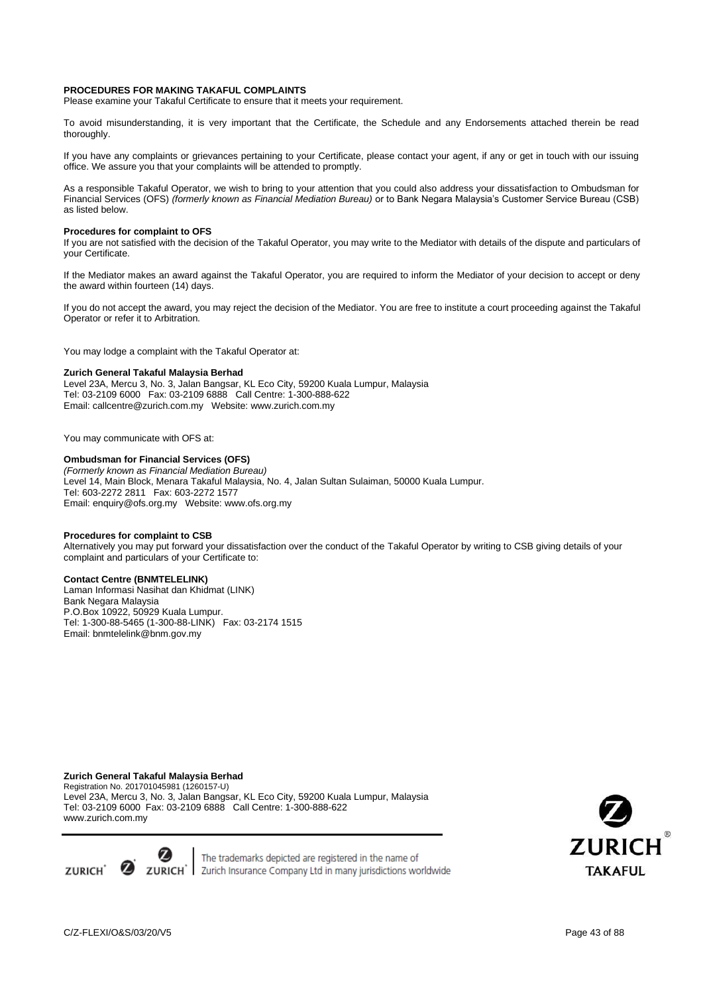# **PROCEDURES FOR MAKING TAKAFUL COMPLAINTS**

Please examine your Takaful Certificate to ensure that it meets your requirement.

To avoid misunderstanding, it is very important that the Certificate, the Schedule and any Endorsements attached therein be read thoroughly.

If you have any complaints or grievances pertaining to your Certificate, please contact your agent, if any or get in touch with our issuing office. We assure you that your complaints will be attended to promptly.

As a responsible Takaful Operator, we wish to bring to your attention that you could also address your dissatisfaction to Ombudsman for Financial Services (OFS) *(formerly known as Financial Mediation Bureau)* or to Bank Negara Malaysia's Customer Service Bureau (CSB) as listed below.

#### **Procedures for complaint to OFS**

If you are not satisfied with the decision of the Takaful Operator, you may write to the Mediator with details of the dispute and particulars of your Certificate.

If the Mediator makes an award against the Takaful Operator, you are required to inform the Mediator of your decision to accept or deny the award within fourteen (14) days.

If you do not accept the award, you may reject the decision of the Mediator. You are free to institute a court proceeding against the Takaful Operator or refer it to Arbitration.

You may lodge a complaint with the Takaful Operator at:

#### **Zurich General Takaful Malaysia Berhad**

Level 23A, Mercu 3, No. 3, Jalan Bangsar, KL Eco City, 59200 Kuala Lumpur, Malaysia Tel: 03-2109 6000 Fax: 03-2109 6888 Call Centre: 1-300-888-622 Email: callcentre@zurich.com.my Website: www.zurich.com.my

You may communicate with OFS at:

# **Ombudsman for Financial Services (OFS)**

*(Formerly known as Financial Mediation Bureau)* Level 14, Main Block, Menara Takaful Malaysia, No. 4, Jalan Sultan Sulaiman, 50000 Kuala Lumpur. Tel: 603-2272 2811 Fax: 603-2272 1577 Email: enquiry@ofs.org.my Website: www.ofs.org.my

#### **Procedures for complaint to CSB**

Alternatively you may put forward your dissatisfaction over the conduct of the Takaful Operator by writing to CSB giving details of your complaint and particulars of your Certificate to:

# **Contact Centre (BNMTELELINK)**

Laman Informasi Nasihat dan Khidmat (LINK) Bank Negara Malaysia P.O.Box 10922, 50929 Kuala Lumpur. Tel: 1-300-88-5465 (1-300-88-LINK) Fax: 03-2174 1515 Email: bnmtelelink@bnm.gov.my

# **Zurich General Takaful Malaysia Berhad**

Registration No. 201701045981 (1260157-U) Level 23A, Mercu 3, No. 3, Jalan Bangsar, KL Eco City, 59200 Kuala Lumpur, Malaysia Tel: 03-2109 6000 Fax: 03-2109 6888 Call Centre: 1-300-888-622 www.zurich.com.my





The trademarks depicted are registered in the name of **ZURICH 2URICH ZURICH ZURICH ZURICH ZURICH ZURICH ZURICH ZURICH ZURICH ZURICH ZURICH ZURICH ZURICH ZURICH ZURICH ZURICH ZURICH ZURICH ZURICH ZURICH ZURICH ZURICH ZURICH ZURIC** 

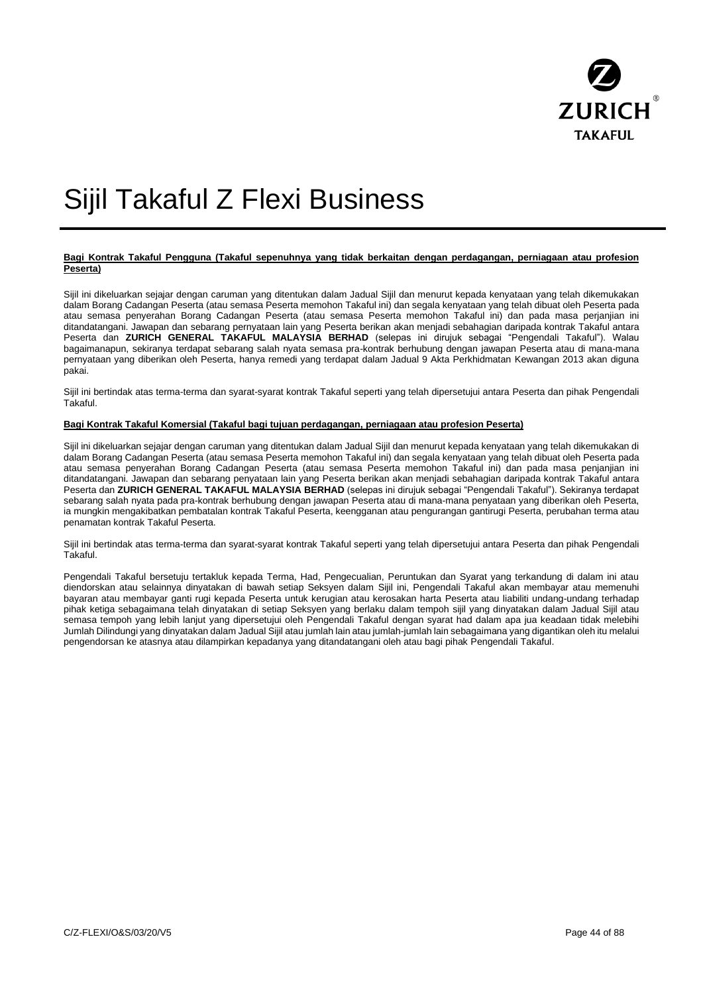

# Sijil Takaful Z Flexi Business

# **Bagi Kontrak Takaful Pengguna (Takaful sepenuhnya yang tidak berkaitan dengan perdagangan, perniagaan atau profesion Peserta)**

Sijil ini dikeluarkan sejajar dengan caruman yang ditentukan dalam Jadual Sijil dan menurut kepada kenyataan yang telah dikemukakan dalam Borang Cadangan Peserta (atau semasa Peserta memohon Takaful ini) dan segala kenyataan yang telah dibuat oleh Peserta pada atau semasa penyerahan Borang Cadangan Peserta (atau semasa Peserta memohon Takaful ini) dan pada masa perjanjian ini ditandatangani. Jawapan dan sebarang pernyataan lain yang Peserta berikan akan menjadi sebahagian daripada kontrak Takaful antara Peserta dan **ZURICH GENERAL TAKAFUL MALAYSIA BERHAD** (selepas ini dirujuk sebagai "Pengendali Takaful"). Walau bagaimanapun, sekiranya terdapat sebarang salah nyata semasa pra-kontrak berhubung dengan jawapan Peserta atau di mana-mana pernyataan yang diberikan oleh Peserta, hanya remedi yang terdapat dalam Jadual 9 Akta Perkhidmatan Kewangan 2013 akan diguna pakai.

Sijil ini bertindak atas terma-terma dan syarat-syarat kontrak Takaful seperti yang telah dipersetujui antara Peserta dan pihak Pengendali Takaful.

# **Bagi Kontrak Takaful Komersial (Takaful bagi tujuan perdagangan, perniagaan atau profesion Peserta)**

Sijil ini dikeluarkan sejajar dengan caruman yang ditentukan dalam Jadual Sijil dan menurut kepada kenyataan yang telah dikemukakan di dalam Borang Cadangan Peserta (atau semasa Peserta memohon Takaful ini) dan segala kenyataan yang telah dibuat oleh Peserta pada atau semasa penyerahan Borang Cadangan Peserta (atau semasa Peserta memohon Takaful ini) dan pada masa penjanjian ini ditandatangani. Jawapan dan sebarang penyataan lain yang Peserta berikan akan menjadi sebahagian daripada kontrak Takaful antara Peserta dan **ZURICH GENERAL TAKAFUL MALAYSIA BERHAD** (selepas ini dirujuk sebagai "Pengendali Takaful"). Sekiranya terdapat sebarang salah nyata pada pra-kontrak berhubung dengan jawapan Peserta atau di mana-mana penyataan yang diberikan oleh Peserta, ia mungkin mengakibatkan pembatalan kontrak Takaful Peserta, keengganan atau pengurangan gantirugi Peserta, perubahan terma atau penamatan kontrak Takaful Peserta.

Sijil ini bertindak atas terma-terma dan syarat-syarat kontrak Takaful seperti yang telah dipersetujui antara Peserta dan pihak Pengendali Takaful.

Pengendali Takaful bersetuju tertakluk kepada Terma, Had, Pengecualian, Peruntukan dan Syarat yang terkandung di dalam ini atau diendorskan atau selainnya dinyatakan di bawah setiap Seksyen dalam Sijil ini, Pengendali Takaful akan membayar atau memenuhi bayaran atau membayar ganti rugi kepada Peserta untuk kerugian atau kerosakan harta Peserta atau liabiliti undang-undang terhadap pihak ketiga sebagaimana telah dinyatakan di setiap Seksyen yang berlaku dalam tempoh sijil yang dinyatakan dalam Jadual Sijil atau semasa tempoh yang lebih lanjut yang dipersetujui oleh Pengendali Takaful dengan syarat had dalam apa jua keadaan tidak melebihi Jumlah Dilindungi yang dinyatakan dalam Jadual Sijil atau jumlah lain atau jumlah-jumlah lain sebagaimana yang digantikan oleh itu melalui pengendorsan ke atasnya atau dilampirkan kepadanya yang ditandatangani oleh atau bagi pihak Pengendali Takaful.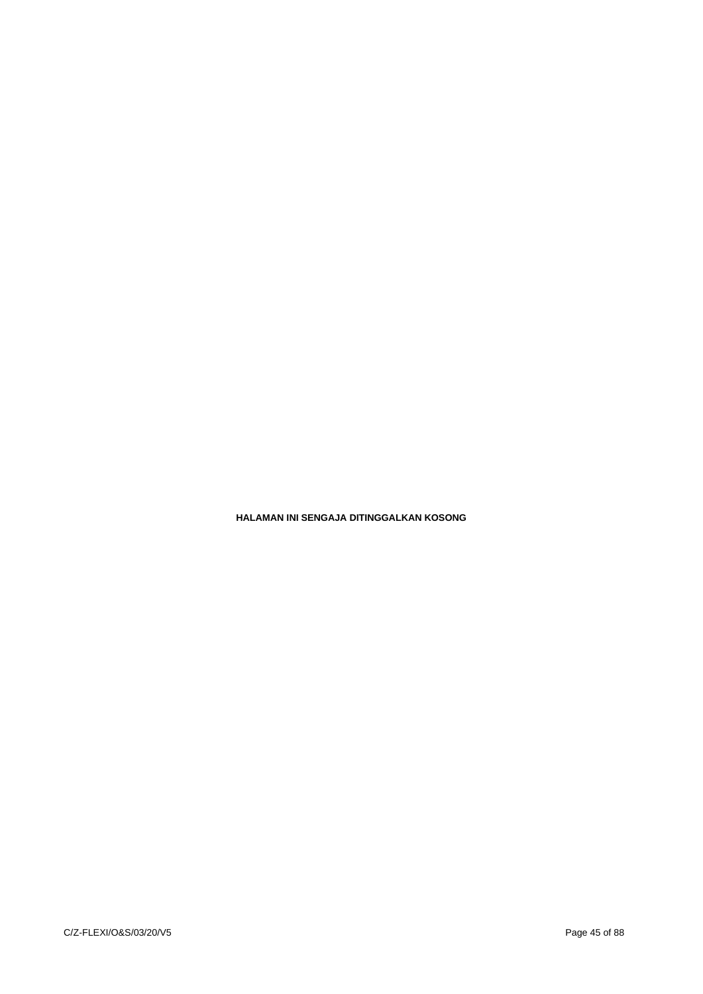**HALAMAN INI SENGAJA DITINGGALKAN KOSONG**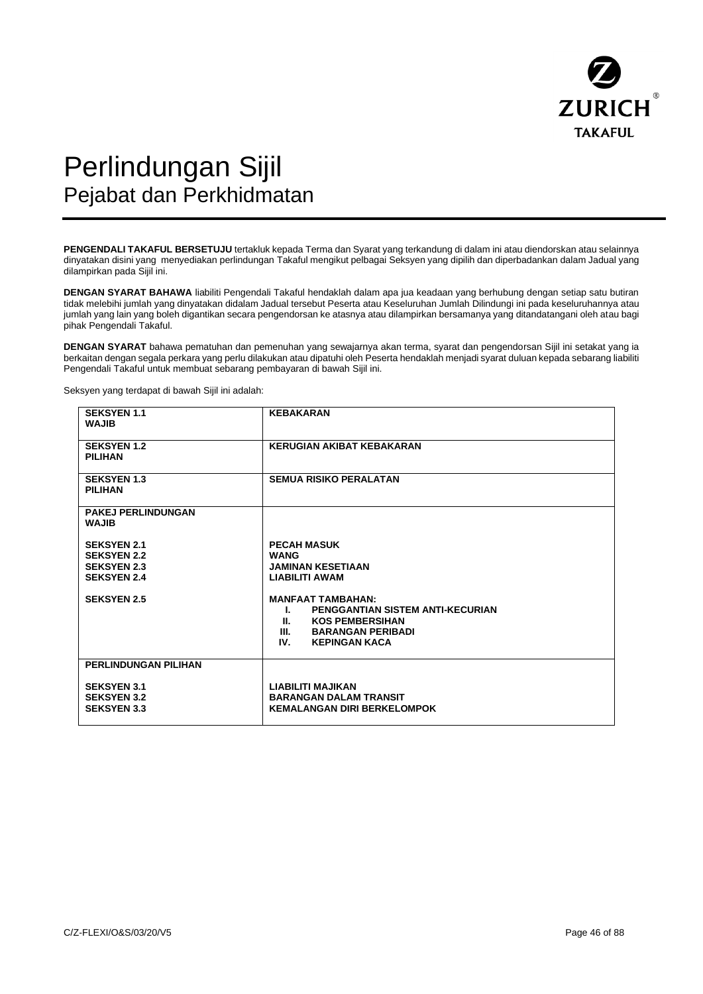

# Perlindungan Sijil Pejabat dan Perkhidmatan

**PENGENDALI TAKAFUL BERSETUJU** tertakluk kepada Terma dan Syarat yang terkandung di dalam ini atau diendorskan atau selainnya dinyatakan disini yang menyediakan perlindungan Takaful mengikut pelbagai Seksyen yang dipilih dan diperbadankan dalam Jadual yang dilampirkan pada Sijil ini.

**DENGAN SYARAT BAHAWA** liabiliti Pengendali Takaful hendaklah dalam apa jua keadaan yang berhubung dengan setiap satu butiran tidak melebihi jumlah yang dinyatakan didalam Jadual tersebut Peserta atau Keseluruhan Jumlah Dilindungi ini pada keseluruhannya atau jumlah yang lain yang boleh digantikan secara pengendorsan ke atasnya atau dilampirkan bersamanya yang ditandatangani oleh atau bagi pihak Pengendali Takaful.

**DENGAN SYARAT** bahawa pematuhan dan pemenuhan yang sewajarnya akan terma, syarat dan pengendorsan Sijil ini setakat yang ia berkaitan dengan segala perkara yang perlu dilakukan atau dipatuhi oleh Peserta hendaklah menjadi syarat duluan kepada sebarang liabiliti Pengendali Takaful untuk membuat sebarang pembayaran di bawah Sijil ini.

Seksyen yang terdapat di bawah Sijil ini adalah:

| <b>SEKSYEN 1.1</b><br><b>WAJIB</b>        | <b>KEBAKARAN</b>                                                                                                                                                    |
|-------------------------------------------|---------------------------------------------------------------------------------------------------------------------------------------------------------------------|
| <b>SEKSYEN 1.2</b><br><b>PILIHAN</b>      | <b>KERUGIAN AKIBAT KEBAKARAN</b>                                                                                                                                    |
| <b>SEKSYEN 1.3</b><br><b>PILIHAN</b>      | <b>SEMUA RISIKO PERALATAN</b>                                                                                                                                       |
| <b>PAKEJ PERLINDUNGAN</b><br><b>WAJIB</b> |                                                                                                                                                                     |
| <b>SEKSYEN 2.1</b>                        | <b>PECAH MASUK</b>                                                                                                                                                  |
| <b>SEKSYEN 2.2</b>                        | <b>WANG</b>                                                                                                                                                         |
| <b>SEKSYEN 2.3</b>                        | <b>JAMINAN KESETIAAN</b>                                                                                                                                            |
| <b>SEKSYEN 2.4</b>                        | <b>LIABILITI AWAM</b>                                                                                                                                               |
| <b>SEKSYEN 2.5</b>                        | <b>MANFAAT TAMBAHAN:</b><br>PENGGANTIAN SISTEM ANTI-KECURIAN<br>Ι.<br><b>KOS PEMBERSIHAN</b><br>Ш.<br>Ш.<br><b>BARANGAN PERIBADI</b><br>IV.<br><b>KEPINGAN KACA</b> |
| <b>PERLINDUNGAN PILIHAN</b>               |                                                                                                                                                                     |
| <b>SEKSYEN 3.1</b>                        | LIABILITI MAJIKAN                                                                                                                                                   |
| <b>SEKSYEN 3.2</b>                        | <b>BARANGAN DALAM TRANSIT</b>                                                                                                                                       |
| <b>SEKSYEN 3.3</b>                        | <b>KEMALANGAN DIRI BERKELOMPOK</b>                                                                                                                                  |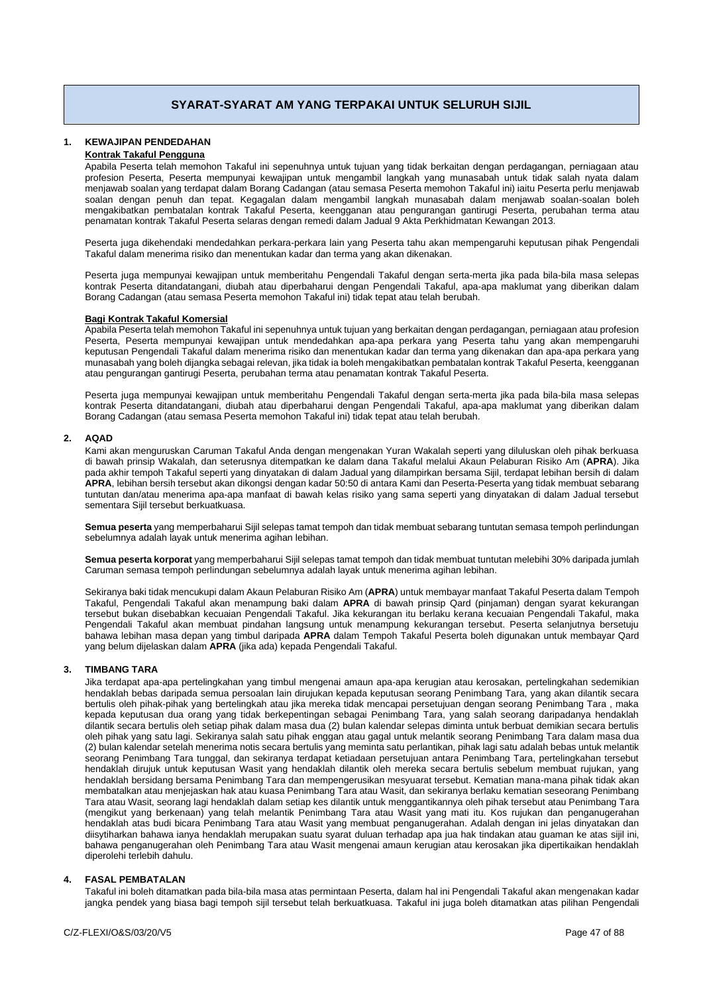# **SYARAT-SYARAT AM YANG TERPAKAI UNTUK SELURUH SIJIL**

# **1. KEWAJIPAN PENDEDAHAN Kontrak Takaful Pengguna**

Apabila Peserta telah memohon Takaful ini sepenuhnya untuk tujuan yang tidak berkaitan dengan perdagangan, perniagaan atau profesion Peserta, Peserta mempunyai kewajipan untuk mengambil langkah yang munasabah untuk tidak salah nyata dalam menjawab soalan yang terdapat dalam Borang Cadangan (atau semasa Peserta memohon Takaful ini) iaitu Peserta perlu menjawab soalan dengan penuh dan tepat. Kegagalan dalam mengambil langkah munasabah dalam menjawab soalan-soalan boleh mengakibatkan pembatalan kontrak Takaful Peserta, keengganan atau pengurangan gantirugi Peserta, perubahan terma atau penamatan kontrak Takaful Peserta selaras dengan remedi dalam Jadual 9 Akta Perkhidmatan Kewangan 2013.

Peserta juga dikehendaki mendedahkan perkara-perkara lain yang Peserta tahu akan mempengaruhi keputusan pihak Pengendali Takaful dalam menerima risiko dan menentukan kadar dan terma yang akan dikenakan.

Peserta juga mempunyai kewajipan untuk memberitahu Pengendali Takaful dengan serta-merta jika pada bila-bila masa selepas kontrak Peserta ditandatangani, diubah atau diperbaharui dengan Pengendali Takaful, apa-apa maklumat yang diberikan dalam Borang Cadangan (atau semasa Peserta memohon Takaful ini) tidak tepat atau telah berubah.

# **Bagi Kontrak Takaful Komersial**

Apabila Peserta telah memohon Takaful ini sepenuhnya untuk tujuan yang berkaitan dengan perdagangan, perniagaan atau profesion Peserta, Peserta mempunyai kewajipan untuk mendedahkan apa-apa perkara yang Peserta tahu yang akan mempengaruhi keputusan Pengendali Takaful dalam menerima risiko dan menentukan kadar dan terma yang dikenakan dan apa-apa perkara yang munasabah yang boleh dijangka sebagai relevan, jika tidak ia boleh mengakibatkan pembatalan kontrak Takaful Peserta, keengganan atau pengurangan gantirugi Peserta, perubahan terma atau penamatan kontrak Takaful Peserta.

Peserta juga mempunyai kewajipan untuk memberitahu Pengendali Takaful dengan serta-merta jika pada bila-bila masa selepas kontrak Peserta ditandatangani, diubah atau diperbaharui dengan Pengendali Takaful, apa-apa maklumat yang diberikan dalam Borang Cadangan (atau semasa Peserta memohon Takaful ini) tidak tepat atau telah berubah.

# **2. AQAD**

Kami akan menguruskan Caruman Takaful Anda dengan mengenakan Yuran Wakalah seperti yang diluluskan oleh pihak berkuasa di bawah prinsip Wakalah, dan seterusnya ditempatkan ke dalam dana Takaful melalui Akaun Pelaburan Risiko Am (**APRA**). Jika pada akhir tempoh Takaful seperti yang dinyatakan di dalam Jadual yang dilampirkan bersama Sijil, terdapat lebihan bersih di dalam **APRA**, lebihan bersih tersebut akan dikongsi dengan kadar 50:50 di antara Kami dan Peserta-Peserta yang tidak membuat sebarang tuntutan dan/atau menerima apa-apa manfaat di bawah kelas risiko yang sama seperti yang dinyatakan di dalam Jadual tersebut sementara Sijil tersebut berkuatkuasa.

**Semua peserta** yang memperbaharui Sijil selepas tamat tempoh dan tidak membuat sebarang tuntutan semasa tempoh perlindungan sebelumnya adalah layak untuk menerima agihan lebihan.

**Semua peserta korporat** yang memperbaharui Sijil selepas tamat tempoh dan tidak membuat tuntutan melebihi 30% daripada jumlah Caruman semasa tempoh perlindungan sebelumnya adalah layak untuk menerima agihan lebihan.

Sekiranya baki tidak mencukupi dalam Akaun Pelaburan Risiko Am (**APRA**) untuk membayar manfaat Takaful Peserta dalam Tempoh Takaful, Pengendali Takaful akan menampung baki dalam **APRA** di bawah prinsip Qard (pinjaman) dengan syarat kekurangan tersebut bukan disebabkan kecuaian Pengendali Takaful. Jika kekurangan itu berlaku kerana kecuaian Pengendali Takaful, maka Pengendali Takaful akan membuat pindahan langsung untuk menampung kekurangan tersebut. Peserta selanjutnya bersetuju bahawa lebihan masa depan yang timbul daripada **APRA** dalam Tempoh Takaful Peserta boleh digunakan untuk membayar Qard yang belum dijelaskan dalam **APRA** (jika ada) kepada Pengendali Takaful.

# **3. TIMBANG TARA**

Jika terdapat apa-apa pertelingkahan yang timbul mengenai amaun apa-apa kerugian atau kerosakan, pertelingkahan sedemikian hendaklah bebas daripada semua persoalan lain dirujukan kepada keputusan seorang Penimbang Tara, yang akan dilantik secara bertulis oleh pihak-pihak yang bertelingkah atau jika mereka tidak mencapai persetujuan dengan seorang Penimbang Tara , maka kepada keputusan dua orang yang tidak berkepentingan sebagai Penimbang Tara, yang salah seorang daripadanya hendaklah dilantik secara bertulis oleh setiap pihak dalam masa dua (2) bulan kalendar selepas diminta untuk berbuat demikian secara bertulis oleh pihak yang satu lagi. Sekiranya salah satu pihak enggan atau gagal untuk melantik seorang Penimbang Tara dalam masa dua (2) bulan kalendar setelah menerima notis secara bertulis yang meminta satu perlantikan, pihak lagi satu adalah bebas untuk melantik seorang Penimbang Tara tunggal, dan sekiranya terdapat ketiadaan persetujuan antara Penimbang Tara, pertelingkahan tersebut hendaklah dirujuk untuk keputusan Wasit yang hendaklah dilantik oleh mereka secara bertulis sebelum membuat rujukan, yang hendaklah bersidang bersama Penimbang Tara dan mempengerusikan mesyuarat tersebut. Kematian mana-mana pihak tidak akan membatalkan atau menjejaskan hak atau kuasa Penimbang Tara atau Wasit, dan sekiranya berlaku kematian seseorang Penimbang Tara atau Wasit, seorang lagi hendaklah dalam setiap kes dilantik untuk menggantikannya oleh pihak tersebut atau Penimbang Tara (mengikut yang berkenaan) yang telah melantik Penimbang Tara atau Wasit yang mati itu. Kos rujukan dan penganugerahan hendaklah atas budi bicara Penimbang Tara atau Wasit yang membuat penganugerahan. Adalah dengan ini jelas dinyatakan dan diisytiharkan bahawa ianya hendaklah merupakan suatu syarat duluan terhadap apa jua hak tindakan atau guaman ke atas sijil ini, bahawa penganugerahan oleh Penimbang Tara atau Wasit mengenai amaun kerugian atau kerosakan jika dipertikaikan hendaklah diperolehi terlebih dahulu.

# **4. FASAL PEMBATALAN**

Takaful ini boleh ditamatkan pada bila-bila masa atas permintaan Peserta, dalam hal ini Pengendali Takaful akan mengenakan kadar jangka pendek yang biasa bagi tempoh sijil tersebut telah berkuatkuasa. Takaful ini juga boleh ditamatkan atas pilihan Pengendali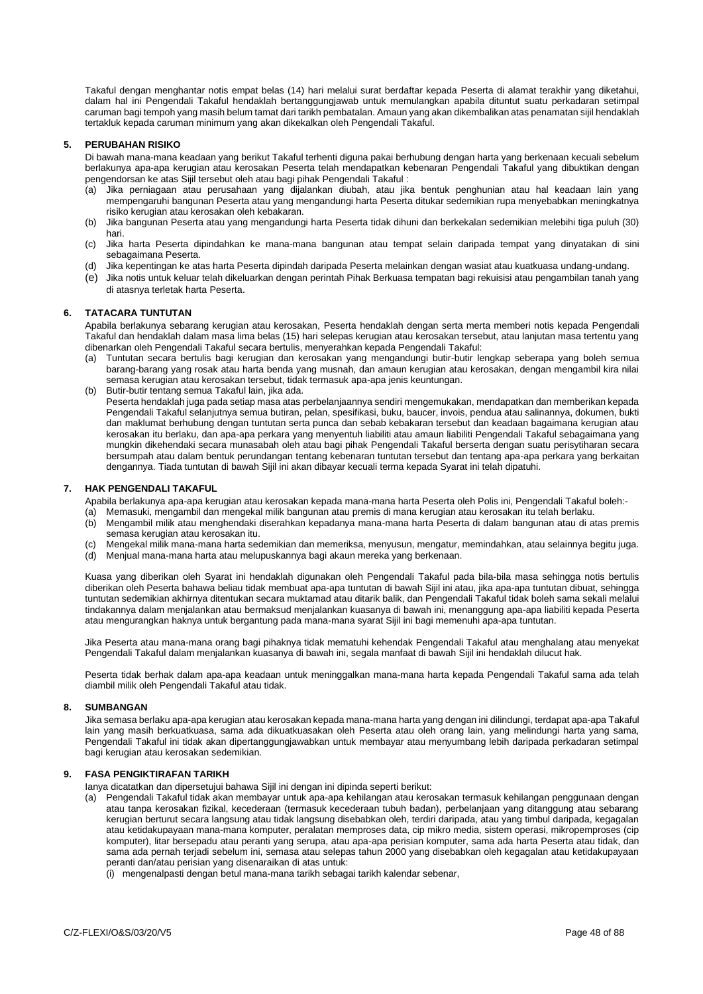Takaful dengan menghantar notis empat belas (14) hari melalui surat berdaftar kepada Peserta di alamat terakhir yang diketahui, dalam hal ini Pengendali Takaful hendaklah bertanggungjawab untuk memulangkan apabila dituntut suatu perkadaran setimpal caruman bagi tempoh yang masih belum tamat dari tarikh pembatalan. Amaun yang akan dikembalikan atas penamatan sijil hendaklah tertakluk kepada caruman minimum yang akan dikekalkan oleh Pengendali Takaful.

# **5. PERUBAHAN RISIKO**

Di bawah mana-mana keadaan yang berikut Takaful terhenti diguna pakai berhubung dengan harta yang berkenaan kecuali sebelum berlakunya apa-apa kerugian atau kerosakan Peserta telah mendapatkan kebenaran Pengendali Takaful yang dibuktikan dengan pengendorsan ke atas Sijil tersebut oleh atau bagi pihak Pengendali Takaful :

- (a) Jika perniagaan atau perusahaan yang dijalankan diubah, atau jika bentuk penghunian atau hal keadaan lain yang mempengaruhi bangunan Peserta atau yang mengandungi harta Peserta ditukar sedemikian rupa menyebabkan meningkatnya risiko kerugian atau kerosakan oleh kebakaran.
- (b) Jika bangunan Peserta atau yang mengandungi harta Peserta tidak dihuni dan berkekalan sedemikian melebihi tiga puluh (30) hari.
- (c) Jika harta Peserta dipindahkan ke mana-mana bangunan atau tempat selain daripada tempat yang dinyatakan di sini sebagaimana Peserta.
- (d) Jika kepentingan ke atas harta Peserta dipindah daripada Peserta melainkan dengan wasiat atau kuatkuasa undang-undang.
- (e) Jika notis untuk keluar telah dikeluarkan dengan perintah Pihak Berkuasa tempatan bagi rekuisisi atau pengambilan tanah yang di atasnya terletak harta Peserta.

# **6. TATACARA TUNTUTAN**

Apabila berlakunya sebarang kerugian atau kerosakan, Peserta hendaklah dengan serta merta memberi notis kepada Pengendali Takaful dan hendaklah dalam masa lima belas (15) hari selepas kerugian atau kerosakan tersebut, atau lanjutan masa tertentu yang dibenarkan oleh Pengendali Takaful secara bertulis, menyerahkan kepada Pengendali Takaful:

- Tuntutan secara bertulis bagi kerugian dan kerosakan yang mengandungi butir-butir lengkap seberapa yang boleh semua barang-barang yang rosak atau harta benda yang musnah, dan amaun kerugian atau kerosakan, dengan mengambil kira nilai semasa kerugian atau kerosakan tersebut, tidak termasuk apa-apa jenis keuntungan.
- (b) Butir-butir tentang semua Takaful lain, jika ada.

Peserta hendaklah juga pada setiap masa atas perbelanjaannya sendiri mengemukakan, mendapatkan dan memberikan kepada Pengendali Takaful selanjutnya semua butiran, pelan, spesifikasi, buku, baucer, invois, pendua atau salinannya, dokumen, bukti dan maklumat berhubung dengan tuntutan serta punca dan sebab kebakaran tersebut dan keadaan bagaimana kerugian atau kerosakan itu berlaku, dan apa-apa perkara yang menyentuh liabiliti atau amaun liabiliti Pengendali Takaful sebagaimana yang mungkin dikehendaki secara munasabah oleh atau bagi pihak Pengendali Takaful berserta dengan suatu perisytiharan secara bersumpah atau dalam bentuk perundangan tentang kebenaran tuntutan tersebut dan tentang apa-apa perkara yang berkaitan dengannya. Tiada tuntutan di bawah Sijil ini akan dibayar kecuali terma kepada Syarat ini telah dipatuhi.

# **7. HAK PENGENDALI TAKAFUL**

Apabila berlakunya apa-apa kerugian atau kerosakan kepada mana-mana harta Peserta oleh Polis ini, Pengendali Takaful boleh:-

- (a) Memasuki, mengambil dan mengekal milik bangunan atau premis di mana kerugian atau kerosakan itu telah berlaku. (b) Mengambil milik atau menghendaki diserahkan kepadanya mana-mana harta Peserta di dalam bangunan atau di atas premis semasa kerugian atau kerosakan itu.
- (c) Mengekal milik mana-mana harta sedemikian dan memeriksa, menyusun, mengatur, memindahkan, atau selainnya begitu juga.
- (d) Menjual mana-mana harta atau melupuskannya bagi akaun mereka yang berkenaan.

Kuasa yang diberikan oleh Syarat ini hendaklah digunakan oleh Pengendali Takaful pada bila-bila masa sehingga notis bertulis diberikan oleh Peserta bahawa beliau tidak membuat apa-apa tuntutan di bawah Sijil ini atau, jika apa-apa tuntutan dibuat, sehingga tuntutan sedemikian akhirnya ditentukan secara muktamad atau ditarik balik, dan Pengendali Takaful tidak boleh sama sekali melalui tindakannya dalam menjalankan atau bermaksud menjalankan kuasanya di bawah ini, menanggung apa-apa liabiliti kepada Peserta atau mengurangkan haknya untuk bergantung pada mana-mana syarat Sijil ini bagi memenuhi apa-apa tuntutan.

Jika Peserta atau mana-mana orang bagi pihaknya tidak mematuhi kehendak Pengendali Takaful atau menghalang atau menyekat Pengendali Takaful dalam menjalankan kuasanya di bawah ini, segala manfaat di bawah Sijil ini hendaklah dilucut hak.

Peserta tidak berhak dalam apa-apa keadaan untuk meninggalkan mana-mana harta kepada Pengendali Takaful sama ada telah diambil milik oleh Pengendali Takaful atau tidak.

# **8. SUMBANGAN**

Jika semasa berlaku apa-apa kerugian atau kerosakan kepada mana-mana harta yang dengan ini dilindungi, terdapat apa-apa Takaful lain yang masih berkuatkuasa, sama ada dikuatkuasakan oleh Peserta atau oleh orang lain, yang melindungi harta yang sama, Pengendali Takaful ini tidak akan dipertanggungjawabkan untuk membayar atau menyumbang lebih daripada perkadaran setimpal bagi kerugian atau kerosakan sedemikian.

# **9. FASA PENGIKTIRAFAN TARIKH**

Ianya dicatatkan dan dipersetujui bahawa Sijil ini dengan ini dipinda seperti berikut:

- (a) Pengendali Takaful tidak akan membayar untuk apa-apa kehilangan atau kerosakan termasuk kehilangan penggunaan dengan atau tanpa kerosakan fizikal, kecederaan (termasuk kecederaan tubuh badan), perbelanjaan yang ditanggung atau sebarang kerugian berturut secara langsung atau tidak langsung disebabkan oleh, terdiri daripada, atau yang timbul daripada, kegagalan atau ketidakupayaan mana-mana komputer, peralatan memproses data, cip mikro media, sistem operasi, mikropemproses (cip komputer), litar bersepadu atau peranti yang serupa, atau apa-apa perisian komputer, sama ada harta Peserta atau tidak, dan sama ada pernah terjadi sebelum ini, semasa atau selepas tahun 2000 yang disebabkan oleh kegagalan atau ketidakupayaan peranti dan/atau perisian yang disenaraikan di atas untuk:
	- (i) mengenalpasti dengan betul mana-mana tarikh sebagai tarikh kalendar sebenar,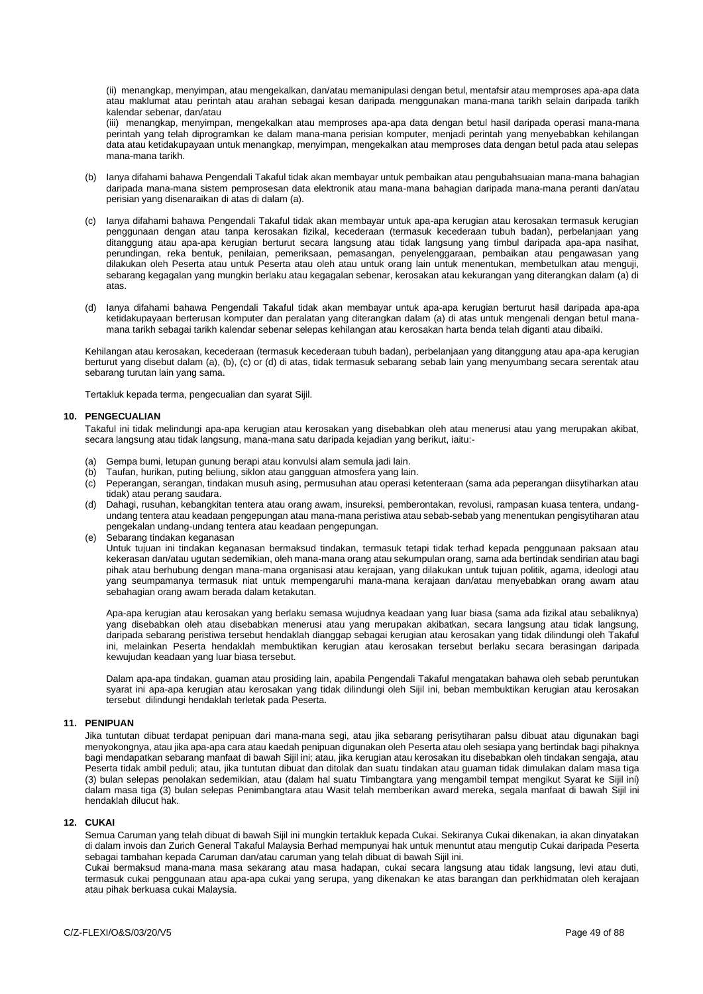(ii) menangkap, menyimpan, atau mengekalkan, dan/atau memanipulasi dengan betul, mentafsir atau memproses apa-apa data atau maklumat atau perintah atau arahan sebagai kesan daripada menggunakan mana-mana tarikh selain daripada tarikh kalendar sebenar, dan/atau

(iii) menangkap, menyimpan, mengekalkan atau memproses apa-apa data dengan betul hasil daripada operasi mana-mana perintah yang telah diprogramkan ke dalam mana-mana perisian komputer, menjadi perintah yang menyebabkan kehilangan data atau ketidakupayaan untuk menangkap, menyimpan, mengekalkan atau memproses data dengan betul pada atau selepas mana-mana tarikh.

- (b) Ianya difahami bahawa Pengendali Takaful tidak akan membayar untuk pembaikan atau pengubahsuaian mana-mana bahagian daripada mana-mana sistem pemprosesan data elektronik atau mana-mana bahagian daripada mana-mana peranti dan/atau perisian yang disenaraikan di atas di dalam (a).
- (c) Ianya difahami bahawa Pengendali Takaful tidak akan membayar untuk apa-apa kerugian atau kerosakan termasuk kerugian penggunaan dengan atau tanpa kerosakan fizikal, kecederaan (termasuk kecederaan tubuh badan), perbelanjaan yang ditanggung atau apa-apa kerugian berturut secara langsung atau tidak langsung yang timbul daripada apa-apa nasihat, perundingan, reka bentuk, penilaian, pemeriksaan, pemasangan, penyelenggaraan, pembaikan atau pengawasan yang dilakukan oleh Peserta atau untuk Peserta atau oleh atau untuk orang lain untuk menentukan, membetulkan atau menguji, sebarang kegagalan yang mungkin berlaku atau kegagalan sebenar, kerosakan atau kekurangan yang diterangkan dalam (a) di atas.
- (d) Ianya difahami bahawa Pengendali Takaful tidak akan membayar untuk apa-apa kerugian berturut hasil daripada apa-apa ketidakupayaan berterusan komputer dan peralatan yang diterangkan dalam (a) di atas untuk mengenali dengan betul manamana tarikh sebagai tarikh kalendar sebenar selepas kehilangan atau kerosakan harta benda telah diganti atau dibaiki.

Kehilangan atau kerosakan, kecederaan (termasuk kecederaan tubuh badan), perbelanjaan yang ditanggung atau apa-apa kerugian berturut yang disebut dalam (a), (b), (c) or (d) di atas, tidak termasuk sebarang sebab lain yang menyumbang secara serentak atau sebarang turutan lain yang sama.

Tertakluk kepada terma, pengecualian dan syarat Sijil.

# **10. PENGECUALIAN**

Takaful ini tidak melindungi apa-apa kerugian atau kerosakan yang disebabkan oleh atau menerusi atau yang merupakan akibat, secara langsung atau tidak langsung, mana-mana satu daripada kejadian yang berikut, iaitu:-

- (a) Gempa bumi, letupan gunung berapi atau konvulsi alam semula jadi lain.
- 
- (b) Taufan, hurikan, puting beliung, siklon atau gangguan atmosfera yang lain. Peperangan, serangan, tindakan musuh asing, permusuhan atau operasi ketenteraan (sama ada peperangan diisytiharkan atau tidak) atau perang saudara.
- (d) Dahagi, rusuhan, kebangkitan tentera atau orang awam, insureksi, pemberontakan, revolusi, rampasan kuasa tentera, undangundang tentera atau keadaan pengepungan atau mana-mana peristiwa atau sebab-sebab yang menentukan pengisytiharan atau pengekalan undang-undang tentera atau keadaan pengepungan.
- (e) Sebarang tindakan keganasan

Untuk tujuan ini tindakan keganasan bermaksud tindakan, termasuk tetapi tidak terhad kepada penggunaan paksaan atau kekerasan dan/atau ugutan sedemikian, oleh mana-mana orang atau sekumpulan orang, sama ada bertindak sendirian atau bagi pihak atau berhubung dengan mana-mana organisasi atau kerajaan, yang dilakukan untuk tujuan politik, agama, ideologi atau yang seumpamanya termasuk niat untuk mempengaruhi mana-mana kerajaan dan/atau menyebabkan orang awam atau sebahagian orang awam berada dalam ketakutan.

Apa-apa kerugian atau kerosakan yang berlaku semasa wujudnya keadaan yang luar biasa (sama ada fizikal atau sebaliknya) yang disebabkan oleh atau disebabkan menerusi atau yang merupakan akibatkan, secara langsung atau tidak langsung, daripada sebarang peristiwa tersebut hendaklah dianggap sebagai kerugian atau kerosakan yang tidak dilindungi oleh Takaful ini, melainkan Peserta hendaklah membuktikan kerugian atau kerosakan tersebut berlaku secara berasingan daripada kewujudan keadaan yang luar biasa tersebut.

Dalam apa-apa tindakan, guaman atau prosiding lain, apabila Pengendali Takaful mengatakan bahawa oleh sebab peruntukan syarat ini apa-apa kerugian atau kerosakan yang tidak dilindungi oleh Sijil ini, beban membuktikan kerugian atau kerosakan tersebut dilindungi hendaklah terletak pada Peserta.

# **11. PENIPUAN**

Jika tuntutan dibuat terdapat penipuan dari mana-mana segi, atau jika sebarang perisytiharan palsu dibuat atau digunakan bagi menyokongnya, atau jika apa-apa cara atau kaedah penipuan digunakan oleh Peserta atau oleh sesiapa yang bertindak bagi pihaknya bagi mendapatkan sebarang manfaat di bawah Sijil ini; atau, jika kerugian atau kerosakan itu disebabkan oleh tindakan sengaja, atau Peserta tidak ambil peduli; atau, jika tuntutan dibuat dan ditolak dan suatu tindakan atau guaman tidak dimulakan dalam masa tiga (3) bulan selepas penolakan sedemikian, atau (dalam hal suatu Timbangtara yang mengambil tempat mengikut Syarat ke Sijil ini) dalam masa tiga (3) bulan selepas Penimbangtara atau Wasit telah memberikan award mereka, segala manfaat di bawah Sijil ini hendaklah dilucut hak.

# **12. CUKAI**

Semua Caruman yang telah dibuat di bawah Sijil ini mungkin tertakluk kepada Cukai. Sekiranya Cukai dikenakan, ia akan dinyatakan di dalam invois dan Zurich General Takaful Malaysia Berhad mempunyai hak untuk menuntut atau mengutip Cukai daripada Peserta sebagai tambahan kepada Caruman dan/atau caruman yang telah dibuat di bawah Sijil ini.

Cukai bermaksud mana-mana masa sekarang atau masa hadapan, cukai secara langsung atau tidak langsung, levi atau duti, termasuk cukai penggunaan atau apa-apa cukai yang serupa, yang dikenakan ke atas barangan dan perkhidmatan oleh kerajaan atau pihak berkuasa cukai Malaysia.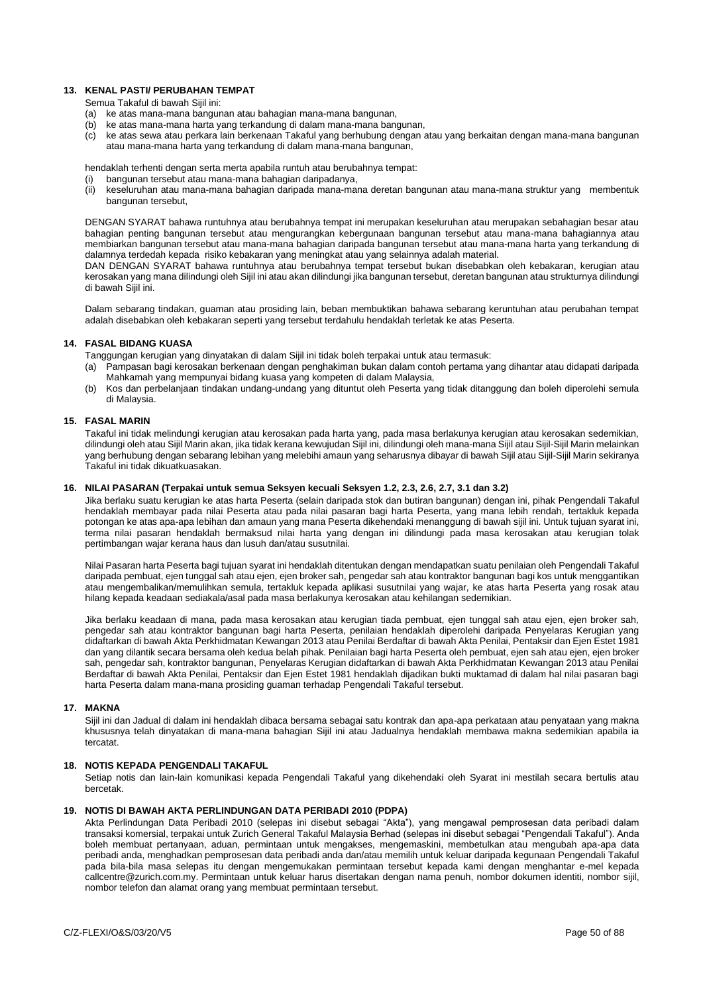# **13. KENAL PASTI/ PERUBAHAN TEMPAT**

Semua Takaful di bawah Sijil ini:<br>(a) ke atas mana-mana bangun

- ke atas mana-mana bangunan atau bahagian mana-mana bangunan,
- 
- (b) ke atas mana-mana harta yang terkandung di dalam mana-mana bangunan, ke atas sewa atau perkara lain berkenaan Takaful yang berhubung dengan atau yang berkaitan dengan mana-mana bangunan atau mana-mana harta yang terkandung di dalam mana-mana bangunan,

hendaklah terhenti dengan serta merta apabila runtuh atau berubahnya tempat:

(i) bangunan tersebut atau mana-mana bahagian daripadanya,

(ii) keseluruhan atau mana-mana bahagian daripada mana-mana deretan bangunan atau mana-mana struktur yang membentuk bangunan tersebut,

DENGAN SYARAT bahawa runtuhnya atau berubahnya tempat ini merupakan keseluruhan atau merupakan sebahagian besar atau bahagian penting bangunan tersebut atau mengurangkan kebergunaan bangunan tersebut atau mana-mana bahagiannya atau membiarkan bangunan tersebut atau mana-mana bahagian daripada bangunan tersebut atau mana-mana harta yang terkandung di dalamnya terdedah kepada risiko kebakaran yang meningkat atau yang selainnya adalah material.

DAN DENGAN SYARAT bahawa runtuhnya atau berubahnya tempat tersebut bukan disebabkan oleh kebakaran, kerugian atau kerosakan yang mana dilindungi oleh Sijil ini atau akan dilindungi jika bangunan tersebut, deretan bangunan atau strukturnya dilindungi di bawah Sijil ini.

Dalam sebarang tindakan, guaman atau prosiding lain, beban membuktikan bahawa sebarang keruntuhan atau perubahan tempat adalah disebabkan oleh kebakaran seperti yang tersebut terdahulu hendaklah terletak ke atas Peserta.

# **14. FASAL BIDANG KUASA**

Tanggungan kerugian yang dinyatakan di dalam Sijil ini tidak boleh terpakai untuk atau termasuk:

- (a) Pampasan bagi kerosakan berkenaan dengan penghakiman bukan dalam contoh pertama yang dihantar atau didapati daripada Mahkamah yang mempunyai bidang kuasa yang kompeten di dalam Malaysia,
- (b) Kos dan perbelanjaan tindakan undang-undang yang dituntut oleh Peserta yang tidak ditanggung dan boleh diperolehi semula di Malaysia.

# **15. FASAL MARIN**

Takaful ini tidak melindungi kerugian atau kerosakan pada harta yang, pada masa berlakunya kerugian atau kerosakan sedemikian, dilindungi oleh atau Sijil Marin akan, jika tidak kerana kewujudan Sijil ini, dilindungi oleh mana-mana Sijil atau Sijil-Sijil Marin melainkan yang berhubung dengan sebarang lebihan yang melebihi amaun yang seharusnya dibayar di bawah Sijil atau Sijil-Sijil Marin sekiranya Takaful ini tidak dikuatkuasakan.

# **16. NILAI PASARAN (Terpakai untuk semua Seksyen kecuali Seksyen 1.2, 2.3, 2.6, 2.7, 3.1 dan 3.2)**

Jika berlaku suatu kerugian ke atas harta Peserta (selain daripada stok dan butiran bangunan) dengan ini, pihak Pengendali Takaful hendaklah membayar pada nilai Peserta atau pada nilai pasaran bagi harta Peserta, yang mana lebih rendah, tertakluk kepada potongan ke atas apa-apa lebihan dan amaun yang mana Peserta dikehendaki menanggung di bawah sijil ini. Untuk tujuan syarat ini, terma nilai pasaran hendaklah bermaksud nilai harta yang dengan ini dilindungi pada masa kerosakan atau kerugian tolak pertimbangan wajar kerana haus dan lusuh dan/atau susutnilai.

Nilai Pasaran harta Peserta bagi tujuan syarat ini hendaklah ditentukan dengan mendapatkan suatu penilaian oleh Pengendali Takaful daripada pembuat, ejen tunggal sah atau ejen, ejen broker sah, pengedar sah atau kontraktor bangunan bagi kos untuk menggantikan atau mengembalikan/memulihkan semula, tertakluk kepada aplikasi susutnilai yang wajar, ke atas harta Peserta yang rosak atau hilang kepada keadaan sediakala/asal pada masa berlakunya kerosakan atau kehilangan sedemikian.

Jika berlaku keadaan di mana, pada masa kerosakan atau kerugian tiada pembuat, ejen tunggal sah atau ejen, ejen broker sah, pengedar sah atau kontraktor bangunan bagi harta Peserta, penilaian hendaklah diperolehi daripada Penyelaras Kerugian yang didaftarkan di bawah Akta Perkhidmatan Kewangan 2013 atau Penilai Berdaftar di bawah Akta Penilai, Pentaksir dan Ejen Estet 1981 dan yang dilantik secara bersama oleh kedua belah pihak. Penilaian bagi harta Peserta oleh pembuat, ejen sah atau ejen, ejen broker sah, pengedar sah, kontraktor bangunan, Penyelaras Kerugian didaftarkan di bawah Akta Perkhidmatan Kewangan 2013 atau Penilai Berdaftar di bawah Akta Penilai, Pentaksir dan Ejen Estet 1981 hendaklah dijadikan bukti muktamad di dalam hal nilai pasaran bagi harta Peserta dalam mana-mana prosiding guaman terhadap Pengendali Takaful tersebut.

# **17. MAKNA**

Sijil ini dan Jadual di dalam ini hendaklah dibaca bersama sebagai satu kontrak dan apa-apa perkataan atau penyataan yang makna khususnya telah dinyatakan di mana-mana bahagian Sijil ini atau Jadualnya hendaklah membawa makna sedemikian apabila ia tercatat.

# **18. NOTIS KEPADA PENGENDALI TAKAFUL**

Setiap notis dan lain-lain komunikasi kepada Pengendali Takaful yang dikehendaki oleh Syarat ini mestilah secara bertulis atau bercetak.

# **19. NOTIS DI BAWAH AKTA PERLINDUNGAN DATA PERIBADI 2010 (PDPA)**

Akta Perlindungan Data Peribadi 2010 (selepas ini disebut sebagai "Akta"), yang mengawal pemprosesan data peribadi dalam transaksi komersial, terpakai untuk Zurich General Takaful Malaysia Berhad (selepas ini disebut sebagai "Pengendali Takaful"). Anda boleh membuat pertanyaan, aduan, permintaan untuk mengakses, mengemaskini, membetulkan atau mengubah apa-apa data peribadi anda, menghadkan pemprosesan data peribadi anda dan/atau memilih untuk keluar daripada kegunaan Pengendali Takaful pada bila-bila masa selepas itu dengan mengemukakan permintaan tersebut kepada kami dengan menghantar e-mel kepada callcentre@zurich.com.my. Permintaan untuk keluar harus disertakan dengan nama penuh, nombor dokumen identiti, nombor sijil, nombor telefon dan alamat orang yang membuat permintaan tersebut.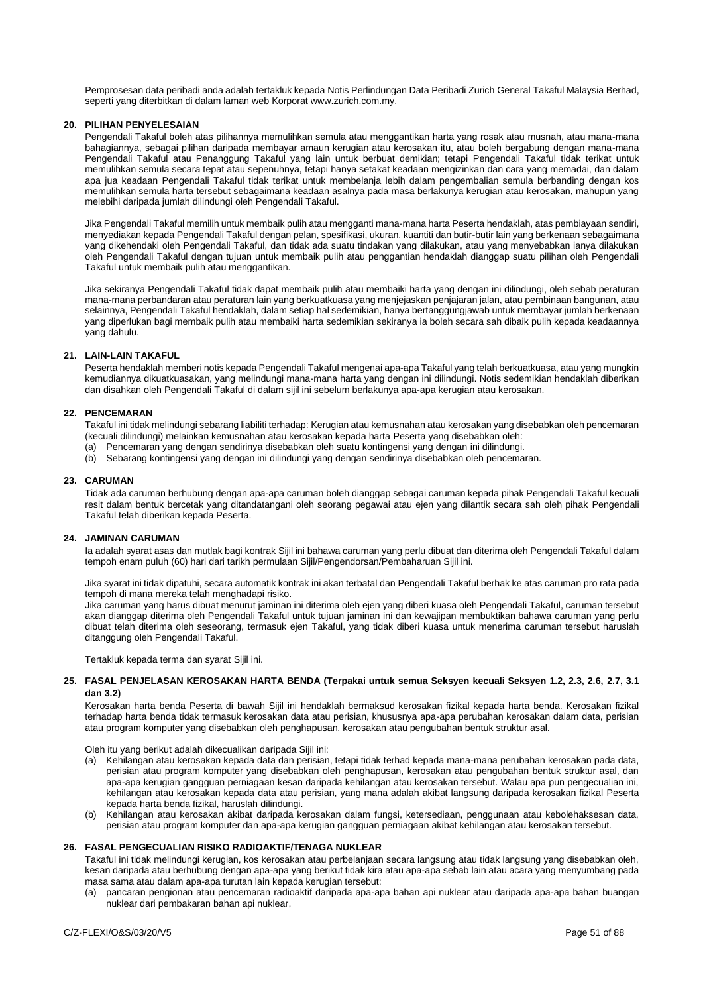Pemprosesan data peribadi anda adalah tertakluk kepada Notis Perlindungan Data Peribadi Zurich General Takaful Malaysia Berhad, seperti yang diterbitkan di dalam laman web Korporat www.zurich.com.my.

# **20. PILIHAN PENYELESAIAN**

Pengendali Takaful boleh atas pilihannya memulihkan semula atau menggantikan harta yang rosak atau musnah, atau mana-mana bahagiannya, sebagai pilihan daripada membayar amaun kerugian atau kerosakan itu, atau boleh bergabung dengan mana-mana Pengendali Takaful atau Penanggung Takaful yang lain untuk berbuat demikian; tetapi Pengendali Takaful tidak terikat untuk memulihkan semula secara tepat atau sepenuhnya, tetapi hanya setakat keadaan mengizinkan dan cara yang memadai, dan dalam apa jua keadaan Pengendali Takaful tidak terikat untuk membelanja lebih dalam pengembalian semula berbanding dengan kos memulihkan semula harta tersebut sebagaimana keadaan asalnya pada masa berlakunya kerugian atau kerosakan, mahupun yang melebihi daripada jumlah dilindungi oleh Pengendali Takaful.

Jika Pengendali Takaful memilih untuk membaik pulih atau mengganti mana-mana harta Peserta hendaklah, atas pembiayaan sendiri, menyediakan kepada Pengendali Takaful dengan pelan, spesifikasi, ukuran, kuantiti dan butir-butir lain yang berkenaan sebagaimana yang dikehendaki oleh Pengendali Takaful, dan tidak ada suatu tindakan yang dilakukan, atau yang menyebabkan ianya dilakukan oleh Pengendali Takaful dengan tujuan untuk membaik pulih atau penggantian hendaklah dianggap suatu pilihan oleh Pengendali Takaful untuk membaik pulih atau menggantikan.

Jika sekiranya Pengendali Takaful tidak dapat membaik pulih atau membaiki harta yang dengan ini dilindungi, oleh sebab peraturan mana-mana perbandaran atau peraturan lain yang berkuatkuasa yang menjejaskan penjajaran jalan, atau pembinaan bangunan, atau selainnya, Pengendali Takaful hendaklah, dalam setiap hal sedemikian, hanya bertanggungjawab untuk membayar jumlah berkenaan yang diperlukan bagi membaik pulih atau membaiki harta sedemikian sekiranya ia boleh secara sah dibaik pulih kepada keadaannya yang dahulu.

# **21. LAIN-LAIN TAKAFUL**

Peserta hendaklah memberi notis kepada Pengendali Takaful mengenai apa-apa Takaful yang telah berkuatkuasa, atau yang mungkin kemudiannya dikuatkuasakan, yang melindungi mana-mana harta yang dengan ini dilindungi. Notis sedemikian hendaklah diberikan dan disahkan oleh Pengendali Takaful di dalam sijil ini sebelum berlakunya apa-apa kerugian atau kerosakan.

# **22. PENCEMARAN**

Takaful ini tidak melindungi sebarang liabiliti terhadap: Kerugian atau kemusnahan atau kerosakan yang disebabkan oleh pencemaran (kecuali dilindungi) melainkan kemusnahan atau kerosakan kepada harta Peserta yang disebabkan oleh:

- (a) Pencemaran yang dengan sendirinya disebabkan oleh suatu kontingensi yang dengan ini dilindungi.
- Sebarang kontingensi yang dengan ini dilindungi yang dengan sendirinya disebabkan oleh pencemaran.

#### **23. CARUMAN**

Tidak ada caruman berhubung dengan apa-apa caruman boleh dianggap sebagai caruman kepada pihak Pengendali Takaful kecuali resit dalam bentuk bercetak yang ditandatangani oleh seorang pegawai atau ejen yang dilantik secara sah oleh pihak Pengendali Takaful telah diberikan kepada Peserta.

# **24. JAMINAN CARUMAN**

Ia adalah syarat asas dan mutlak bagi kontrak Sijil ini bahawa caruman yang perlu dibuat dan diterima oleh Pengendali Takaful dalam tempoh enam puluh (60) hari dari tarikh permulaan Sijil/Pengendorsan/Pembaharuan Sijil ini.

Jika syarat ini tidak dipatuhi, secara automatik kontrak ini akan terbatal dan Pengendali Takaful berhak ke atas caruman pro rata pada tempoh di mana mereka telah menghadapi risiko.

Jika caruman yang harus dibuat menurut jaminan ini diterima oleh ejen yang diberi kuasa oleh Pengendali Takaful, caruman tersebut akan dianggap diterima oleh Pengendali Takaful untuk tujuan jaminan ini dan kewajipan membuktikan bahawa caruman yang perlu dibuat telah diterima oleh seseorang, termasuk ejen Takaful, yang tidak diberi kuasa untuk menerima caruman tersebut haruslah ditanggung oleh Pengendali Takaful.

Tertakluk kepada terma dan syarat Sijil ini.

# **25. FASAL PENJELASAN KEROSAKAN HARTA BENDA (Terpakai untuk semua Seksyen kecuali Seksyen 1.2, 2.3, 2.6, 2.7, 3.1 dan 3.2)**

Kerosakan harta benda Peserta di bawah Sijil ini hendaklah bermaksud kerosakan fizikal kepada harta benda. Kerosakan fizikal terhadap harta benda tidak termasuk kerosakan data atau perisian, khususnya apa-apa perubahan kerosakan dalam data, perisian atau program komputer yang disebabkan oleh penghapusan, kerosakan atau pengubahan bentuk struktur asal.

Oleh itu yang berikut adalah dikecualikan daripada Sijil ini:

- (a) Kehilangan atau kerosakan kepada data dan perisian, tetapi tidak terhad kepada mana-mana perubahan kerosakan pada data, perisian atau program komputer yang disebabkan oleh penghapusan, kerosakan atau pengubahan bentuk struktur asal, dan apa-apa kerugian gangguan perniagaan kesan daripada kehilangan atau kerosakan tersebut. Walau apa pun pengecualian ini, kehilangan atau kerosakan kepada data atau perisian, yang mana adalah akibat langsung daripada kerosakan fizikal Peserta kepada harta benda fizikal, haruslah dilindungi.
- (b) Kehilangan atau kerosakan akibat daripada kerosakan dalam fungsi, ketersediaan, penggunaan atau kebolehaksesan data, perisian atau program komputer dan apa-apa kerugian gangguan perniagaan akibat kehilangan atau kerosakan tersebut.

# **26. FASAL PENGECUALIAN RISIKO RADIOAKTIF/TENAGA NUKLEAR**

Takaful ini tidak melindungi kerugian, kos kerosakan atau perbelanjaan secara langsung atau tidak langsung yang disebabkan oleh, kesan daripada atau berhubung dengan apa-apa yang berikut tidak kira atau apa-apa sebab lain atau acara yang menyumbang pada masa sama atau dalam apa-apa turutan lain kepada kerugian tersebut:

(a) pancaran pengionan atau pencemaran radioaktif daripada apa-apa bahan api nuklear atau daripada apa-apa bahan buangan nuklear dari pembakaran bahan api nuklear,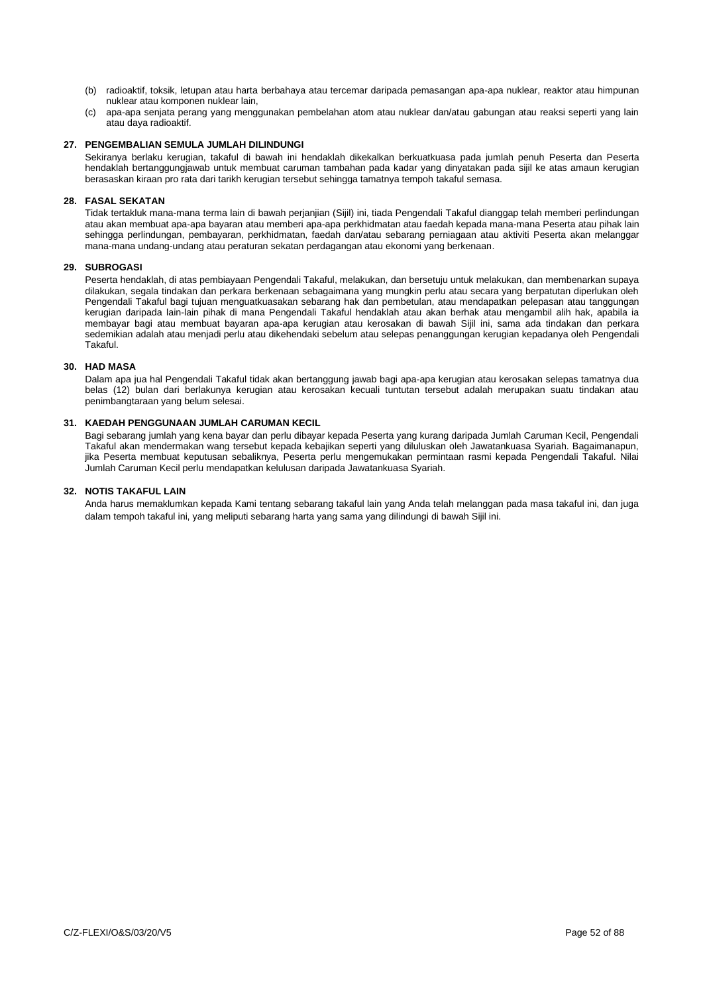- (b) radioaktif, toksik, letupan atau harta berbahaya atau tercemar daripada pemasangan apa-apa nuklear, reaktor atau himpunan nuklear atau komponen nuklear lain,
- (c) apa-apa senjata perang yang menggunakan pembelahan atom atau nuklear dan/atau gabungan atau reaksi seperti yang lain atau daya radioaktif.

# **27. PENGEMBALIAN SEMULA JUMLAH DILINDUNGI**

Sekiranya berlaku kerugian, takaful di bawah ini hendaklah dikekalkan berkuatkuasa pada jumlah penuh Peserta dan Peserta hendaklah bertanggungjawab untuk membuat caruman tambahan pada kadar yang dinyatakan pada sijil ke atas amaun kerugian berasaskan kiraan pro rata dari tarikh kerugian tersebut sehingga tamatnya tempoh takaful semasa.

# **28. FASAL SEKATAN**

Tidak tertakluk mana-mana terma lain di bawah perjanjian (Sijil) ini, tiada Pengendali Takaful dianggap telah memberi perlindungan atau akan membuat apa-apa bayaran atau memberi apa-apa perkhidmatan atau faedah kepada mana-mana Peserta atau pihak lain sehingga perlindungan, pembayaran, perkhidmatan, faedah dan/atau sebarang perniagaan atau aktiviti Peserta akan melanggar mana-mana undang-undang atau peraturan sekatan perdagangan atau ekonomi yang berkenaan.

# **29. SUBROGASI**

Peserta hendaklah, di atas pembiayaan Pengendali Takaful, melakukan, dan bersetuju untuk melakukan, dan membenarkan supaya dilakukan, segala tindakan dan perkara berkenaan sebagaimana yang mungkin perlu atau secara yang berpatutan diperlukan oleh Pengendali Takaful bagi tujuan menguatkuasakan sebarang hak dan pembetulan, atau mendapatkan pelepasan atau tanggungan kerugian daripada lain-lain pihak di mana Pengendali Takaful hendaklah atau akan berhak atau mengambil alih hak, apabila ia membayar bagi atau membuat bayaran apa-apa kerugian atau kerosakan di bawah Sijil ini, sama ada tindakan dan perkara sedemikian adalah atau menjadi perlu atau dikehendaki sebelum atau selepas penanggungan kerugian kepadanya oleh Pengendali Takaful.

# **30. HAD MASA**

Dalam apa jua hal Pengendali Takaful tidak akan bertanggung jawab bagi apa-apa kerugian atau kerosakan selepas tamatnya dua belas (12) bulan dari berlakunya kerugian atau kerosakan kecuali tuntutan tersebut adalah merupakan suatu tindakan atau penimbangtaraan yang belum selesai.

# **31. KAEDAH PENGGUNAAN JUMLAH CARUMAN KECIL**

Bagi sebarang jumlah yang kena bayar dan perlu dibayar kepada Peserta yang kurang daripada Jumlah Caruman Kecil, Pengendali Takaful akan mendermakan wang tersebut kepada kebajikan seperti yang diluluskan oleh Jawatankuasa Syariah. Bagaimanapun, jika Peserta membuat keputusan sebaliknya, Peserta perlu mengemukakan permintaan rasmi kepada Pengendali Takaful. Nilai Jumlah Caruman Kecil perlu mendapatkan kelulusan daripada Jawatankuasa Syariah.

# **32. NOTIS TAKAFUL LAIN**

Anda harus memaklumkan kepada Kami tentang sebarang takaful lain yang Anda telah melanggan pada masa takaful ini, dan juga dalam tempoh takaful ini, yang meliputi sebarang harta yang sama yang dilindungi di bawah Sijil ini.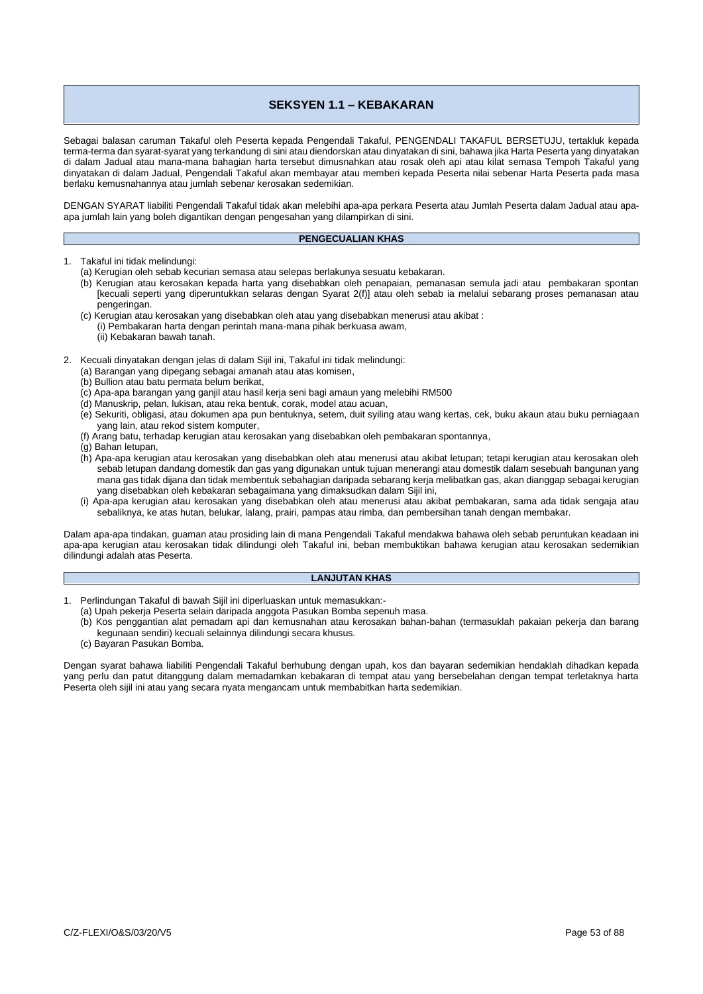# **SEKSYEN 1.1 – KEBAKARAN**

Sebagai balasan caruman Takaful oleh Peserta kepada Pengendali Takaful, PENGENDALI TAKAFUL BERSETUJU, tertakluk kepada terma-terma dan syarat-syarat yang terkandung di sini atau diendorskan atau dinyatakan di sini, bahawa jika Harta Peserta yang dinyatakan di dalam Jadual atau mana-mana bahagian harta tersebut dimusnahkan atau rosak oleh api atau kilat semasa Tempoh Takaful yang dinyatakan di dalam Jadual, Pengendali Takaful akan membayar atau memberi kepada Peserta nilai sebenar Harta Peserta pada masa berlaku kemusnahannya atau jumlah sebenar kerosakan sedemikian.

DENGAN SYARAT liabiliti Pengendali Takaful tidak akan melebihi apa-apa perkara Peserta atau Jumlah Peserta dalam Jadual atau apaapa jumlah lain yang boleh digantikan dengan pengesahan yang dilampirkan di sini.

# **PENGECUALIAN KHAS**

1. Takaful ini tidak melindungi:

- (a) Kerugian oleh sebab kecurian semasa atau selepas berlakunya sesuatu kebakaran.
- (b) Kerugian atau kerosakan kepada harta yang disebabkan oleh penapaian, pemanasan semula jadi atau pembakaran spontan [kecuali seperti yang diperuntukkan selaras dengan Syarat 2(f)] atau oleh sebab ia melalui sebarang proses pemanasan atau pengeringan.
- (c) Kerugian atau kerosakan yang disebabkan oleh atau yang disebabkan menerusi atau akibat : (i) Pembakaran harta dengan perintah mana-mana pihak berkuasa awam,
	- (ii) Kebakaran bawah tanah.
- 2. Kecuali dinyatakan dengan jelas di dalam Sijil ini, Takaful ini tidak melindungi:
	- (a) Barangan yang dipegang sebagai amanah atau atas komisen,
	- (b) Bullion atau batu permata belum berikat,
	- (c) Apa-apa barangan yang ganjil atau hasil kerja seni bagi amaun yang melebihi RM500
	- (d) Manuskrip, pelan, lukisan, atau reka bentuk, corak, model atau acuan,
	- (e) Sekuriti, obligasi, atau dokumen apa pun bentuknya, setem, duit syiling atau wang kertas, cek, buku akaun atau buku perniagaan yang lain, atau rekod sistem komputer,
	- (f) Arang batu, terhadap kerugian atau kerosakan yang disebabkan oleh pembakaran spontannya,
	- (g) Bahan letupan,
	- (h) Apa-apa kerugian atau kerosakan yang disebabkan oleh atau menerusi atau akibat letupan; tetapi kerugian atau kerosakan oleh sebab letupan dandang domestik dan gas yang digunakan untuk tujuan menerangi atau domestik dalam sesebuah bangunan yang mana gas tidak dijana dan tidak membentuk sebahagian daripada sebarang kerja melibatkan gas, akan dianggap sebagai kerugian yang disebabkan oleh kebakaran sebagaimana yang dimaksudkan dalam Sijil ini,
	- (i) Apa-apa kerugian atau kerosakan yang disebabkan oleh atau menerusi atau akibat pembakaran, sama ada tidak sengaja atau sebaliknya, ke atas hutan, belukar, lalang, prairi, pampas atau rimba, dan pembersihan tanah dengan membakar.

Dalam apa-apa tindakan, guaman atau prosiding lain di mana Pengendali Takaful mendakwa bahawa oleh sebab peruntukan keadaan ini apa-apa kerugian atau kerosakan tidak dilindungi oleh Takaful ini, beban membuktikan bahawa kerugian atau kerosakan sedemikian dilindungi adalah atas Peserta.

# **LANJUTAN KHAS**

- 1. Perlindungan Takaful di bawah Sijil ini diperluaskan untuk memasukkan:-
	- (a) Upah pekerja Peserta selain daripada anggota Pasukan Bomba sepenuh masa.
	- (b) Kos penggantian alat pemadam api dan kemusnahan atau kerosakan bahan-bahan (termasuklah pakaian pekerja dan barang kegunaan sendiri) kecuali selainnya dilindungi secara khusus.
	- (c) Bayaran Pasukan Bomba.

Dengan syarat bahawa liabiliti Pengendali Takaful berhubung dengan upah, kos dan bayaran sedemikian hendaklah dihadkan kepada yang perlu dan patut ditanggung dalam memadamkan kebakaran di tempat atau yang bersebelahan dengan tempat terletaknya harta Peserta oleh sijil ini atau yang secara nyata mengancam untuk membabitkan harta sedemikian.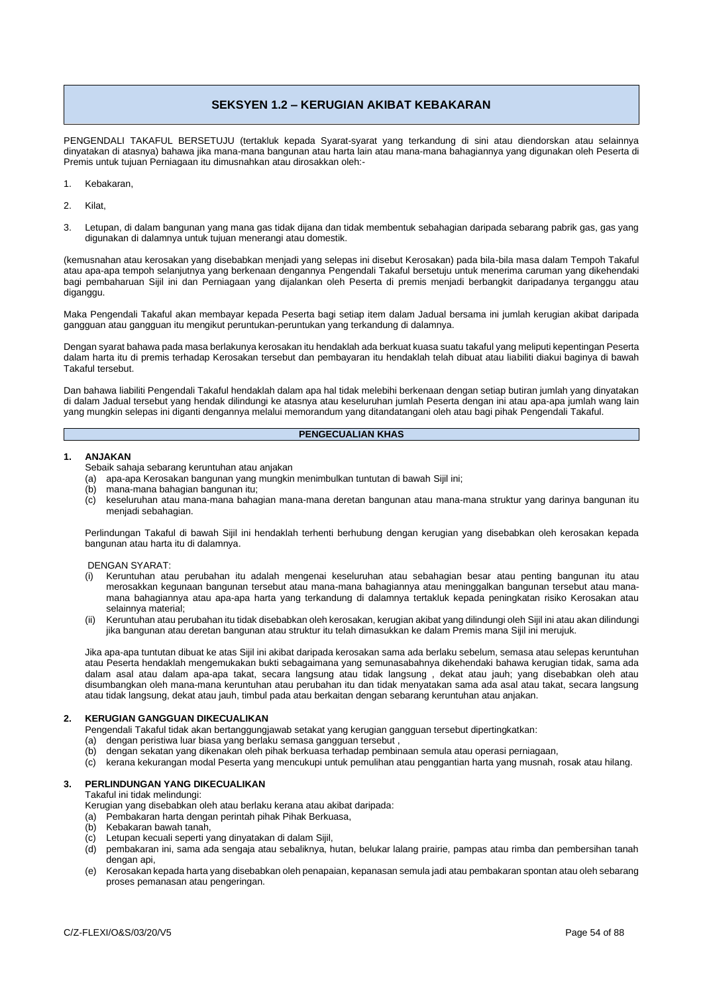# **SEKSYEN 1.2 – KERUGIAN AKIBAT KEBAKARAN**

PENGENDALI TAKAFUL BERSETUJU (tertakluk kepada Syarat-syarat yang terkandung di sini atau diendorskan atau selainnya dinyatakan di atasnya) bahawa jika mana-mana bangunan atau harta lain atau mana-mana bahagiannya yang digunakan oleh Peserta di Premis untuk tujuan Perniagaan itu dimusnahkan atau dirosakkan oleh:-

- 1. Kebakaran,
- 2. Kilat,
- 3. Letupan, di dalam bangunan yang mana gas tidak dijana dan tidak membentuk sebahagian daripada sebarang pabrik gas, gas yang digunakan di dalamnya untuk tujuan menerangi atau domestik.

(kemusnahan atau kerosakan yang disebabkan menjadi yang selepas ini disebut Kerosakan) pada bila-bila masa dalam Tempoh Takaful atau apa-apa tempoh selanjutnya yang berkenaan dengannya Pengendali Takaful bersetuju untuk menerima caruman yang dikehendaki bagi pembaharuan Sijil ini dan Perniagaan yang dijalankan oleh Peserta di premis menjadi berbangkit daripadanya terganggu atau diganggu.

Maka Pengendali Takaful akan membayar kepada Peserta bagi setiap item dalam Jadual bersama ini jumlah kerugian akibat daripada gangguan atau gangguan itu mengikut peruntukan-peruntukan yang terkandung di dalamnya.

Dengan syarat bahawa pada masa berlakunya kerosakan itu hendaklah ada berkuat kuasa suatu takaful yang meliputi kepentingan Peserta dalam harta itu di premis terhadap Kerosakan tersebut dan pembayaran itu hendaklah telah dibuat atau liabiliti diakui baginya di bawah Takaful tersebut.

Dan bahawa liabiliti Pengendali Takaful hendaklah dalam apa hal tidak melebihi berkenaan dengan setiap butiran jumlah yang dinyatakan di dalam Jadual tersebut yang hendak dilindungi ke atasnya atau keseluruhan jumlah Peserta dengan ini atau apa-apa jumlah wang lain yang mungkin selepas ini diganti dengannya melalui memorandum yang ditandatangani oleh atau bagi pihak Pengendali Takaful.

# **PENGECUALIAN KHAS**

# **1. ANJAKAN**

- Sebaik sahaja sebarang keruntuhan atau anjakan
- (a) apa-apa Kerosakan bangunan yang mungkin menimbulkan tuntutan di bawah Sijil ini;
- (b) mana-mana bahagian bangunan itu;
- keseluruhan atau mana-mana bahagian mana-mana deretan bangunan atau mana-mana struktur yang darinya bangunan itu menjadi sebahagian.

Perlindungan Takaful di bawah Sijil ini hendaklah terhenti berhubung dengan kerugian yang disebabkan oleh kerosakan kepada bangunan atau harta itu di dalamnya.

# DENGAN SYARAT:

- (i) Keruntuhan atau perubahan itu adalah mengenai keseluruhan atau sebahagian besar atau penting bangunan itu atau merosakkan kegunaan bangunan tersebut atau mana-mana bahagiannya atau meninggalkan bangunan tersebut atau manamana bahagiannya atau apa-apa harta yang terkandung di dalamnya tertakluk kepada peningkatan risiko Kerosakan atau selainnya material;
- (ii) Keruntuhan atau perubahan itu tidak disebabkan oleh kerosakan, kerugian akibat yang dilindungi oleh Sijil ini atau akan dilindungi jika bangunan atau deretan bangunan atau struktur itu telah dimasukkan ke dalam Premis mana Sijil ini merujuk.

Jika apa-apa tuntutan dibuat ke atas Sijil ini akibat daripada kerosakan sama ada berlaku sebelum, semasa atau selepas keruntuhan atau Peserta hendaklah mengemukakan bukti sebagaimana yang semunasabahnya dikehendaki bahawa kerugian tidak, sama ada dalam asal atau dalam apa-apa takat, secara langsung atau tidak langsung , dekat atau jauh; yang disebabkan oleh atau disumbangkan oleh mana-mana keruntuhan atau perubahan itu dan tidak menyatakan sama ada asal atau takat, secara langsung atau tidak langsung, dekat atau jauh, timbul pada atau berkaitan dengan sebarang keruntuhan atau anjakan.

# **2. KERUGIAN GANGGUAN DIKECUALIKAN**

Pengendali Takaful tidak akan bertanggungjawab setakat yang kerugian gangguan tersebut dipertingkatkan:

- (a) dengan peristiwa luar biasa yang berlaku semasa gangguan tersebut ,
- (b) dengan sekatan yang dikenakan oleh pihak berkuasa terhadap pembinaan semula atau operasi perniagaan,
- (c) kerana kekurangan modal Peserta yang mencukupi untuk pemulihan atau penggantian harta yang musnah, rosak atau hilang.

# **3. PERLINDUNGAN YANG DIKECUALIKAN**

Takaful ini tidak melindungi:

- Kerugian yang disebabkan oleh atau berlaku kerana atau akibat daripada:
- (a) Pembakaran harta dengan perintah pihak Pihak Berkuasa,
- (b) Kebakaran bawah tanah,
- (c) Letupan kecuali seperti yang dinyatakan di dalam Sijil,
- (d) pembakaran ini, sama ada sengaja atau sebaliknya, hutan, belukar lalang prairie, pampas atau rimba dan pembersihan tanah dengan api,
- (e) Kerosakan kepada harta yang disebabkan oleh penapaian, kepanasan semula jadi atau pembakaran spontan atau oleh sebarang proses pemanasan atau pengeringan.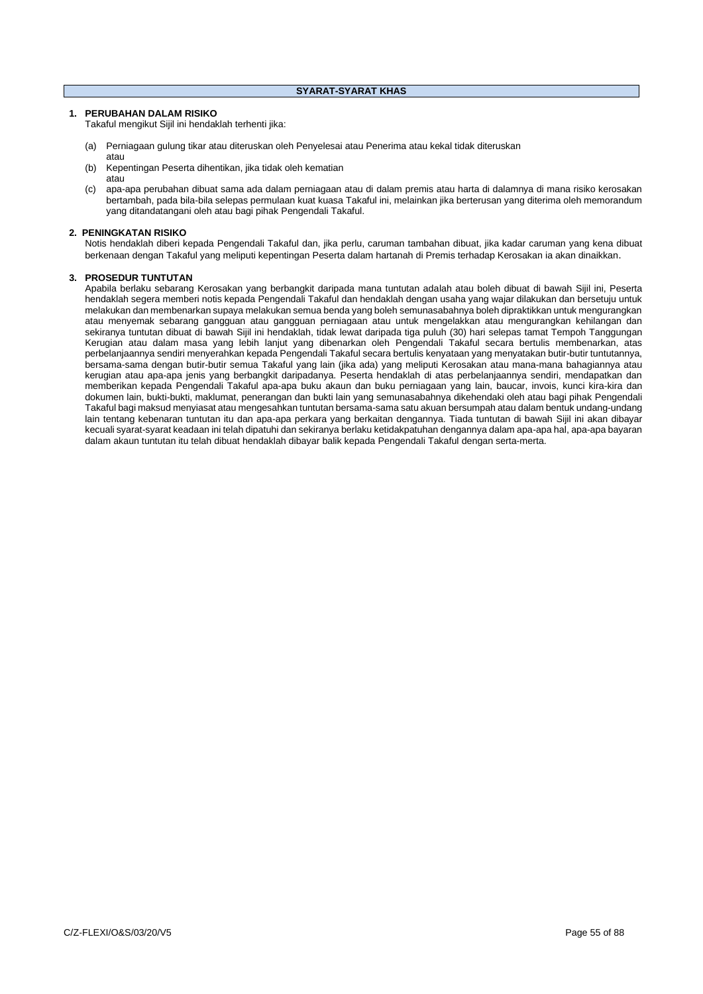# **1. PERUBAHAN DALAM RISIKO**

Takaful mengikut Sijil ini hendaklah terhenti jika:

- (a) Perniagaan gulung tikar atau diteruskan oleh Penyelesai atau Penerima atau kekal tidak diteruskan atau
- (b) Kepentingan Peserta dihentikan, jika tidak oleh kematian atau
- (c) apa-apa perubahan dibuat sama ada dalam perniagaan atau di dalam premis atau harta di dalamnya di mana risiko kerosakan bertambah, pada bila-bila selepas permulaan kuat kuasa Takaful ini, melainkan jika berterusan yang diterima oleh memorandum yang ditandatangani oleh atau bagi pihak Pengendali Takaful.

## **2. PENINGKATAN RISIKO**

Notis hendaklah diberi kepada Pengendali Takaful dan, jika perlu, caruman tambahan dibuat, jika kadar caruman yang kena dibuat berkenaan dengan Takaful yang meliputi kepentingan Peserta dalam hartanah di Premis terhadap Kerosakan ia akan dinaikkan.

# **3. PROSEDUR TUNTUTAN**

Apabila berlaku sebarang Kerosakan yang berbangkit daripada mana tuntutan adalah atau boleh dibuat di bawah Sijil ini, Peserta hendaklah segera memberi notis kepada Pengendali Takaful dan hendaklah dengan usaha yang wajar dilakukan dan bersetuju untuk melakukan dan membenarkan supaya melakukan semua benda yang boleh semunasabahnya boleh dipraktikkan untuk mengurangkan atau menyemak sebarang gangguan atau gangguan perniagaan atau untuk mengelakkan atau mengurangkan kehilangan dan sekiranya tuntutan dibuat di bawah Sijil ini hendaklah, tidak lewat daripada tiga puluh (30) hari selepas tamat Tempoh Tanggungan Kerugian atau dalam masa yang lebih lanjut yang dibenarkan oleh Pengendali Takaful secara bertulis membenarkan, atas perbelanjaannya sendiri menyerahkan kepada Pengendali Takaful secara bertulis kenyataan yang menyatakan butir-butir tuntutannya, bersama-sama dengan butir-butir semua Takaful yang lain (jika ada) yang meliputi Kerosakan atau mana-mana bahagiannya atau kerugian atau apa-apa jenis yang berbangkit daripadanya. Peserta hendaklah di atas perbelanjaannya sendiri, mendapatkan dan memberikan kepada Pengendali Takaful apa-apa buku akaun dan buku perniagaan yang lain, baucar, invois, kunci kira-kira dan dokumen lain, bukti-bukti, maklumat, penerangan dan bukti lain yang semunasabahnya dikehendaki oleh atau bagi pihak Pengendali Takaful bagi maksud menyiasat atau mengesahkan tuntutan bersama-sama satu akuan bersumpah atau dalam bentuk undang-undang lain tentang kebenaran tuntutan itu dan apa-apa perkara yang berkaitan dengannya. Tiada tuntutan di bawah Sijil ini akan dibayar kecuali syarat-syarat keadaan ini telah dipatuhi dan sekiranya berlaku ketidakpatuhan dengannya dalam apa-apa hal, apa-apa bayaran dalam akaun tuntutan itu telah dibuat hendaklah dibayar balik kepada Pengendali Takaful dengan serta-merta.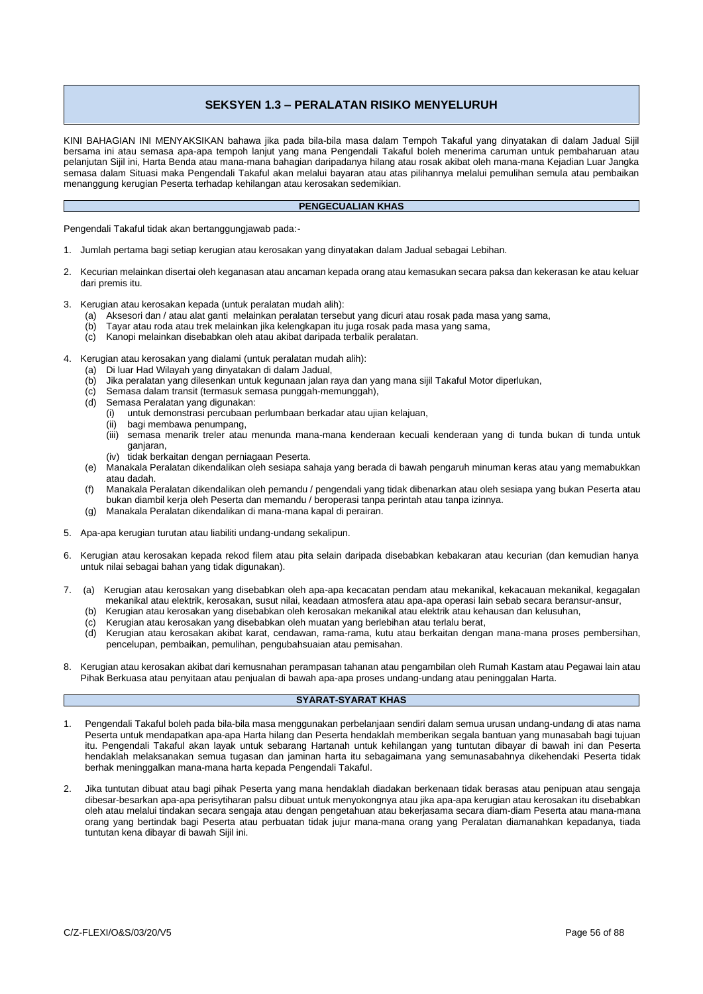# **SEKSYEN 1.3 – PERALATAN RISIKO MENYELURUH**

KINI BAHAGIAN INI MENYAKSIKAN bahawa jika pada bila-bila masa dalam Tempoh Takaful yang dinyatakan di dalam Jadual Sijil bersama ini atau semasa apa-apa tempoh lanjut yang mana Pengendali Takaful boleh menerima caruman untuk pembaharuan atau pelanjutan Sijil ini, Harta Benda atau mana-mana bahagian daripadanya hilang atau rosak akibat oleh mana-mana Kejadian Luar Jangka semasa dalam Situasi maka Pengendali Takaful akan melalui bayaran atau atas pilihannya melalui pemulihan semula atau pembaikan menanggung kerugian Peserta terhadap kehilangan atau kerosakan sedemikian.

#### **PENGECUALIAN KHAS**

Pengendali Takaful tidak akan bertanggungjawab pada:-

- 1. Jumlah pertama bagi setiap kerugian atau kerosakan yang dinyatakan dalam Jadual sebagai Lebihan.
- 2. Kecurian melainkan disertai oleh keganasan atau ancaman kepada orang atau kemasukan secara paksa dan kekerasan ke atau keluar dari premis itu.
- 3. Kerugian atau kerosakan kepada (untuk peralatan mudah alih):
	- (a) Aksesori dan / atau alat ganti melainkan peralatan tersebut yang dicuri atau rosak pada masa yang sama,<br>(b) Tayar atau roda atau trek melainkan jika kelengkapan itu juga rosak pada masa yang sama,
	- Tayar atau roda atau trek melainkan jika kelengkapan itu juga rosak pada masa yang sama,
	- (c) Kanopi melainkan disebabkan oleh atau akibat daripada terbalik peralatan.
- 4. Kerugian atau kerosakan yang dialami (untuk peralatan mudah alih):
	-
	- (a) Di luar Had Wilayah yang dinyatakan di dalam Jadual, (b) Jika peralatan yang dilesenkan untuk kegunaan jalan raya dan yang mana sijil Takaful Motor diperlukan,
	- (c) Semasa dalam transit (termasuk semasa punggah-memunggah),
	- Semasa Peralatan yang digunakan:
		- (i) untuk demonstrasi percubaan perlumbaan berkadar atau ujian kelajuan,
		- bagi membawa penumpang,
		- (iii) semasa menarik treler atau menunda mana-mana kenderaan kecuali kenderaan yang di tunda bukan di tunda untuk ganjaran,
		- (iv) tidak berkaitan dengan perniagaan Peserta.
	- (e) Manakala Peralatan dikendalikan oleh sesiapa sahaja yang berada di bawah pengaruh minuman keras atau yang memabukkan atau dadah.
	- (f) Manakala Peralatan dikendalikan oleh pemandu / pengendali yang tidak dibenarkan atau oleh sesiapa yang bukan Peserta atau bukan diambil kerja oleh Peserta dan memandu / beroperasi tanpa perintah atau tanpa izinnya.
	- (g) Manakala Peralatan dikendalikan di mana-mana kapal di perairan.
- 5. Apa-apa kerugian turutan atau liabiliti undang-undang sekalipun.
- 6. Kerugian atau kerosakan kepada rekod filem atau pita selain daripada disebabkan kebakaran atau kecurian (dan kemudian hanya untuk nilai sebagai bahan yang tidak digunakan).
- 7. (a) Kerugian atau kerosakan yang disebabkan oleh apa-apa kecacatan pendam atau mekanikal, kekacauan mekanikal, kegagalan mekanikal atau elektrik, kerosakan, susut nilai, keadaan atmosfera atau apa-apa operasi lain sebab secara beransur-ansur,
	- (b) Kerugian atau kerosakan yang disebabkan oleh kerosakan mekanikal atau elektrik atau kehausan dan kelusuhan,
	- (c) Kerugian atau kerosakan yang disebabkan oleh muatan yang berlebihan atau terlalu berat,
	- Kerugian atau kerosakan akibat karat, cendawan, rama-rama, kutu atau berkaitan dengan mana-mana proses pembersihan, pencelupan, pembaikan, pemulihan, pengubahsuaian atau pemisahan.
- 8. Kerugian atau kerosakan akibat dari kemusnahan perampasan tahanan atau pengambilan oleh Rumah Kastam atau Pegawai lain atau Pihak Berkuasa atau penyitaan atau penjualan di bawah apa-apa proses undang-undang atau peninggalan Harta.

# **SYARAT-SYARAT KHAS**

- 1. Pengendali Takaful boleh pada bila-bila masa menggunakan perbelanjaan sendiri dalam semua urusan undang-undang di atas nama Peserta untuk mendapatkan apa-apa Harta hilang dan Peserta hendaklah memberikan segala bantuan yang munasabah bagi tujuan itu. Pengendali Takaful akan layak untuk sebarang Hartanah untuk kehilangan yang tuntutan dibayar di bawah ini dan Peserta hendaklah melaksanakan semua tugasan dan jaminan harta itu sebagaimana yang semunasabahnya dikehendaki Peserta tidak berhak meninggalkan mana-mana harta kepada Pengendali Takaful.
- 2. Jika tuntutan dibuat atau bagi pihak Peserta yang mana hendaklah diadakan berkenaan tidak berasas atau penipuan atau sengaja dibesar-besarkan apa-apa perisytiharan palsu dibuat untuk menyokongnya atau jika apa-apa kerugian atau kerosakan itu disebabkan oleh atau melalui tindakan secara sengaja atau dengan pengetahuan atau bekerjasama secara diam-diam Peserta atau mana-mana orang yang bertindak bagi Peserta atau perbuatan tidak jujur mana-mana orang yang Peralatan diamanahkan kepadanya, tiada tuntutan kena dibayar di bawah Sijil ini.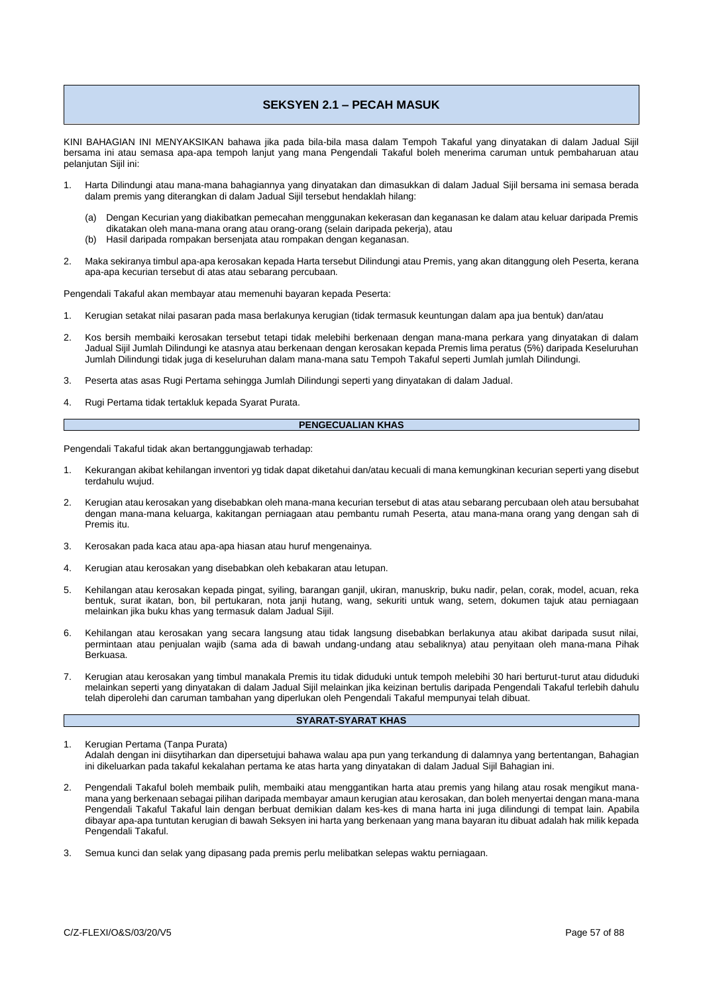# **SEKSYEN 2.1 – PECAH MASUK**

KINI BAHAGIAN INI MENYAKSIKAN bahawa jika pada bila-bila masa dalam Tempoh Takaful yang dinyatakan di dalam Jadual Sijil bersama ini atau semasa apa-apa tempoh lanjut yang mana Pengendali Takaful boleh menerima caruman untuk pembaharuan atau pelanjutan Sijil ini:

- 1. Harta Dilindungi atau mana-mana bahagiannya yang dinyatakan dan dimasukkan di dalam Jadual Sijil bersama ini semasa berada dalam premis yang diterangkan di dalam Jadual Sijil tersebut hendaklah hilang:
	- (a) Dengan Kecurian yang diakibatkan pemecahan menggunakan kekerasan dan keganasan ke dalam atau keluar daripada Premis dikatakan oleh mana-mana orang atau orang-orang (selain daripada pekerja), atau
	- (b) Hasil daripada rompakan bersenjata atau rompakan dengan keganasan.
- 2. Maka sekiranya timbul apa-apa kerosakan kepada Harta tersebut Dilindungi atau Premis, yang akan ditanggung oleh Peserta, kerana apa-apa kecurian tersebut di atas atau sebarang percubaan.

Pengendali Takaful akan membayar atau memenuhi bayaran kepada Peserta:

- 1. Kerugian setakat nilai pasaran pada masa berlakunya kerugian (tidak termasuk keuntungan dalam apa jua bentuk) dan/atau
- 2. Kos bersih membaiki kerosakan tersebut tetapi tidak melebihi berkenaan dengan mana-mana perkara yang dinyatakan di dalam Jadual Sijil Jumlah Dilindungi ke atasnya atau berkenaan dengan kerosakan kepada Premis lima peratus (5%) daripada Keseluruhan Jumlah Dilindungi tidak juga di keseluruhan dalam mana-mana satu Tempoh Takaful seperti Jumlah jumlah Dilindungi.
- 3. Peserta atas asas Rugi Pertama sehingga Jumlah Dilindungi seperti yang dinyatakan di dalam Jadual.
- 4. Rugi Pertama tidak tertakluk kepada Syarat Purata.

# **PENGECUALIAN KHAS**

Pengendali Takaful tidak akan bertanggungjawab terhadap:

- 1. Kekurangan akibat kehilangan inventori yg tidak dapat diketahui dan/atau kecuali di mana kemungkinan kecurian seperti yang disebut terdahulu wujud.
- 2. Kerugian atau kerosakan yang disebabkan oleh mana-mana kecurian tersebut di atas atau sebarang percubaan oleh atau bersubahat dengan mana-mana keluarga, kakitangan perniagaan atau pembantu rumah Peserta, atau mana-mana orang yang dengan sah di Premis itu.
- 3. Kerosakan pada kaca atau apa-apa hiasan atau huruf mengenainya.
- 4. Kerugian atau kerosakan yang disebabkan oleh kebakaran atau letupan.
- 5. Kehilangan atau kerosakan kepada pingat, syiling, barangan ganjil, ukiran, manuskrip, buku nadir, pelan, corak, model, acuan, reka bentuk, surat ikatan, bon, bil pertukaran, nota janji hutang, wang, sekuriti untuk wang, setem, dokumen tajuk atau perniagaan melainkan jika buku khas yang termasuk dalam Jadual Sijil.
- 6. Kehilangan atau kerosakan yang secara langsung atau tidak langsung disebabkan berlakunya atau akibat daripada susut nilai, permintaan atau penjualan wajib (sama ada di bawah undang-undang atau sebaliknya) atau penyitaan oleh mana-mana Pihak Berkuasa.
- 7. Kerugian atau kerosakan yang timbul manakala Premis itu tidak diduduki untuk tempoh melebihi 30 hari berturut-turut atau diduduki melainkan seperti yang dinyatakan di dalam Jadual Sijil melainkan jika keizinan bertulis daripada Pengendali Takaful terlebih dahulu telah diperolehi dan caruman tambahan yang diperlukan oleh Pengendali Takaful mempunyai telah dibuat.

# **SYARAT-SYARAT KHAS**

1. Kerugian Pertama (Tanpa Purata) Adalah dengan ini diisytiharkan dan dipersetujui bahawa walau apa pun yang terkandung di dalamnya yang bertentangan, Bahagian ini dikeluarkan pada takaful kekalahan pertama ke atas harta yang dinyatakan di dalam Jadual Sijil Bahagian ini.

- Pengendali Takaful boleh membaik pulih, membaiki atau menggantikan harta atau premis yang hilang atau rosak mengikut manamana yang berkenaan sebagai pilihan daripada membayar amaun kerugian atau kerosakan, dan boleh menyertai dengan mana-mana Pengendali Takaful Takaful lain dengan berbuat demikian dalam kes-kes di mana harta ini juga dilindungi di tempat lain. Apabila dibayar apa-apa tuntutan kerugian di bawah Seksyen ini harta yang berkenaan yang mana bayaran itu dibuat adalah hak milik kepada Pengendali Takaful.
- 3. Semua kunci dan selak yang dipasang pada premis perlu melibatkan selepas waktu perniagaan.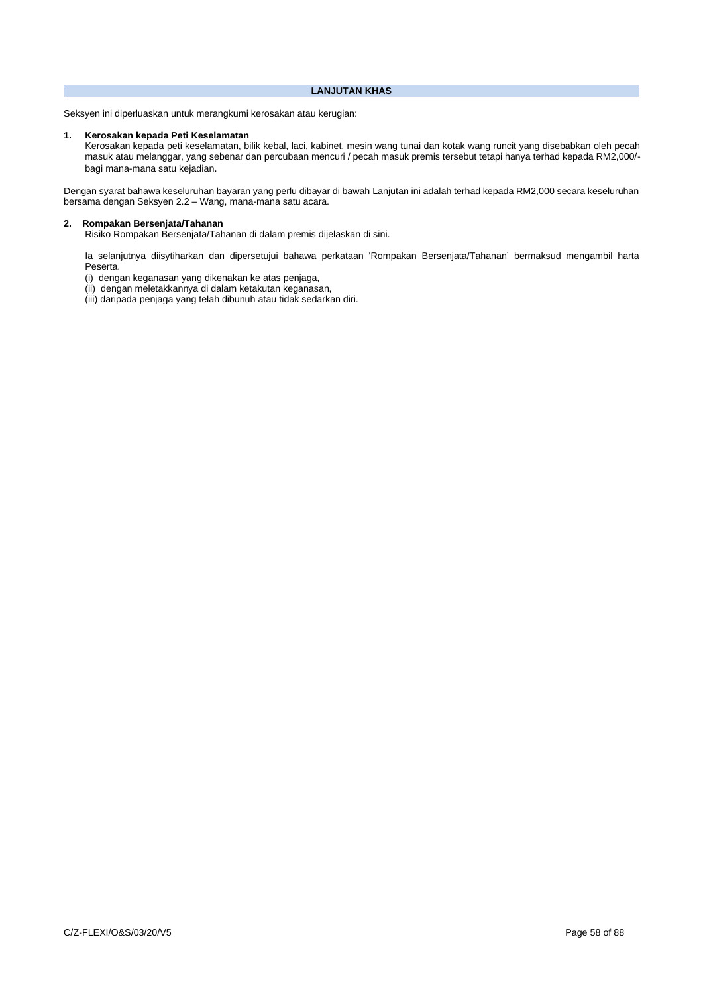# **LANJUTAN KHAS**

Seksyen ini diperluaskan untuk merangkumi kerosakan atau kerugian:

# **1. Kerosakan kepada Peti Keselamatan**

Kerosakan kepada peti keselamatan, bilik kebal, laci, kabinet, mesin wang tunai dan kotak wang runcit yang disebabkan oleh pecah masuk atau melanggar, yang sebenar dan percubaan mencuri / pecah masuk premis tersebut tetapi hanya terhad kepada RM2,000/ bagi mana-mana satu kejadian.

Dengan syarat bahawa keseluruhan bayaran yang perlu dibayar di bawah Lanjutan ini adalah terhad kepada RM2,000 secara keseluruhan bersama dengan Seksyen 2.2 – Wang, mana-mana satu acara.

# **2. Rompakan Bersenjata/Tahanan**

Risiko Rompakan Bersenjata/Tahanan di dalam premis dijelaskan di sini.

Ia selanjutnya diisytiharkan dan dipersetujui bahawa perkataan 'Rompakan Bersenjata/Tahanan' bermaksud mengambil harta Peserta.

- (i) dengan keganasan yang dikenakan ke atas penjaga,
- (ii) dengan meletakkannya di dalam ketakutan keganasan,
- (iii) daripada penjaga yang telah dibunuh atau tidak sedarkan diri.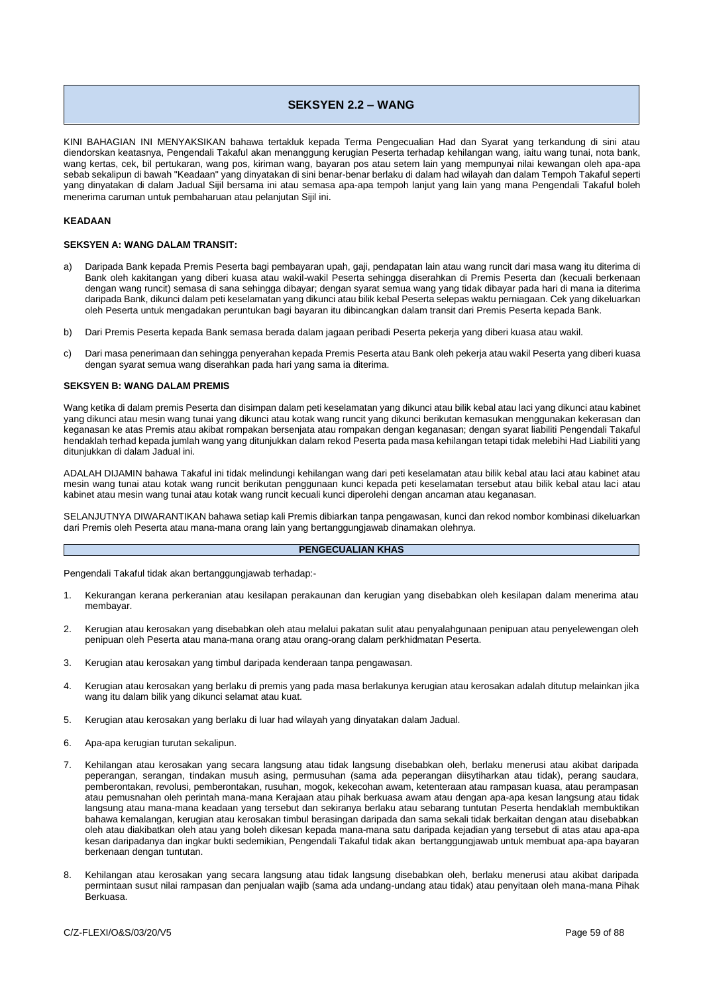# **SEKSYEN 2.2 – WANG**

KINI BAHAGIAN INI MENYAKSIKAN bahawa tertakluk kepada Terma Pengecualian Had dan Syarat yang terkandung di sini atau diendorskan keatasnya, Pengendali Takaful akan menanggung kerugian Peserta terhadap kehilangan wang, iaitu wang tunai, nota bank, wang kertas, cek, bil pertukaran, wang pos, kiriman wang, bayaran pos atau setem lain yang mempunyai nilai kewangan oleh apa-apa sebab sekalipun di bawah "Keadaan" yang dinyatakan di sini benar-benar berlaku di dalam had wilayah dan dalam Tempoh Takaful seperti yang dinyatakan di dalam Jadual Sijil bersama ini atau semasa apa-apa tempoh lanjut yang lain yang mana Pengendali Takaful boleh menerima caruman untuk pembaharuan atau pelanjutan Sijil ini.

# **KEADAAN**

# **SEKSYEN A: WANG DALAM TRANSIT:**

- a) Daripada Bank kepada Premis Peserta bagi pembayaran upah, gaji, pendapatan lain atau wang runcit dari masa wang itu diterima di Bank oleh kakitangan yang diberi kuasa atau wakil-wakil Peserta sehingga diserahkan di Premis Peserta dan (kecuali berkenaan dengan wang runcit) semasa di sana sehingga dibayar; dengan syarat semua wang yang tidak dibayar pada hari di mana ia diterima daripada Bank, dikunci dalam peti keselamatan yang dikunci atau bilik kebal Peserta selepas waktu perniagaan. Cek yang dikeluarkan oleh Peserta untuk mengadakan peruntukan bagi bayaran itu dibincangkan dalam transit dari Premis Peserta kepada Bank.
- b) Dari Premis Peserta kepada Bank semasa berada dalam jagaan peribadi Peserta pekerja yang diberi kuasa atau wakil.
- c) Dari masa penerimaan dan sehingga penyerahan kepada Premis Peserta atau Bank oleh pekerja atau wakil Peserta yang diberi kuasa dengan syarat semua wang diserahkan pada hari yang sama ia diterima.

# **SEKSYEN B: WANG DALAM PREMIS**

Wang ketika di dalam premis Peserta dan disimpan dalam peti keselamatan yang dikunci atau bilik kebal atau laci yang dikunci atau kabinet yang dikunci atau mesin wang tunai yang dikunci atau kotak wang runcit yang dikunci berikutan kemasukan menggunakan kekerasan dan keganasan ke atas Premis atau akibat rompakan bersenjata atau rompakan dengan keganasan; dengan syarat liabiliti Pengendali Takaful hendaklah terhad kepada jumlah wang yang ditunjukkan dalam rekod Peserta pada masa kehilangan tetapi tidak melebihi Had Liabiliti yang ditunjukkan di dalam Jadual ini.

ADALAH DIJAMIN bahawa Takaful ini tidak melindungi kehilangan wang dari peti keselamatan atau bilik kebal atau laci atau kabinet atau mesin wang tunai atau kotak wang runcit berikutan penggunaan kunci kepada peti keselamatan tersebut atau bilik kebal atau laci atau kabinet atau mesin wang tunai atau kotak wang runcit kecuali kunci diperolehi dengan ancaman atau keganasan.

SELANJUTNYA DIWARANTIKAN bahawa setiap kali Premis dibiarkan tanpa pengawasan, kunci dan rekod nombor kombinasi dikeluarkan dari Premis oleh Peserta atau mana-mana orang lain yang bertanggungjawab dinamakan olehnya.

# **PENGECUALIAN KHAS**

Pengendali Takaful tidak akan bertanggungjawab terhadap:-

- 1. Kekurangan kerana perkeranian atau kesilapan perakaunan dan kerugian yang disebabkan oleh kesilapan dalam menerima atau membayar.
- 2. Kerugian atau kerosakan yang disebabkan oleh atau melalui pakatan sulit atau penyalahgunaan penipuan atau penyelewengan oleh penipuan oleh Peserta atau mana-mana orang atau orang-orang dalam perkhidmatan Peserta.
- 3. Kerugian atau kerosakan yang timbul daripada kenderaan tanpa pengawasan.
- 4. Kerugian atau kerosakan yang berlaku di premis yang pada masa berlakunya kerugian atau kerosakan adalah ditutup melainkan jika wang itu dalam bilik yang dikunci selamat atau kuat.
- 5. Kerugian atau kerosakan yang berlaku di luar had wilayah yang dinyatakan dalam Jadual.
- 6. Apa-apa kerugian turutan sekalipun.
- 7. Kehilangan atau kerosakan yang secara langsung atau tidak langsung disebabkan oleh, berlaku menerusi atau akibat daripada peperangan, serangan, tindakan musuh asing, permusuhan (sama ada peperangan diisytiharkan atau tidak), perang saudara, pemberontakan, revolusi, pemberontakan, rusuhan, mogok, kekecohan awam, ketenteraan atau rampasan kuasa, atau perampasan atau pemusnahan oleh perintah mana-mana Kerajaan atau pihak berkuasa awam atau dengan apa-apa kesan langsung atau tidak langsung atau mana-mana keadaan yang tersebut dan sekiranya berlaku atau sebarang tuntutan Peserta hendaklah membuktikan bahawa kemalangan, kerugian atau kerosakan timbul berasingan daripada dan sama sekali tidak berkaitan dengan atau disebabkan oleh atau diakibatkan oleh atau yang boleh dikesan kepada mana-mana satu daripada kejadian yang tersebut di atas atau apa-apa kesan daripadanya dan ingkar bukti sedemikian, Pengendali Takaful tidak akan bertanggungjawab untuk membuat apa-apa bayaran berkenaan dengan tuntutan.
- 8. Kehilangan atau kerosakan yang secara langsung atau tidak langsung disebabkan oleh, berlaku menerusi atau akibat daripada permintaan susut nilai rampasan dan penjualan wajib (sama ada undang-undang atau tidak) atau penyitaan oleh mana-mana Pihak Berkuasa.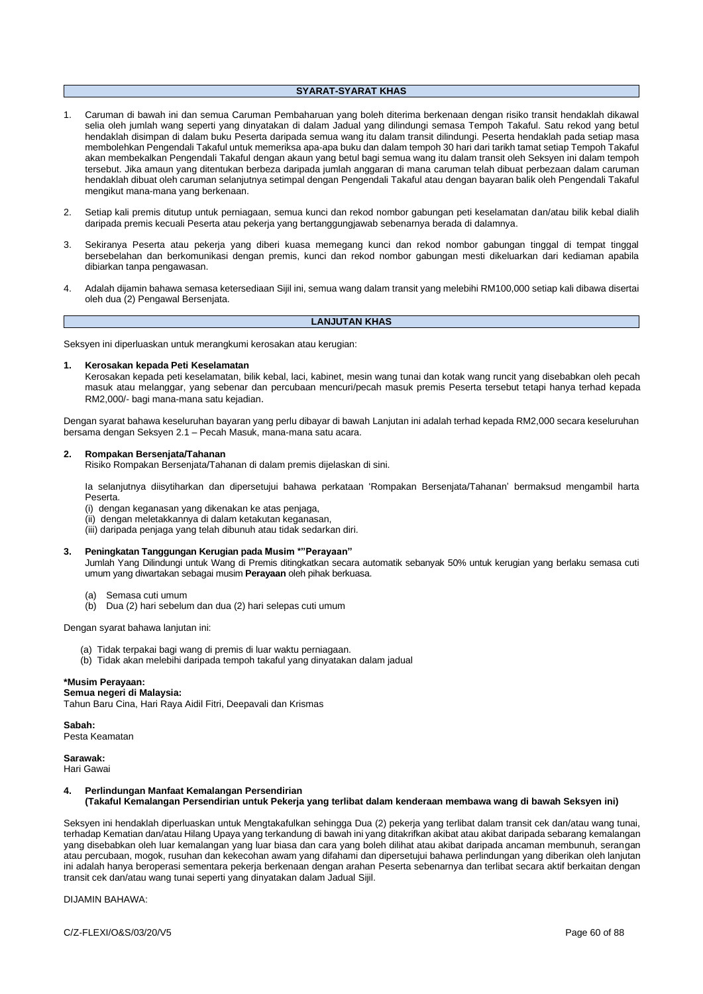# **SYARAT-SYARAT KHAS**

- 1. Caruman di bawah ini dan semua Caruman Pembaharuan yang boleh diterima berkenaan dengan risiko transit hendaklah dikawal selia oleh jumlah wang seperti yang dinyatakan di dalam Jadual yang dilindungi semasa Tempoh Takaful. Satu rekod yang betul hendaklah disimpan di dalam buku Peserta daripada semua wang itu dalam transit dilindungi. Peserta hendaklah pada setiap masa membolehkan Pengendali Takaful untuk memeriksa apa-apa buku dan dalam tempoh 30 hari dari tarikh tamat setiap Tempoh Takaful akan membekalkan Pengendali Takaful dengan akaun yang betul bagi semua wang itu dalam transit oleh Seksyen ini dalam tempoh tersebut. Jika amaun yang ditentukan berbeza daripada jumlah anggaran di mana caruman telah dibuat perbezaan dalam caruman hendaklah dibuat oleh caruman selanjutnya setimpal dengan Pengendali Takaful atau dengan bayaran balik oleh Pengendali Takaful mengikut mana-mana yang berkenaan.
- 2. Setiap kali premis ditutup untuk perniagaan, semua kunci dan rekod nombor gabungan peti keselamatan dan/atau bilik kebal dialih daripada premis kecuali Peserta atau pekerja yang bertanggungjawab sebenarnya berada di dalamnya.
- 3. Sekiranya Peserta atau pekerja yang diberi kuasa memegang kunci dan rekod nombor gabungan tinggal di tempat tinggal bersebelahan dan berkomunikasi dengan premis, kunci dan rekod nombor gabungan mesti dikeluarkan dari kediaman apabila dibiarkan tanpa pengawasan.
- 4. Adalah dijamin bahawa semasa ketersediaan Sijil ini, semua wang dalam transit yang melebihi RM100,000 setiap kali dibawa disertai oleh dua (2) Pengawal Bersenjata.

# **LANJUTAN KHAS**

Seksyen ini diperluaskan untuk merangkumi kerosakan atau kerugian:

#### **1. Kerosakan kepada Peti Keselamatan**

Kerosakan kepada peti keselamatan, bilik kebal, laci, kabinet, mesin wang tunai dan kotak wang runcit yang disebabkan oleh pecah masuk atau melanggar, yang sebenar dan percubaan mencuri/pecah masuk premis Peserta tersebut tetapi hanya terhad kepada RM2,000/- bagi mana-mana satu kejadian.

Dengan syarat bahawa keseluruhan bayaran yang perlu dibayar di bawah Lanjutan ini adalah terhad kepada RM2,000 secara keseluruhan bersama dengan Seksyen 2.1 – Pecah Masuk, mana-mana satu acara.

#### **2. Rompakan Bersenjata/Tahanan**

Risiko Rompakan Bersenjata/Tahanan di dalam premis dijelaskan di sini.

Ia selanjutnya diisytiharkan dan dipersetujui bahawa perkataan 'Rompakan Bersenjata/Tahanan' bermaksud mengambil harta Peserta.

- (i) dengan keganasan yang dikenakan ke atas penjaga,
- (ii) dengan meletakkannya di dalam ketakutan keganasan,
- (iii) daripada penjaga yang telah dibunuh atau tidak sedarkan diri.

# **3. Peningkatan Tanggungan Kerugian pada Musim \*"Perayaan"**

Jumlah Yang Dilindungi untuk Wang di Premis ditingkatkan secara automatik sebanyak 50% untuk kerugian yang berlaku semasa cuti umum yang diwartakan sebagai musim **Perayaan** oleh pihak berkuasa.

- (a) Semasa cuti umum
- (b) Dua (2) hari sebelum dan dua (2) hari selepas cuti umum

#### Dengan syarat bahawa lanjutan ini:

- (a) Tidak terpakai bagi wang di premis di luar waktu perniagaan.
- (b) Tidak akan melebihi daripada tempoh takaful yang dinyatakan dalam jadual

#### **\*Musim Perayaan:**

# **Semua negeri di Malaysia:**

Tahun Baru Cina, Hari Raya Aidil Fitri, Deepavali dan Krismas

**Sabah:**

Pesta Keamatan

**Sarawak:**

Hari Gawai

# **4. Perlindungan Manfaat Kemalangan Persendirian (Takaful Kemalangan Persendirian untuk Pekerja yang terlibat dalam kenderaan membawa wang di bawah Seksyen ini)**

Seksyen ini hendaklah diperluaskan untuk Mengtakafulkan sehingga Dua (2) pekerja yang terlibat dalam transit cek dan/atau wang tunai, terhadap Kematian dan/atau Hilang Upaya yang terkandung di bawah ini yang ditakrifkan akibat atau akibat daripada sebarang kemalangan yang disebabkan oleh luar kemalangan yang luar biasa dan cara yang boleh dilihat atau akibat daripada ancaman membunuh, serangan atau percubaan, mogok, rusuhan dan kekecohan awam yang difahami dan dipersetujui bahawa perlindungan yang diberikan oleh lanjutan ini adalah hanya beroperasi sementara pekerja berkenaan dengan arahan Peserta sebenarnya dan terlibat secara aktif berkaitan dengan transit cek dan/atau wang tunai seperti yang dinyatakan dalam Jadual Sijil.

DIJAMIN BAHAWA: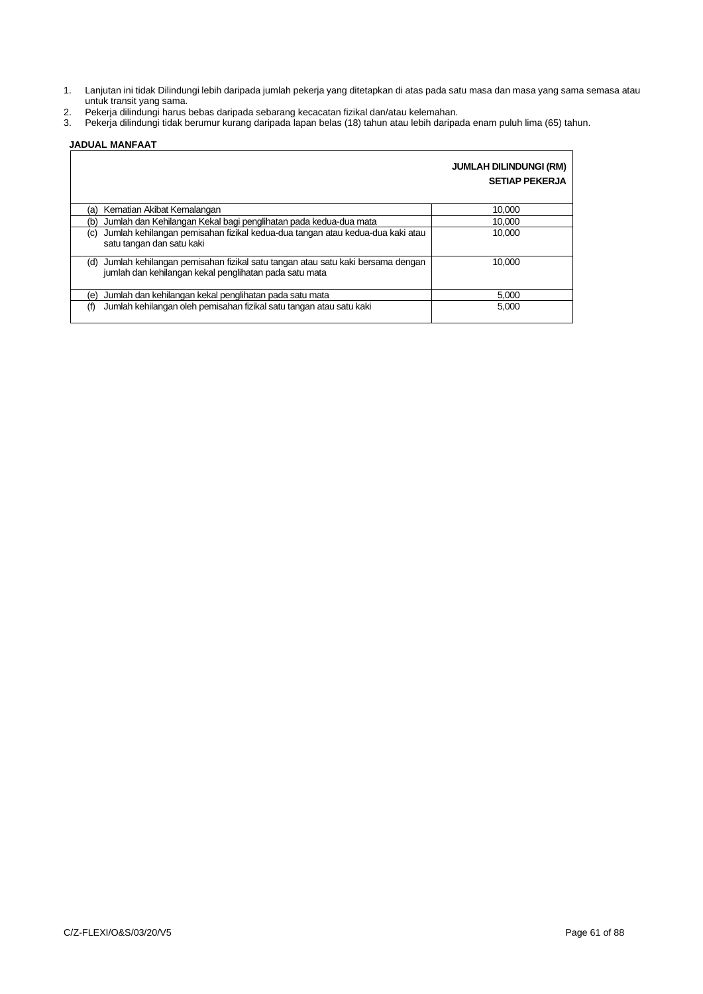- 1. Lanjutan ini tidak Dilindungi lebih daripada jumlah pekerja yang ditetapkan di atas pada satu masa dan masa yang sama semasa atau untuk transit yang sama.
- 2. Pekerja dilindungi harus bebas daripada sebarang kecacatan fizikal dan/atau kelemahan.
- 3. Pekerja dilindungi tidak berumur kurang daripada lapan belas (18) tahun atau lebih daripada enam puluh lima (65) tahun.

# **JADUAL MANFAAT**

|                                                                                                                                                | <b>JUMLAH DILINDUNGI (RM)</b><br><b>SETIAP PEKERJA</b> |
|------------------------------------------------------------------------------------------------------------------------------------------------|--------------------------------------------------------|
| Kematian Akibat Kemalangan<br>(a)                                                                                                              | 10.000                                                 |
| Jumlah dan Kehilangan Kekal bagi penglihatan pada kedua-dua mata<br>(b                                                                         | 10.000                                                 |
| Jumlah kehilangan pemisahan fizikal kedua-dua tangan atau kedua-dua kaki atau<br>(c)<br>satu tangan dan satu kaki                              | 10.000                                                 |
| Jumlah kehilangan pemisahan fizikal satu tangan atau satu kaki bersama dengan<br>(d)<br>jumlah dan kehilangan kekal penglihatan pada satu mata | 10.000                                                 |
| Jumlah dan kehilangan kekal penglihatan pada satu mata<br>(e)                                                                                  | 5,000                                                  |
| Jumlah kehilangan oleh pemisahan fizikal satu tangan atau satu kaki<br>(f)                                                                     | 5.000                                                  |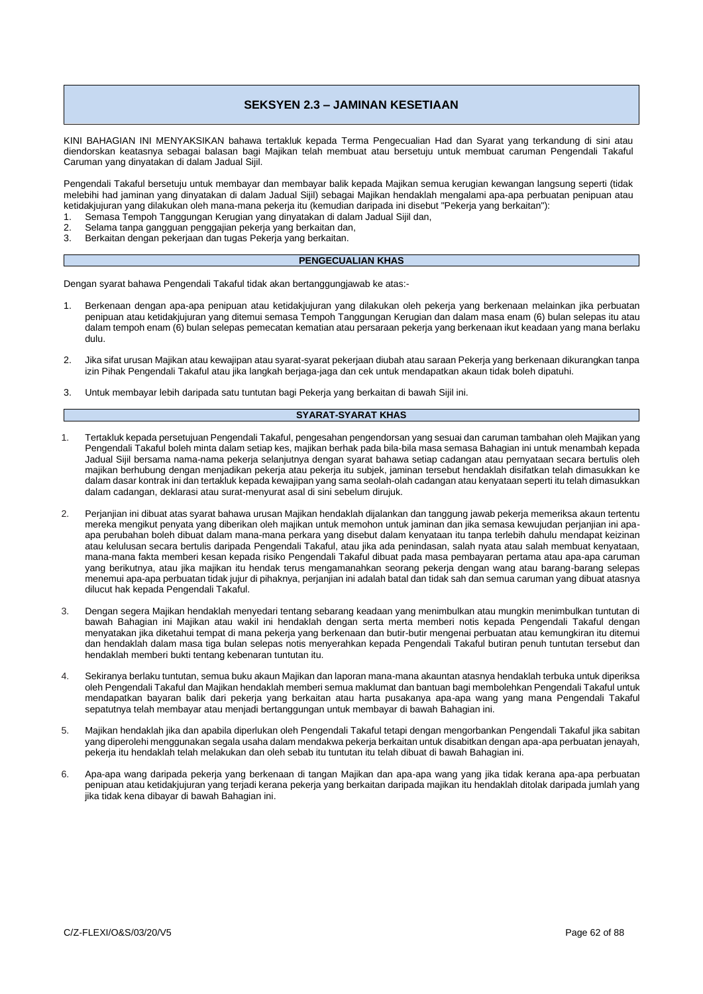# **SEKSYEN 2.3 – JAMINAN KESETIAAN**

KINI BAHAGIAN INI MENYAKSIKAN bahawa tertakluk kepada Terma Pengecualian Had dan Syarat yang terkandung di sini atau diendorskan keatasnya sebagai balasan bagi Majikan telah membuat atau bersetuju untuk membuat caruman Pengendali Takaful Caruman yang dinyatakan di dalam Jadual Sijil.

Pengendali Takaful bersetuju untuk membayar dan membayar balik kepada Majikan semua kerugian kewangan langsung seperti (tidak melebihi had jaminan yang dinyatakan di dalam Jadual Sijil) sebagai Majikan hendaklah mengalami apa-apa perbuatan penipuan atau ketidakjujuran yang dilakukan oleh mana-mana pekerja itu (kemudian daripada ini disebut "Pekerja yang berkaitan"):

- 1. Semasa Tempoh Tanggungan Kerugian yang dinyatakan di dalam Jadual Sijil dan,
- 2. Selama tanpa gangguan penggajian pekerja yang berkaitan dan,
- 3. Berkaitan dengan pekerjaan dan tugas Pekerja yang berkaitan.

# **PENGECUALIAN KHAS**

Dengan syarat bahawa Pengendali Takaful tidak akan bertanggungjawab ke atas:-

- 1. Berkenaan dengan apa-apa penipuan atau ketidakjujuran yang dilakukan oleh pekerja yang berkenaan melainkan jika perbuatan penipuan atau ketidakjujuran yang ditemui semasa Tempoh Tanggungan Kerugian dan dalam masa enam (6) bulan selepas itu atau dalam tempoh enam (6) bulan selepas pemecatan kematian atau persaraan pekerja yang berkenaan ikut keadaan yang mana berlaku dulu.
- 2. Jika sifat urusan Majikan atau kewajipan atau syarat-syarat pekerjaan diubah atau saraan Pekerja yang berkenaan dikurangkan tanpa izin Pihak Pengendali Takaful atau jika langkah berjaga-jaga dan cek untuk mendapatkan akaun tidak boleh dipatuhi.
- 3. Untuk membayar lebih daripada satu tuntutan bagi Pekerja yang berkaitan di bawah Sijil ini.

# **SYARAT-SYARAT KHAS**

- 1. Tertakluk kepada persetujuan Pengendali Takaful, pengesahan pengendorsan yang sesuai dan caruman tambahan oleh Majikan yang Pengendali Takaful boleh minta dalam setiap kes, majikan berhak pada bila-bila masa semasa Bahagian ini untuk menambah kepada Jadual Sijil bersama nama-nama pekerja selanjutnya dengan syarat bahawa setiap cadangan atau pernyataan secara bertulis oleh majikan berhubung dengan menjadikan pekerja atau pekerja itu subjek, jaminan tersebut hendaklah disifatkan telah dimasukkan ke dalam dasar kontrak ini dan tertakluk kepada kewajipan yang sama seolah-olah cadangan atau kenyataan seperti itu telah dimasukkan dalam cadangan, deklarasi atau surat-menyurat asal di sini sebelum dirujuk.
- 2. Perjanjian ini dibuat atas syarat bahawa urusan Majikan hendaklah dijalankan dan tanggung jawab pekerja memeriksa akaun tertentu mereka mengikut penyata yang diberikan oleh majikan untuk memohon untuk jaminan dan jika semasa kewujudan perjanjian ini apaapa perubahan boleh dibuat dalam mana-mana perkara yang disebut dalam kenyataan itu tanpa terlebih dahulu mendapat keizinan atau kelulusan secara bertulis daripada Pengendali Takaful, atau jika ada penindasan, salah nyata atau salah membuat kenyataan, mana-mana fakta memberi kesan kepada risiko Pengendali Takaful dibuat pada masa pembayaran pertama atau apa-apa caruman yang berikutnya, atau jika majikan itu hendak terus mengamanahkan seorang pekerja dengan wang atau barang-barang selepas menemui apa-apa perbuatan tidak jujur di pihaknya, perjanjian ini adalah batal dan tidak sah dan semua caruman yang dibuat atasnya dilucut hak kepada Pengendali Takaful.
- 3. Dengan segera Majikan hendaklah menyedari tentang sebarang keadaan yang menimbulkan atau mungkin menimbulkan tuntutan di bawah Bahagian ini Majikan atau wakil ini hendaklah dengan serta merta memberi notis kepada Pengendali Takaful dengan menyatakan jika diketahui tempat di mana pekerja yang berkenaan dan butir-butir mengenai perbuatan atau kemungkiran itu ditemui dan hendaklah dalam masa tiga bulan selepas notis menyerahkan kepada Pengendali Takaful butiran penuh tuntutan tersebut dan hendaklah memberi bukti tentang kebenaran tuntutan itu.
- 4. Sekiranya berlaku tuntutan, semua buku akaun Majikan dan laporan mana-mana akauntan atasnya hendaklah terbuka untuk diperiksa oleh Pengendali Takaful dan Majikan hendaklah memberi semua maklumat dan bantuan bagi membolehkan Pengendali Takaful untuk mendapatkan bayaran balik dari pekerja yang berkaitan atau harta pusakanya apa-apa wang yang mana Pengendali Takaful sepatutnya telah membayar atau menjadi bertanggungan untuk membayar di bawah Bahagian ini.
- 5. Majikan hendaklah jika dan apabila diperlukan oleh Pengendali Takaful tetapi dengan mengorbankan Pengendali Takaful jika sabitan yang diperolehi menggunakan segala usaha dalam mendakwa pekerja berkaitan untuk disabitkan dengan apa-apa perbuatan jenayah, pekerja itu hendaklah telah melakukan dan oleh sebab itu tuntutan itu telah dibuat di bawah Bahagian ini.
- 6. Apa-apa wang daripada pekerja yang berkenaan di tangan Majikan dan apa-apa wang yang jika tidak kerana apa-apa perbuatan penipuan atau ketidakjujuran yang terjadi kerana pekerja yang berkaitan daripada majikan itu hendaklah ditolak daripada jumlah yang jika tidak kena dibayar di bawah Bahagian ini.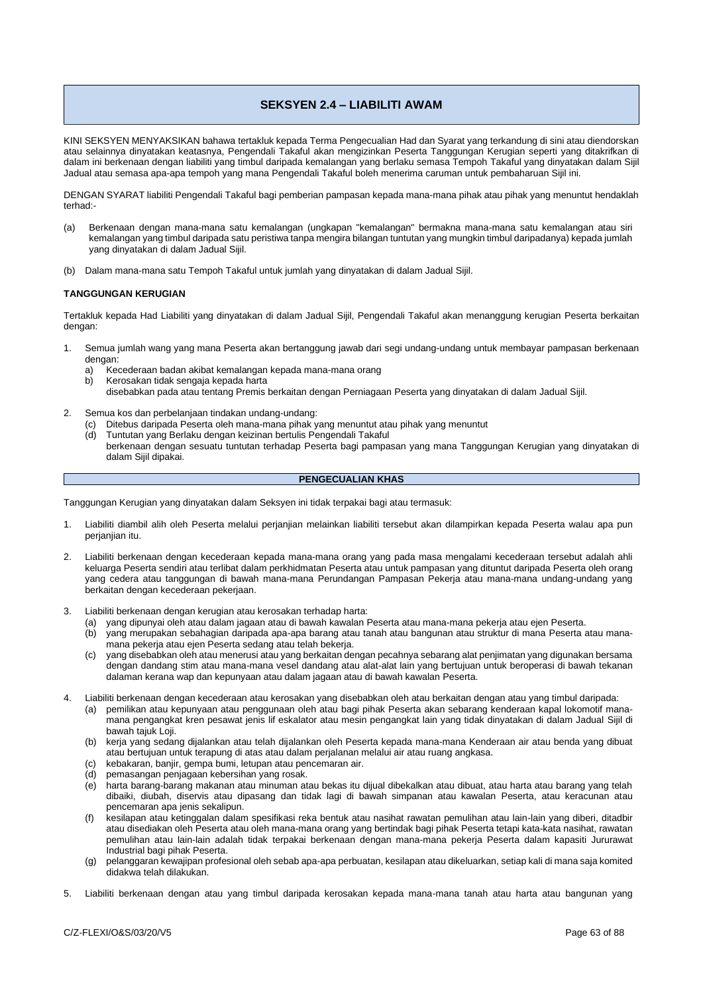# **SEKSYEN 2.4 – LIABILITI AWAM**

KINI SEKSYEN MENYAKSIKAN bahawa tertakluk kepada Terma Pengecualian Had dan Syarat yang terkandung di sini atau diendorskan atau selainnya dinyatakan keatasnya, Pengendali Takaful akan mengizinkan Peserta Tanggungan Kerugian seperti yang ditakrifkan di dalam ini berkenaan dengan liabiliti yang timbul daripada kemalangan yang berlaku semasa Tempoh Takaful yang dinyatakan dalam Sijil Jadual atau semasa apa-apa tempoh yang mana Pengendali Takaful boleh menerima caruman untuk pembaharuan Sijil ini.

DENGAN SYARAT liabiliti Pengendali Takaful bagi pemberian pampasan kepada mana-mana pihak atau pihak yang menuntut hendaklah terhad:-

- (a) Berkenaan dengan mana-mana satu kemalangan (ungkapan "kemalangan" bermakna mana-mana satu kemalangan atau siri kemalangan yang timbul daripada satu peristiwa tanpa mengira bilangan tuntutan yang mungkin timbul daripadanya) kepada jumlah yang dinyatakan di dalam Jadual Sijil.
- (b) Dalam mana-mana satu Tempoh Takaful untuk jumlah yang dinyatakan di dalam Jadual Sijil.

# **TANGGUNGAN KERUGIAN**

Tertakluk kepada Had Liabiliti yang dinyatakan di dalam Jadual Sijil, Pengendali Takaful akan menanggung kerugian Peserta berkaitan dengan:

- 1. Semua jumlah wang yang mana Peserta akan bertanggung jawab dari segi undang-undang untuk membayar pampasan berkenaan dengan:
	- a) Kecederaan badan akibat kemalangan kepada mana-mana orang
	- Kerosakan tidak sengaja kepada harta
		- disebabkan pada atau tentang Premis berkaitan dengan Perniagaan Peserta yang dinyatakan di dalam Jadual Sijil.
- 2. Semua kos dan perbelanjaan tindakan undang-undang:
	- (c) Ditebus daripada Peserta oleh mana-mana pihak yang menuntut atau pihak yang menuntut (d) Tuntutan yang Berlaku dengan keizinan bertulis Pengendali Takaful berkenaan dengan sesuatu tuntutan terhadap Peserta bagi pampasan yang mana Tanggungan Kerugian yang dinyatakan di
		- dalam Sijil dipakai.

# **PENGECUALIAN KHAS**

Tanggungan Kerugian yang dinyatakan dalam Seksyen ini tidak terpakai bagi atau termasuk:

- 1. Liabiliti diambil alih oleh Peserta melalui perjanjian melainkan liabiliti tersebut akan dilampirkan kepada Peserta walau apa pun perjanjian itu.
- 2. Liabiliti berkenaan dengan kecederaan kepada mana-mana orang yang pada masa mengalami kecederaan tersebut adalah ahli keluarga Peserta sendiri atau terlibat dalam perkhidmatan Peserta atau untuk pampasan yang dituntut daripada Peserta oleh orang yang cedera atau tanggungan di bawah mana-mana Perundangan Pampasan Pekerja atau mana-mana undang-undang yang berkaitan dengan kecederaan pekerjaan.
- 3. Liabiliti berkenaan dengan kerugian atau kerosakan terhadap harta:
	- (a) yang dipunyai oleh atau dalam jagaan atau di bawah kawalan Peserta atau mana-mana pekerja atau ejen Peserta.
	- (b) yang merupakan sebahagian daripada apa-apa barang atau tanah atau bangunan atau struktur di mana Peserta atau manamana pekerja atau ejen Peserta sedang atau telah bekerja.
	- (c) yang disebabkan oleh atau menerusi atau yang berkaitan dengan pecahnya sebarang alat penjimatan yang digunakan bersama dengan dandang stim atau mana-mana vesel dandang atau alat-alat lain yang bertujuan untuk beroperasi di bawah tekanan dalaman kerana wap dan kepunyaan atau dalam jagaan atau di bawah kawalan Peserta.
- 4. Liabiliti berkenaan dengan kecederaan atau kerosakan yang disebabkan oleh atau berkaitan dengan atau yang timbul daripada:
	- (a) pemilikan atau kepunyaan atau penggunaan oleh atau bagi pihak Peserta akan sebarang kenderaan kapal lokomotif manamana pengangkat kren pesawat jenis lif eskalator atau mesin pengangkat lain yang tidak dinyatakan di dalam Jadual Sijil di bawah tajuk Loji.
	- (b) kerja yang sedang dijalankan atau telah dijalankan oleh Peserta kepada mana-mana Kenderaan air atau benda yang dibuat atau bertujuan untuk terapung di atas atau dalam perjalanan melalui air atau ruang angkasa.
	- (c) kebakaran, banjir, gempa bumi, letupan atau pencemaran air.
	- (d) pemasangan penjagaan kebersihan yang rosak.
	- (e) harta barang-barang makanan atau minuman atau bekas itu dijual dibekalkan atau dibuat, atau harta atau barang yang telah dibaiki, diubah, diservis atau dipasang dan tidak lagi di bawah simpanan atau kawalan Peserta, atau keracunan atau pencemaran apa jenis sekalipun.
	- (f) kesilapan atau ketinggalan dalam spesifikasi reka bentuk atau nasihat rawatan pemulihan atau lain-lain yang diberi, ditadbir atau disediakan oleh Peserta atau oleh mana-mana orang yang bertindak bagi pihak Peserta tetapi kata-kata nasihat, rawatan pemulihan atau lain-lain adalah tidak terpakai berkenaan dengan mana-mana pekerja Peserta dalam kapasiti Jururawat Industrial bagi pihak Peserta.
	- (g) pelanggaran kewajipan profesional oleh sebab apa-apa perbuatan, kesilapan atau dikeluarkan, setiap kali di mana saja komited didakwa telah dilakukan.
- 5. Liabiliti berkenaan dengan atau yang timbul daripada kerosakan kepada mana-mana tanah atau harta atau bangunan yang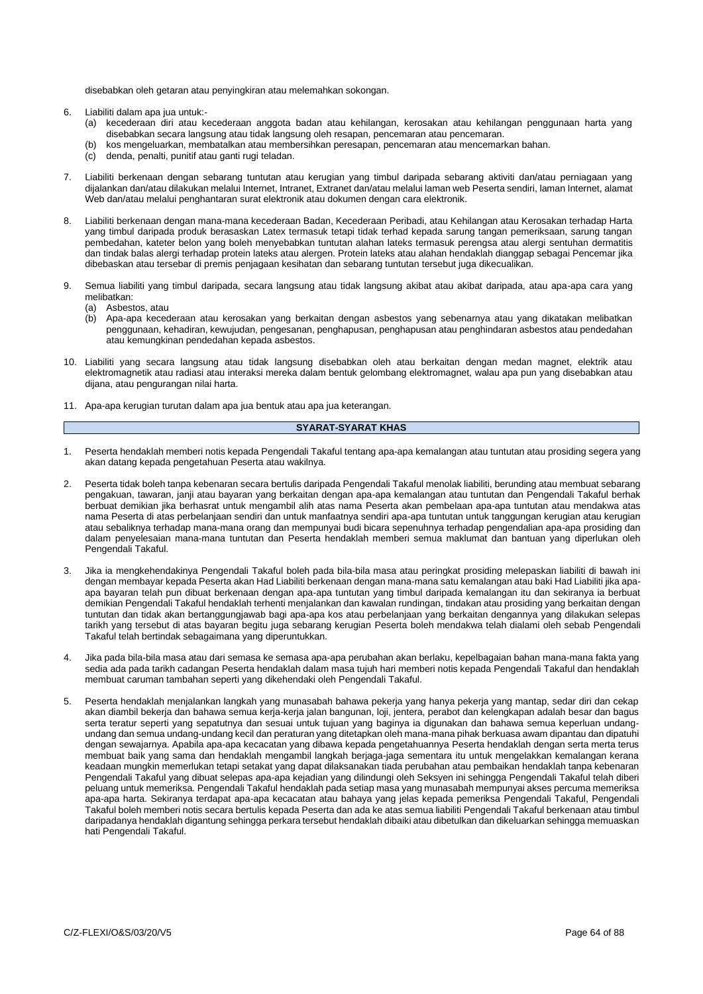disebabkan oleh getaran atau penyingkiran atau melemahkan sokongan.

- 6. Liabiliti dalam apa jua untuk:-
	- (a) kecederaan diri atau kecederaan anggota badan atau kehilangan, kerosakan atau kehilangan penggunaan harta yang disebabkan secara langsung atau tidak langsung oleh resapan, pencemaran atau pencemaran.
	- (b) kos mengeluarkan, membatalkan atau membersihkan peresapan, pencemaran atau mencemarkan bahan.
	- denda, penalti, punitif atau ganti rugi teladan.
- 7. Liabiliti berkenaan dengan sebarang tuntutan atau kerugian yang timbul daripada sebarang aktiviti dan/atau perniagaan yang dijalankan dan/atau dilakukan melalui Internet, Intranet, Extranet dan/atau melalui laman web Peserta sendiri, laman Internet, alamat Web dan/atau melalui penghantaran surat elektronik atau dokumen dengan cara elektronik.
- 8. Liabiliti berkenaan dengan mana-mana kecederaan Badan, Kecederaan Peribadi, atau Kehilangan atau Kerosakan terhadap Harta yang timbul daripada produk berasaskan Latex termasuk tetapi tidak terhad kepada sarung tangan pemeriksaan, sarung tangan pembedahan, kateter belon yang boleh menyebabkan tuntutan alahan lateks termasuk perengsa atau alergi sentuhan dermatitis dan tindak balas alergi terhadap protein lateks atau alergen. Protein lateks atau alahan hendaklah dianggap sebagai Pencemar jika dibebaskan atau tersebar di premis penjagaan kesihatan dan sebarang tuntutan tersebut juga dikecualikan.
- 9. Semua liabiliti yang timbul daripada, secara langsung atau tidak langsung akibat atau akibat daripada, atau apa-apa cara yang melibatkan:<br>(a) Asbes
	- (a) Asbestos, atau<br>(b) Apa-apa keceo
	- (b) Apa-apa kecederaan atau kerosakan yang berkaitan dengan asbestos yang sebenarnya atau yang dikatakan melibatkan penggunaan, kehadiran, kewujudan, pengesanan, penghapusan, penghapusan atau penghindaran asbestos atau pendedahan atau kemungkinan pendedahan kepada asbestos.
- 10. Liabiliti yang secara langsung atau tidak langsung disebabkan oleh atau berkaitan dengan medan magnet, elektrik atau elektromagnetik atau radiasi atau interaksi mereka dalam bentuk gelombang elektromagnet, walau apa pun yang disebabkan atau dijana, atau pengurangan nilai harta.
- 11. Apa-apa kerugian turutan dalam apa jua bentuk atau apa jua keterangan.

#### **SYARAT-SYARAT KHAS**

- 1. Peserta hendaklah memberi notis kepada Pengendali Takaful tentang apa-apa kemalangan atau tuntutan atau prosiding segera yang akan datang kepada pengetahuan Peserta atau wakilnya.
- 2. Peserta tidak boleh tanpa kebenaran secara bertulis daripada Pengendali Takaful menolak liabiliti, berunding atau membuat sebarang pengakuan, tawaran, janji atau bayaran yang berkaitan dengan apa-apa kemalangan atau tuntutan dan Pengendali Takaful berhak berbuat demikian jika berhasrat untuk mengambil alih atas nama Peserta akan pembelaan apa-apa tuntutan atau mendakwa atas nama Peserta di atas perbelanjaan sendiri dan untuk manfaatnya sendiri apa-apa tuntutan untuk tanggungan kerugian atau kerugian atau sebaliknya terhadap mana-mana orang dan mempunyai budi bicara sepenuhnya terhadap pengendalian apa-apa prosiding dan dalam penyelesaian mana-mana tuntutan dan Peserta hendaklah memberi semua maklumat dan bantuan yang diperlukan oleh Pengendali Takaful.
- 3. Jika ia mengkehendakinya Pengendali Takaful boleh pada bila-bila masa atau peringkat prosiding melepaskan liabiliti di bawah ini dengan membayar kepada Peserta akan Had Liabiliti berkenaan dengan mana-mana satu kemalangan atau baki Had Liabiliti jika apaapa bayaran telah pun dibuat berkenaan dengan apa-apa tuntutan yang timbul daripada kemalangan itu dan sekiranya ia berbuat demikian Pengendali Takaful hendaklah terhenti menjalankan dan kawalan rundingan, tindakan atau prosiding yang berkaitan dengan tuntutan dan tidak akan bertanggungjawab bagi apa-apa kos atau perbelanjaan yang berkaitan dengannya yang dilakukan selepas tarikh yang tersebut di atas bayaran begitu juga sebarang kerugian Peserta boleh mendakwa telah dialami oleh sebab Pengendali Takaful telah bertindak sebagaimana yang diperuntukkan.
- 4. Jika pada bila-bila masa atau dari semasa ke semasa apa-apa perubahan akan berlaku, kepelbagaian bahan mana-mana fakta yang sedia ada pada tarikh cadangan Peserta hendaklah dalam masa tujuh hari memberi notis kepada Pengendali Takaful dan hendaklah membuat caruman tambahan seperti yang dikehendaki oleh Pengendali Takaful.
- 5. Peserta hendaklah menjalankan langkah yang munasabah bahawa pekerja yang hanya pekerja yang mantap, sedar diri dan cekap akan diambil bekerja dan bahawa semua kerja-kerja jalan bangunan, loji, jentera, perabot dan kelengkapan adalah besar dan bagus serta teratur seperti yang sepatutnya dan sesuai untuk tujuan yang baginya ia digunakan dan bahawa semua keperluan undangundang dan semua undang-undang kecil dan peraturan yang ditetapkan oleh mana-mana pihak berkuasa awam dipantau dan dipatuhi dengan sewajarnya. Apabila apa-apa kecacatan yang dibawa kepada pengetahuannya Peserta hendaklah dengan serta merta terus membuat baik yang sama dan hendaklah mengambil langkah berjaga-jaga sementara itu untuk mengelakkan kemalangan kerana keadaan mungkin memerlukan tetapi setakat yang dapat dilaksanakan tiada perubahan atau pembaikan hendaklah tanpa kebenaran Pengendali Takaful yang dibuat selepas apa-apa kejadian yang dilindungi oleh Seksyen ini sehingga Pengendali Takaful telah diberi peluang untuk memeriksa. Pengendali Takaful hendaklah pada setiap masa yang munasabah mempunyai akses percuma memeriksa apa-apa harta. Sekiranya terdapat apa-apa kecacatan atau bahaya yang jelas kepada pemeriksa Pengendali Takaful, Pengendali Takaful boleh memberi notis secara bertulis kepada Peserta dan ada ke atas semua liabiliti Pengendali Takaful berkenaan atau timbul daripadanya hendaklah digantung sehingga perkara tersebut hendaklah dibaiki atau dibetulkan dan dikeluarkan sehingga memuaskan hati Pengendali Takaful.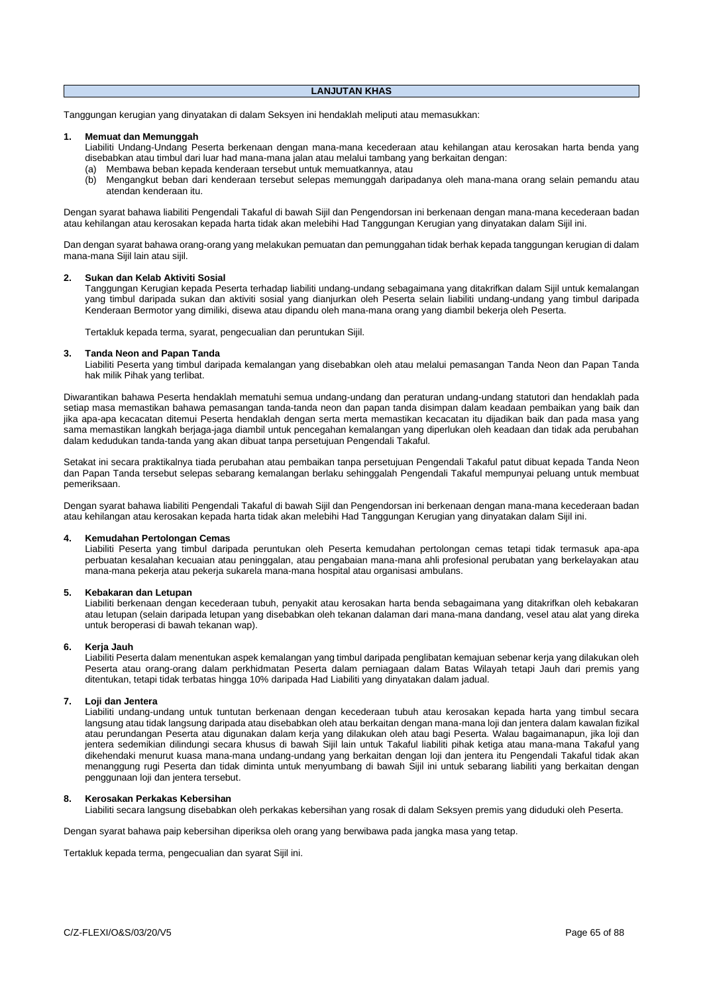# **LANJUTAN KHAS**

Tanggungan kerugian yang dinyatakan di dalam Seksyen ini hendaklah meliputi atau memasukkan:

# **1. Memuat dan Memunggah**

Liabiliti Undang-Undang Peserta berkenaan dengan mana-mana kecederaan atau kehilangan atau kerosakan harta benda yang disebabkan atau timbul dari luar had mana-mana jalan atau melalui tambang yang berkaitan dengan:

- (a) Membawa beban kepada kenderaan tersebut untuk memuatkannya, atau
- (b) Mengangkut beban dari kenderaan tersebut selepas memunggah daripadanya oleh mana-mana orang selain pemandu atau atendan kenderaan itu.

Dengan syarat bahawa liabiliti Pengendali Takaful di bawah Sijil dan Pengendorsan ini berkenaan dengan mana-mana kecederaan badan atau kehilangan atau kerosakan kepada harta tidak akan melebihi Had Tanggungan Kerugian yang dinyatakan dalam Sijil ini.

Dan dengan syarat bahawa orang-orang yang melakukan pemuatan dan pemunggahan tidak berhak kepada tanggungan kerugian di dalam mana-mana Sijil lain atau sijil.

# **2. Sukan dan Kelab Aktiviti Sosial**

Tanggungan Kerugian kepada Peserta terhadap liabiliti undang-undang sebagaimana yang ditakrifkan dalam Sijil untuk kemalangan yang timbul daripada sukan dan aktiviti sosial yang dianjurkan oleh Peserta selain liabiliti undang-undang yang timbul daripada Kenderaan Bermotor yang dimiliki, disewa atau dipandu oleh mana-mana orang yang diambil bekerja oleh Peserta.

Tertakluk kepada terma, syarat, pengecualian dan peruntukan Sijil.

#### **3. Tanda Neon and Papan Tanda**

Liabiliti Peserta yang timbul daripada kemalangan yang disebabkan oleh atau melalui pemasangan Tanda Neon dan Papan Tanda hak milik Pihak yang terlibat.

Diwarantikan bahawa Peserta hendaklah mematuhi semua undang-undang dan peraturan undang-undang statutori dan hendaklah pada setiap masa memastikan bahawa pemasangan tanda-tanda neon dan papan tanda disimpan dalam keadaan pembaikan yang baik dan jika apa-apa kecacatan ditemui Peserta hendaklah dengan serta merta memastikan kecacatan itu dijadikan baik dan pada masa yang sama memastikan langkah berjaga-jaga diambil untuk pencegahan kemalangan yang diperlukan oleh keadaan dan tidak ada perubahan dalam kedudukan tanda-tanda yang akan dibuat tanpa persetujuan Pengendali Takaful.

Setakat ini secara praktikalnya tiada perubahan atau pembaikan tanpa persetujuan Pengendali Takaful patut dibuat kepada Tanda Neon dan Papan Tanda tersebut selepas sebarang kemalangan berlaku sehinggalah Pengendali Takaful mempunyai peluang untuk membuat pemeriksaan.

Dengan syarat bahawa liabiliti Pengendali Takaful di bawah Sijil dan Pengendorsan ini berkenaan dengan mana-mana kecederaan badan atau kehilangan atau kerosakan kepada harta tidak akan melebihi Had Tanggungan Kerugian yang dinyatakan dalam Sijil ini.

# **4. Kemudahan Pertolongan Cemas**

Liabiliti Peserta yang timbul daripada peruntukan oleh Peserta kemudahan pertolongan cemas tetapi tidak termasuk apa-apa perbuatan kesalahan kecuaian atau peninggalan, atau pengabaian mana-mana ahli profesional perubatan yang berkelayakan atau mana-mana pekerja atau pekerja sukarela mana-mana hospital atau organisasi ambulans.

# **5. Kebakaran dan Letupan**

Liabiliti berkenaan dengan kecederaan tubuh, penyakit atau kerosakan harta benda sebagaimana yang ditakrifkan oleh kebakaran atau letupan (selain daripada letupan yang disebabkan oleh tekanan dalaman dari mana-mana dandang, vesel atau alat yang direka untuk beroperasi di bawah tekanan wap).

#### **6. Kerja Jauh**

Liabiliti Peserta dalam menentukan aspek kemalangan yang timbul daripada penglibatan kemajuan sebenar kerja yang dilakukan oleh Peserta atau orang-orang dalam perkhidmatan Peserta dalam perniagaan dalam Batas Wilayah tetapi Jauh dari premis yang ditentukan, tetapi tidak terbatas hingga 10% daripada Had Liabiliti yang dinyatakan dalam jadual.

# **7. Loji dan Jentera**

Liabiliti undang-undang untuk tuntutan berkenaan dengan kecederaan tubuh atau kerosakan kepada harta yang timbul secara langsung atau tidak langsung daripada atau disebabkan oleh atau berkaitan dengan mana-mana loji dan jentera dalam kawalan fizikal atau perundangan Peserta atau digunakan dalam kerja yang dilakukan oleh atau bagi Peserta. Walau bagaimanapun, jika loji dan jentera sedemikian dilindungi secara khusus di bawah Sijil lain untuk Takaful liabiliti pihak ketiga atau mana-mana Takaful yang dikehendaki menurut kuasa mana-mana undang-undang yang berkaitan dengan loji dan jentera itu Pengendali Takaful tidak akan menanggung rugi Peserta dan tidak diminta untuk menyumbang di bawah Sijil ini untuk sebarang liabiliti yang berkaitan dengan penggunaan loji dan jentera tersebut.

#### **8. Kerosakan Perkakas Kebersihan**

Liabiliti secara langsung disebabkan oleh perkakas kebersihan yang rosak di dalam Seksyen premis yang diduduki oleh Peserta.

Dengan syarat bahawa paip kebersihan diperiksa oleh orang yang berwibawa pada jangka masa yang tetap.

Tertakluk kepada terma, pengecualian dan syarat Sijil ini.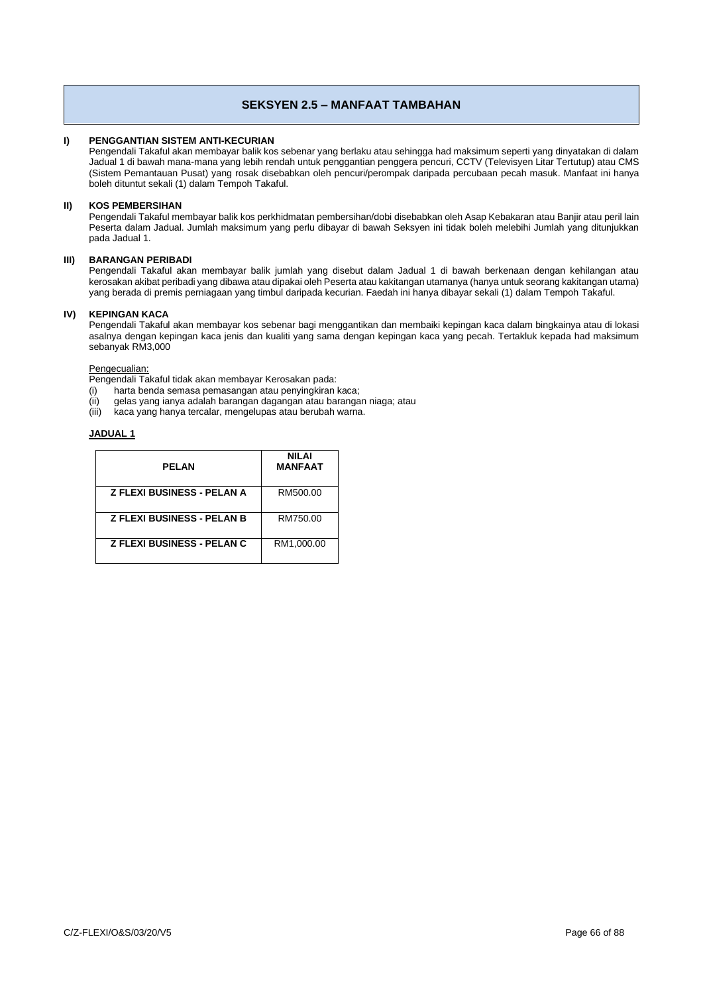# **SEKSYEN 2.5 – MANFAAT TAMBAHAN**

# **I) PENGGANTIAN SISTEM ANTI-KECURIAN**

Pengendali Takaful akan membayar balik kos sebenar yang berlaku atau sehingga had maksimum seperti yang dinyatakan di dalam Jadual 1 di bawah mana-mana yang lebih rendah untuk penggantian penggera pencuri, CCTV (Televisyen Litar Tertutup) atau CMS (Sistem Pemantauan Pusat) yang rosak disebabkan oleh pencuri/perompak daripada percubaan pecah masuk. Manfaat ini hanya boleh dituntut sekali (1) dalam Tempoh Takaful.

# **II) KOS PEMBERSIHAN**

Pengendali Takaful membayar balik kos perkhidmatan pembersihan/dobi disebabkan oleh Asap Kebakaran atau Banjir atau peril lain Peserta dalam Jadual. Jumlah maksimum yang perlu dibayar di bawah Seksyen ini tidak boleh melebihi Jumlah yang ditunjukkan pada Jadual 1.

# **III) BARANGAN PERIBADI**

Pengendali Takaful akan membayar balik jumlah yang disebut dalam Jadual 1 di bawah berkenaan dengan kehilangan atau kerosakan akibat peribadi yang dibawa atau dipakai oleh Peserta atau kakitangan utamanya (hanya untuk seorang kakitangan utama) yang berada di premis perniagaan yang timbul daripada kecurian. Faedah ini hanya dibayar sekali (1) dalam Tempoh Takaful.

# **IV) KEPINGAN KACA**

Pengendali Takaful akan membayar kos sebenar bagi menggantikan dan membaiki kepingan kaca dalam bingkainya atau di lokasi asalnya dengan kepingan kaca jenis dan kualiti yang sama dengan kepingan kaca yang pecah. Tertakluk kepada had maksimum sebanyak RM3,000

### Pengecualian:

Pengendali Takaful tidak akan membayar Kerosakan pada:

- 
- (i) harta benda semasa pemasangan atau penyingkiran kaca; (ii) gelas yang ianya adalah barangan dagangan atau barangan niaga; atau<br>(iii) kaca yang hanya tercalar, mengelupas atau berubah warna.
- kaca yang hanya tercalar, mengelupas atau berubah warna.

# **JADUAL 1**

| <b>PELAN</b>                      | <b>NILAI</b><br><b>MANFAAT</b> |
|-----------------------------------|--------------------------------|
| <b>Z FLEXI BUSINESS - PELAN A</b> | RM500.00                       |
| <b>Z FLEXI BUSINESS - PELAN B</b> | RM750.00                       |
| <b>Z FLEXI BUSINESS - PELAN C</b> | RM1.000.00                     |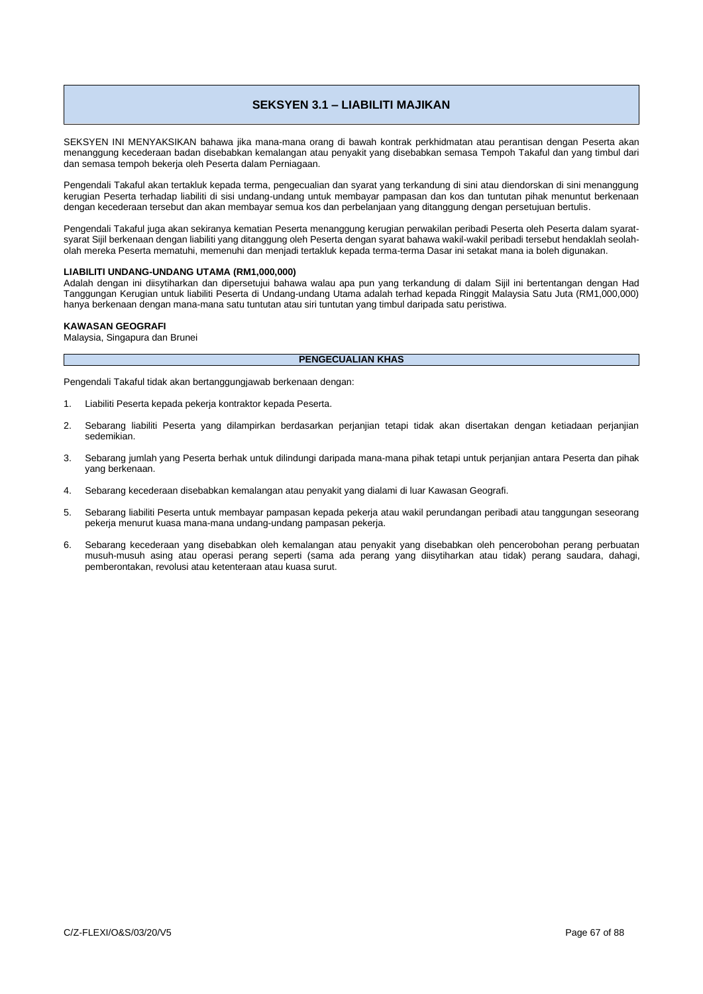# **SEKSYEN 3.1 – LIABILITI MAJIKAN**

SEKSYEN INI MENYAKSIKAN bahawa jika mana-mana orang di bawah kontrak perkhidmatan atau perantisan dengan Peserta akan menanggung kecederaan badan disebabkan kemalangan atau penyakit yang disebabkan semasa Tempoh Takaful dan yang timbul dari dan semasa tempoh bekerja oleh Peserta dalam Perniagaan.

Pengendali Takaful akan tertakluk kepada terma, pengecualian dan syarat yang terkandung di sini atau diendorskan di sini menanggung kerugian Peserta terhadap liabiliti di sisi undang-undang untuk membayar pampasan dan kos dan tuntutan pihak menuntut berkenaan dengan kecederaan tersebut dan akan membayar semua kos dan perbelanjaan yang ditanggung dengan persetujuan bertulis.

Pengendali Takaful juga akan sekiranya kematian Peserta menanggung kerugian perwakilan peribadi Peserta oleh Peserta dalam syaratsyarat Sijil berkenaan dengan liabiliti yang ditanggung oleh Peserta dengan syarat bahawa wakil-wakil peribadi tersebut hendaklah seolaholah mereka Peserta mematuhi, memenuhi dan menjadi tertakluk kepada terma-terma Dasar ini setakat mana ia boleh digunakan.

# **LIABILITI UNDANG-UNDANG UTAMA (RM1,000,000)**

Adalah dengan ini diisytiharkan dan dipersetujui bahawa walau apa pun yang terkandung di dalam Sijil ini bertentangan dengan Had Tanggungan Kerugian untuk liabiliti Peserta di Undang-undang Utama adalah terhad kepada Ringgit Malaysia Satu Juta (RM1,000,000) hanya berkenaan dengan mana-mana satu tuntutan atau siri tuntutan yang timbul daripada satu peristiwa.

# **KAWASAN GEOGRAFI**

Malaysia, Singapura dan Brunei

# **PENGECUALIAN KHAS**

Pengendali Takaful tidak akan bertanggungjawab berkenaan dengan:

- 1. Liabiliti Peserta kepada pekerja kontraktor kepada Peserta.
- 2. Sebarang liabiliti Peserta yang dilampirkan berdasarkan perjanjian tetapi tidak akan disertakan dengan ketiadaan perjanjian sedemikian.
- 3. Sebarang jumlah yang Peserta berhak untuk dilindungi daripada mana-mana pihak tetapi untuk perjanjian antara Peserta dan pihak yang berkenaan.
- 4. Sebarang kecederaan disebabkan kemalangan atau penyakit yang dialami di luar Kawasan Geografi.
- 5. Sebarang liabiliti Peserta untuk membayar pampasan kepada pekerja atau wakil perundangan peribadi atau tanggungan seseorang pekerja menurut kuasa mana-mana undang-undang pampasan pekerja.
- 6. Sebarang kecederaan yang disebabkan oleh kemalangan atau penyakit yang disebabkan oleh pencerobohan perang perbuatan musuh-musuh asing atau operasi perang seperti (sama ada perang yang diisytiharkan atau tidak) perang saudara, dahagi, pemberontakan, revolusi atau ketenteraan atau kuasa surut.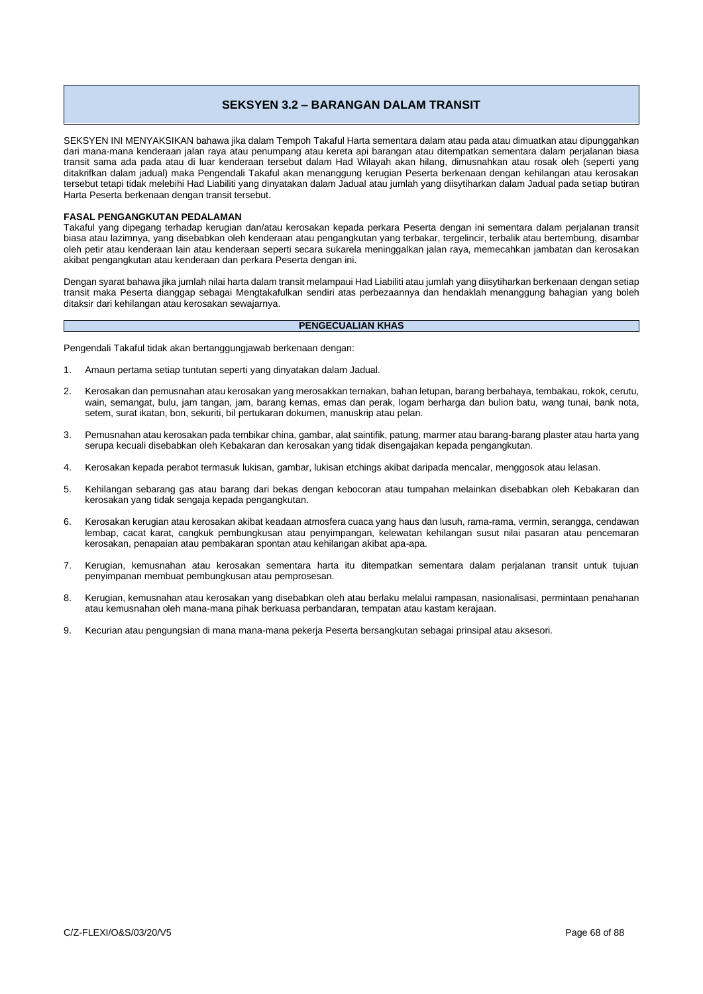# **SEKSYEN 3.2 – BARANGAN DALAM TRANSIT**

SEKSYEN INI MENYAKSIKAN bahawa jika dalam Tempoh Takaful Harta sementara dalam atau pada atau dimuatkan atau dipunggahkan dari mana-mana kenderaan jalan raya atau penumpang atau kereta api barangan atau ditempatkan sementara dalam perjalanan biasa transit sama ada pada atau di luar kenderaan tersebut dalam Had Wilayah akan hilang, dimusnahkan atau rosak oleh (seperti yang ditakrifkan dalam jadual) maka Pengendali Takaful akan menanggung kerugian Peserta berkenaan dengan kehilangan atau kerosakan tersebut tetapi tidak melebihi Had Liabiliti yang dinyatakan dalam Jadual atau jumlah yang diisytiharkan dalam Jadual pada setiap butiran Harta Peserta berkenaan dengan transit tersebut.

# **FASAL PENGANGKUTAN PEDALAMAN**

Takaful yang dipegang terhadap kerugian dan/atau kerosakan kepada perkara Peserta dengan ini sementara dalam perjalanan transit biasa atau lazimnya, yang disebabkan oleh kenderaan atau pengangkutan yang terbakar, tergelincir, terbalik atau bertembung, disambar oleh petir atau kenderaan lain atau kenderaan seperti secara sukarela meninggalkan jalan raya, memecahkan jambatan dan kerosakan akibat pengangkutan atau kenderaan dan perkara Peserta dengan ini.

Dengan syarat bahawa jika jumlah nilai harta dalam transit melampaui Had Liabiliti atau jumlah yang diisytiharkan berkenaan dengan setiap transit maka Peserta dianggap sebagai Mengtakafulkan sendiri atas perbezaannya dan hendaklah menanggung bahagian yang boleh ditaksir dari kehilangan atau kerosakan sewajarnya.

# **PENGECUALIAN KHAS**

Pengendali Takaful tidak akan bertanggungjawab berkenaan dengan:

- 1. Amaun pertama setiap tuntutan seperti yang dinyatakan dalam Jadual.
- 2. Kerosakan dan pemusnahan atau kerosakan yang merosakkan ternakan, bahan letupan, barang berbahaya, tembakau, rokok, cerutu, wain, semangat, bulu, jam tangan, jam, barang kemas, emas dan perak, logam berharga dan bulion batu, wang tunai, bank nota, setem, surat ikatan, bon, sekuriti, bil pertukaran dokumen, manuskrip atau pelan.
- 3. Pemusnahan atau kerosakan pada tembikar china, gambar, alat saintifik, patung, marmer atau barang-barang plaster atau harta yang serupa kecuali disebabkan oleh Kebakaran dan kerosakan yang tidak disengajakan kepada pengangkutan.
- 4. Kerosakan kepada perabot termasuk lukisan, gambar, lukisan etchings akibat daripada mencalar, menggosok atau lelasan.
- 5. Kehilangan sebarang gas atau barang dari bekas dengan kebocoran atau tumpahan melainkan disebabkan oleh Kebakaran dan kerosakan yang tidak sengaja kepada pengangkutan.
- 6. Kerosakan kerugian atau kerosakan akibat keadaan atmosfera cuaca yang haus dan lusuh, rama-rama, vermin, serangga, cendawan lembap, cacat karat, cangkuk pembungkusan atau penyimpangan, kelewatan kehilangan susut nilai pasaran atau pencemaran kerosakan, penapaian atau pembakaran spontan atau kehilangan akibat apa-apa.
- 7. Kerugian, kemusnahan atau kerosakan sementara harta itu ditempatkan sementara dalam perjalanan transit untuk tujuan penyimpanan membuat pembungkusan atau pemprosesan.
- 8. Kerugian, kemusnahan atau kerosakan yang disebabkan oleh atau berlaku melalui rampasan, nasionalisasi, permintaan penahanan atau kemusnahan oleh mana-mana pihak berkuasa perbandaran, tempatan atau kastam kerajaan.
- 9. Kecurian atau pengungsian di mana mana-mana pekerja Peserta bersangkutan sebagai prinsipal atau aksesori.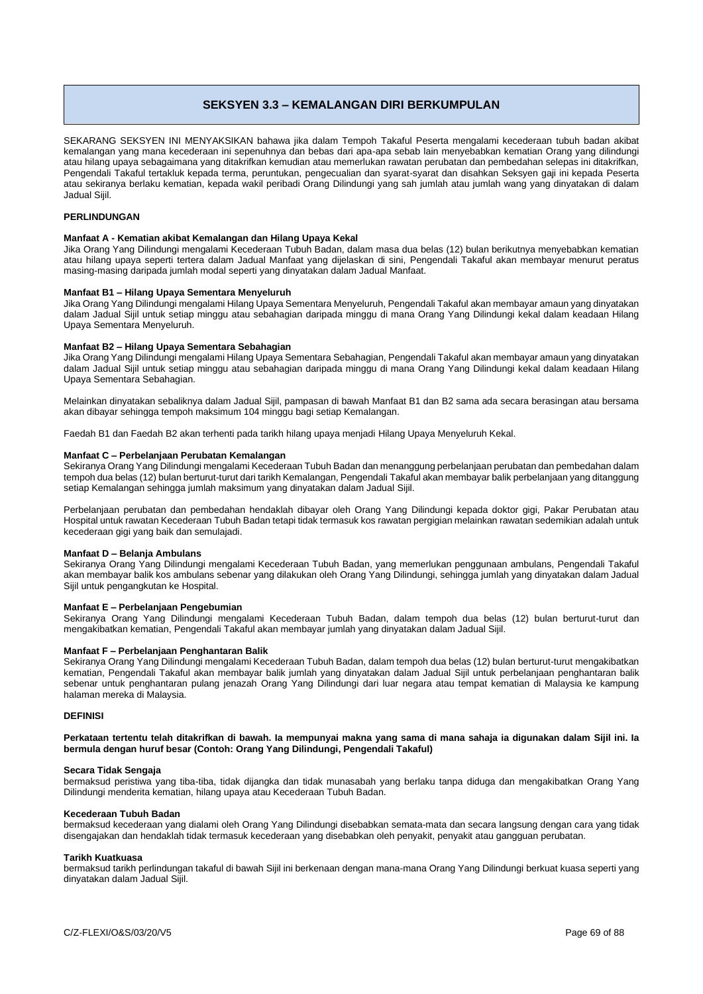# **SEKSYEN 3.3 – KEMALANGAN DIRI BERKUMPULAN**

SEKARANG SEKSYEN INI MENYAKSIKAN bahawa jika dalam Tempoh Takaful Peserta mengalami kecederaan tubuh badan akibat kemalangan yang mana kecederaan ini sepenuhnya dan bebas dari apa-apa sebab lain menyebabkan kematian Orang yang dilindungi atau hilang upaya sebagaimana yang ditakrifkan kemudian atau memerlukan rawatan perubatan dan pembedahan selepas ini ditakrifkan, Pengendali Takaful tertakluk kepada terma, peruntukan, pengecualian dan syarat-syarat dan disahkan Seksyen gaji ini kepada Peserta atau sekiranya berlaku kematian, kepada wakil peribadi Orang Dilindungi yang sah jumlah atau jumlah wang yang dinyatakan di dalam Jadual Sijil.

# **PERLINDUNGAN**

# **Manfaat A - Kematian akibat Kemalangan dan Hilang Upaya Kekal**

Jika Orang Yang Dilindungi mengalami Kecederaan Tubuh Badan, dalam masa dua belas (12) bulan berikutnya menyebabkan kematian atau hilang upaya seperti tertera dalam Jadual Manfaat yang dijelaskan di sini, Pengendali Takaful akan membayar menurut peratus masing-masing daripada jumlah modal seperti yang dinyatakan dalam Jadual Manfaat.

# **Manfaat B1 – Hilang Upaya Sementara Menyeluruh**

Jika Orang Yang Dilindungi mengalami Hilang Upaya Sementara Menyeluruh, Pengendali Takaful akan membayar amaun yang dinyatakan dalam Jadual Sijil untuk setiap minggu atau sebahagian daripada minggu di mana Orang Yang Dilindungi kekal dalam keadaan Hilang Upaya Sementara Menyeluruh.

# **Manfaat B2 – Hilang Upaya Sementara Sebahagian**

Jika Orang Yang Dilindungi mengalami Hilang Upaya Sementara Sebahagian, Pengendali Takaful akan membayar amaun yang dinyatakan dalam Jadual Sijil untuk setiap minggu atau sebahagian daripada minggu di mana Orang Yang Dilindungi kekal dalam keadaan Hilang Upaya Sementara Sebahagian.

Melainkan dinyatakan sebaliknya dalam Jadual Sijil, pampasan di bawah Manfaat B1 dan B2 sama ada secara berasingan atau bersama akan dibayar sehingga tempoh maksimum 104 minggu bagi setiap Kemalangan.

Faedah B1 dan Faedah B2 akan terhenti pada tarikh hilang upaya menjadi Hilang Upaya Menyeluruh Kekal.

# **Manfaat C – Perbelanjaan Perubatan Kemalangan**

Sekiranya Orang Yang Dilindungi mengalami Kecederaan Tubuh Badan dan menanggung perbelanjaan perubatan dan pembedahan dalam tempoh dua belas (12) bulan berturut-turut dari tarikh Kemalangan, Pengendali Takaful akan membayar balik perbelanjaan yang ditanggung setiap Kemalangan sehingga jumlah maksimum yang dinyatakan dalam Jadual Sijil.

Perbelanjaan perubatan dan pembedahan hendaklah dibayar oleh Orang Yang Dilindungi kepada doktor gigi, Pakar Perubatan atau Hospital untuk rawatan Kecederaan Tubuh Badan tetapi tidak termasuk kos rawatan pergigian melainkan rawatan sedemikian adalah untuk kecederaan gigi yang baik dan semulajadi.

#### **Manfaat D – Belanja Ambulans**

Sekiranya Orang Yang Dilindungi mengalami Kecederaan Tubuh Badan, yang memerlukan penggunaan ambulans, Pengendali Takaful akan membayar balik kos ambulans sebenar yang dilakukan oleh Orang Yang Dilindungi, sehingga jumlah yang dinyatakan dalam Jadual Sijil untuk pengangkutan ke Hospital.

# **Manfaat E – Perbelanjaan Pengebumian**

Sekiranya Orang Yang Dilindungi mengalami Kecederaan Tubuh Badan, dalam tempoh dua belas (12) bulan berturut-turut dan mengakibatkan kematian, Pengendali Takaful akan membayar jumlah yang dinyatakan dalam Jadual Sijil.

# **Manfaat F – Perbelanjaan Penghantaran Balik**

Sekiranya Orang Yang Dilindungi mengalami Kecederaan Tubuh Badan, dalam tempoh dua belas (12) bulan berturut-turut mengakibatkan kematian, Pengendali Takaful akan membayar balik jumlah yang dinyatakan dalam Jadual Sijil untuk perbelanjaan penghantaran balik sebenar untuk penghantaran pulang jenazah Orang Yang Dilindungi dari luar negara atau tempat kematian di Malaysia ke kampung halaman mereka di Malaysia.

## **DEFINISI**

**Perkataan tertentu telah ditakrifkan di bawah. Ia mempunyai makna yang sama di mana sahaja ia digunakan dalam Sijil ini. Ia bermula dengan huruf besar (Contoh: Orang Yang Dilindungi, Pengendali Takaful)**

#### **Secara Tidak Sengaja**

bermaksud peristiwa yang tiba-tiba, tidak dijangka dan tidak munasabah yang berlaku tanpa diduga dan mengakibatkan Orang Yang Dilindungi menderita kematian, hilang upaya atau Kecederaan Tubuh Badan.

#### **Kecederaan Tubuh Badan**

bermaksud kecederaan yang dialami oleh Orang Yang Dilindungi disebabkan semata-mata dan secara langsung dengan cara yang tidak disengajakan dan hendaklah tidak termasuk kecederaan yang disebabkan oleh penyakit, penyakit atau gangguan perubatan.

#### **Tarikh Kuatkuasa**

bermaksud tarikh perlindungan takaful di bawah Sijil ini berkenaan dengan mana-mana Orang Yang Dilindungi berkuat kuasa seperti yang dinyatakan dalam Jadual Sijil.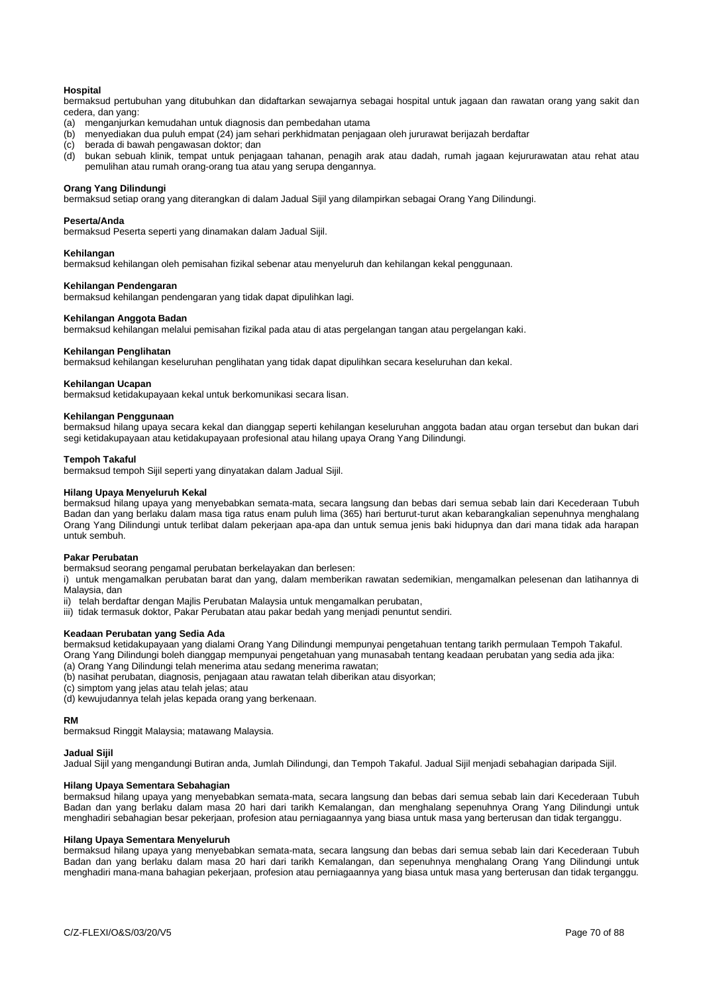# **Hospital**

bermaksud pertubuhan yang ditubuhkan dan didaftarkan sewajarnya sebagai hospital untuk jagaan dan rawatan orang yang sakit dan cedera, dan yang:

- (a) menganjurkan kemudahan untuk diagnosis dan pembedahan utama
- (b) menyediakan dua puluh empat (24) jam sehari perkhidmatan penjagaan oleh jururawat berijazah berdaftar
- (c) berada di bawah pengawasan doktor; dan
- (d) bukan sebuah klinik, tempat untuk penjagaan tahanan, penagih arak atau dadah, rumah jagaan kejururawatan atau rehat atau pemulihan atau rumah orang-orang tua atau yang serupa dengannya.

# **Orang Yang Dilindungi**

bermaksud setiap orang yang diterangkan di dalam Jadual Sijil yang dilampirkan sebagai Orang Yang Dilindungi.

## **Peserta/Anda**

bermaksud Peserta seperti yang dinamakan dalam Jadual Sijil.

# **Kehilangan**

bermaksud kehilangan oleh pemisahan fizikal sebenar atau menyeluruh dan kehilangan kekal penggunaan.

# **Kehilangan Pendengaran**

bermaksud kehilangan pendengaran yang tidak dapat dipulihkan lagi.

#### **Kehilangan Anggota Badan**

bermaksud kehilangan melalui pemisahan fizikal pada atau di atas pergelangan tangan atau pergelangan kaki.

#### **Kehilangan Penglihatan**

bermaksud kehilangan keseluruhan penglihatan yang tidak dapat dipulihkan secara keseluruhan dan kekal.

# **Kehilangan Ucapan**

bermaksud ketidakupayaan kekal untuk berkomunikasi secara lisan.

# **Kehilangan Penggunaan**

bermaksud hilang upaya secara kekal dan dianggap seperti kehilangan keseluruhan anggota badan atau organ tersebut dan bukan dari segi ketidakupayaan atau ketidakupayaan profesional atau hilang upaya Orang Yang Dilindungi.

## **Tempoh Takaful**

bermaksud tempoh Sijil seperti yang dinyatakan dalam Jadual Sijil.

# **Hilang Upaya Menyeluruh Kekal**

bermaksud hilang upaya yang menyebabkan semata-mata, secara langsung dan bebas dari semua sebab lain dari Kecederaan Tubuh Badan dan yang berlaku dalam masa tiga ratus enam puluh lima (365) hari berturut-turut akan kebarangkalian sepenuhnya menghalang Orang Yang Dilindungi untuk terlibat dalam pekerjaan apa-apa dan untuk semua jenis baki hidupnya dan dari mana tidak ada harapan untuk sembuh.

#### **Pakar Perubatan**

bermaksud seorang pengamal perubatan berkelayakan dan berlesen:

i) untuk mengamalkan perubatan barat dan yang, dalam memberikan rawatan sedemikian, mengamalkan pelesenan dan latihannya di Malaysia, dan

- ii) telah berdaftar dengan Majlis Perubatan Malaysia untuk mengamalkan perubatan,
- iii) tidak termasuk doktor, Pakar Perubatan atau pakar bedah yang menjadi penuntut sendiri.

#### **Keadaan Perubatan yang Sedia Ada**

bermaksud ketidakupayaan yang dialami Orang Yang Dilindungi mempunyai pengetahuan tentang tarikh permulaan Tempoh Takaful. Orang Yang Dilindungi boleh dianggap mempunyai pengetahuan yang munasabah tentang keadaan perubatan yang sedia ada jika:

- (a) Orang Yang Dilindungi telah menerima atau sedang menerima rawatan;
- (b) nasihat perubatan, diagnosis, penjagaan atau rawatan telah diberikan atau disyorkan;
- (c) simptom yang jelas atau telah jelas; atau
- (d) kewujudannya telah jelas kepada orang yang berkenaan.

## **RM**

bermaksud Ringgit Malaysia; matawang Malaysia.

# **Jadual Sijil**

Jadual Sijil yang mengandungi Butiran anda, Jumlah Dilindungi, dan Tempoh Takaful. Jadual Sijil menjadi sebahagian daripada Sijil.

### **Hilang Upaya Sementara Sebahagian**

bermaksud hilang upaya yang menyebabkan semata-mata, secara langsung dan bebas dari semua sebab lain dari Kecederaan Tubuh Badan dan yang berlaku dalam masa 20 hari dari tarikh Kemalangan, dan menghalang sepenuhnya Orang Yang Dilindungi untuk menghadiri sebahagian besar pekerjaan, profesion atau perniagaannya yang biasa untuk masa yang berterusan dan tidak terganggu.

#### **Hilang Upaya Sementara Menyeluruh**

bermaksud hilang upaya yang menyebabkan semata-mata, secara langsung dan bebas dari semua sebab lain dari Kecederaan Tubuh Badan dan yang berlaku dalam masa 20 hari dari tarikh Kemalangan, dan sepenuhnya menghalang Orang Yang Dilindungi untuk menghadiri mana-mana bahagian pekerjaan, profesion atau perniagaannya yang biasa untuk masa yang berterusan dan tidak terganggu.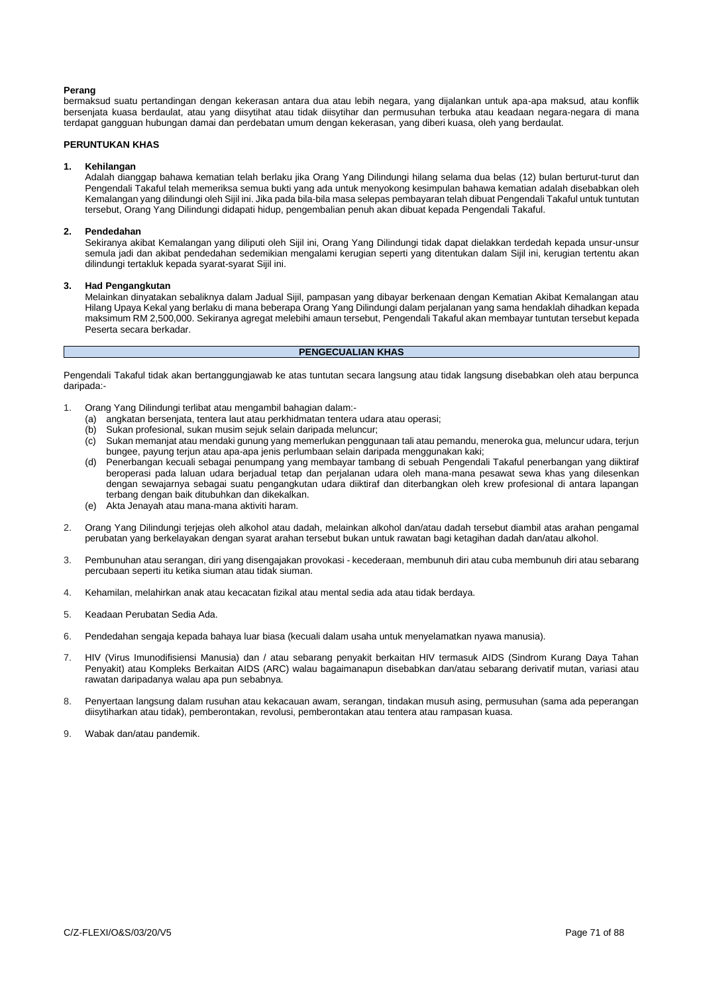# **Perang**

bermaksud suatu pertandingan dengan kekerasan antara dua atau lebih negara, yang dijalankan untuk apa-apa maksud, atau konflik bersenjata kuasa berdaulat, atau yang diisytihat atau tidak diisytihar dan permusuhan terbuka atau keadaan negara-negara di mana terdapat gangguan hubungan damai dan perdebatan umum dengan kekerasan, yang diberi kuasa, oleh yang berdaulat.

#### **PERUNTUKAN KHAS**

#### **1. Kehilangan**

Adalah dianggap bahawa kematian telah berlaku jika Orang Yang Dilindungi hilang selama dua belas (12) bulan berturut-turut dan Pengendali Takaful telah memeriksa semua bukti yang ada untuk menyokong kesimpulan bahawa kematian adalah disebabkan oleh Kemalangan yang dilindungi oleh Sijil ini. Jika pada bila-bila masa selepas pembayaran telah dibuat Pengendali Takaful untuk tuntutan tersebut, Orang Yang Dilindungi didapati hidup, pengembalian penuh akan dibuat kepada Pengendali Takaful.

#### **2. Pendedahan**

Sekiranya akibat Kemalangan yang diliputi oleh Sijil ini, Orang Yang Dilindungi tidak dapat dielakkan terdedah kepada unsur-unsur semula jadi dan akibat pendedahan sedemikian mengalami kerugian seperti yang ditentukan dalam Sijil ini, kerugian tertentu akan dilindungi tertakluk kepada syarat-syarat Sijil ini.

# **3. Had Pengangkutan**

Melainkan dinyatakan sebaliknya dalam Jadual Sijil, pampasan yang dibayar berkenaan dengan Kematian Akibat Kemalangan atau Hilang Upaya Kekal yang berlaku di mana beberapa Orang Yang Dilindungi dalam perjalanan yang sama hendaklah dihadkan kepada maksimum RM 2,500,000. Sekiranya agregat melebihi amaun tersebut, Pengendali Takaful akan membayar tuntutan tersebut kepada Peserta secara berkadar.

# **PENGECUALIAN KHAS**

Pengendali Takaful tidak akan bertanggungjawab ke atas tuntutan secara langsung atau tidak langsung disebabkan oleh atau berpunca daripada:-

- 1. Orang Yang Dilindungi terlibat atau mengambil bahagian dalam:-
	- (a) angkatan bersenjata, tentera laut atau perkhidmatan tentera udara atau operasi;
	- (b) Sukan profesional, sukan musim sejuk selain daripada meluncur;
	- (c) Sukan memanjat atau mendaki gunung yang memerlukan penggunaan tali atau pemandu, meneroka gua, meluncur udara, terjun bungee, payung terjun atau apa-apa jenis perlumbaan selain daripada menggunakan kaki;
	- (d) Penerbangan kecuali sebagai penumpang yang membayar tambang di sebuah Pengendali Takaful penerbangan yang diiktiraf beroperasi pada laluan udara berjadual tetap dan perjalanan udara oleh mana-mana pesawat sewa khas yang dilesenkan dengan sewajarnya sebagai suatu pengangkutan udara diiktiraf dan diterbangkan oleh krew profesional di antara lapangan terbang dengan baik ditubuhkan dan dikekalkan.
	- (e) Akta Jenayah atau mana-mana aktiviti haram.
- 2. Orang Yang Dilindungi terjejas oleh alkohol atau dadah, melainkan alkohol dan/atau dadah tersebut diambil atas arahan pengamal perubatan yang berkelayakan dengan syarat arahan tersebut bukan untuk rawatan bagi ketagihan dadah dan/atau alkohol.
- 3. Pembunuhan atau serangan, diri yang disengajakan provokasi kecederaan, membunuh diri atau cuba membunuh diri atau sebarang percubaan seperti itu ketika siuman atau tidak siuman.
- 4. Kehamilan, melahirkan anak atau kecacatan fizikal atau mental sedia ada atau tidak berdaya.
- 5. Keadaan Perubatan Sedia Ada.
- 6. Pendedahan sengaja kepada bahaya luar biasa (kecuali dalam usaha untuk menyelamatkan nyawa manusia).
- 7. HIV (Virus Imunodifisiensi Manusia) dan / atau sebarang penyakit berkaitan HIV termasuk AIDS (Sindrom Kurang Daya Tahan Penyakit) atau Kompleks Berkaitan AIDS (ARC) walau bagaimanapun disebabkan dan/atau sebarang derivatif mutan, variasi atau rawatan daripadanya walau apa pun sebabnya.
- 8. Penyertaan langsung dalam rusuhan atau kekacauan awam, serangan, tindakan musuh asing, permusuhan (sama ada peperangan diisytiharkan atau tidak), pemberontakan, revolusi, pemberontakan atau tentera atau rampasan kuasa.
- 9. Wabak dan/atau pandemik.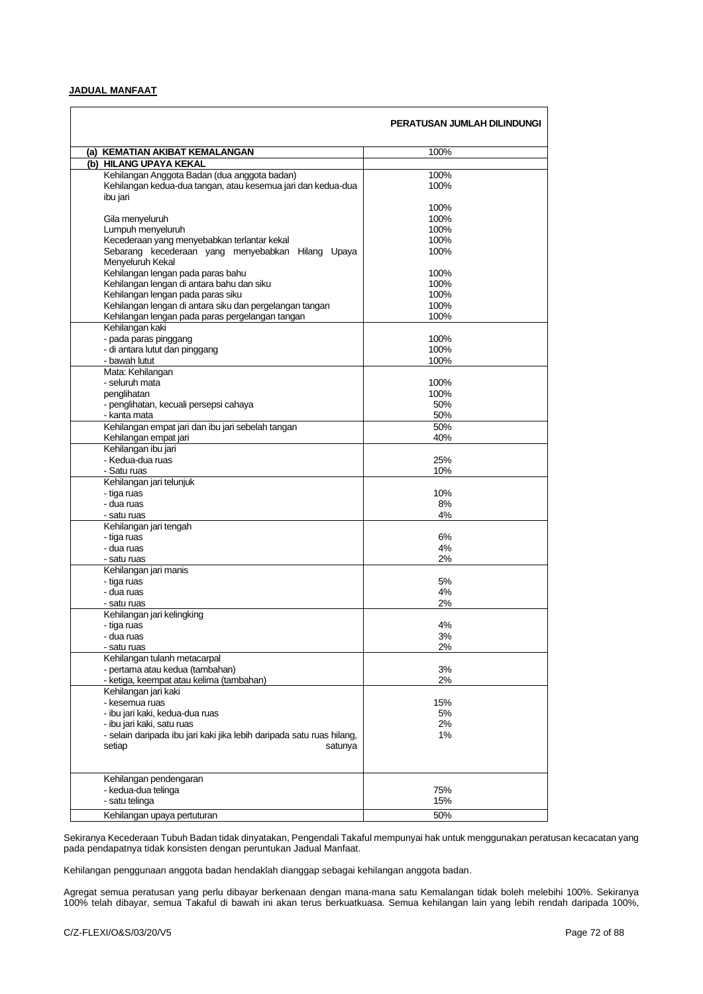# **JADUAL MANFAAT**

|                                                                       | PERATUSAN JUMLAH DILINDUNGI |
|-----------------------------------------------------------------------|-----------------------------|
| (a) KEMATIAN AKIBAT KEMALANGAN                                        | 100%                        |
| (b)<br><b>HILANG UPAYA KEKAL</b>                                      |                             |
| Kehilangan Anggota Badan (dua anggota badan)                          | 100%                        |
| Kehilangan kedua-dua tangan, atau kesemua jari dan kedua-dua          | 100%                        |
| ibu jari                                                              |                             |
|                                                                       | 100%                        |
| Gila menyeluruh                                                       | 100%                        |
| Lumpuh menyeluruh                                                     | 100%                        |
| Kecederaan yang menyebabkan terlantar kekal                           | 100%                        |
| Sebarang kecederaan yang menyebabkan Hilang Upaya                     | 100%                        |
| Menyeluruh Kekal                                                      |                             |
| Kehilangan lengan pada paras bahu                                     | 100%                        |
| Kehilangan lengan di antara bahu dan siku                             | 100%                        |
| Kehilangan lengan pada paras siku                                     | 100%                        |
| Kehilangan lengan di antara siku dan pergelangan tangan               | 100%                        |
| Kehilangan lengan pada paras pergelangan tangan                       | 100%                        |
| Kehilangan kaki                                                       |                             |
| - pada paras pinggang                                                 | 100%                        |
| - di antara lutut dan pinggang                                        | 100%                        |
| - bawah lutut                                                         | 100%                        |
| Mata: Kehilangan                                                      |                             |
|                                                                       | 100%                        |
| - seluruh mata<br>penglihatan                                         | 100%                        |
|                                                                       |                             |
| - penglihatan, kecuali persepsi cahaya                                | 50%                         |
| - kanta mata                                                          | 50%                         |
| Kehilangan empat jari dan ibu jari sebelah tangan                     | 50%                         |
| Kehilangan empat jari                                                 | 40%                         |
| Kehilangan ibu jari                                                   |                             |
| - Kedua-dua ruas                                                      | 25%                         |
| - Satu ruas                                                           | 10%                         |
| Kehilangan jari telunjuk                                              |                             |
| - tiga ruas                                                           | 10%                         |
| - dua ruas                                                            | 8%                          |
| - satu ruas                                                           | 4%                          |
| Kehilangan jari tengah                                                |                             |
| - tiga ruas                                                           | 6%                          |
| - dua ruas                                                            | 4%                          |
| - satu ruas                                                           | 2%                          |
| Kehilangan jari manis                                                 |                             |
| - tiga ruas                                                           | 5%                          |
| - dua ruas                                                            | 4%                          |
| - satu ruas                                                           | 2%                          |
| Kehilangan jari kelingking                                            |                             |
| - tiga ruas                                                           | 4%                          |
| - dua ruas                                                            | 3%                          |
| - satu ruas                                                           | 2%                          |
| Kehilangan tulanh metacarpal                                          |                             |
| - pertama atau kedua (tambahan)                                       | 3%                          |
| - ketiga, keempat atau kelima (tambahan)                              | 2%                          |
| Kehilangan jari kaki                                                  |                             |
| - kesemua ruas                                                        | 15%                         |
| - ibu jari kaki, kedua-dua ruas                                       | 5%                          |
| - ibu jari kaki, satu ruas                                            | 2%                          |
| - selain daripada ibu jari kaki jika lebih daripada satu ruas hilang, | 1%                          |
| setiap<br>satunya                                                     |                             |
| Kehilangan pendengaran                                                |                             |
| - kedua-dua telinga                                                   | 75%                         |
| - satu telinga                                                        |                             |
|                                                                       | 15%                         |

Sekiranya Kecederaan Tubuh Badan tidak dinyatakan, Pengendali Takaful mempunyai hak untuk menggunakan peratusan kecacatan yang pada pendapatnya tidak konsisten dengan peruntukan Jadual Manfaat.

Kehilangan penggunaan anggota badan hendaklah dianggap sebagai kehilangan anggota badan.

Agregat semua peratusan yang perlu dibayar berkenaan dengan mana-mana satu Kemalangan tidak boleh melebihi 100%. Sekiranya 100% telah dibayar, semua Takaful di bawah ini akan terus berkuatkuasa. Semua kehilangan lain yang lebih rendah daripada 100%,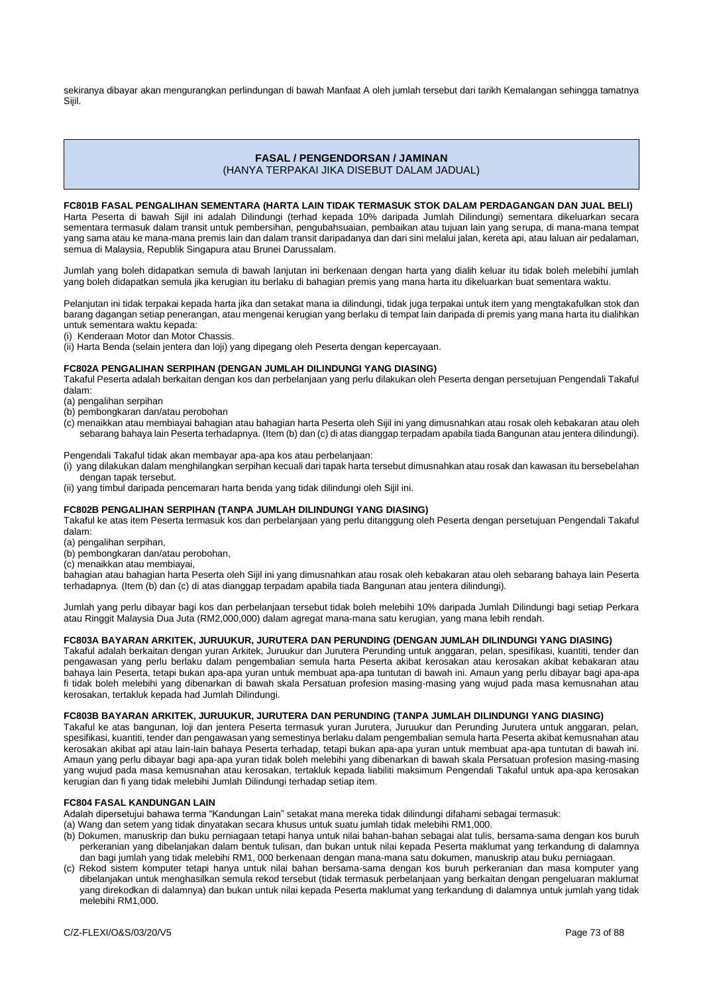sekiranya dibayar akan mengurangkan perlindungan di bawah Manfaat A oleh jumlah tersebut dari tarikh Kemalangan sehingga tamatnya Sijil.

# **FASAL / PENGENDORSAN / JAMINAN** (HANYA TERPAKAI JIKA DISEBUT DALAM JADUAL)

# **FC801B FASAL PENGALIHAN SEMENTARA (HARTA LAIN TIDAK TERMASUK STOK DALAM PERDAGANGAN DAN JUAL BELI)**

Harta Peserta di bawah Sijil ini adalah Dilindungi (terhad kepada 10% daripada Jumlah Dilindungi) sementara dikeluarkan secara sementara termasuk dalam transit untuk pembersihan, pengubahsuaian, pembaikan atau tujuan lain yang serupa, di mana-mana tempat yang sama atau ke mana-mana premis lain dan dalam transit daripadanya dan dari sini melalui jalan, kereta api, atau laluan air pedalaman, semua di Malaysia, Republik Singapura atau Brunei Darussalam.

Jumlah yang boleh didapatkan semula di bawah lanjutan ini berkenaan dengan harta yang dialih keluar itu tidak boleh melebihi jumlah yang boleh didapatkan semula jika kerugian itu berlaku di bahagian premis yang mana harta itu dikeluarkan buat sementara waktu.

Pelanjutan ini tidak terpakai kepada harta jika dan setakat mana ia dilindungi, tidak juga terpakai untuk item yang mengtakafulkan stok dan barang dagangan setiap penerangan, atau mengenai kerugian yang berlaku di tempat lain daripada di premis yang mana harta itu dialihkan untuk sementara waktu kepada:

(i) Kenderaan Motor dan Motor Chassis.

(ii) Harta Benda (selain jentera dan loji) yang dipegang oleh Peserta dengan kepercayaan.

# **FC802A PENGALIHAN SERPIHAN (DENGAN JUMLAH DILINDUNGI YANG DIASING)**

Takaful Peserta adalah berkaitan dengan kos dan perbelanjaan yang perlu dilakukan oleh Peserta dengan persetujuan Pengendali Takaful dalam:

- (a) pengalihan serpihan
- (b) pembongkaran dan/atau perobohan
- (c) menaikkan atau membiayai bahagian atau bahagian harta Peserta oleh Sijil ini yang dimusnahkan atau rosak oleh kebakaran atau oleh sebarang bahaya lain Peserta terhadapnya. (Item (b) dan (c) di atas dianggap terpadam apabila tiada Bangunan atau jentera dilindungi).

Pengendali Takaful tidak akan membayar apa-apa kos atau perbelanjaan:

(i) yang dilakukan dalam menghilangkan serpihan kecuali dari tapak harta tersebut dimusnahkan atau rosak dan kawasan itu bersebelahan dengan tapak tersebut.

(ii) yang timbul daripada pencemaran harta benda yang tidak dilindungi oleh Sijil ini.

# **FC802B PENGALIHAN SERPIHAN (TANPA JUMLAH DILINDUNGI YANG DIASING)**

Takaful ke atas item Peserta termasuk kos dan perbelanjaan yang perlu ditanggung oleh Peserta dengan persetujuan Pengendali Takaful dalam:

- (a) pengalihan serpihan,
- (b) pembongkaran dan/atau perobohan,
- (c) menaikkan atau membiayai,

bahagian atau bahagian harta Peserta oleh Sijil ini yang dimusnahkan atau rosak oleh kebakaran atau oleh sebarang bahaya lain Peserta terhadapnya. (Item (b) dan (c) di atas dianggap terpadam apabila tiada Bangunan atau jentera dilindungi).

Jumlah yang perlu dibayar bagi kos dan perbelanjaan tersebut tidak boleh melebihi 10% daripada Jumlah Dilindungi bagi setiap Perkara atau Ringgit Malaysia Dua Juta (RM2,000,000) dalam agregat mana-mana satu kerugian, yang mana lebih rendah.

# **FC803A BAYARAN ARKITEK, JURUUKUR, JURUTERA DAN PERUNDING (DENGAN JUMLAH DILINDUNGI YANG DIASING)**

Takaful adalah berkaitan dengan yuran Arkitek, Juruukur dan Jurutera Perunding untuk anggaran, pelan, spesifikasi, kuantiti, tender dan pengawasan yang perlu berlaku dalam pengembalian semula harta Peserta akibat kerosakan atau kerosakan akibat kebakaran atau bahaya lain Peserta, tetapi bukan apa-apa yuran untuk membuat apa-apa tuntutan di bawah ini. Amaun yang perlu dibayar bagi apa-apa fi tidak boleh melebihi yang dibenarkan di bawah skala Persatuan profesion masing-masing yang wujud pada masa kemusnahan atau kerosakan, tertakluk kepada had Jumlah Dilindungi.

# **FC803B BAYARAN ARKITEK, JURUUKUR, JURUTERA DAN PERUNDING (TANPA JUMLAH DILINDUNGI YANG DIASING)**

Takaful ke atas bangunan, loji dan jentera Peserta termasuk yuran Jurutera, Juruukur dan Perunding Jurutera untuk anggaran, pelan, spesifikasi, kuantiti, tender dan pengawasan yang semestinya berlaku dalam pengembalian semula harta Peserta akibat kemusnahan atau kerosakan akibat api atau lain-lain bahaya Peserta terhadap, tetapi bukan apa-apa yuran untuk membuat apa-apa tuntutan di bawah ini. Amaun yang perlu dibayar bagi apa-apa yuran tidak boleh melebihi yang dibenarkan di bawah skala Persatuan profesion masing-masing yang wujud pada masa kemusnahan atau kerosakan, tertakluk kepada liabiliti maksimum Pengendali Takaful untuk apa-apa kerosakan kerugian dan fi yang tidak melebihi Jumlah Dilindungi terhadap setiap item.

# **FC804 FASAL KANDUNGAN LAIN**

Adalah dipersetujui bahawa terma "Kandungan Lain" setakat mana mereka tidak dilindungi difahami sebagai termasuk:

- (a) Wang dan setem yang tidak dinyatakan secara khusus untuk suatu jumlah tidak melebihi RM1,000.
- (b) Dokumen, manuskrip dan buku perniagaan tetapi hanya untuk nilai bahan-bahan sebagai alat tulis, bersama-sama dengan kos buruh perkeranian yang dibelanjakan dalam bentuk tulisan, dan bukan untuk nilai kepada Peserta maklumat yang terkandung di dalamnya dan bagi jumlah yang tidak melebihi RM1, 000 berkenaan dengan mana-mana satu dokumen, manuskrip atau buku perniagaan.
- (c) Rekod sistem komputer tetapi hanya untuk nilai bahan bersama-sama dengan kos buruh perkeranian dan masa komputer yang dibelanjakan untuk menghasilkan semula rekod tersebut (tidak termasuk perbelanjaan yang berkaitan dengan pengeluaran maklumat yang direkodkan di dalamnya) dan bukan untuk nilai kepada Peserta maklumat yang terkandung di dalamnya untuk jumlah yang tidak melebihi RM1,000.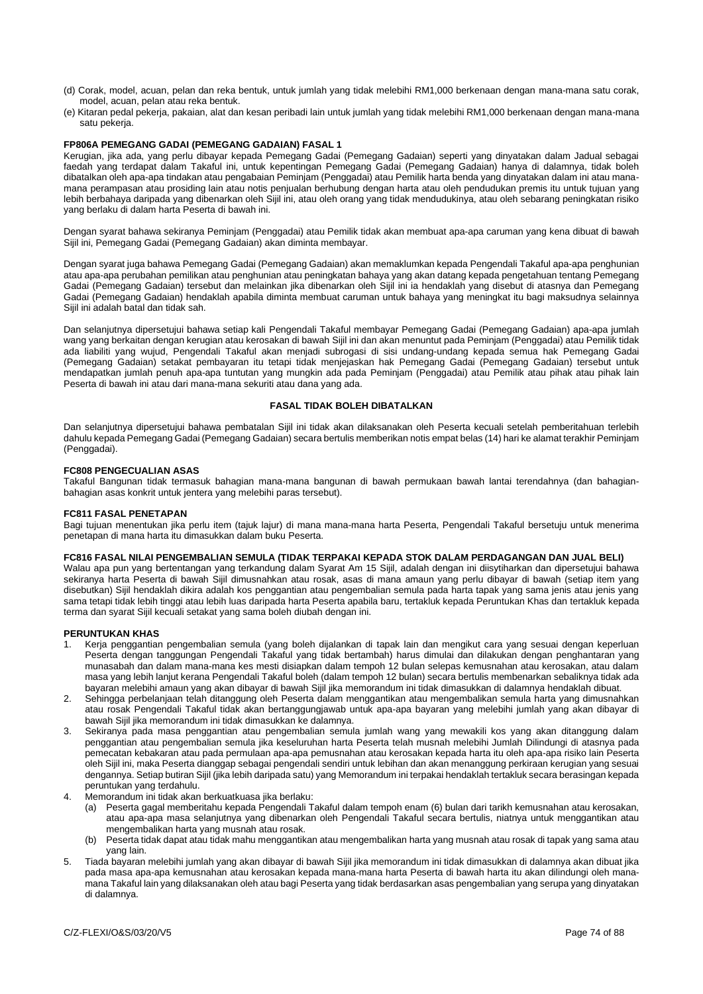- (d) Corak, model, acuan, pelan dan reka bentuk, untuk jumlah yang tidak melebihi RM1,000 berkenaan dengan mana-mana satu corak, model, acuan, pelan atau reka bentuk.
- (e) Kitaran pedal pekerja, pakaian, alat dan kesan peribadi lain untuk jumlah yang tidak melebihi RM1,000 berkenaan dengan mana-mana satu pekerja.

# **FP806A PEMEGANG GADAI (PEMEGANG GADAIAN) FASAL 1**

Kerugian, jika ada, yang perlu dibayar kepada Pemegang Gadai (Pemegang Gadaian) seperti yang dinyatakan dalam Jadual sebagai faedah yang terdapat dalam Takaful ini, untuk kepentingan Pemegang Gadai (Pemegang Gadaian) hanya di dalamnya, tidak boleh dibatalkan oleh apa-apa tindakan atau pengabaian Peminjam (Penggadai) atau Pemilik harta benda yang dinyatakan dalam ini atau manamana perampasan atau prosiding lain atau notis penjualan berhubung dengan harta atau oleh pendudukan premis itu untuk tujuan yang lebih berbahaya daripada yang dibenarkan oleh Sijil ini, atau oleh orang yang tidak mendudukinya, atau oleh sebarang peningkatan risiko yang berlaku di dalam harta Peserta di bawah ini.

Dengan syarat bahawa sekiranya Peminjam (Penggadai) atau Pemilik tidak akan membuat apa-apa caruman yang kena dibuat di bawah Sijil ini, Pemegang Gadai (Pemegang Gadaian) akan diminta membayar.

Dengan syarat juga bahawa Pemegang Gadai (Pemegang Gadaian) akan memaklumkan kepada Pengendali Takaful apa-apa penghunian atau apa-apa perubahan pemilikan atau penghunian atau peningkatan bahaya yang akan datang kepada pengetahuan tentang Pemegang Gadai (Pemegang Gadaian) tersebut dan melainkan jika dibenarkan oleh Sijil ini ia hendaklah yang disebut di atasnya dan Pemegang Gadai (Pemegang Gadaian) hendaklah apabila diminta membuat caruman untuk bahaya yang meningkat itu bagi maksudnya selainnya Sijil ini adalah batal dan tidak sah.

Dan selanjutnya dipersetujui bahawa setiap kali Pengendali Takaful membayar Pemegang Gadai (Pemegang Gadaian) apa-apa jumlah wang yang berkaitan dengan kerugian atau kerosakan di bawah Sijil ini dan akan menuntut pada Peminjam (Penggadai) atau Pemilik tidak ada liabiliti yang wujud, Pengendali Takaful akan menjadi subrogasi di sisi undang-undang kepada semua hak Pemegang Gadai (Pemegang Gadaian) setakat pembayaran itu tetapi tidak menjejaskan hak Pemegang Gadai (Pemegang Gadaian) tersebut untuk mendapatkan jumlah penuh apa-apa tuntutan yang mungkin ada pada Peminjam (Penggadai) atau Pemilik atau pihak atau pihak lain Peserta di bawah ini atau dari mana-mana sekuriti atau dana yang ada.

# **FASAL TIDAK BOLEH DIBATALKAN**

Dan selanjutnya dipersetujui bahawa pembatalan Sijil ini tidak akan dilaksanakan oleh Peserta kecuali setelah pemberitahuan terlebih dahulu kepada Pemegang Gadai (Pemegang Gadaian) secara bertulis memberikan notis empat belas (14) hari ke alamat terakhir Peminjam (Penggadai).

# **FC808 PENGECUALIAN ASAS**

Takaful Bangunan tidak termasuk bahagian mana-mana bangunan di bawah permukaan bawah lantai terendahnya (dan bahagianbahagian asas konkrit untuk jentera yang melebihi paras tersebut).

#### **FC811 FASAL PENETAPAN**

Bagi tujuan menentukan jika perlu item (tajuk lajur) di mana mana-mana harta Peserta, Pengendali Takaful bersetuju untuk menerima penetapan di mana harta itu dimasukkan dalam buku Peserta.

# **FC816 FASAL NILAI PENGEMBALIAN SEMULA (TIDAK TERPAKAI KEPADA STOK DALAM PERDAGANGAN DAN JUAL BELI)**

Walau apa pun yang bertentangan yang terkandung dalam Syarat Am 15 Sijil, adalah dengan ini diisytiharkan dan dipersetujui bahawa sekiranya harta Peserta di bawah Sijil dimusnahkan atau rosak, asas di mana amaun yang perlu dibayar di bawah (setiap item yang disebutkan) Sijil hendaklah dikira adalah kos penggantian atau pengembalian semula pada harta tapak yang sama jenis atau jenis yang sama tetapi tidak lebih tinggi atau lebih luas daripada harta Peserta apabila baru, tertakluk kepada Peruntukan Khas dan tertakluk kepada terma dan syarat Sijil kecuali setakat yang sama boleh diubah dengan ini.

#### **PERUNTUKAN KHAS**

- 1. Kerja penggantian pengembalian semula (yang boleh dijalankan di tapak lain dan mengikut cara yang sesuai dengan keperluan Peserta dengan tanggungan Pengendali Takaful yang tidak bertambah) harus dimulai dan dilakukan dengan penghantaran yang munasabah dan dalam mana-mana kes mesti disiapkan dalam tempoh 12 bulan selepas kemusnahan atau kerosakan, atau dalam masa yang lebih lanjut kerana Pengendali Takaful boleh (dalam tempoh 12 bulan) secara bertulis membenarkan sebaliknya tidak ada bayaran melebihi amaun yang akan dibayar di bawah Sijil jika memorandum ini tidak dimasukkan di dalamnya hendaklah dibuat.
- 2. Sehingga perbelanjaan telah ditanggung oleh Peserta dalam menggantikan atau mengembalikan semula harta yang dimusnahkan atau rosak Pengendali Takaful tidak akan bertanggungjawab untuk apa-apa bayaran yang melebihi jumlah yang akan dibayar di bawah Sijil jika memorandum ini tidak dimasukkan ke dalamnya.
- 3. Sekiranya pada masa penggantian atau pengembalian semula jumlah wang yang mewakili kos yang akan ditanggung dalam penggantian atau pengembalian semula jika keseluruhan harta Peserta telah musnah melebihi Jumlah Dilindungi di atasnya pada pemecatan kebakaran atau pada permulaan apa-apa pemusnahan atau kerosakan kepada harta itu oleh apa-apa risiko lain Peserta oleh Sijil ini, maka Peserta dianggap sebagai pengendali sendiri untuk lebihan dan akan menanggung perkiraan kerugian yang sesuai dengannya. Setiap butiran Sijil (jika lebih daripada satu) yang Memorandum ini terpakai hendaklah tertakluk secara berasingan kepada peruntukan yang terdahulu.
- 4. Memorandum ini tidak akan berkuatkuasa jika berlaku:
	- (a) Peserta gagal memberitahu kepada Pengendali Takaful dalam tempoh enam (6) bulan dari tarikh kemusnahan atau kerosakan, atau apa-apa masa selanjutnya yang dibenarkan oleh Pengendali Takaful secara bertulis, niatnya untuk menggantikan atau mengembalikan harta yang musnah atau rosak.
	- (b) Peserta tidak dapat atau tidak mahu menggantikan atau mengembalikan harta yang musnah atau rosak di tapak yang sama atau yang lain.
- 5. Tiada bayaran melebihi jumlah yang akan dibayar di bawah Sijil jika memorandum ini tidak dimasukkan di dalamnya akan dibuat jika pada masa apa-apa kemusnahan atau kerosakan kepada mana-mana harta Peserta di bawah harta itu akan dilindungi oleh manamana Takaful lain yang dilaksanakan oleh atau bagi Peserta yang tidak berdasarkan asas pengembalian yang serupa yang dinyatakan di dalamnya.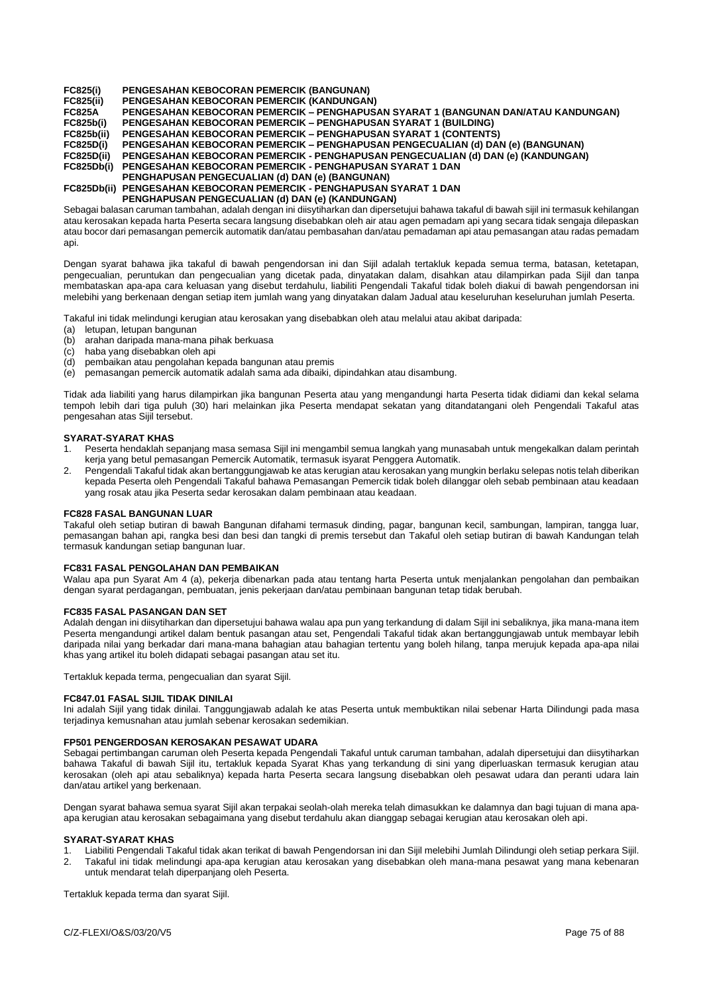| FC825(i)          | PENGESAHAN KEBOCORAN PEMERCIK (BANGUNAN)                                           |
|-------------------|------------------------------------------------------------------------------------|
| <b>FC825(ii)</b>  | PENGESAHAN KEBOCORAN PEMERCIK (KANDUNGAN)                                          |
| <b>FC825A</b>     | PENGESAHAN KEBOCORAN PEMERCIK - PENGHAPUSAN SYARAT 1 (BANGUNAN DAN/ATAU KANDUNGAN) |
| FC825b(i)         | PENGESAHAN KEBOCORAN PEMERCIK - PENGHAPUSAN SYARAT 1 (BUILDING)                    |
| <b>FC825b(ii)</b> | <b>PENGESAHAN KEBOCORAN PEMERCIK – PENGHAPUSAN SYARAT 1 (CONTENTS)</b>             |
| <b>FC825D(i)</b>  | PENGESAHAN KEBOCORAN PEMERCIK – PENGHAPUSAN PENGECUALIAN (d) DAN (e) (BANGUNAN)    |
| <b>FC825D(ii)</b> | PENGESAHAN KEBOCORAN PEMERCIK - PENGHAPUSAN PENGECUALIAN (d) DAN (e) (KANDUNGAN)   |
|                   | FC825Db(i) PENGESAHAN KEBOCORAN PEMERCIK - PENGHAPUSAN SYARAT 1 DAN                |
|                   | PENGHAPUSAN PENGECUALIAN (d) DAN (e) (BANGUNAN)                                    |
|                   | FC825Db(ii) PENGESAHAN KEBOCORAN PEMERCIK - PENGHAPUSAN SYARAT 1 DAN               |
|                   |                                                                                    |

**PENGHAPUSAN PENGECUALIAN (d) DAN (e) (KANDUNGAN)**

Sebagai balasan caruman tambahan, adalah dengan ini diisytiharkan dan dipersetujui bahawa takaful di bawah sijil ini termasuk kehilangan atau kerosakan kepada harta Peserta secara langsung disebabkan oleh air atau agen pemadam api yang secara tidak sengaja dilepaskan atau bocor dari pemasangan pemercik automatik dan/atau pembasahan dan/atau pemadaman api atau pemasangan atau radas pemadam api.

Dengan syarat bahawa jika takaful di bawah pengendorsan ini dan Sijil adalah tertakluk kepada semua terma, batasan, ketetapan, pengecualian, peruntukan dan pengecualian yang dicetak pada, dinyatakan dalam, disahkan atau dilampirkan pada Sijil dan tanpa membataskan apa-apa cara keluasan yang disebut terdahulu, liabiliti Pengendali Takaful tidak boleh diakui di bawah pengendorsan ini melebihi yang berkenaan dengan setiap item jumlah wang yang dinyatakan dalam Jadual atau keseluruhan keseluruhan jumlah Peserta.

Takaful ini tidak melindungi kerugian atau kerosakan yang disebabkan oleh atau melalui atau akibat daripada:

- (a) letupan, letupan bangunan<br>(b) arahan daripada mana-mar
- arahan daripada mana-mana pihak berkuasa
- (c) haba yang disebabkan oleh api
- (d) pembaikan atau pengolahan kepada bangunan atau premis
- (e) pemasangan pemercik automatik adalah sama ada dibaiki, dipindahkan atau disambung.

Tidak ada liabiliti yang harus dilampirkan jika bangunan Peserta atau yang mengandungi harta Peserta tidak didiami dan kekal selama tempoh lebih dari tiga puluh (30) hari melainkan jika Peserta mendapat sekatan yang ditandatangani oleh Pengendali Takaful atas pengesahan atas Sijil tersebut.

# **SYARAT-SYARAT KHAS**

- 1. Peserta hendaklah sepanjang masa semasa Sijil ini mengambil semua langkah yang munasabah untuk mengekalkan dalam perintah kerja yang betul pemasangan Pemercik Automatik, termasuk isyarat Penggera Automatik.
- 2. Pengendali Takaful tidak akan bertanggungjawab ke atas kerugian atau kerosakan yang mungkin berlaku selepas notis telah diberikan kepada Peserta oleh Pengendali Takaful bahawa Pemasangan Pemercik tidak boleh dilanggar oleh sebab pembinaan atau keadaan yang rosak atau jika Peserta sedar kerosakan dalam pembinaan atau keadaan.

# **FC828 FASAL BANGUNAN LUAR**

Takaful oleh setiap butiran di bawah Bangunan difahami termasuk dinding, pagar, bangunan kecil, sambungan, lampiran, tangga luar, pemasangan bahan api, rangka besi dan besi dan tangki di premis tersebut dan Takaful oleh setiap butiran di bawah Kandungan telah termasuk kandungan setiap bangunan luar.

#### **FC831 FASAL PENGOLAHAN DAN PEMBAIKAN**

Walau apa pun Syarat Am 4 (a), pekerja dibenarkan pada atau tentang harta Peserta untuk menjalankan pengolahan dan pembaikan dengan syarat perdagangan, pembuatan, jenis pekerjaan dan/atau pembinaan bangunan tetap tidak berubah.

# **FC835 FASAL PASANGAN DAN SET**

Adalah dengan ini diisytiharkan dan dipersetujui bahawa walau apa pun yang terkandung di dalam Sijil ini sebaliknya, jika mana-mana item Peserta mengandungi artikel dalam bentuk pasangan atau set, Pengendali Takaful tidak akan bertanggungjawab untuk membayar lebih daripada nilai yang berkadar dari mana-mana bahagian atau bahagian tertentu yang boleh hilang, tanpa merujuk kepada apa-apa nilai khas yang artikel itu boleh didapati sebagai pasangan atau set itu.

Tertakluk kepada terma, pengecualian dan syarat Sijil.

#### **FC847.01 FASAL SIJIL TIDAK DINILAI**

Ini adalah Sijil yang tidak dinilai. Tanggungjawab adalah ke atas Peserta untuk membuktikan nilai sebenar Harta Dilindungi pada masa terjadinya kemusnahan atau jumlah sebenar kerosakan sedemikian.

# **FP501 PENGERDOSAN KEROSAKAN PESAWAT UDARA**

Sebagai pertimbangan caruman oleh Peserta kepada Pengendali Takaful untuk caruman tambahan, adalah dipersetujui dan diisytiharkan bahawa Takaful di bawah Sijil itu, tertakluk kepada Syarat Khas yang terkandung di sini yang diperluaskan termasuk kerugian atau kerosakan (oleh api atau sebaliknya) kepada harta Peserta secara langsung disebabkan oleh pesawat udara dan peranti udara lain dan/atau artikel yang berkenaan.

Dengan syarat bahawa semua syarat Sijil akan terpakai seolah-olah mereka telah dimasukkan ke dalamnya dan bagi tujuan di mana apaapa kerugian atau kerosakan sebagaimana yang disebut terdahulu akan dianggap sebagai kerugian atau kerosakan oleh api.

#### **SYARAT-SYARAT KHAS**

- 1. Liabiliti Pengendali Takaful tidak akan terikat di bawah Pengendorsan ini dan Sijil melebihi Jumlah Dilindungi oleh setiap perkara Sijil.
- 2. Takaful ini tidak melindungi apa-apa kerugian atau kerosakan yang disebabkan oleh mana-mana pesawat yang mana kebenaran untuk mendarat telah diperpanjang oleh Peserta.

Tertakluk kepada terma dan syarat Sijil.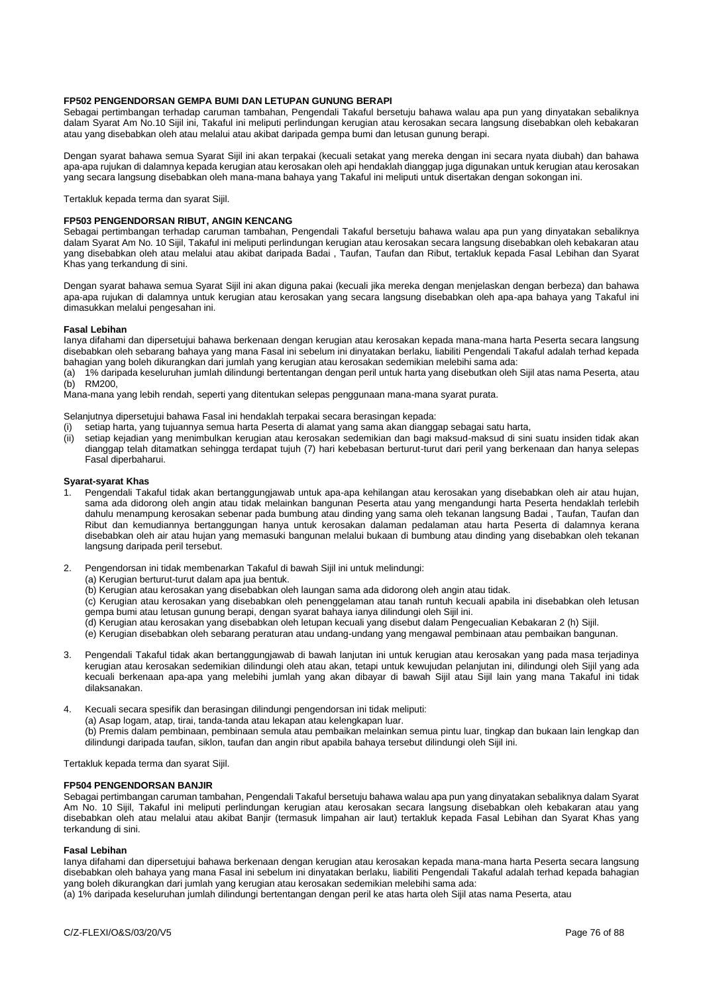# **FP502 PENGENDORSAN GEMPA BUMI DAN LETUPAN GUNUNG BERAPI**

Sebagai pertimbangan terhadap caruman tambahan, Pengendali Takaful bersetuju bahawa walau apa pun yang dinyatakan sebaliknya dalam Syarat Am No.10 Sijil ini, Takaful ini meliputi perlindungan kerugian atau kerosakan secara langsung disebabkan oleh kebakaran atau yang disebabkan oleh atau melalui atau akibat daripada gempa bumi dan letusan gunung berapi.

Dengan syarat bahawa semua Syarat Sijil ini akan terpakai (kecuali setakat yang mereka dengan ini secara nyata diubah) dan bahawa apa-apa rujukan di dalamnya kepada kerugian atau kerosakan oleh api hendaklah dianggap juga digunakan untuk kerugian atau kerosakan yang secara langsung disebabkan oleh mana-mana bahaya yang Takaful ini meliputi untuk disertakan dengan sokongan ini.

Tertakluk kepada terma dan syarat Sijil.

# **FP503 PENGENDORSAN RIBUT, ANGIN KENCANG**

Sebagai pertimbangan terhadap caruman tambahan, Pengendali Takaful bersetuju bahawa walau apa pun yang dinyatakan sebaliknya dalam Syarat Am No. 10 Sijil, Takaful ini meliputi perlindungan kerugian atau kerosakan secara langsung disebabkan oleh kebakaran atau yang disebabkan oleh atau melalui atau akibat daripada Badai , Taufan, Taufan dan Ribut, tertakluk kepada Fasal Lebihan dan Syarat Khas yang terkandung di sini.

Dengan syarat bahawa semua Syarat Sijil ini akan diguna pakai (kecuali jika mereka dengan menjelaskan dengan berbeza) dan bahawa apa-apa rujukan di dalamnya untuk kerugian atau kerosakan yang secara langsung disebabkan oleh apa-apa bahaya yang Takaful ini dimasukkan melalui pengesahan ini.

#### **Fasal Lebihan**

Ianya difahami dan dipersetujui bahawa berkenaan dengan kerugian atau kerosakan kepada mana-mana harta Peserta secara langsung disebabkan oleh sebarang bahaya yang mana Fasal ini sebelum ini dinyatakan berlaku, liabiliti Pengendali Takaful adalah terhad kepada bahagian yang boleh dikurangkan dari jumlah yang kerugian atau kerosakan sedemikian melebihi sama ada:

(a) 1% daripada keseluruhan jumlah dilindungi bertentangan dengan peril untuk harta yang disebutkan oleh Sijil atas nama Peserta, atau RM200.

Mana-mana yang lebih rendah, seperti yang ditentukan selepas penggunaan mana-mana syarat purata.

Selanjutnya dipersetujui bahawa Fasal ini hendaklah terpakai secara berasingan kepada:

- setiap harta, yang tujuannya semua harta Peserta di alamat yang sama akan dianggap sebagai satu harta,
- (ii) setiap kejadian yang menimbulkan kerugian atau kerosakan sedemikian dan bagi maksud-maksud di sini suatu insiden tidak akan dianggap telah ditamatkan sehingga terdapat tujuh (7) hari kebebasan berturut-turut dari peril yang berkenaan dan hanya selepas Fasal diperbaharui.

#### **Syarat-syarat Khas**

1. Pengendali Takaful tidak akan bertanggungjawab untuk apa-apa kehilangan atau kerosakan yang disebabkan oleh air atau hujan, sama ada didorong oleh angin atau tidak melainkan bangunan Peserta atau yang mengandungi harta Peserta hendaklah terlebih dahulu menampung kerosakan sebenar pada bumbung atau dinding yang sama oleh tekanan langsung Badai , Taufan, Taufan dan Ribut dan kemudiannya bertanggungan hanya untuk kerosakan dalaman pedalaman atau harta Peserta di dalamnya kerana disebabkan oleh air atau hujan yang memasuki bangunan melalui bukaan di bumbung atau dinding yang disebabkan oleh tekanan langsung daripada peril tersebut.

2. Pengendorsan ini tidak membenarkan Takaful di bawah Sijil ini untuk melindungi:

- (a) Kerugian berturut-turut dalam apa jua bentuk.
	- (b) Kerugian atau kerosakan yang disebabkan oleh laungan sama ada didorong oleh angin atau tidak.

(c) Kerugian atau kerosakan yang disebabkan oleh penenggelaman atau tanah runtuh kecuali apabila ini disebabkan oleh letusan gempa bumi atau letusan gunung berapi, dengan syarat bahaya ianya dilindungi oleh Sijil ini.

(d) Kerugian atau kerosakan yang disebabkan oleh letupan kecuali yang disebut dalam Pengecualian Kebakaran 2 (h) Sijil.

(e) Kerugian disebabkan oleh sebarang peraturan atau undang-undang yang mengawal pembinaan atau pembaikan bangunan.

3. Pengendali Takaful tidak akan bertanggungjawab di bawah lanjutan ini untuk kerugian atau kerosakan yang pada masa terjadinya kerugian atau kerosakan sedemikian dilindungi oleh atau akan, tetapi untuk kewujudan pelanjutan ini, dilindungi oleh Sijil yang ada kecuali berkenaan apa-apa yang melebihi jumlah yang akan dibayar di bawah Sijil atau Sijil lain yang mana Takaful ini tidak dilaksanakan.

4. Kecuali secara spesifik dan berasingan dilindungi pengendorsan ini tidak meliputi: (a) Asap logam, atap, tirai, tanda-tanda atau lekapan atau kelengkapan luar. (b) Premis dalam pembinaan, pembinaan semula atau pembaikan melainkan semua pintu luar, tingkap dan bukaan lain lengkap dan dilindungi daripada taufan, siklon, taufan dan angin ribut apabila bahaya tersebut dilindungi oleh Sijil ini.

Tertakluk kepada terma dan syarat Sijil.

#### **FP504 PENGENDORSAN BANJIR**

Sebagai pertimbangan caruman tambahan, Pengendali Takaful bersetuju bahawa walau apa pun yang dinyatakan sebaliknya dalam Syarat Am No. 10 Sijil, Takaful ini meliputi perlindungan kerugian atau kerosakan secara langsung disebabkan oleh kebakaran atau yang disebabkan oleh atau melalui atau akibat Banjir (termasuk limpahan air laut) tertakluk kepada Fasal Lebihan dan Syarat Khas yang terkandung di sini.

#### **Fasal Lebihan**

Ianya difahami dan dipersetujui bahawa berkenaan dengan kerugian atau kerosakan kepada mana-mana harta Peserta secara langsung disebabkan oleh bahaya yang mana Fasal ini sebelum ini dinyatakan berlaku, liabiliti Pengendali Takaful adalah terhad kepada bahagian yang boleh dikurangkan dari jumlah yang kerugian atau kerosakan sedemikian melebihi sama ada: (a) 1% daripada keseluruhan jumlah dilindungi bertentangan dengan peril ke atas harta oleh Sijil atas nama Peserta, atau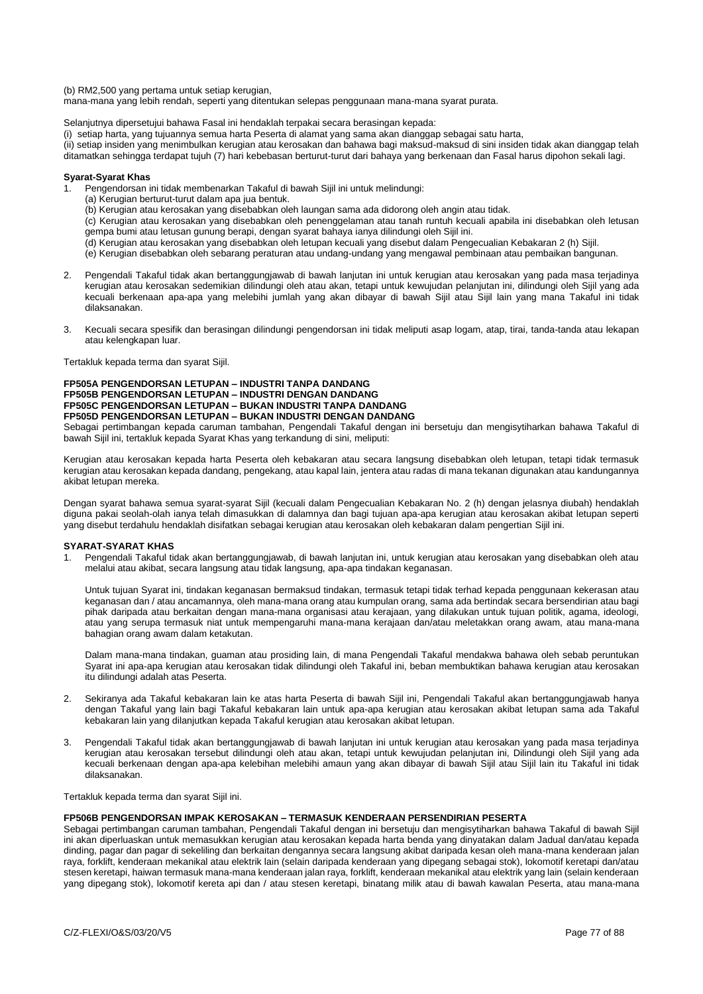(b) RM2,500 yang pertama untuk setiap kerugian,

mana-mana yang lebih rendah, seperti yang ditentukan selepas penggunaan mana-mana syarat purata.

Selanjutnya dipersetujui bahawa Fasal ini hendaklah terpakai secara berasingan kepada:

(i) setiap harta, yang tujuannya semua harta Peserta di alamat yang sama akan dianggap sebagai satu harta,

(ii) setiap insiden yang menimbulkan kerugian atau kerosakan dan bahawa bagi maksud-maksud di sini insiden tidak akan dianggap telah ditamatkan sehingga terdapat tujuh (7) hari kebebasan berturut-turut dari bahaya yang berkenaan dan Fasal harus dipohon sekali lagi.

# **Syarat-Syarat Khas**

- 1. Pengendorsan ini tidak membenarkan Takaful di bawah Sijil ini untuk melindungi:
	- (a) Kerugian berturut-turut dalam apa jua bentuk.
	- (b) Kerugian atau kerosakan yang disebabkan oleh laungan sama ada didorong oleh angin atau tidak.
- (c) Kerugian atau kerosakan yang disebabkan oleh penenggelaman atau tanah runtuh kecuali apabila ini disebabkan oleh letusan gempa bumi atau letusan gunung berapi, dengan syarat bahaya ianya dilindungi oleh Sijil ini.
	- (d) Kerugian atau kerosakan yang disebabkan oleh letupan kecuali yang disebut dalam Pengecualian Kebakaran 2 (h) Sijil.
	- (e) Kerugian disebabkan oleh sebarang peraturan atau undang-undang yang mengawal pembinaan atau pembaikan bangunan.
- 2. Pengendali Takaful tidak akan bertanggungjawab di bawah lanjutan ini untuk kerugian atau kerosakan yang pada masa terjadinya kerugian atau kerosakan sedemikian dilindungi oleh atau akan, tetapi untuk kewujudan pelanjutan ini, dilindungi oleh Sijil yang ada kecuali berkenaan apa-apa yang melebihi jumlah yang akan dibayar di bawah Sijil atau Sijil lain yang mana Takaful ini tidak dilaksanakan.
- 3. Kecuali secara spesifik dan berasingan dilindungi pengendorsan ini tidak meliputi asap logam, atap, tirai, tanda-tanda atau lekapan atau kelengkapan luar.

Tertakluk kepada terma dan syarat Sijil.

# **FP505A PENGENDORSAN LETUPAN – INDUSTRI TANPA DANDANG FP505B PENGENDORSAN LETUPAN – INDUSTRI DENGAN DANDANG FP505C PENGENDORSAN LETUPAN – BUKAN INDUSTRI TANPA DANDANG FP505D PENGENDORSAN LETUPAN – BUKAN INDUSTRI DENGAN DANDANG**

Sebagai pertimbangan kepada caruman tambahan, Pengendali Takaful dengan ini bersetuju dan mengisytiharkan bahawa Takaful di bawah Sijil ini, tertakluk kepada Syarat Khas yang terkandung di sini, meliputi:

Kerugian atau kerosakan kepada harta Peserta oleh kebakaran atau secara langsung disebabkan oleh letupan, tetapi tidak termasuk kerugian atau kerosakan kepada dandang, pengekang, atau kapal lain, jentera atau radas di mana tekanan digunakan atau kandungannya akibat letupan mereka.

Dengan syarat bahawa semua syarat-syarat Sijil (kecuali dalam Pengecualian Kebakaran No. 2 (h) dengan jelasnya diubah) hendaklah diguna pakai seolah-olah ianya telah dimasukkan di dalamnya dan bagi tujuan apa-apa kerugian atau kerosakan akibat letupan seperti yang disebut terdahulu hendaklah disifatkan sebagai kerugian atau kerosakan oleh kebakaran dalam pengertian Sijil ini.

# **SYARAT-SYARAT KHAS**

1. Pengendali Takaful tidak akan bertanggungjawab, di bawah lanjutan ini, untuk kerugian atau kerosakan yang disebabkan oleh atau melalui atau akibat, secara langsung atau tidak langsung, apa-apa tindakan keganasan.

Untuk tujuan Syarat ini, tindakan keganasan bermaksud tindakan, termasuk tetapi tidak terhad kepada penggunaan kekerasan atau keganasan dan / atau ancamannya, oleh mana-mana orang atau kumpulan orang, sama ada bertindak secara bersendirian atau bagi pihak daripada atau berkaitan dengan mana-mana organisasi atau kerajaan, yang dilakukan untuk tujuan politik, agama, ideologi, atau yang serupa termasuk niat untuk mempengaruhi mana-mana kerajaan dan/atau meletakkan orang awam, atau mana-mana bahagian orang awam dalam ketakutan.

Dalam mana-mana tindakan, guaman atau prosiding lain, di mana Pengendali Takaful mendakwa bahawa oleh sebab peruntukan Syarat ini apa-apa kerugian atau kerosakan tidak dilindungi oleh Takaful ini, beban membuktikan bahawa kerugian atau kerosakan itu dilindungi adalah atas Peserta.

- 2. Sekiranya ada Takaful kebakaran lain ke atas harta Peserta di bawah Sijil ini, Pengendali Takaful akan bertanggungjawab hanya dengan Takaful yang lain bagi Takaful kebakaran lain untuk apa-apa kerugian atau kerosakan akibat letupan sama ada Takaful kebakaran lain yang dilanjutkan kepada Takaful kerugian atau kerosakan akibat letupan.
- 3. Pengendali Takaful tidak akan bertanggungjawab di bawah lanjutan ini untuk kerugian atau kerosakan yang pada masa terjadinya kerugian atau kerosakan tersebut dilindungi oleh atau akan, tetapi untuk kewujudan pelanjutan ini, Dilindungi oleh Sijil yang ada kecuali berkenaan dengan apa-apa kelebihan melebihi amaun yang akan dibayar di bawah Sijil atau Sijil lain itu Takaful ini tidak dilaksanakan.

Tertakluk kepada terma dan syarat Sijil ini.

# **FP506B PENGENDORSAN IMPAK KEROSAKAN – TERMASUK KENDERAAN PERSENDIRIAN PESERTA**

Sebagai pertimbangan caruman tambahan, Pengendali Takaful dengan ini bersetuju dan mengisytiharkan bahawa Takaful di bawah Sijil ini akan diperluaskan untuk memasukkan kerugian atau kerosakan kepada harta benda yang dinyatakan dalam Jadual dan/atau kepada dinding, pagar dan pagar di sekeliling dan berkaitan dengannya secara langsung akibat daripada kesan oleh mana-mana kenderaan jalan raya, forklift, kenderaan mekanikal atau elektrik lain (selain daripada kenderaan yang dipegang sebagai stok), lokomotif keretapi dan/atau stesen keretapi, haiwan termasuk mana-mana kenderaan jalan raya, forklift, kenderaan mekanikal atau elektrik yang lain (selain kenderaan yang dipegang stok), lokomotif kereta api dan / atau stesen keretapi, binatang milik atau di bawah kawalan Peserta, atau mana-mana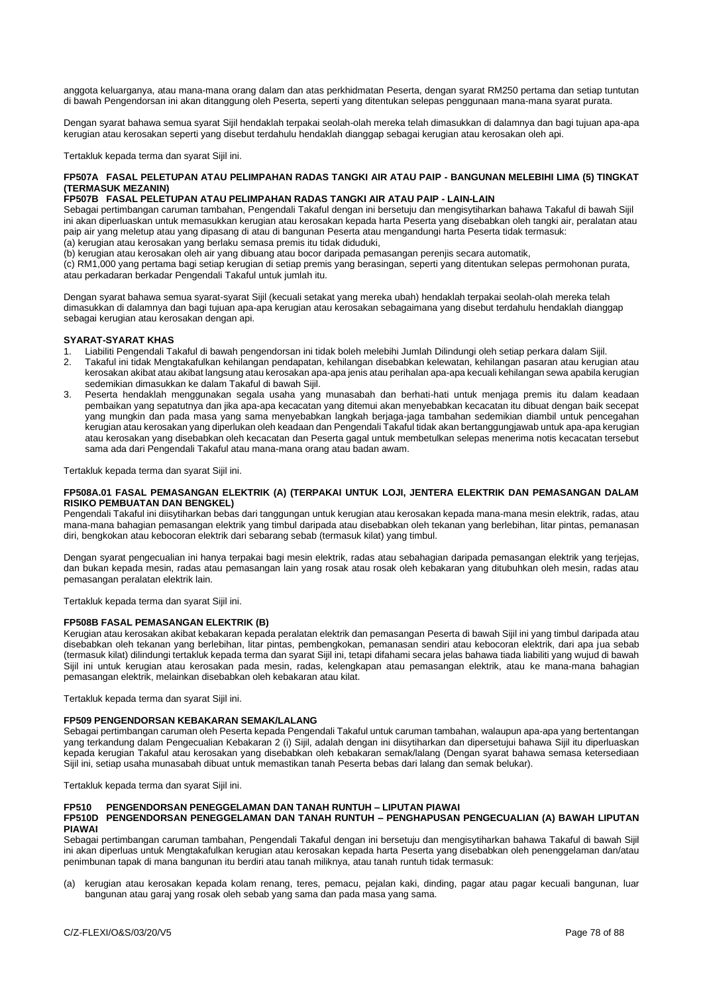anggota keluarganya, atau mana-mana orang dalam dan atas perkhidmatan Peserta, dengan syarat RM250 pertama dan setiap tuntutan di bawah Pengendorsan ini akan ditanggung oleh Peserta, seperti yang ditentukan selepas penggunaan mana-mana syarat purata.

Dengan syarat bahawa semua syarat Sijil hendaklah terpakai seolah-olah mereka telah dimasukkan di dalamnya dan bagi tujuan apa-apa kerugian atau kerosakan seperti yang disebut terdahulu hendaklah dianggap sebagai kerugian atau kerosakan oleh api.

Tertakluk kepada terma dan syarat Sijil ini.

# **FP507A FASAL PELETUPAN ATAU PELIMPAHAN RADAS TANGKI AIR ATAU PAIP - BANGUNAN MELEBIHI LIMA (5) TINGKAT (TERMASUK MEZANIN)**

# **FP507B FASAL PELETUPAN ATAU PELIMPAHAN RADAS TANGKI AIR ATAU PAIP - LAIN-LAIN**

Sebagai pertimbangan caruman tambahan, Pengendali Takaful dengan ini bersetuju dan mengisytiharkan bahawa Takaful di bawah Sijil ini akan diperluaskan untuk memasukkan kerugian atau kerosakan kepada harta Peserta yang disebabkan oleh tangki air, peralatan atau paip air yang meletup atau yang dipasang di atau di bangunan Peserta atau mengandungi harta Peserta tidak termasuk: (a) kerugian atau kerosakan yang berlaku semasa premis itu tidak diduduki,

(b) kerugian atau kerosakan oleh air yang dibuang atau bocor daripada pemasangan perenjis secara automatik,

(c) RM1,000 yang pertama bagi setiap kerugian di setiap premis yang berasingan, seperti yang ditentukan selepas permohonan purata, atau perkadaran berkadar Pengendali Takaful untuk jumlah itu.

Dengan syarat bahawa semua syarat-syarat Sijil (kecuali setakat yang mereka ubah) hendaklah terpakai seolah-olah mereka telah dimasukkan di dalamnya dan bagi tujuan apa-apa kerugian atau kerosakan sebagaimana yang disebut terdahulu hendaklah dianggap sebagai kerugian atau kerosakan dengan api.

# **SYARAT-SYARAT KHAS**

- 1. Liabiliti Pengendali Takaful di bawah pengendorsan ini tidak boleh melebihi Jumlah Dilindungi oleh setiap perkara dalam Sijil.
- 2. Takaful ini tidak Mengtakafulkan kehilangan pendapatan, kehilangan disebabkan kelewatan, kehilangan pasaran atau kerugian atau kerosakan akibat atau akibat langsung atau kerosakan apa-apa jenis atau perihalan apa-apa kecuali kehilangan sewa apabila kerugian sedemikian dimasukkan ke dalam Takaful di bawah Sijil.
- 3. Peserta hendaklah menggunakan segala usaha yang munasabah dan berhati-hati untuk menjaga premis itu dalam keadaan pembaikan yang sepatutnya dan jika apa-apa kecacatan yang ditemui akan menyebabkan kecacatan itu dibuat dengan baik secepat yang mungkin dan pada masa yang sama menyebabkan langkah berjaga-jaga tambahan sedemikian diambil untuk pencegahan kerugian atau kerosakan yang diperlukan oleh keadaan dan Pengendali Takaful tidak akan bertanggungjawab untuk apa-apa kerugian atau kerosakan yang disebabkan oleh kecacatan dan Peserta gagal untuk membetulkan selepas menerima notis kecacatan tersebut sama ada dari Pengendali Takaful atau mana-mana orang atau badan awam.

Tertakluk kepada terma dan syarat Sijil ini.

# **FP508A.01 FASAL PEMASANGAN ELEKTRIK (A) (TERPAKAI UNTUK LOJI, JENTERA ELEKTRIK DAN PEMASANGAN DALAM RISIKO PEMBUATAN DAN BENGKEL)**

Pengendali Takaful ini diisytiharkan bebas dari tanggungan untuk kerugian atau kerosakan kepada mana-mana mesin elektrik, radas, atau mana-mana bahagian pemasangan elektrik yang timbul daripada atau disebabkan oleh tekanan yang berlebihan, litar pintas, pemanasan diri, bengkokan atau kebocoran elektrik dari sebarang sebab (termasuk kilat) yang timbul.

Dengan syarat pengecualian ini hanya terpakai bagi mesin elektrik, radas atau sebahagian daripada pemasangan elektrik yang terjejas, dan bukan kepada mesin, radas atau pemasangan lain yang rosak atau rosak oleh kebakaran yang ditubuhkan oleh mesin, radas atau pemasangan peralatan elektrik lain.

Tertakluk kepada terma dan syarat Sijil ini.

# **FP508B FASAL PEMASANGAN ELEKTRIK (B)**

Kerugian atau kerosakan akibat kebakaran kepada peralatan elektrik dan pemasangan Peserta di bawah Sijil ini yang timbul daripada atau disebabkan oleh tekanan yang berlebihan, litar pintas, pembengkokan, pemanasan sendiri atau kebocoran elektrik, dari apa jua sebab (termasuk kilat) dilindungi tertakluk kepada terma dan syarat Sijil ini, tetapi difahami secara jelas bahawa tiada liabiliti yang wujud di bawah Sijil ini untuk kerugian atau kerosakan pada mesin, radas, kelengkapan atau pemasangan elektrik, atau ke mana-mana bahagian pemasangan elektrik, melainkan disebabkan oleh kebakaran atau kilat.

Tertakluk kepada terma dan syarat Sijil ini.

# **FP509 PENGENDORSAN KEBAKARAN SEMAK/LALANG**

Sebagai pertimbangan caruman oleh Peserta kepada Pengendali Takaful untuk caruman tambahan, walaupun apa-apa yang bertentangan yang terkandung dalam Pengecualian Kebakaran 2 (i) Sijil, adalah dengan ini diisytiharkan dan dipersetujui bahawa Sijil itu diperluaskan kepada kerugian Takaful atau kerosakan yang disebabkan oleh kebakaran semak/lalang (Dengan syarat bahawa semasa ketersediaan Sijil ini, setiap usaha munasabah dibuat untuk memastikan tanah Peserta bebas dari lalang dan semak belukar).

Tertakluk kepada terma dan syarat Sijil ini.

#### **FP510 PENGENDORSAN PENEGGELAMAN DAN TANAH RUNTUH – LIPUTAN PIAWAI FP510D PENGENDORSAN PENEGGELAMAN DAN TANAH RUNTUH – PENGHAPUSAN PENGECUALIAN (A) BAWAH LIPUTAN PIAWAI**

#### Sebagai pertimbangan caruman tambahan, Pengendali Takaful dengan ini bersetuju dan mengisytiharkan bahawa Takaful di bawah Sijil ini akan diperluas untuk Mengtakafulkan kerugian atau kerosakan kepada harta Peserta yang disebabkan oleh penenggelaman dan/atau penimbunan tapak di mana bangunan itu berdiri atau tanah miliknya, atau tanah runtuh tidak termasuk:

(a) kerugian atau kerosakan kepada kolam renang, teres, pemacu, pejalan kaki, dinding, pagar atau pagar kecuali bangunan, luar bangunan atau garaj yang rosak oleh sebab yang sama dan pada masa yang sama.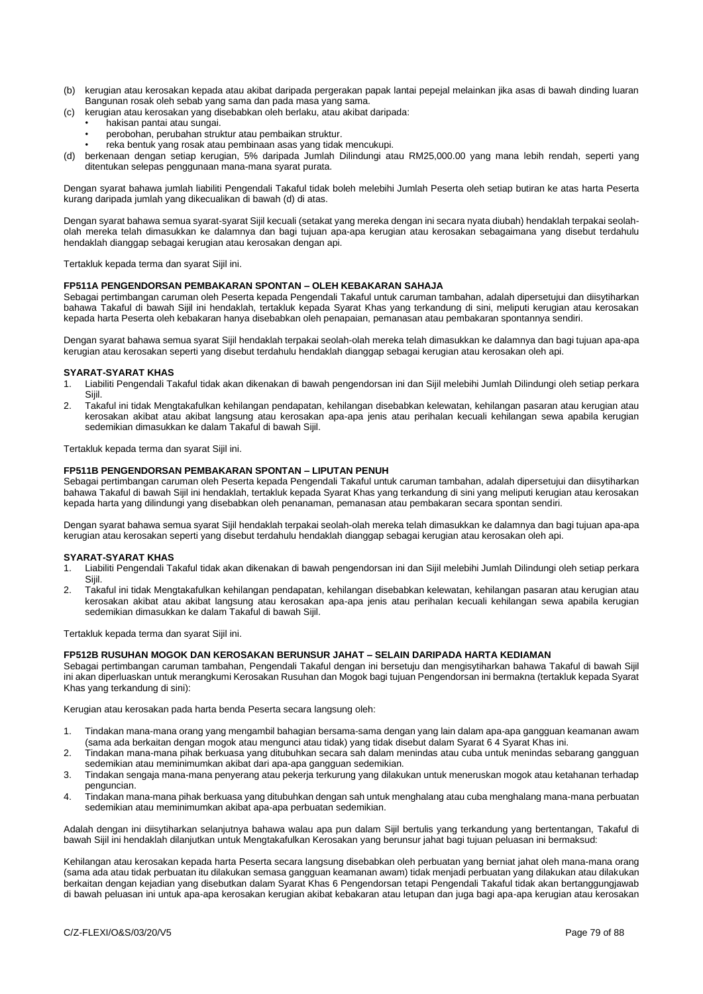- (b) kerugian atau kerosakan kepada atau akibat daripada pergerakan papak lantai pepejal melainkan jika asas di bawah dinding luaran Bangunan rosak oleh sebab yang sama dan pada masa yang sama.
- kerugian atau kerosakan yang disebabkan oleh berlaku, atau akibat daripada:
	- hakisan pantai atau sungai.
	- perobohan, perubahan struktur atau pembaikan struktur.
	- reka bentuk yang rosak atau pembinaan asas yang tidak mencukupi.
- (d) berkenaan dengan setiap kerugian, 5% daripada Jumlah Dilindungi atau RM25,000.00 yang mana lebih rendah, seperti yang ditentukan selepas penggunaan mana-mana syarat purata.

Dengan syarat bahawa jumlah liabiliti Pengendali Takaful tidak boleh melebihi Jumlah Peserta oleh setiap butiran ke atas harta Peserta kurang daripada jumlah yang dikecualikan di bawah (d) di atas.

Dengan syarat bahawa semua syarat-syarat Sijil kecuali (setakat yang mereka dengan ini secara nyata diubah) hendaklah terpakai seolaholah mereka telah dimasukkan ke dalamnya dan bagi tujuan apa-apa kerugian atau kerosakan sebagaimana yang disebut terdahulu hendaklah dianggap sebagai kerugian atau kerosakan dengan api.

Tertakluk kepada terma dan syarat Sijil ini.

# **FP511A PENGENDORSAN PEMBAKARAN SPONTAN – OLEH KEBAKARAN SAHAJA**

Sebagai pertimbangan caruman oleh Peserta kepada Pengendali Takaful untuk caruman tambahan, adalah dipersetujui dan diisytiharkan bahawa Takaful di bawah Sijil ini hendaklah, tertakluk kepada Syarat Khas yang terkandung di sini, meliputi kerugian atau kerosakan kepada harta Peserta oleh kebakaran hanya disebabkan oleh penapaian, pemanasan atau pembakaran spontannya sendiri.

Dengan syarat bahawa semua syarat Sijil hendaklah terpakai seolah-olah mereka telah dimasukkan ke dalamnya dan bagi tujuan apa-apa kerugian atau kerosakan seperti yang disebut terdahulu hendaklah dianggap sebagai kerugian atau kerosakan oleh api.

# **SYARAT-SYARAT KHAS**

- 1. Liabiliti Pengendali Takaful tidak akan dikenakan di bawah pengendorsan ini dan Sijil melebihi Jumlah Dilindungi oleh setiap perkara Sijil.
- 2. Takaful ini tidak Mengtakafulkan kehilangan pendapatan, kehilangan disebabkan kelewatan, kehilangan pasaran atau kerugian atau kerosakan akibat atau akibat langsung atau kerosakan apa-apa jenis atau perihalan kecuali kehilangan sewa apabila kerugian sedemikian dimasukkan ke dalam Takaful di bawah Sijil.

Tertakluk kepada terma dan syarat Sijil ini.

# **FP511B PENGENDORSAN PEMBAKARAN SPONTAN – LIPUTAN PENUH**

Sebagai pertimbangan caruman oleh Peserta kepada Pengendali Takaful untuk caruman tambahan, adalah dipersetujui dan diisytiharkan bahawa Takaful di bawah Sijil ini hendaklah, tertakluk kepada Syarat Khas yang terkandung di sini yang meliputi kerugian atau kerosakan kepada harta yang dilindungi yang disebabkan oleh penanaman, pemanasan atau pembakaran secara spontan sendiri.

Dengan syarat bahawa semua syarat Sijil hendaklah terpakai seolah-olah mereka telah dimasukkan ke dalamnya dan bagi tujuan apa-apa kerugian atau kerosakan seperti yang disebut terdahulu hendaklah dianggap sebagai kerugian atau kerosakan oleh api.

# **SYARAT-SYARAT KHAS**

- 1. Liabiliti Pengendali Takaful tidak akan dikenakan di bawah pengendorsan ini dan Sijil melebihi Jumlah Dilindungi oleh setiap perkara Sijil.
- 2. Takaful ini tidak Mengtakafulkan kehilangan pendapatan, kehilangan disebabkan kelewatan, kehilangan pasaran atau kerugian atau kerosakan akibat atau akibat langsung atau kerosakan apa-apa jenis atau perihalan kecuali kehilangan sewa apabila kerugian sedemikian dimasukkan ke dalam Takaful di bawah Sijil.

Tertakluk kepada terma dan syarat Sijil ini.

# **FP512B RUSUHAN MOGOK DAN KEROSAKAN BERUNSUR JAHAT – SELAIN DARIPADA HARTA KEDIAMAN**

Sebagai pertimbangan caruman tambahan, Pengendali Takaful dengan ini bersetuju dan mengisytiharkan bahawa Takaful di bawah Sijil ini akan diperluaskan untuk merangkumi Kerosakan Rusuhan dan Mogok bagi tujuan Pengendorsan ini bermakna (tertakluk kepada Syarat Khas yang terkandung di sini):

Kerugian atau kerosakan pada harta benda Peserta secara langsung oleh:

- 1. Tindakan mana-mana orang yang mengambil bahagian bersama-sama dengan yang lain dalam apa-apa gangguan keamanan awam (sama ada berkaitan dengan mogok atau mengunci atau tidak) yang tidak disebut dalam Syarat 6 4 Syarat Khas ini.
- 2. Tindakan mana-mana pihak berkuasa yang ditubuhkan secara sah dalam menindas atau cuba untuk menindas sebarang gangguan sedemikian atau meminimumkan akibat dari apa-apa gangguan sedemikian.
- 3. Tindakan sengaja mana-mana penyerang atau pekerja terkurung yang dilakukan untuk meneruskan mogok atau ketahanan terhadap penguncian.
- 4. Tindakan mana-mana pihak berkuasa yang ditubuhkan dengan sah untuk menghalang atau cuba menghalang mana-mana perbuatan sedemikian atau meminimumkan akibat apa-apa perbuatan sedemikian.

Adalah dengan ini diisytiharkan selanjutnya bahawa walau apa pun dalam Sijil bertulis yang terkandung yang bertentangan, Takaful di bawah Sijil ini hendaklah dilanjutkan untuk Mengtakafulkan Kerosakan yang berunsur jahat bagi tujuan peluasan ini bermaksud:

Kehilangan atau kerosakan kepada harta Peserta secara langsung disebabkan oleh perbuatan yang berniat jahat oleh mana-mana orang (sama ada atau tidak perbuatan itu dilakukan semasa gangguan keamanan awam) tidak menjadi perbuatan yang dilakukan atau dilakukan berkaitan dengan kejadian yang disebutkan dalam Syarat Khas 6 Pengendorsan tetapi Pengendali Takaful tidak akan bertanggungjawab di bawah peluasan ini untuk apa-apa kerosakan kerugian akibat kebakaran atau letupan dan juga bagi apa-apa kerugian atau kerosakan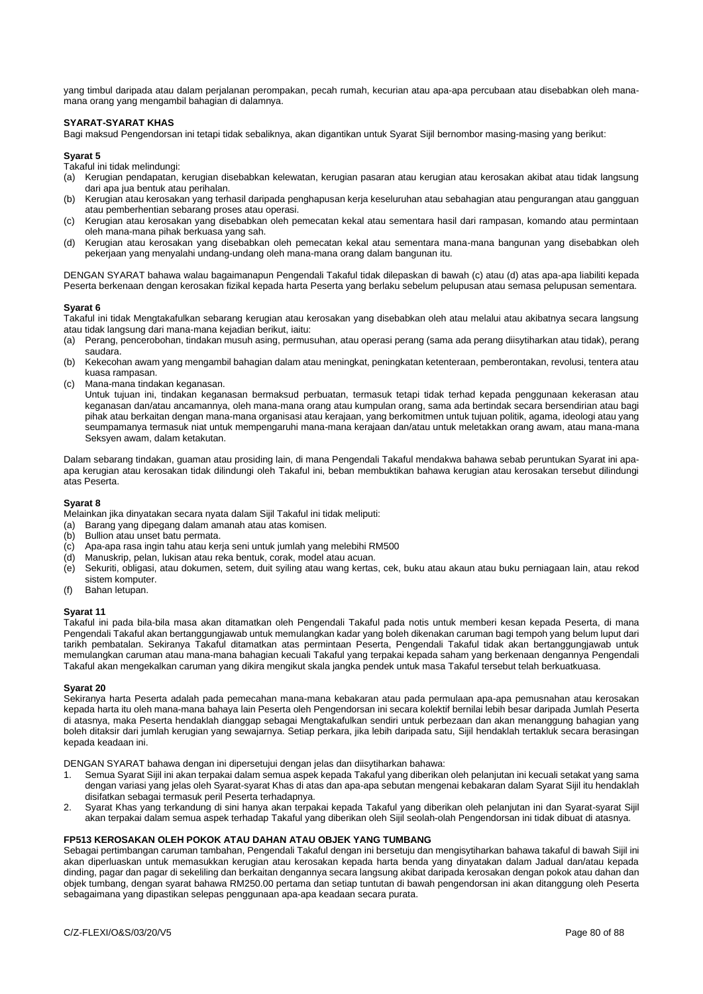yang timbul daripada atau dalam perjalanan perompakan, pecah rumah, kecurian atau apa-apa percubaan atau disebabkan oleh manamana orang yang mengambil bahagian di dalamnya.

# **SYARAT-SYARAT KHAS**

Bagi maksud Pengendorsan ini tetapi tidak sebaliknya, akan digantikan untuk Syarat Sijil bernombor masing-masing yang berikut:

# **Syarat 5**

Takaful ini tidak melindungi:

- (a) Kerugian pendapatan, kerugian disebabkan kelewatan, kerugian pasaran atau kerugian atau kerosakan akibat atau tidak langsung dari apa jua bentuk atau perihalan.
- (b) Kerugian atau kerosakan yang terhasil daripada penghapusan kerja keseluruhan atau sebahagian atau pengurangan atau gangguan atau pemberhentian sebarang proses atau operasi.
- (c) Kerugian atau kerosakan yang disebabkan oleh pemecatan kekal atau sementara hasil dari rampasan, komando atau permintaan oleh mana-mana pihak berkuasa yang sah.
- (d) Kerugian atau kerosakan yang disebabkan oleh pemecatan kekal atau sementara mana-mana bangunan yang disebabkan oleh pekerjaan yang menyalahi undang-undang oleh mana-mana orang dalam bangunan itu.

DENGAN SYARAT bahawa walau bagaimanapun Pengendali Takaful tidak dilepaskan di bawah (c) atau (d) atas apa-apa liabiliti kepada Peserta berkenaan dengan kerosakan fizikal kepada harta Peserta yang berlaku sebelum pelupusan atau semasa pelupusan sementara.

# **Syarat 6**

Takaful ini tidak Mengtakafulkan sebarang kerugian atau kerosakan yang disebabkan oleh atau melalui atau akibatnya secara langsung atau tidak langsung dari mana-mana kejadian berikut, iaitu:

- (a) Perang, pencerobohan, tindakan musuh asing, permusuhan, atau operasi perang (sama ada perang diisytiharkan atau tidak), perang saudara.
- (b) Kekecohan awam yang mengambil bahagian dalam atau meningkat, peningkatan ketenteraan, pemberontakan, revolusi, tentera atau kuasa rampasan.
- (c) Mana-mana tindakan keganasan.

Untuk tujuan ini, tindakan keganasan bermaksud perbuatan, termasuk tetapi tidak terhad kepada penggunaan kekerasan atau keganasan dan/atau ancamannya, oleh mana-mana orang atau kumpulan orang, sama ada bertindak secara bersendirian atau bagi pihak atau berkaitan dengan mana-mana organisasi atau kerajaan, yang berkomitmen untuk tujuan politik, agama, ideologi atau yang seumpamanya termasuk niat untuk mempengaruhi mana-mana kerajaan dan/atau untuk meletakkan orang awam, atau mana-mana Seksyen awam, dalam ketakutan.

Dalam sebarang tindakan, guaman atau prosiding lain, di mana Pengendali Takaful mendakwa bahawa sebab peruntukan Syarat ini apaapa kerugian atau kerosakan tidak dilindungi oleh Takaful ini, beban membuktikan bahawa kerugian atau kerosakan tersebut dilindungi atas Peserta.

#### **Syarat 8**

Melainkan jika dinyatakan secara nyata dalam Sijil Takaful ini tidak meliputi:

- (a) Barang yang dipegang dalam amanah atau atas komisen.
- (b) Bullion atau unset batu permata.<br>(c) Apa-apa rasa ingin tahu atau ker
- (c) Apa-apa rasa ingin tahu atau kerja seni untuk jumlah yang melebihi RM500
- (d) Manuskrip, pelan, lukisan atau reka bentuk, corak, model atau acuan.
- (e) Sekuriti, obligasi, atau dokumen, setem, duit syiling atau wang kertas, cek, buku atau akaun atau buku perniagaan lain, atau rekod sistem komputer.
- (f) Bahan letupan.

#### **Syarat 11**

Takaful ini pada bila-bila masa akan ditamatkan oleh Pengendali Takaful pada notis untuk memberi kesan kepada Peserta, di mana Pengendali Takaful akan bertanggungjawab untuk memulangkan kadar yang boleh dikenakan caruman bagi tempoh yang belum luput dari tarikh pembatalan. Sekiranya Takaful ditamatkan atas permintaan Peserta, Pengendali Takaful tidak akan bertanggungjawab untuk memulangkan caruman atau mana-mana bahagian kecuali Takaful yang terpakai kepada saham yang berkenaan dengannya Pengendali Takaful akan mengekalkan caruman yang dikira mengikut skala jangka pendek untuk masa Takaful tersebut telah berkuatkuasa.

# **Syarat 20**

Sekiranya harta Peserta adalah pada pemecahan mana-mana kebakaran atau pada permulaan apa-apa pemusnahan atau kerosakan kepada harta itu oleh mana-mana bahaya lain Peserta oleh Pengendorsan ini secara kolektif bernilai lebih besar daripada Jumlah Peserta di atasnya, maka Peserta hendaklah dianggap sebagai Mengtakafulkan sendiri untuk perbezaan dan akan menanggung bahagian yang boleh ditaksir dari jumlah kerugian yang sewajarnya. Setiap perkara, jika lebih daripada satu, Sijil hendaklah tertakluk secara berasingan kepada keadaan ini.

DENGAN SYARAT bahawa dengan ini dipersetujui dengan jelas dan diisytiharkan bahawa:

- 1. Semua Syarat Sijil ini akan terpakai dalam semua aspek kepada Takaful yang diberikan oleh pelanjutan ini kecuali setakat yang sama dengan variasi yang jelas oleh Syarat-syarat Khas di atas dan apa-apa sebutan mengenai kebakaran dalam Syarat Sijil itu hendaklah disifatkan sebagai termasuk peril Peserta terhadapnya.
- 2. Syarat Khas yang terkandung di sini hanya akan terpakai kepada Takaful yang diberikan oleh pelanjutan ini dan Syarat-syarat Sijil akan terpakai dalam semua aspek terhadap Takaful yang diberikan oleh Sijil seolah-olah Pengendorsan ini tidak dibuat di atasnya.

# **FP513 KEROSAKAN OLEH POKOK ATAU DAHAN ATAU OBJEK YANG TUMBANG**

Sebagai pertimbangan caruman tambahan, Pengendali Takaful dengan ini bersetuju dan mengisytiharkan bahawa takaful di bawah Sijil ini akan diperluaskan untuk memasukkan kerugian atau kerosakan kepada harta benda yang dinyatakan dalam Jadual dan/atau kepada dinding, pagar dan pagar di sekeliling dan berkaitan dengannya secara langsung akibat daripada kerosakan dengan pokok atau dahan dan objek tumbang, dengan syarat bahawa RM250.00 pertama dan setiap tuntutan di bawah pengendorsan ini akan ditanggung oleh Peserta sebagaimana yang dipastikan selepas penggunaan apa-apa keadaan secara purata.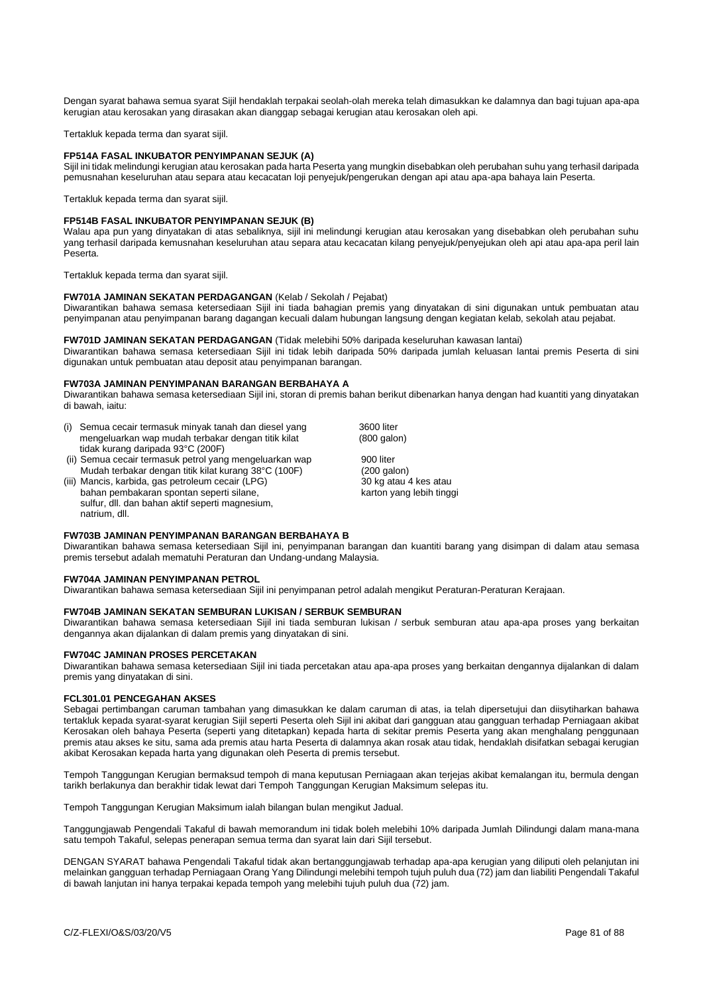Dengan syarat bahawa semua syarat Sijil hendaklah terpakai seolah-olah mereka telah dimasukkan ke dalamnya dan bagi tujuan apa-apa kerugian atau kerosakan yang dirasakan akan dianggap sebagai kerugian atau kerosakan oleh api.

Tertakluk kepada terma dan syarat sijil.

# **FP514A FASAL INKUBATOR PENYIMPANAN SEJUK (A)**

Sijil ini tidak melindungi kerugian atau kerosakan pada harta Peserta yang mungkin disebabkan oleh perubahan suhu yang terhasil daripada pemusnahan keseluruhan atau separa atau kecacatan loji penyejuk/pengerukan dengan api atau apa-apa bahaya lain Peserta.

Tertakluk kepada terma dan syarat sijil.

# **FP514B FASAL INKUBATOR PENYIMPANAN SEJUK (B)**

Walau apa pun yang dinyatakan di atas sebaliknya, sijil ini melindungi kerugian atau kerosakan yang disebabkan oleh perubahan suhu yang terhasil daripada kemusnahan keseluruhan atau separa atau kecacatan kilang penyejuk/penyejukan oleh api atau apa-apa peril lain Peserta.

Tertakluk kepada terma dan syarat sijil.

# **FW701A JAMINAN SEKATAN PERDAGANGAN** (Kelab / Sekolah / Pejabat)

Diwarantikan bahawa semasa ketersediaan Sijil ini tiada bahagian premis yang dinyatakan di sini digunakan untuk pembuatan atau penyimpanan atau penyimpanan barang dagangan kecuali dalam hubungan langsung dengan kegiatan kelab, sekolah atau pejabat.

#### **FW701D JAMINAN SEKATAN PERDAGANGAN** (Tidak melebihi 50% daripada keseluruhan kawasan lantai)

Diwarantikan bahawa semasa ketersediaan Sijil ini tidak lebih daripada 50% daripada jumlah keluasan lantai premis Peserta di sini digunakan untuk pembuatan atau deposit atau penyimpanan barangan.

# **FW703A JAMINAN PENYIMPANAN BARANGAN BERBAHAYA A**

Diwarantikan bahawa semasa ketersediaan Sijil ini, storan di premis bahan berikut dibenarkan hanya dengan had kuantiti yang dinyatakan di bawah, iaitu:

| (i) Semua cecair termasuk minyak tanah dan diesel yang  | 3600 liter               |
|---------------------------------------------------------|--------------------------|
| mengeluarkan wap mudah terbakar dengan titik kilat      | $(800$ galon)            |
| tidak kurang daripada 93°C (200F)                       |                          |
| (ii) Semua cecair termasuk petrol yang mengeluarkan wap | 900 liter                |
| Mudah terbakar dengan titik kilat kurang 38°C (100F)    | $(200 \text{ galon})$    |
| (iii) Mancis, karbida, gas petroleum cecair (LPG)       | 30 kg atau 4 kes atau    |
| bahan pembakaran spontan seperti silane,                | karton yang lebih tinggi |
| sulfur, dll. dan bahan aktif seperti magnesium,         |                          |
| natrium. dll.                                           |                          |

# **FW703B JAMINAN PENYIMPANAN BARANGAN BERBAHAYA B**

Diwarantikan bahawa semasa ketersediaan Sijil ini, penyimpanan barangan dan kuantiti barang yang disimpan di dalam atau semasa premis tersebut adalah mematuhi Peraturan dan Undang-undang Malaysia.

#### **FW704A JAMINAN PENYIMPANAN PETROL**

Diwarantikan bahawa semasa ketersediaan Sijil ini penyimpanan petrol adalah mengikut Peraturan-Peraturan Kerajaan.

# **FW704B JAMINAN SEKATAN SEMBURAN LUKISAN / SERBUK SEMBURAN**

Diwarantikan bahawa semasa ketersediaan Sijil ini tiada semburan lukisan / serbuk semburan atau apa-apa proses yang berkaitan dengannya akan dijalankan di dalam premis yang dinyatakan di sini.

#### **FW704C JAMINAN PROSES PERCETAKAN**

Diwarantikan bahawa semasa ketersediaan Sijil ini tiada percetakan atau apa-apa proses yang berkaitan dengannya dijalankan di dalam premis yang dinyatakan di sini.

#### **FCL301.01 PENCEGAHAN AKSES**

Sebagai pertimbangan caruman tambahan yang dimasukkan ke dalam caruman di atas, ia telah dipersetujui dan diisytiharkan bahawa tertakluk kepada syarat-syarat kerugian Sijil seperti Peserta oleh Sijil ini akibat dari gangguan atau gangguan terhadap Perniagaan akibat Kerosakan oleh bahaya Peserta (seperti yang ditetapkan) kepada harta di sekitar premis Peserta yang akan menghalang penggunaan premis atau akses ke situ, sama ada premis atau harta Peserta di dalamnya akan rosak atau tidak, hendaklah disifatkan sebagai kerugian akibat Kerosakan kepada harta yang digunakan oleh Peserta di premis tersebut.

Tempoh Tanggungan Kerugian bermaksud tempoh di mana keputusan Perniagaan akan terjejas akibat kemalangan itu, bermula dengan tarikh berlakunya dan berakhir tidak lewat dari Tempoh Tanggungan Kerugian Maksimum selepas itu.

Tempoh Tanggungan Kerugian Maksimum ialah bilangan bulan mengikut Jadual.

Tanggungjawab Pengendali Takaful di bawah memorandum ini tidak boleh melebihi 10% daripada Jumlah Dilindungi dalam mana-mana satu tempoh Takaful, selepas penerapan semua terma dan syarat lain dari Sijil tersebut.

DENGAN SYARAT bahawa Pengendali Takaful tidak akan bertanggungjawab terhadap apa-apa kerugian yang diliputi oleh pelanjutan ini melainkan gangguan terhadap Perniagaan Orang Yang Dilindungi melebihi tempoh tujuh puluh dua (72) jam dan liabiliti Pengendali Takaful di bawah lanjutan ini hanya terpakai kepada tempoh yang melebihi tujuh puluh dua (72) jam.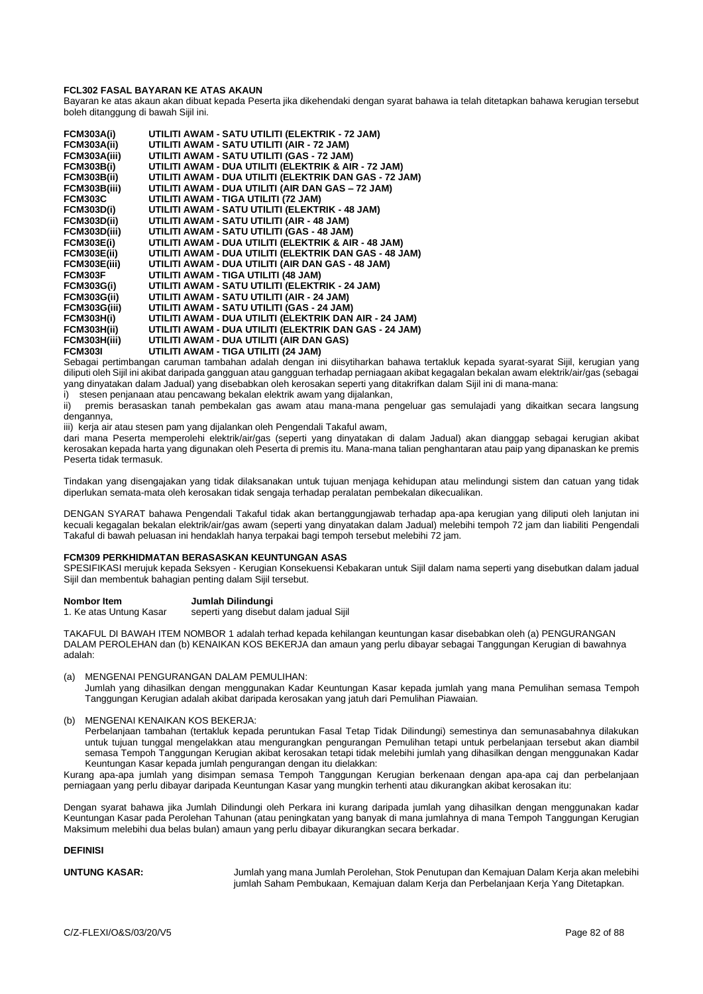# **FCL302 FASAL BAYARAN KE ATAS AKAUN**

Bayaran ke atas akaun akan dibuat kepada Peserta jika dikehendaki dengan syarat bahawa ia telah ditetapkan bahawa kerugian tersebut boleh ditanggung di bawah Sijil ini.

| <b>FCM303A(i)</b>  | UTILITI AWAM - SATU UTILITI (ELEKTRIK - 72 JAM)                    |
|--------------------|--------------------------------------------------------------------|
| FCM303A(ii)        | UTILITI AWAM - SATU UTILITI (AIR - 72 JAM)                         |
|                    | FCM303A(iii) UTILITI AWAM - SATU UTILITI (GAS - 72 JAM)            |
|                    | FCM303B(i) UTILITI AWAM - DUA UTILITI (ELEKTRIK & AIR - 72 JAM)    |
| FCM303B(ii)        | UTILITI AWAM - DUA UTILITI (ELEKTRIK DAN GAS - 72 JAM)             |
| FCM303B(iii)       | UTILITI AWAM - DUA UTILITI (AIR DAN GAS - 72 JAM)                  |
| <b>FCM303C</b>     | UTILITI AWAM - TIGA UTILITI (72 JAM)                               |
|                    | FCM303D(i) UTILITI AWAM - SATU UTILITI (ELEKTRIK - 48 JAM)         |
|                    | FCM303D(ii) UTILITI AWAM - SATU UTILITI (AIR - 48 JAM)             |
|                    | FCM303D(iii) UTILITI AWAM - SATU UTILITI (GAS - 48 JAM)            |
| <b>FCM303E(i)</b>  | UTILITI AWAM - DUA UTILITI (ELEKTRIK & AIR - 48 JAM)               |
|                    | FCM303E(ii) UTILITI AWAM - DUA UTILITI (ELEKTRIK DAN GAS - 48 JAM) |
|                    | FCM303E(iii) UTILITI AWAM - DUA UTILITI (AIR DAN GAS - 48 JAM)     |
| <b>FCM303F</b>     | UTILITI AWAM - TIGA UTILITI (48 JAM)                               |
| <b>FCM303G(i)</b>  | UTILITI AWAM - SATU UTILITI (ELEKTRIK - 24 JAM)                    |
| <b>FCM303G(ii)</b> | UTILITI AWAM - SATU UTILITI (AIR - 24 JAM)                         |
| FCM303G(iii)       | UTILITI AWAM - SATU UTILITI (GAS - 24 JAM)                         |
| <b>FCM303H(i)</b>  | UTILITI AWAM - DUA UTILITI (ELEKTRIK DAN AIR - 24 JAM)             |
| <b>FCM303H(ii)</b> | UTILITI AWAM - DUA UTILITI (ELEKTRIK DAN GAS - 24 JAM)             |
| FCM303H(iii)       | UTILITI AWAM - DUA UTILITI (AIR DAN GAS)                           |
| <b>FCM303I</b>     | UTILITI AWAM - TIGA UTILITI (24 JAM)                               |

Sebagai pertimbangan caruman tambahan adalah dengan ini diisytiharkan bahawa tertakluk kepada syarat-syarat Sijil, kerugian yang diliputi oleh Sijil ini akibat daripada gangguan atau gangguan terhadap perniagaan akibat kegagalan bekalan awam elektrik/air/gas (sebagai yang dinyatakan dalam Jadual) yang disebabkan oleh kerosakan seperti yang ditakrifkan dalam Sijil ini di mana-mana:

i) stesen penjanaan atau pencawang bekalan elektrik awam yang dijalankan,

ii) premis berasaskan tanah pembekalan gas awam atau mana-mana pengeluar gas semulajadi yang dikaitkan secara langsung dengannya,

iii) kerja air atau stesen pam yang dijalankan oleh Pengendali Takaful awam,

dari mana Peserta memperolehi elektrik/air/gas (seperti yang dinyatakan di dalam Jadual) akan dianggap sebagai kerugian akibat kerosakan kepada harta yang digunakan oleh Peserta di premis itu. Mana-mana talian penghantaran atau paip yang dipanaskan ke premis Peserta tidak termasuk.

Tindakan yang disengajakan yang tidak dilaksanakan untuk tujuan menjaga kehidupan atau melindungi sistem dan catuan yang tidak diperlukan semata-mata oleh kerosakan tidak sengaja terhadap peralatan pembekalan dikecualikan.

DENGAN SYARAT bahawa Pengendali Takaful tidak akan bertanggungjawab terhadap apa-apa kerugian yang diliputi oleh lanjutan ini kecuali kegagalan bekalan elektrik/air/gas awam (seperti yang dinyatakan dalam Jadual) melebihi tempoh 72 jam dan liabiliti Pengendali Takaful di bawah peluasan ini hendaklah hanya terpakai bagi tempoh tersebut melebihi 72 jam.

# **FCM309 PERKHIDMATAN BERASASKAN KEUNTUNGAN ASAS**

SPESIFIKASI merujuk kepada Seksyen - Kerugian Konsekuensi Kebakaran untuk Sijil dalam nama seperti yang disebutkan dalam jadual Sijil dan membentuk bahagian penting dalam Sijil tersebut.

# **Nombor Item**<br>1. Ke atas Untung Kasar seperti yang disebu

seperti yang disebut dalam jadual Sijil

TAKAFUL DI BAWAH ITEM NOMBOR 1 adalah terhad kepada kehilangan keuntungan kasar disebabkan oleh (a) PENGURANGAN DALAM PEROLEHAN dan (b) KENAIKAN KOS BEKERJA dan amaun yang perlu dibayar sebagai Tanggungan Kerugian di bawahnya adalah:

# (a) MENGENAI PENGURANGAN DALAM PEMULIHAN:

 Jumlah yang dihasilkan dengan menggunakan Kadar Keuntungan Kasar kepada jumlah yang mana Pemulihan semasa Tempoh Tanggungan Kerugian adalah akibat daripada kerosakan yang jatuh dari Pemulihan Piawaian.

#### (b) MENGENAI KENAIKAN KOS BEKERJA:

Perbelanjaan tambahan (tertakluk kepada peruntukan Fasal Tetap Tidak Dilindungi) semestinya dan semunasabahnya dilakukan untuk tujuan tunggal mengelakkan atau mengurangkan pengurangan Pemulihan tetapi untuk perbelanjaan tersebut akan diambil semasa Tempoh Tanggungan Kerugian akibat kerosakan tetapi tidak melebihi jumlah yang dihasilkan dengan menggunakan Kadar Keuntungan Kasar kepada jumlah pengurangan dengan itu dielakkan:

Kurang apa-apa jumlah yang disimpan semasa Tempoh Tanggungan Kerugian berkenaan dengan apa-apa caj dan perbelanjaan perniagaan yang perlu dibayar daripada Keuntungan Kasar yang mungkin terhenti atau dikurangkan akibat kerosakan itu:

Dengan syarat bahawa jika Jumlah Dilindungi oleh Perkara ini kurang daripada jumlah yang dihasilkan dengan menggunakan kadar Keuntungan Kasar pada Perolehan Tahunan (atau peningkatan yang banyak di mana jumlahnya di mana Tempoh Tanggungan Kerugian Maksimum melebihi dua belas bulan) amaun yang perlu dibayar dikurangkan secara berkadar.

#### **DEFINISI**

**UNTUNG KASAR:** Jumlah yang mana Jumlah Perolehan, Stok Penutupan dan Kemajuan Dalam Kerja akan melebihi jumlah Saham Pembukaan, Kemajuan dalam Kerja dan Perbelanjaan Kerja Yang Ditetapkan.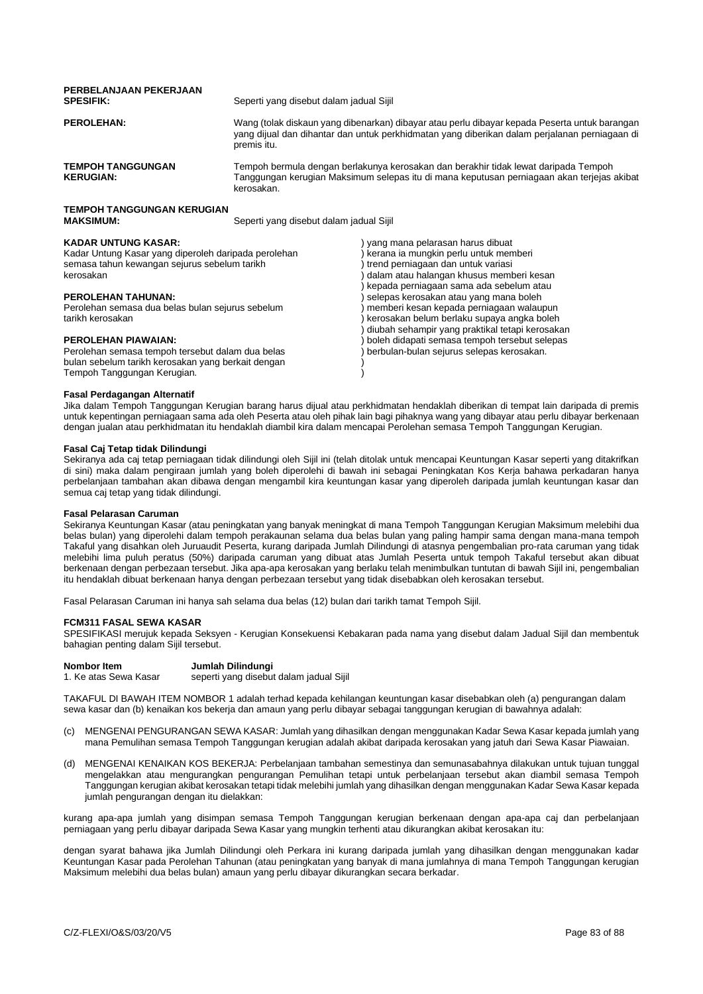| PERBELANJAAN PEKERJAAN<br><b>SPESIFIK:</b>                                                                                                                   | Seperti yang disebut dalam jadual Sijil |                                                                                                                                                                                                        |
|--------------------------------------------------------------------------------------------------------------------------------------------------------------|-----------------------------------------|--------------------------------------------------------------------------------------------------------------------------------------------------------------------------------------------------------|
| <b>PEROLEHAN:</b><br>premis itu.                                                                                                                             |                                         | Wang (tolak diskaun yang dibenarkan) dibayar atau perlu dibayar kepada Peserta untuk barangan<br>yang dijual dan dihantar dan untuk perkhidmatan yang diberikan dalam perjalanan perniagaan di         |
| <b>TEMPOH TANGGUNGAN</b><br><b>KERUGIAN:</b>                                                                                                                 | kerosakan.                              | Tempoh bermula dengan berlakunya kerosakan dan berakhir tidak lewat daripada Tempoh<br>Tanggungan kerugian Maksimum selepas itu di mana keputusan perniagaan akan terjejas akibat                      |
| <b>TEMPOH TANGGUNGAN KERUGIAN</b><br><b>MAKSIMUM:</b><br>Seperti yang disebut dalam jadual Sijil                                                             |                                         |                                                                                                                                                                                                        |
| <b>KADAR UNTUNG KASAR:</b><br>Kadar Untung Kasar yang diperoleh daripada perolehan<br>semasa tahun kewangan sejurus sebelum tarikh<br>kerosakan              |                                         | yang mana pelarasan harus dibuat<br>kerana ia mungkin perlu untuk memberi<br>trend perniagaan dan untuk variasi<br>dalam atau halangan khusus memberi kesan<br>kepada perniagaan sama ada sebelum atau |
| <b>PEROLEHAN TAHUNAN:</b><br>Perolehan semasa dua belas bulan sejurus sebelum<br>tarikh kerosakan                                                            |                                         | selepas kerosakan atau yang mana boleh<br>memberi kesan kepada perniagaan walaupun<br>kerosakan belum berlaku supaya angka boleh<br>diubah sehampir yang praktikal tetapi kerosakan                    |
| PEROLEHAN PIAWAIAN:<br>Perolehan semasa tempoh tersebut dalam dua belas<br>bulan sebelum tarikh kerosakan yang berkait dengan<br>Tempoh Tanggungan Kerugian. |                                         | boleh didapati semasa tempoh tersebut selepas<br>berbulan-bulan sejurus selepas kerosakan.                                                                                                             |

## **Fasal Perdagangan Alternatif**

Jika dalam Tempoh Tanggungan Kerugian barang harus dijual atau perkhidmatan hendaklah diberikan di tempat lain daripada di premis untuk kepentingan perniagaan sama ada oleh Peserta atau oleh pihak lain bagi pihaknya wang yang dibayar atau perlu dibayar berkenaan dengan jualan atau perkhidmatan itu hendaklah diambil kira dalam mencapai Perolehan semasa Tempoh Tanggungan Kerugian.

#### **Fasal Caj Tetap tidak Dilindungi**

Sekiranya ada caj tetap perniagaan tidak dilindungi oleh Sijil ini (telah ditolak untuk mencapai Keuntungan Kasar seperti yang ditakrifkan di sini) maka dalam pengiraan jumlah yang boleh diperolehi di bawah ini sebagai Peningkatan Kos Kerja bahawa perkadaran hanya perbelanjaan tambahan akan dibawa dengan mengambil kira keuntungan kasar yang diperoleh daripada jumlah keuntungan kasar dan semua caj tetap yang tidak dilindungi.

# **Fasal Pelarasan Caruman**

Sekiranya Keuntungan Kasar (atau peningkatan yang banyak meningkat di mana Tempoh Tanggungan Kerugian Maksimum melebihi dua belas bulan) yang diperolehi dalam tempoh perakaunan selama dua belas bulan yang paling hampir sama dengan mana-mana tempoh Takaful yang disahkan oleh Juruaudit Peserta, kurang daripada Jumlah Dilindungi di atasnya pengembalian pro-rata caruman yang tidak melebihi lima puluh peratus (50%) daripada caruman yang dibuat atas Jumlah Peserta untuk tempoh Takaful tersebut akan dibuat berkenaan dengan perbezaan tersebut. Jika apa-apa kerosakan yang berlaku telah menimbulkan tuntutan di bawah Sijil ini, pengembalian itu hendaklah dibuat berkenaan hanya dengan perbezaan tersebut yang tidak disebabkan oleh kerosakan tersebut.

Fasal Pelarasan Caruman ini hanya sah selama dua belas (12) bulan dari tarikh tamat Tempoh Sijil.

#### **FCM311 FASAL SEWA KASAR**

SPESIFIKASI merujuk kepada Seksyen - Kerugian Konsekuensi Kebakaran pada nama yang disebut dalam Jadual Sijil dan membentuk bahagian penting dalam Sijil tersebut.

| Nombor Item           | Jumlah Dilindungi                       |
|-----------------------|-----------------------------------------|
| 1. Ke atas Sewa Kasar | seperti yang disebut dalam jadual Sijil |

TAKAFUL DI BAWAH ITEM NOMBOR 1 adalah terhad kepada kehilangan keuntungan kasar disebabkan oleh (a) pengurangan dalam sewa kasar dan (b) kenaikan kos bekerja dan amaun yang perlu dibayar sebagai tanggungan kerugian di bawahnya adalah:

- (c) MENGENAI PENGURANGAN SEWA KASAR: Jumlah yang dihasilkan dengan menggunakan Kadar Sewa Kasar kepada jumlah yang mana Pemulihan semasa Tempoh Tanggungan kerugian adalah akibat daripada kerosakan yang jatuh dari Sewa Kasar Piawaian.
- (d) MENGENAI KENAIKAN KOS BEKERJA: Perbelanjaan tambahan semestinya dan semunasabahnya dilakukan untuk tujuan tunggal mengelakkan atau mengurangkan pengurangan Pemulihan tetapi untuk perbelanjaan tersebut akan diambil semasa Tempoh Tanggungan kerugian akibat kerosakan tetapi tidak melebihi jumlah yang dihasilkan dengan menggunakan Kadar Sewa Kasar kepada jumlah pengurangan dengan itu dielakkan:

kurang apa-apa jumlah yang disimpan semasa Tempoh Tanggungan kerugian berkenaan dengan apa-apa caj dan perbelanjaan perniagaan yang perlu dibayar daripada Sewa Kasar yang mungkin terhenti atau dikurangkan akibat kerosakan itu:

dengan syarat bahawa jika Jumlah Dilindungi oleh Perkara ini kurang daripada jumlah yang dihasilkan dengan menggunakan kadar Keuntungan Kasar pada Perolehan Tahunan (atau peningkatan yang banyak di mana jumlahnya di mana Tempoh Tanggungan kerugian Maksimum melebihi dua belas bulan) amaun yang perlu dibayar dikurangkan secara berkadar.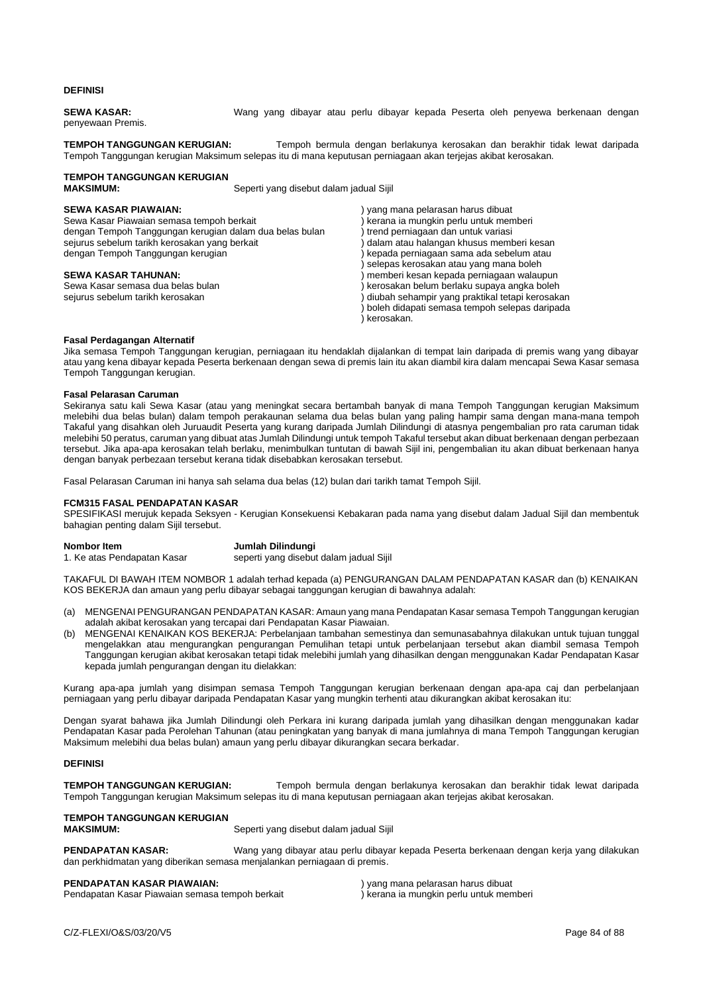# **DEFINISI**

#### **SEWA KASAR:** Wang yang dibayar atau perlu dibayar kepada Peserta oleh penyewa berkenaan dengan penyewaan Premis.

**TEMPOH TANGGUNGAN KERUGIAN:** Tempoh bermula dengan berlakunya kerosakan dan berakhir tidak lewat daripada Tempoh Tanggungan kerugian Maksimum selepas itu di mana keputusan perniagaan akan terjejas akibat kerosakan.

| <b>TEMPOH TANGGUNGAN KERUGIAN</b><br>Seperti yang disebut dalam jadual Sijil<br><b>MAKSIMUM:</b> |  |                                                 |
|--------------------------------------------------------------------------------------------------|--|-------------------------------------------------|
| <b>SEWA KASAR PIAWAIAN:</b>                                                                      |  | yang mana pelarasan harus dibuat                |
| Sewa Kasar Piawaian semasa tempoh berkait                                                        |  | kerana ia mungkin perlu untuk memberi           |
| dengan Tempoh Tanggungan kerugian dalam dua belas bulan                                          |  | trend perniagaan dan untuk variasi              |
| sejurus sebelum tarikh kerosakan yang berkait                                                    |  | dalam atau halangan khusus memberi kesan        |
| dengan Tempoh Tanggungan kerugian                                                                |  | kepada perniagaan sama ada sebelum atau         |
|                                                                                                  |  | selepas kerosakan atau yang mana boleh          |
| <b>SEWA KASAR TAHUNAN:</b>                                                                       |  | memberi kesan kepada perniagaan walaupun        |
| Sewa Kasar semasa dua belas bulan                                                                |  | kerosakan belum berlaku supaya angka boleh      |
| sejurus sebelum tarikh kerosakan                                                                 |  | diubah sehampir yang praktikal tetapi kerosakan |
|                                                                                                  |  | boleh didapati semasa tempoh selepas daripada   |
|                                                                                                  |  | kerosakan.                                      |

#### **Fasal Perdagangan Alternatif**

Jika semasa Tempoh Tanggungan kerugian, perniagaan itu hendaklah dijalankan di tempat lain daripada di premis wang yang dibayar atau yang kena dibayar kepada Peserta berkenaan dengan sewa di premis lain itu akan diambil kira dalam mencapai Sewa Kasar semasa Tempoh Tanggungan kerugian.

# **Fasal Pelarasan Caruman**

Sekiranya satu kali Sewa Kasar (atau yang meningkat secara bertambah banyak di mana Tempoh Tanggungan kerugian Maksimum melebihi dua belas bulan) dalam tempoh perakaunan selama dua belas bulan yang paling hampir sama dengan mana-mana tempoh Takaful yang disahkan oleh Juruaudit Peserta yang kurang daripada Jumlah Dilindungi di atasnya pengembalian pro rata caruman tidak melebihi 50 peratus, caruman yang dibuat atas Jumlah Dilindungi untuk tempoh Takaful tersebut akan dibuat berkenaan dengan perbezaan tersebut. Jika apa-apa kerosakan telah berlaku, menimbulkan tuntutan di bawah Sijil ini, pengembalian itu akan dibuat berkenaan hanya dengan banyak perbezaan tersebut kerana tidak disebabkan kerosakan tersebut.

Fasal Pelarasan Caruman ini hanya sah selama dua belas (12) bulan dari tarikh tamat Tempoh Sijil.

#### **FCM315 FASAL PENDAPATAN KASAR**

SPESIFIKASI merujuk kepada Seksyen - Kerugian Konsekuensi Kebakaran pada nama yang disebut dalam Jadual Sijil dan membentuk bahagian penting dalam Sijil tersebut.

**Nombor Item Jumlah Dilindungi**

1. Ke atas Pendapatan Kasar seperti yang disebut dalam jadual Sijil

TAKAFUL DI BAWAH ITEM NOMBOR 1 adalah terhad kepada (a) PENGURANGAN DALAM PENDAPATAN KASAR dan (b) KENAIKAN KOS BEKERJA dan amaun yang perlu dibayar sebagai tanggungan kerugian di bawahnya adalah:

- (a) MENGENAI PENGURANGAN PENDAPATAN KASAR: Amaun yang mana Pendapatan Kasar semasa Tempoh Tanggungan kerugian adalah akibat kerosakan yang tercapai dari Pendapatan Kasar Piawaian.
- (b) MENGENAI KENAIKAN KOS BEKERJA: Perbelanjaan tambahan semestinya dan semunasabahnya dilakukan untuk tujuan tunggal mengelakkan atau mengurangkan pengurangan Pemulihan tetapi untuk perbelanjaan tersebut akan diambil semasa Tempoh Tanggungan kerugian akibat kerosakan tetapi tidak melebihi jumlah yang dihasilkan dengan menggunakan Kadar Pendapatan Kasar kepada jumlah pengurangan dengan itu dielakkan:

Kurang apa-apa jumlah yang disimpan semasa Tempoh Tanggungan kerugian berkenaan dengan apa-apa caj dan perbelanjaan perniagaan yang perlu dibayar daripada Pendapatan Kasar yang mungkin terhenti atau dikurangkan akibat kerosakan itu:

Dengan syarat bahawa jika Jumlah Dilindungi oleh Perkara ini kurang daripada jumlah yang dihasilkan dengan menggunakan kadar Pendapatan Kasar pada Perolehan Tahunan (atau peningkatan yang banyak di mana jumlahnya di mana Tempoh Tanggungan kerugian Maksimum melebihi dua belas bulan) amaun yang perlu dibayar dikurangkan secara berkadar.

#### **DEFINISI**

**TEMPOH TANGGUNGAN KERUGIAN:** Tempoh bermula dengan berlakunya kerosakan dan berakhir tidak lewat daripada Tempoh Tanggungan kerugian Maksimum selepas itu di mana keputusan perniagaan akan terjejas akibat kerosakan.

# **TEMPOH TANGGUNGAN KERUGIAN**

Seperti yang disebut dalam jadual Sijil

**PENDAPATAN KASAR:** Wang yang dibayar atau perlu dibayar kepada Peserta berkenaan dengan kerja yang dilakukan dan perkhidmatan yang diberikan semasa menjalankan perniagaan di premis.

# PENDAPATAN KASAR PIAWAIAN: <br>
) yang mana pelarasan harus dibuat

Pendapatan Kasar Piawaian semasa tempoh berkait (interval of kerana ia mungkin perlu untuk memberi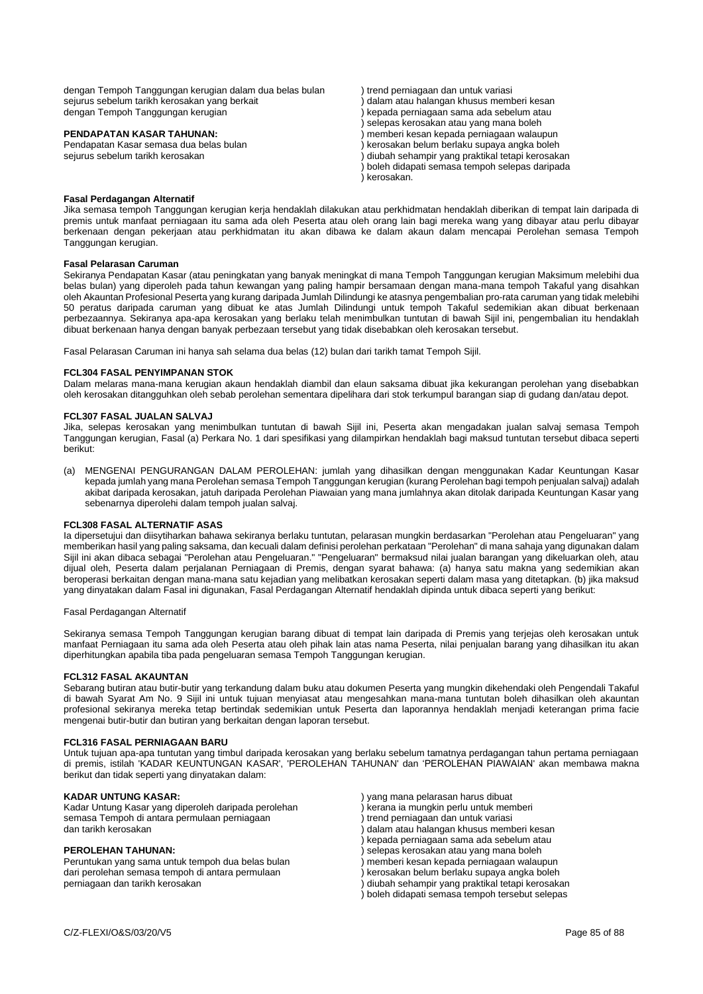| dengan Tempoh Tanggungan kerugian dalam dua belas bulan | trend perniagaan dan untuk variasi              |
|---------------------------------------------------------|-------------------------------------------------|
| sejurus sebelum tarikh kerosakan yang berkait           | dalam atau halangan khusus memberi kesan        |
| dengan Tempoh Tanggungan kerugian                       | kepada perniagaan sama ada sebelum atau         |
|                                                         | selepas kerosakan atau yang mana boleh          |
| PENDAPATAN KASAR TAHUNAN:                               | memberi kesan kepada perniagaan walaupun        |
| Pendapatan Kasar semasa dua belas bulan                 | kerosakan belum berlaku supaya angka boleh      |
| sejurus sebelum tarikh kerosakan                        | diubah sehampir yang praktikal tetapi kerosakan |
|                                                         | boleh didapati semasa tempoh selepas daripada   |
|                                                         | kerosakan.                                      |

#### **Fasal Perdagangan Alternatif**

Jika semasa tempoh Tanggungan kerugian kerja hendaklah dilakukan atau perkhidmatan hendaklah diberikan di tempat lain daripada di premis untuk manfaat perniagaan itu sama ada oleh Peserta atau oleh orang lain bagi mereka wang yang dibayar atau perlu dibayar berkenaan dengan pekerjaan atau perkhidmatan itu akan dibawa ke dalam akaun dalam mencapai Perolehan semasa Tempoh Tanggungan kerugian.

# **Fasal Pelarasan Caruman**

Sekiranya Pendapatan Kasar (atau peningkatan yang banyak meningkat di mana Tempoh Tanggungan kerugian Maksimum melebihi dua belas bulan) yang diperoleh pada tahun kewangan yang paling hampir bersamaan dengan mana-mana tempoh Takaful yang disahkan oleh Akauntan Profesional Peserta yang kurang daripada Jumlah Dilindungi ke atasnya pengembalian pro-rata caruman yang tidak melebihi 50 peratus daripada caruman yang dibuat ke atas Jumlah Dilindungi untuk tempoh Takaful sedemikian akan dibuat berkenaan perbezaannya. Sekiranya apa-apa kerosakan yang berlaku telah menimbulkan tuntutan di bawah Sijil ini, pengembalian itu hendaklah dibuat berkenaan hanya dengan banyak perbezaan tersebut yang tidak disebabkan oleh kerosakan tersebut.

Fasal Pelarasan Caruman ini hanya sah selama dua belas (12) bulan dari tarikh tamat Tempoh Sijil.

#### **FCL304 FASAL PENYIMPANAN STOK**

Dalam melaras mana-mana kerugian akaun hendaklah diambil dan elaun saksama dibuat jika kekurangan perolehan yang disebabkan oleh kerosakan ditangguhkan oleh sebab perolehan sementara dipelihara dari stok terkumpul barangan siap di gudang dan/atau depot.

#### **FCL307 FASAL JUALAN SALVAJ**

Jika, selepas kerosakan yang menimbulkan tuntutan di bawah Sijil ini, Peserta akan mengadakan jualan salvaj semasa Tempoh Tanggungan kerugian, Fasal (a) Perkara No. 1 dari spesifikasi yang dilampirkan hendaklah bagi maksud tuntutan tersebut dibaca seperti berikut:

(a) MENGENAI PENGURANGAN DALAM PEROLEHAN: jumlah yang dihasilkan dengan menggunakan Kadar Keuntungan Kasar kepada jumlah yang mana Perolehan semasa Tempoh Tanggungan kerugian (kurang Perolehan bagi tempoh penjualan salvaj) adalah akibat daripada kerosakan, jatuh daripada Perolehan Piawaian yang mana jumlahnya akan ditolak daripada Keuntungan Kasar yang sebenarnya diperolehi dalam tempoh jualan salvaj.

# **FCL308 FASAL ALTERNATIF ASAS**

Ia dipersetujui dan diisytiharkan bahawa sekiranya berlaku tuntutan, pelarasan mungkin berdasarkan "Perolehan atau Pengeluaran" yang memberikan hasil yang paling saksama, dan kecuali dalam definisi perolehan perkataan "Perolehan" di mana sahaja yang digunakan dalam Sijil ini akan dibaca sebagai "Perolehan atau Pengeluaran." "Pengeluaran" bermaksud nilai jualan barangan yang dikeluarkan oleh, atau dijual oleh, Peserta dalam perjalanan Perniagaan di Premis, dengan syarat bahawa: (a) hanya satu makna yang sedemikian akan beroperasi berkaitan dengan mana-mana satu kejadian yang melibatkan kerosakan seperti dalam masa yang ditetapkan. (b) jika maksud yang dinyatakan dalam Fasal ini digunakan, Fasal Perdagangan Alternatif hendaklah dipinda untuk dibaca seperti yang berikut:

#### Fasal Perdagangan Alternatif

Sekiranya semasa Tempoh Tanggungan kerugian barang dibuat di tempat lain daripada di Premis yang terjejas oleh kerosakan untuk manfaat Perniagaan itu sama ada oleh Peserta atau oleh pihak lain atas nama Peserta, nilai penjualan barang yang dihasilkan itu akan diperhitungkan apabila tiba pada pengeluaran semasa Tempoh Tanggungan kerugian.

# **FCL312 FASAL AKAUNTAN**

Sebarang butiran atau butir-butir yang terkandung dalam buku atau dokumen Peserta yang mungkin dikehendaki oleh Pengendali Takaful di bawah Syarat Am No. 9 Sijil ini untuk tujuan menyiasat atau mengesahkan mana-mana tuntutan boleh dihasilkan oleh akauntan profesional sekiranya mereka tetap bertindak sedemikian untuk Peserta dan laporannya hendaklah menjadi keterangan prima facie mengenai butir-butir dan butiran yang berkaitan dengan laporan tersebut.

# **FCL316 FASAL PERNIAGAAN BARU**

Untuk tujuan apa-apa tuntutan yang timbul daripada kerosakan yang berlaku sebelum tamatnya perdagangan tahun pertama perniagaan di premis, istilah 'KADAR KEUNTUNGAN KASAR', 'PEROLEHAN TAHUNAN' dan 'PEROLEHAN PIAWAIAN' akan membawa makna berikut dan tidak seperti yang dinyatakan dalam:

# **KADAR UNTUNG KASAR:** ) yang mana pelarasan harus dibuat

Kadar Untung Kasar yang diperoleh daripada perolehan (initial merana ia mungkin perlu untuk memberi semasa Tempoh di antara permulaan perniagaan (initial memberi ) trend perniagaan dan untuk variasi semasa Tempoh di antara permulaan perniagaan dan tarikh kerosakan ) dalam atau halangan khusus memberi kesan

Peruntukan yang sama untuk tempoh dua belas bulan (init memberi kesan kepada perniagaan walaupun dari perolehan semasa tempoh di antara permulaan (init merosakan belum berlaku supaya angka boleh dari perolehan semasa tempoh di antara permulaan perniagaan dan tarikh kerosakan ) diubah sehampir yang praktikal tetapi kerosakan

) kepada perniagaan sama ada sebelum atau **PEROLEHAN TAHUNAN:**<br>
Peruntukan yang sama untuk tempoh dua belas bulan (industan memberi kesan kepada perniagaan walaupun ) boleh didapati semasa tempoh tersebut selepas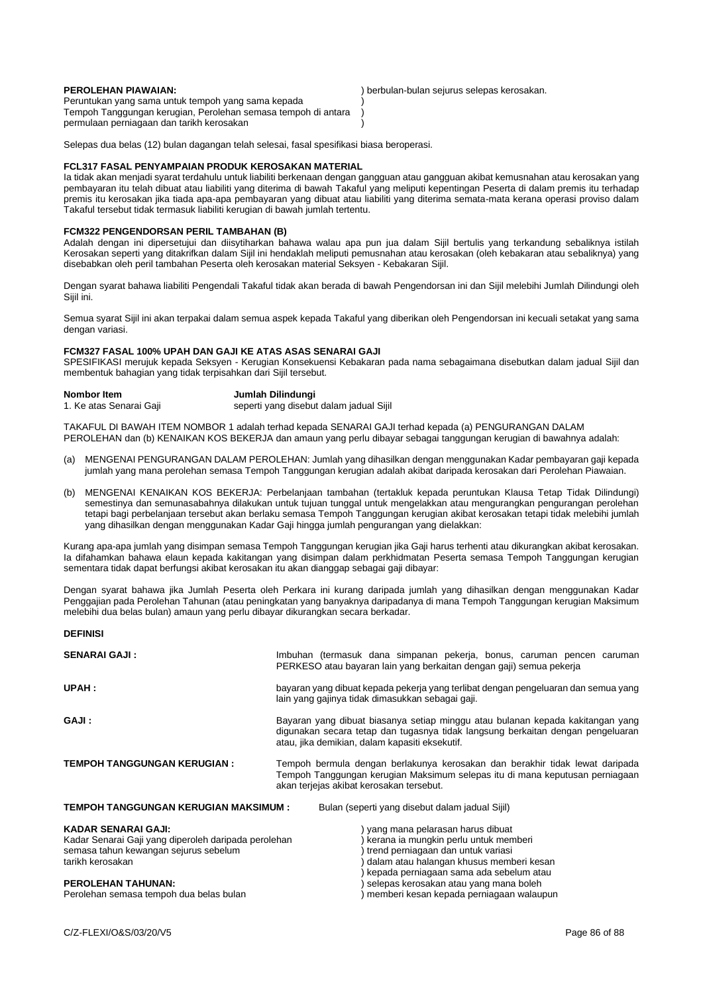Peruntukan yang sama untuk tempoh yang sama kepada ) Tempoh Tanggungan kerugian, Perolehan semasa tempoh di antara ) permulaan perniagaan dan tarikh kerosakan )

**PEROLEHAN PIAWAIAN:** ) berbulan-bulan sejurus selepas kerosakan.

Selepas dua belas (12) bulan dagangan telah selesai, fasal spesifikasi biasa beroperasi.

#### **FCL317 FASAL PENYAMPAIAN PRODUK KEROSAKAN MATERIAL**

Ia tidak akan menjadi syarat terdahulu untuk liabiliti berkenaan dengan gangguan atau gangguan akibat kemusnahan atau kerosakan yang pembayaran itu telah dibuat atau liabiliti yang diterima di bawah Takaful yang meliputi kepentingan Peserta di dalam premis itu terhadap premis itu kerosakan jika tiada apa-apa pembayaran yang dibuat atau liabiliti yang diterima semata-mata kerana operasi proviso dalam Takaful tersebut tidak termasuk liabiliti kerugian di bawah jumlah tertentu.

# **FCM322 PENGENDORSAN PERIL TAMBAHAN (B)**

Adalah dengan ini dipersetujui dan diisytiharkan bahawa walau apa pun jua dalam Sijil bertulis yang terkandung sebaliknya istilah Kerosakan seperti yang ditakrifkan dalam Sijil ini hendaklah meliputi pemusnahan atau kerosakan (oleh kebakaran atau sebaliknya) yang disebabkan oleh peril tambahan Peserta oleh kerosakan material Seksyen - Kebakaran Sijil.

Dengan syarat bahawa liabiliti Pengendali Takaful tidak akan berada di bawah Pengendorsan ini dan Sijil melebihi Jumlah Dilindungi oleh Sijil ini.

Semua syarat Sijil ini akan terpakai dalam semua aspek kepada Takaful yang diberikan oleh Pengendorsan ini kecuali setakat yang sama dengan variasi.

#### **FCM327 FASAL 100% UPAH DAN GAJI KE ATAS ASAS SENARAI GAJI**

SPESIFIKASI merujuk kepada Seksyen - Kerugian Konsekuensi Kebakaran pada nama sebagaimana disebutkan dalam jadual Sijil dan membentuk bahagian yang tidak terpisahkan dari Sijil tersebut.

| Nombor Item             | Jumlah Dilindungi                       |
|-------------------------|-----------------------------------------|
| 1. Ke atas Senarai Gaji | seperti yang disebut dalam jadual Sijil |

TAKAFUL DI BAWAH ITEM NOMBOR 1 adalah terhad kepada SENARAI GAJI terhad kepada (a) PENGURANGAN DALAM PEROLEHAN dan (b) KENAIKAN KOS BEKERJA dan amaun yang perlu dibayar sebagai tanggungan kerugian di bawahnya adalah:

- (a) MENGENAI PENGURANGAN DALAM PEROLEHAN: Jumlah yang dihasilkan dengan menggunakan Kadar pembayaran gaji kepada jumlah yang mana perolehan semasa Tempoh Tanggungan kerugian adalah akibat daripada kerosakan dari Perolehan Piawaian.
- (b) MENGENAI KENAIKAN KOS BEKERJA: Perbelanjaan tambahan (tertakluk kepada peruntukan Klausa Tetap Tidak Dilindungi) semestinya dan semunasabahnya dilakukan untuk tujuan tunggal untuk mengelakkan atau mengurangkan pengurangan perolehan tetapi bagi perbelanjaan tersebut akan berlaku semasa Tempoh Tanggungan kerugian akibat kerosakan tetapi tidak melebihi jumlah yang dihasilkan dengan menggunakan Kadar Gaji hingga jumlah pengurangan yang dielakkan:

Kurang apa-apa jumlah yang disimpan semasa Tempoh Tanggungan kerugian jika Gaji harus terhenti atau dikurangkan akibat kerosakan. Ia difahamkan bahawa elaun kepada kakitangan yang disimpan dalam perkhidmatan Peserta semasa Tempoh Tanggungan kerugian sementara tidak dapat berfungsi akibat kerosakan itu akan dianggap sebagai gaji dibayar:

Dengan syarat bahawa jika Jumlah Peserta oleh Perkara ini kurang daripada jumlah yang dihasilkan dengan menggunakan Kadar Penggajian pada Perolehan Tahunan (atau peningkatan yang banyaknya daripadanya di mana Tempoh Tanggungan kerugian Maksimum melebihi dua belas bulan) amaun yang perlu dibayar dikurangkan secara berkadar.

**DEFINISI SENARAI GAJI :** Imbuhan (termasuk dana simpanan pekerja, bonus, caruman pencen caruman PERKESO atau bayaran lain yang berkaitan dengan gaji) semua pekerja **UPAH :** bayaran yang dibuat kepada pekerja yang terlibat dengan pengeluaran dan semua yang lain yang gajinya tidak dimasukkan sebagai gaji. GAJI : **GAJI** : **Bayaran yang dibuat biasanya setiap minggu atau bulanan kepada kakitangan yang** digunakan secara tetap dan tugasnya tidak langsung berkaitan dengan pengeluaran atau, jika demikian, dalam kapasiti eksekutif. **TEMPOH TANGGUNGAN KERUGIAN :** Tempoh bermula dengan berlakunya kerosakan dan berakhir tidak lewat daripada Tempoh Tanggungan kerugian Maksimum selepas itu di mana keputusan perniagaan akan terjejas akibat kerosakan tersebut. **TEMPOH TANGGUNGAN KERUGIAN MAKSIMUM :** Bulan (seperti yang disebut dalam jadual Sijil) **KADAR SENARAI GAJI:** ) yang mana pelarasan harus dibuat Kadar Senarai Gaji yang diperoleh daripada perolehan ) kerana ia mungkin perlu untuk memberi semasa tahun kewangan sejurus sebelum (berasa ini dikenali perniagaan dan untuk variasi versitasi artikh kerosakan dan untuk variasi tarikh kerosakan dan untuk variasi dalam atau halangan khusus mem dalam atau halangan khusus memberi kesan ) kepada perniagaan sama ada sebelum atau **PEROLEHAN TAHUNAN:** ) selepas kerosakan atau yang mana boleh Perolehan semasa tempoh dua belas bulan ) memberi kesan kepada perniagaan walaupun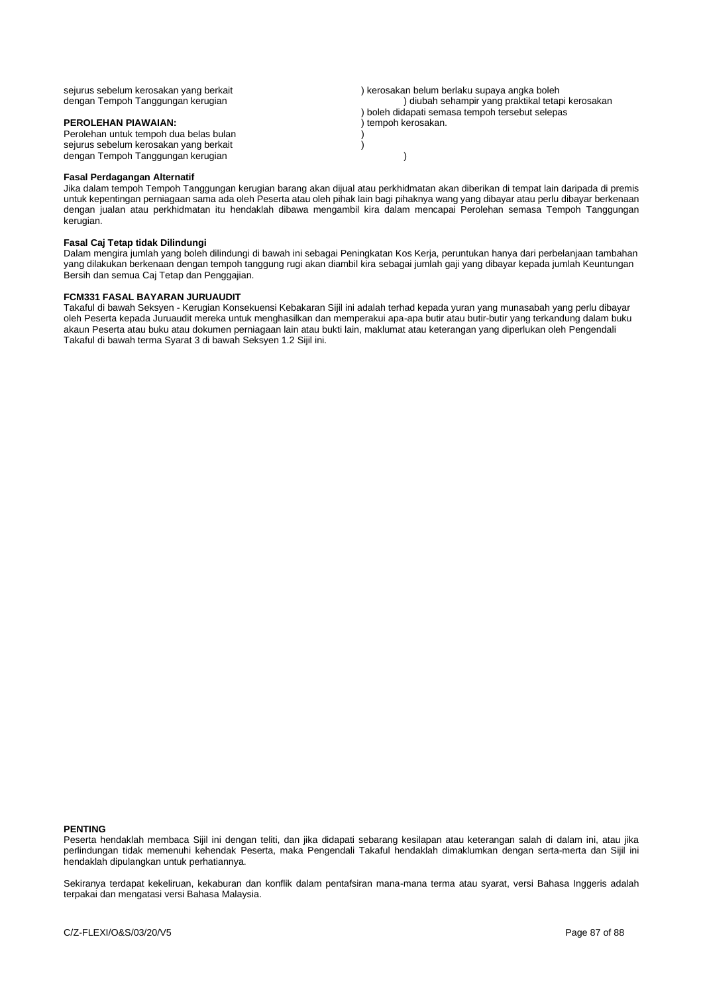| sejurus sebelum kerosakan yang berkait | ) kerosakan belum berlaku supaya angka boleh      |
|----------------------------------------|---------------------------------------------------|
| dengan Tempoh Tanggungan kerugian      | ) diubah sehampir yang praktikal tetapi kerosakan |
|                                        | boleh didapati semasa tempoh tersebut selepas     |
| <b>PEROLEHAN PIAWAIAN:</b>             | tempoh kerosakan.                                 |
| Perolehan untuk tempoh dua belas bulan |                                                   |
| sejurus sebelum kerosakan yang berkait |                                                   |
| dengan Tempoh Tanggungan kerugian      |                                                   |

# **Fasal Perdagangan Alternatif**

Jika dalam tempoh Tempoh Tanggungan kerugian barang akan dijual atau perkhidmatan akan diberikan di tempat lain daripada di premis untuk kepentingan perniagaan sama ada oleh Peserta atau oleh pihak lain bagi pihaknya wang yang dibayar atau perlu dibayar berkenaan dengan jualan atau perkhidmatan itu hendaklah dibawa mengambil kira dalam mencapai Perolehan semasa Tempoh Tanggungan kerugian.

# **Fasal Caj Tetap tidak Dilindungi**

Dalam mengira jumlah yang boleh dilindungi di bawah ini sebagai Peningkatan Kos Kerja, peruntukan hanya dari perbelanjaan tambahan yang dilakukan berkenaan dengan tempoh tanggung rugi akan diambil kira sebagai jumlah gaji yang dibayar kepada jumlah Keuntungan Bersih dan semua Caj Tetap dan Penggajian.

# **FCM331 FASAL BAYARAN JURUAUDIT**

Takaful di bawah Seksyen - Kerugian Konsekuensi Kebakaran Sijil ini adalah terhad kepada yuran yang munasabah yang perlu dibayar oleh Peserta kepada Juruaudit mereka untuk menghasilkan dan memperakui apa-apa butir atau butir-butir yang terkandung dalam buku akaun Peserta atau buku atau dokumen perniagaan lain atau bukti lain, maklumat atau keterangan yang diperlukan oleh Pengendali Takaful di bawah terma Syarat 3 di bawah Seksyen 1.2 Sijil ini.

#### **PENTING**

Peserta hendaklah membaca Sijil ini dengan teliti, dan jika didapati sebarang kesilapan atau keterangan salah di dalam ini, atau jika perlindungan tidak memenuhi kehendak Peserta, maka Pengendali Takaful hendaklah dimaklumkan dengan serta-merta dan Sijil ini hendaklah dipulangkan untuk perhatiannya.

Sekiranya terdapat kekeliruan, kekaburan dan konflik dalam pentafsiran mana-mana terma atau syarat, versi Bahasa Inggeris adalah terpakai dan mengatasi versi Bahasa Malaysia.